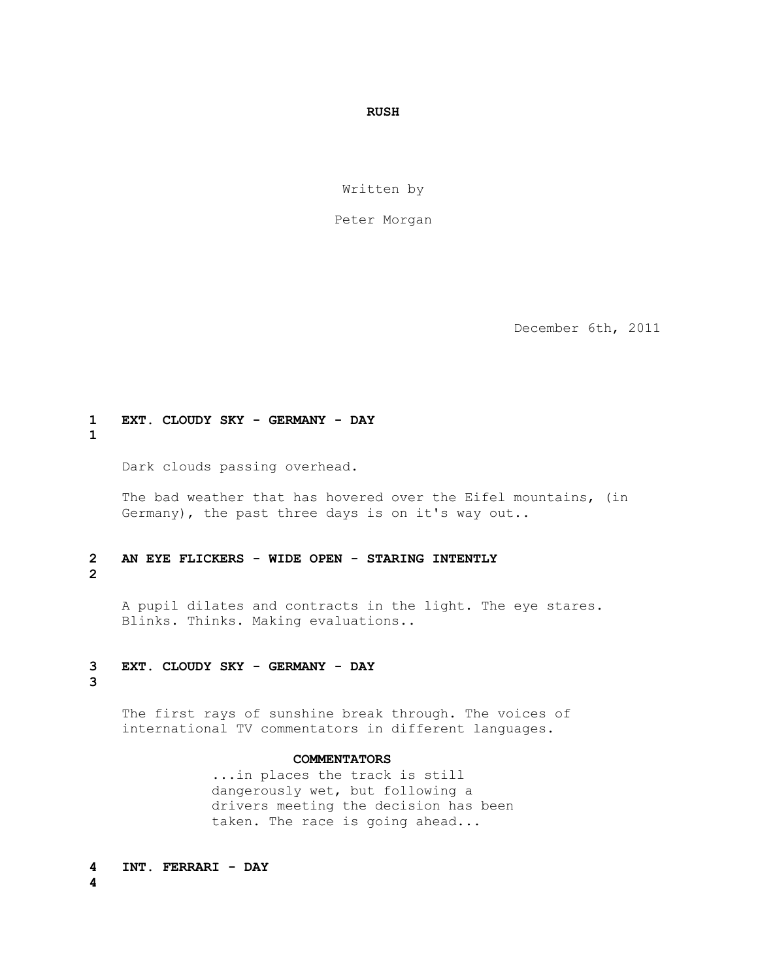# *RUSH*

Written by

Peter Morgan

December 6th, 2011

# **1 EXT. CLOUDY SKY - GERMANY - DAY**

**1**

Dark clouds passing overhead.

 The bad weather that has hovered over the Eifel mountains, (in Germany), the past three days is on it's way out..

# **2 AN EYE FLICKERS - WIDE OPEN - STARING INTENTLY**

# **2**

 A pupil dilates and contracts in the light. The eye stares. Blinks. Thinks. Making evaluations..

# **3 EXT. CLOUDY SKY - GERMANY - DAY**

**3**

 The first rays of sunshine break through. The voices of international TV commentators in different languages.

# **COMMENTATORS**

 ...in places the track is still dangerously wet, but following a drivers meeting the decision has been taken. The race is going ahead...

**4 INT. FERRARI - DAY 4**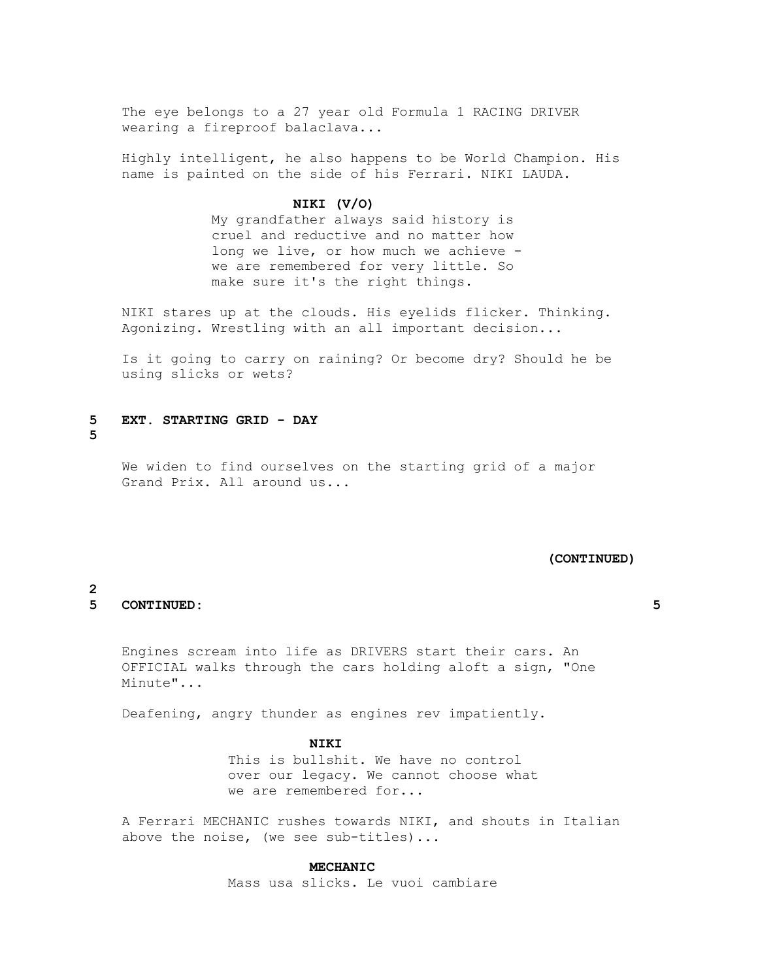The eye belongs to a 27 year old Formula 1 RACING DRIVER wearing a fireproof balaclava...

 Highly intelligent, he also happens to be World Champion. His name is painted on the side of his Ferrari. NIKI LAUDA.

# **NIKI (V/O)**

 My grandfather always said history is cruel and reductive and no matter how long we live, or how much we achieve we are remembered for very little. So make sure it's the right things.

 NIKI stares up at the clouds. His eyelids flicker. Thinking. Agonizing. Wrestling with an all important decision...

 Is it going to carry on raining? Or become dry? Should he be using slicks or wets?

# **5 EXT. STARTING GRID - DAY 5**

 We widen to find ourselves on the starting grid of a major Grand Prix. All around us...

#### **(CONTINUED)**

#### **2 5 CONTINUED: 5**

 Engines scream into life as DRIVERS start their cars. An OFFICIAL walks through the cars holding aloft a sign, "One Minute"...

Deafening, angry thunder as engines rev impatiently.

#### **NIKI**

 This is bullshit. We have no control over our legacy. We cannot choose what we are remembered for...

 A Ferrari MECHANIC rushes towards NIKI, and shouts in Italian above the noise, (we see sub-titles)...

#### **MECHANIC**

Mass usa slicks. Le vuoi cambiare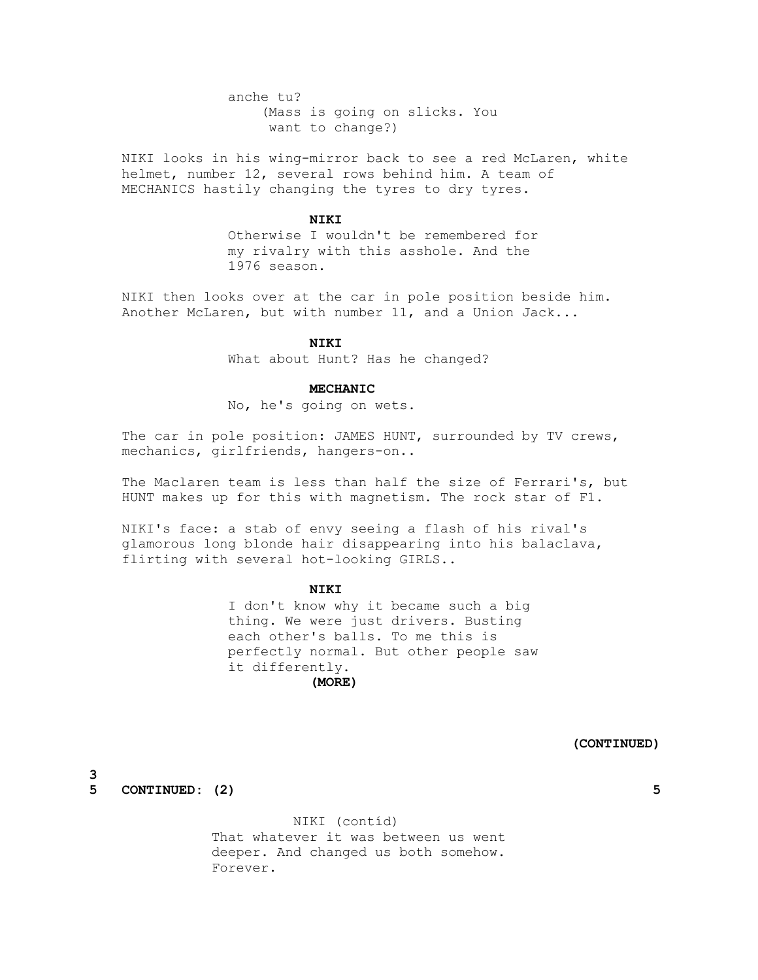anche tu? (Mass is going on slicks. You want to change?)

 NIKI looks in his wing-mirror back to see a red McLaren, white helmet, number 12, several rows behind him. A team of MECHANICS hastily changing the tyres to dry tyres.

# **NIKI**

 Otherwise I wouldn't be remembered for my rivalry with this asshole. And the 1976 season.

 NIKI then looks over at the car in pole position beside him. Another McLaren, but with number 11, and a Union Jack...

#### **NIKI**

What about Hunt? Has he changed?

#### **MECHANIC**

No, he's going on wets.

 The car in pole position: JAMES HUNT, surrounded by TV crews, mechanics, girlfriends, hangers-on..

 The Maclaren team is less than half the size of Ferrari's, but HUNT makes up for this with magnetism. The rock star of F1.

 NIKI's face: a stab of envy seeing a flash of his rival's glamorous long blonde hair disappearing into his balaclava, flirting with several hot-looking GIRLS..

# **NIKI**

 I don't know why it became such a big thing. We were just drivers. Busting each other's balls. To me this is perfectly normal. But other people saw it differently.

# **(MORE)**

 **(CONTINUED)**

**3 5 CONTINUED: (2) 5**

> NIKI (contíd) That whatever it was between us went deeper. And changed us both somehow. Forever.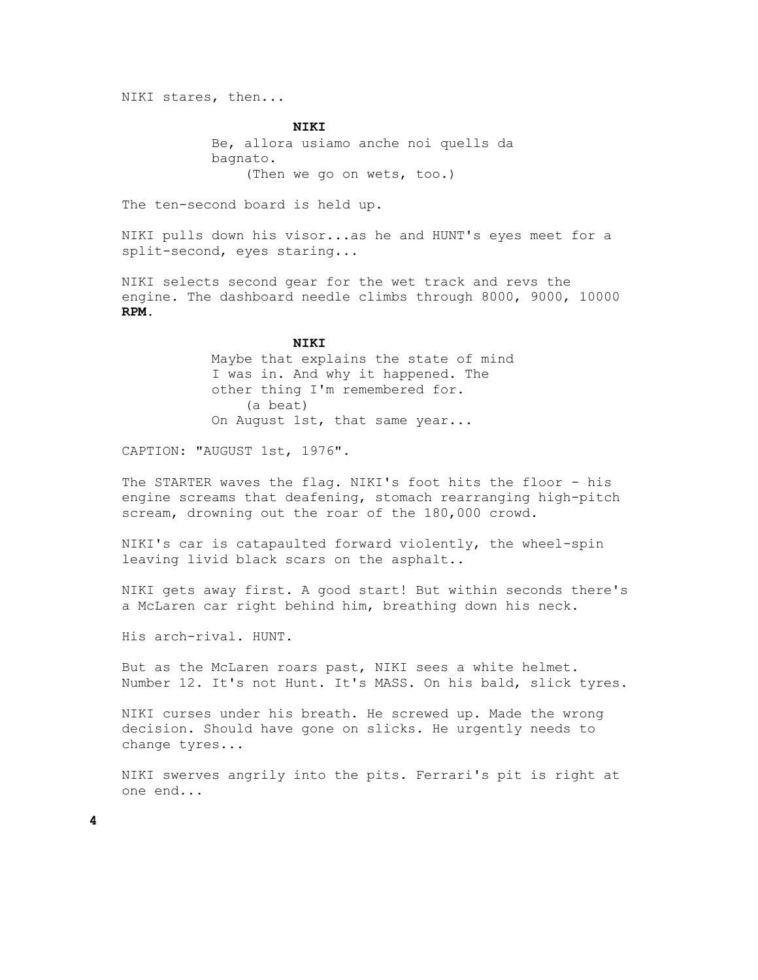NIKI stares, then...

 **NIKI** Be, allora usiamo anche noi quells da bagnato. (Then we go on wets, too.)

The ten-second board is held up.

 NIKI pulls down his visor...as he and HUNT's eyes meet for a split-second, eyes staring...

 NIKI selects second gear for the wet track and revs the engine. The dashboard needle climbs through 8000, 9000, 10000  **RPM.**

#### **NIKI**

 Maybe that explains the state of mind I was in. And why it happened. The other thing I'm remembered for. (a beat) On August 1st, that same year...

CAPTION: "AUGUST 1st, 1976".

 The STARTER waves the flag. NIKI's foot hits the floor - his engine screams that deafening, stomach rearranging high-pitch scream, drowning out the roar of the 180,000 crowd.

 NIKI's car is catapaulted forward violently, the wheel-spin leaving livid black scars on the asphalt..

 NIKI gets away first. A good start! But within seconds there's a McLaren car right behind him, breathing down his neck.

His arch-rival. HUNT.

 But as the McLaren roars past, NIKI sees a white helmet. Number 12. It's not Hunt. It's MASS. On his bald, slick tyres.

 NIKI curses under his breath. He screwed up. Made the wrong decision. Should have gone on slicks. He urgently needs to change tyres...

 NIKI swerves angrily into the pits. Ferrari's pit is right at one end...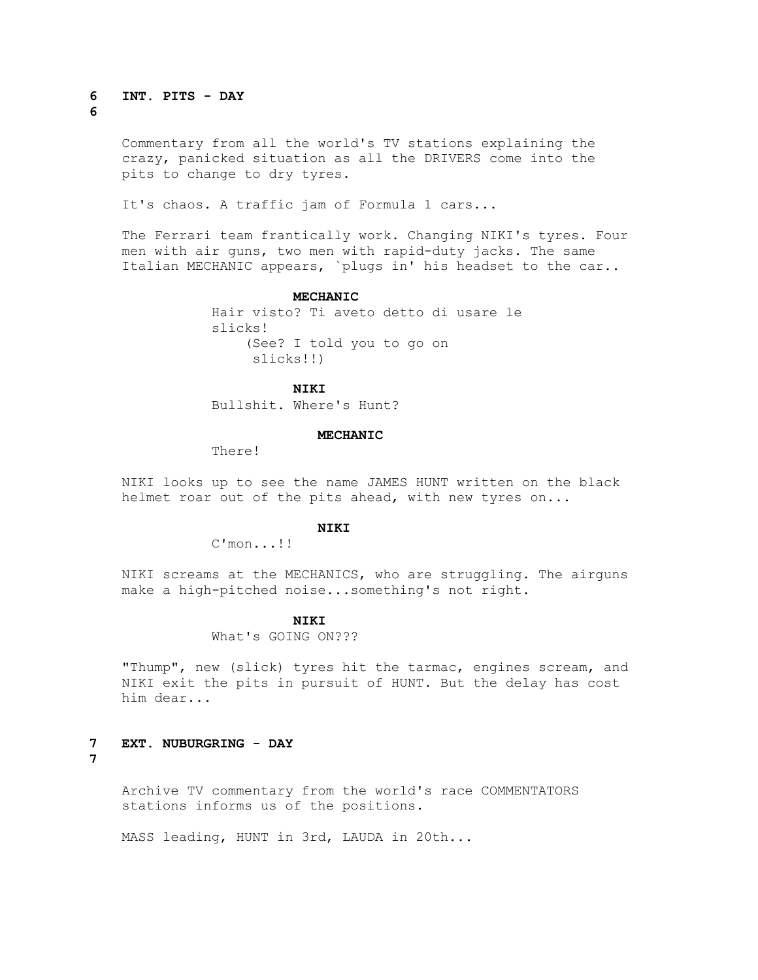#### **6 INT. PITS - DAY 6**

 Commentary from all the world's TV stations explaining the crazy, panicked situation as all the DRIVERS come into the pits to change to dry tyres.

It's chaos. A traffic jam of Formula 1 cars...

 The Ferrari team frantically work. Changing NIKI's tyres. Four men with air guns, two men with rapid-duty jacks. The same Italian MECHANIC appears, `plugs in' his headset to the car..

#### **MECHANIC**

 Hair visto? Ti aveto detto di usare le slicks! (See? I told you to go on slicks!!)

# **NIKI**

Bullshit. Where's Hunt?

# **MECHANIC**

There!

 NIKI looks up to see the name JAMES HUNT written on the black helmet roar out of the pits ahead, with new tyres on...

# **NIKI**

C'mon...!!

 NIKI screams at the MECHANICS, who are struggling. The airguns make a high-pitched noise...something's not right.

# **NIKI**

What's GOING ON???

 "Thump", new (slick) tyres hit the tarmac, engines scream, and NIKI exit the pits in pursuit of HUNT. But the delay has cost him dear...

**7 EXT. NUBURGRING - DAY** 

**7**

 Archive TV commentary from the world's race COMMENTATORS stations informs us of the positions.

MASS leading, HUNT in 3rd, LAUDA in 20th...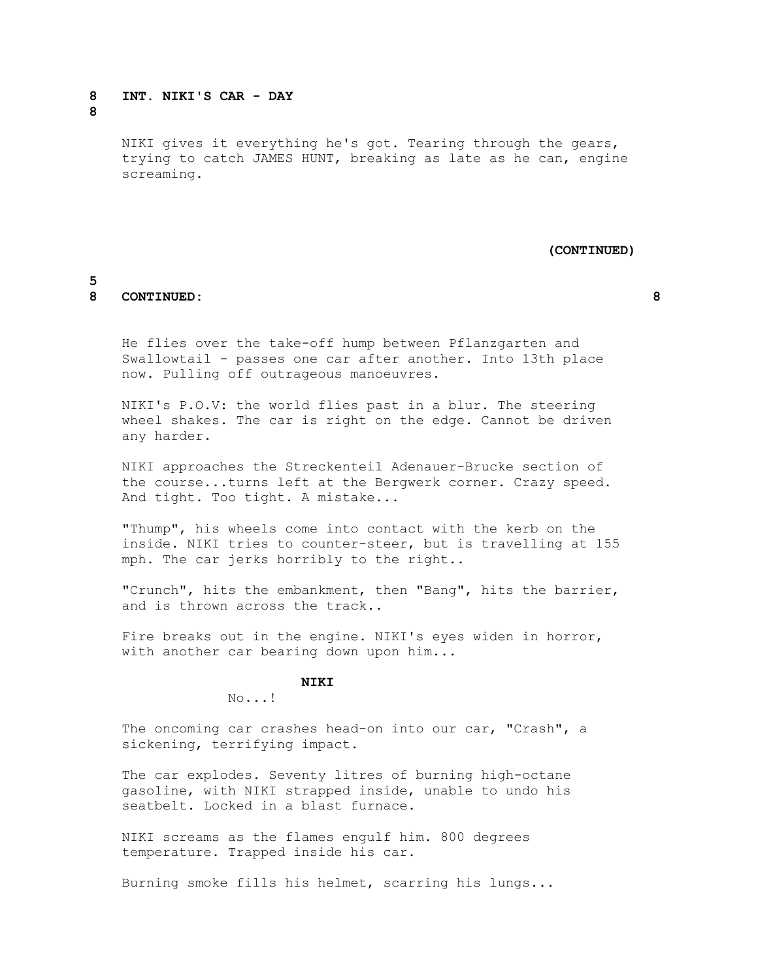# **8 INT. NIKI'S CAR - DAY**

**8**

 NIKI gives it everything he's got. Tearing through the gears, trying to catch JAMES HUNT, breaking as late as he can, engine screaming.

#### **(CONTINUED)**

# **5**

# **8 CONTINUED: 8**

 He flies over the take-off hump between Pflanzgarten and Swallowtail - passes one car after another. Into 13th place now. Pulling off outrageous manoeuvres.

 NIKI's P.O.V: the world flies past in a blur. The steering wheel shakes. The car is right on the edge. Cannot be driven any harder.

 NIKI approaches the Streckenteil Adenauer-Brucke section of the course...turns left at the Bergwerk corner. Crazy speed. And tight. Too tight. A mistake...

 "Thump", his wheels come into contact with the kerb on the inside. NIKI tries to counter-steer, but is travelling at 155 mph. The car jerks horribly to the right..

 "Crunch", hits the embankment, then "Bang", hits the barrier, and is thrown across the track..

 Fire breaks out in the engine. NIKI's eyes widen in horror, with another car bearing down upon him...

# **NIKI**

No...!

 The oncoming car crashes head-on into our car, "Crash", a sickening, terrifying impact.

 The car explodes. Seventy litres of burning high-octane gasoline, with NIKI strapped inside, unable to undo his seatbelt. Locked in a blast furnace.

 NIKI screams as the flames engulf him. 800 degrees temperature. Trapped inside his car.

Burning smoke fills his helmet, scarring his lungs...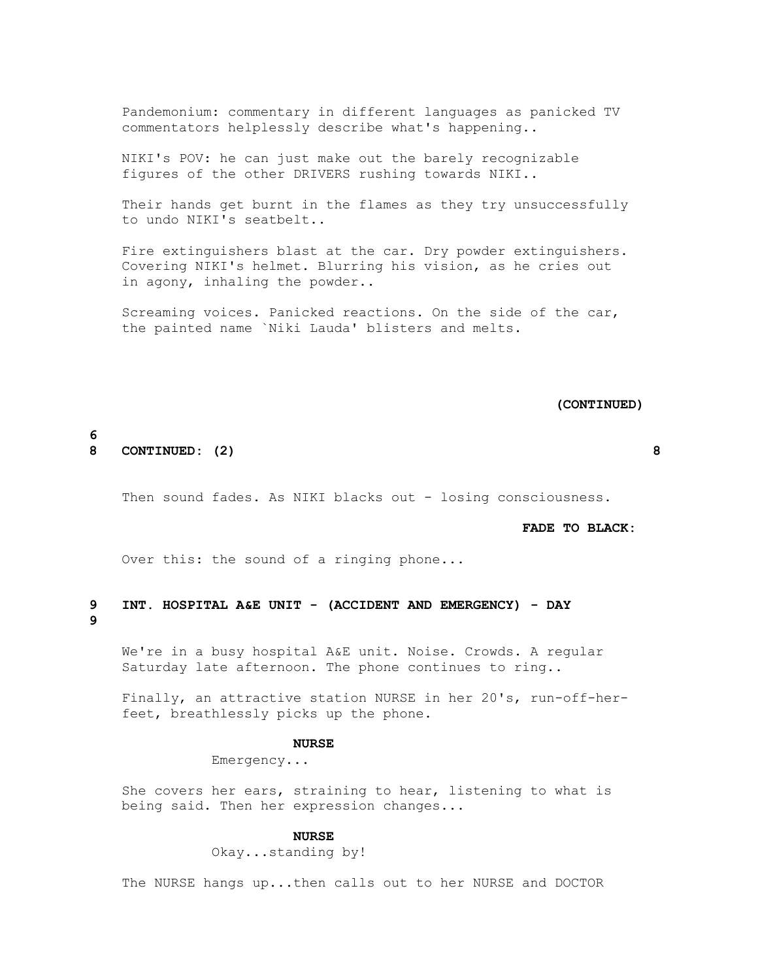Pandemonium: commentary in different languages as panicked TV commentators helplessly describe what's happening..

 NIKI's POV: he can just make out the barely recognizable figures of the other DRIVERS rushing towards NIKI..

 Their hands get burnt in the flames as they try unsuccessfully to undo NIKI's seatbelt..

 Fire extinguishers blast at the car. Dry powder extinguishers. Covering NIKI's helmet. Blurring his vision, as he cries out in agony, inhaling the powder..

 Screaming voices. Panicked reactions. On the side of the car, the painted name `Niki Lauda' blisters and melts.

 **(CONTINUED)**

# **6 8 CONTINUED: (2) 8**

Then sound fades. As NIKI blacks out - losing consciousness.

# **FADE TO BLACK:**

Over this: the sound of a ringing phone...

# **9 INT. HOSPITAL A&E UNIT - (ACCIDENT AND EMERGENCY) - DAY 9**

 We're in a busy hospital A&E unit. Noise. Crowds. A regular Saturday late afternoon. The phone continues to ring..

 Finally, an attractive station NURSE in her 20's, run-off-her feet, breathlessly picks up the phone.

#### **NURSE**

Emergency...

 She covers her ears, straining to hear, listening to what is being said. Then her expression changes...

#### **NURSE**

Okay...standing by!

The NURSE hangs up...then calls out to her NURSE and DOCTOR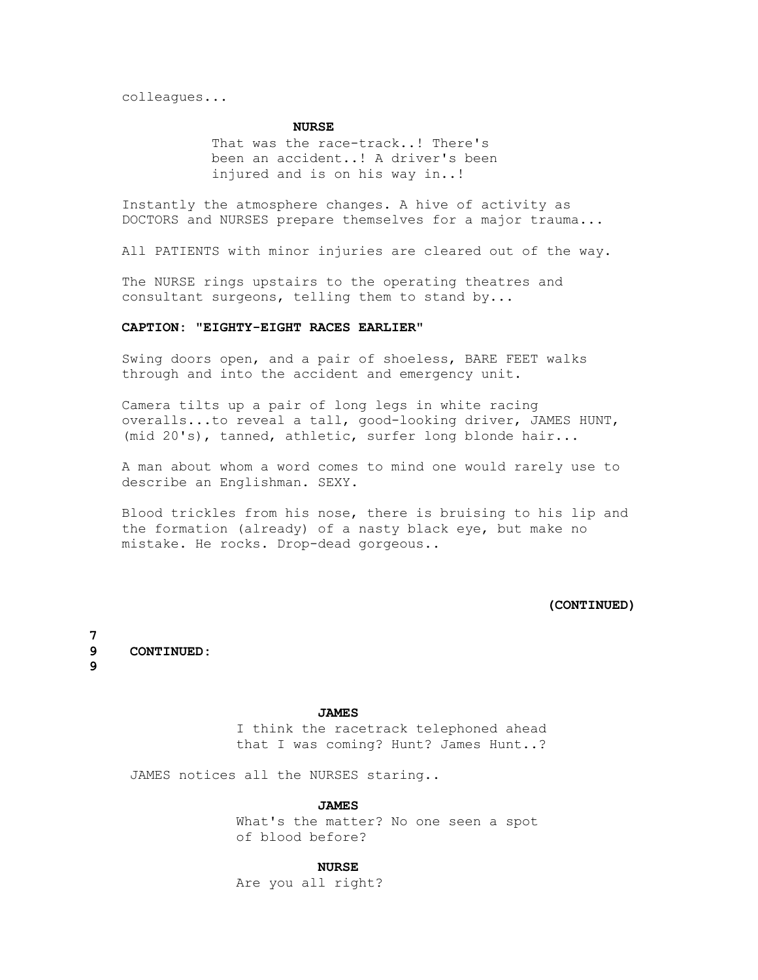colleagues...

# **NURSE**

 That was the race-track..! There's been an accident..! A driver's been injured and is on his way in..!

 Instantly the atmosphere changes. A hive of activity as DOCTORS and NURSES prepare themselves for a major trauma...

All PATIENTS with minor injuries are cleared out of the way.

 The NURSE rings upstairs to the operating theatres and consultant surgeons, telling them to stand by...

# **CAPTION: "EIGHTY-EIGHT RACES EARLIER"**

 Swing doors open, and a pair of shoeless, BARE FEET walks through and into the accident and emergency unit.

 Camera tilts up a pair of long legs in white racing overalls...to reveal a tall, good-looking driver, JAMES HUNT, (mid 20's), tanned, athletic, surfer long blonde hair...

 A man about whom a word comes to mind one would rarely use to describe an Englishman. SEXY.

 Blood trickles from his nose, there is bruising to his lip and the formation (already) of a nasty black eye, but make no mistake. He rocks. Drop-dead gorgeous..

# **(CONTINUED)**

**7 9 CONTINUED:** 

**9**

#### **JAMES**

 I think the racetrack telephoned ahead that I was coming? Hunt? James Hunt..?

JAMES notices all the NURSES staring..

#### **JAMES**

 What's the matter? No one seen a spot of blood before?

#### **NURSE**

Are you all right?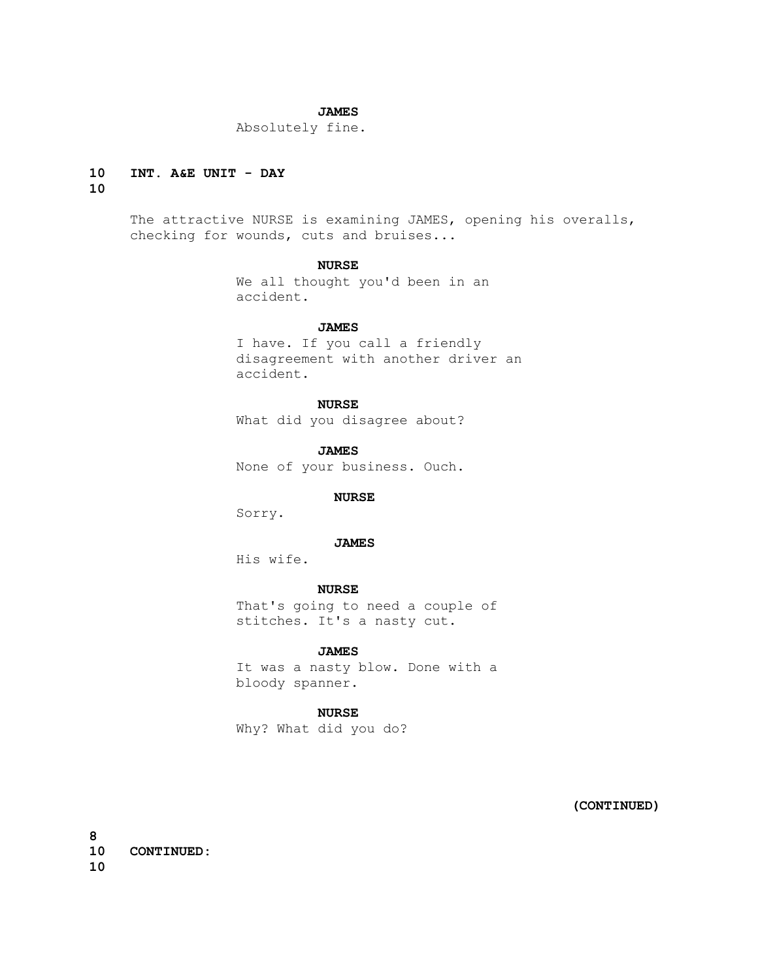# **JAMES**

Absolutely fine.

# **10 INT. A&E UNIT - DAY**

# **10**

 The attractive NURSE is examining JAMES, opening his overalls, checking for wounds, cuts and bruises...

# **NURSE**

 We all thought you'd been in an accident.

#### **JAMES**

 I have. If you call a friendly disagreement with another driver an accident.

# **NURSE**

What did you disagree about?

 **JAMES** None of your business. Ouch.

# **NURSE**

Sorry.

# **JAMES**

His wife.

# **NURSE**

 That's going to need a couple of stitches. It's a nasty cut.

# **JAMES**

 It was a nasty blow. Done with a bloody spanner.

# **NURSE**

Why? What did you do?

 **(CONTINUED)**

**8 10 CONTINUED: 10**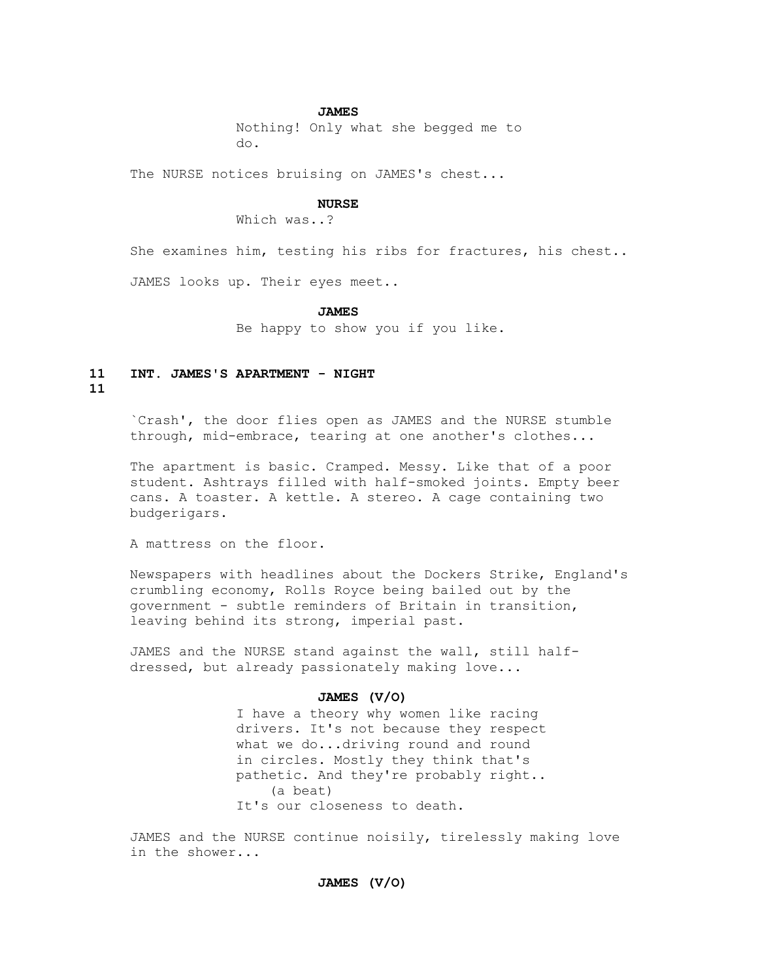#### **JAMES**

 Nothing! Only what she begged me to do.

The NURSE notices bruising on JAMES's chest...

#### **NURSE**

Which was..?

She examines him, testing his ribs for fractures, his chest..

JAMES looks up. Their eyes meet..

#### **JAMES**

Be happy to show you if you like.

# **11 INT. JAMES'S APARTMENT - NIGHT**

#### **11**

 `Crash', the door flies open as JAMES and the NURSE stumble through, mid-embrace, tearing at one another's clothes...

 The apartment is basic. Cramped. Messy. Like that of a poor student. Ashtrays filled with half-smoked joints. Empty beer cans. A toaster. A kettle. A stereo. A cage containing two budgerigars.

A mattress on the floor.

 Newspapers with headlines about the Dockers Strike, England's crumbling economy, Rolls Royce being bailed out by the government - subtle reminders of Britain in transition, leaving behind its strong, imperial past.

 JAMES and the NURSE stand against the wall, still half dressed, but already passionately making love...

# **JAMES (V/O)**

 I have a theory why women like racing drivers. It's not because they respect what we do...driving round and round in circles. Mostly they think that's pathetic. And they're probably right.. (a beat) It's our closeness to death.

 JAMES and the NURSE continue noisily, tirelessly making love in the shower...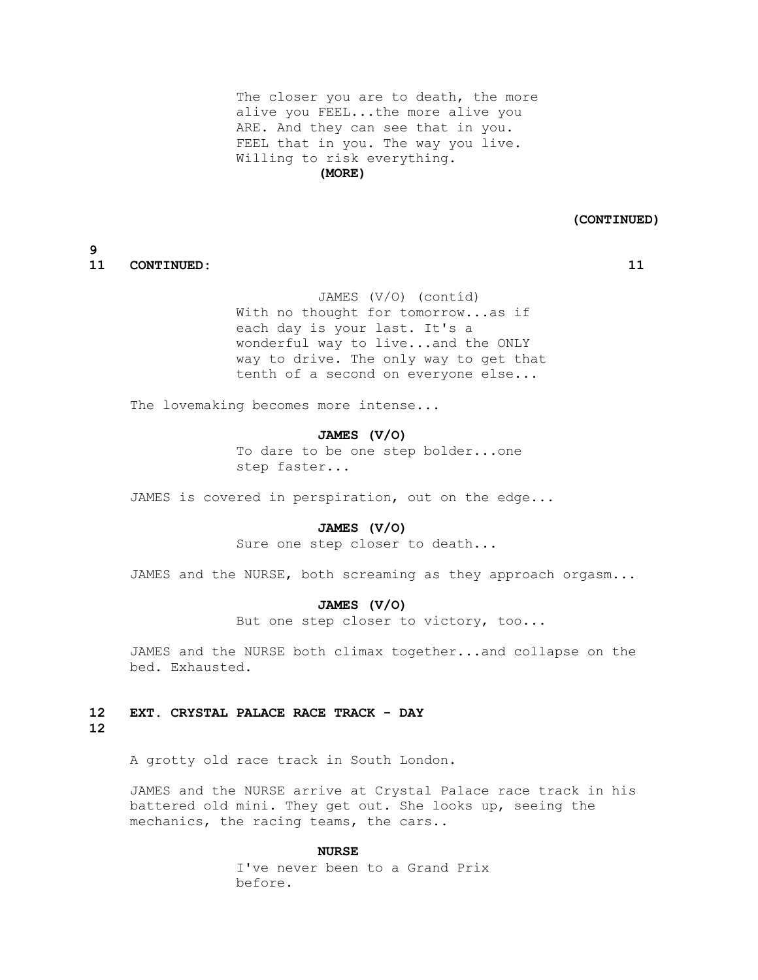The closer you are to death, the more alive you FEEL...the more alive you ARE. And they can see that in you. FEEL that in you. The way you live. Willing to risk everything.  **(MORE)**

 **(CONTINUED)**

# **9 11 CONTINUED: 11**

 JAMES (V/O) (contíd) With no thought for tomorrow...as if each day is your last. It's a wonderful way to live...and the ONLY way to drive. The only way to get that tenth of a second on everyone else...

The lovemaking becomes more intense...

# **JAMES (V/O)**

 To dare to be one step bolder...one step faster...

JAMES is covered in perspiration, out on the edge...

#### **JAMES (V/O)**

Sure one step closer to death...

JAMES and the NURSE, both screaming as they approach orgasm...

# **JAMES (V/O)**

But one step closer to victory, too...

 JAMES and the NURSE both climax together...and collapse on the bed. Exhausted.

# **12 EXT. CRYSTAL PALACE RACE TRACK - DAY 12**

A grotty old race track in South London.

 JAMES and the NURSE arrive at Crystal Palace race track in his battered old mini. They get out. She looks up, seeing the mechanics, the racing teams, the cars..

#### **NURSE**

 I've never been to a Grand Prix before.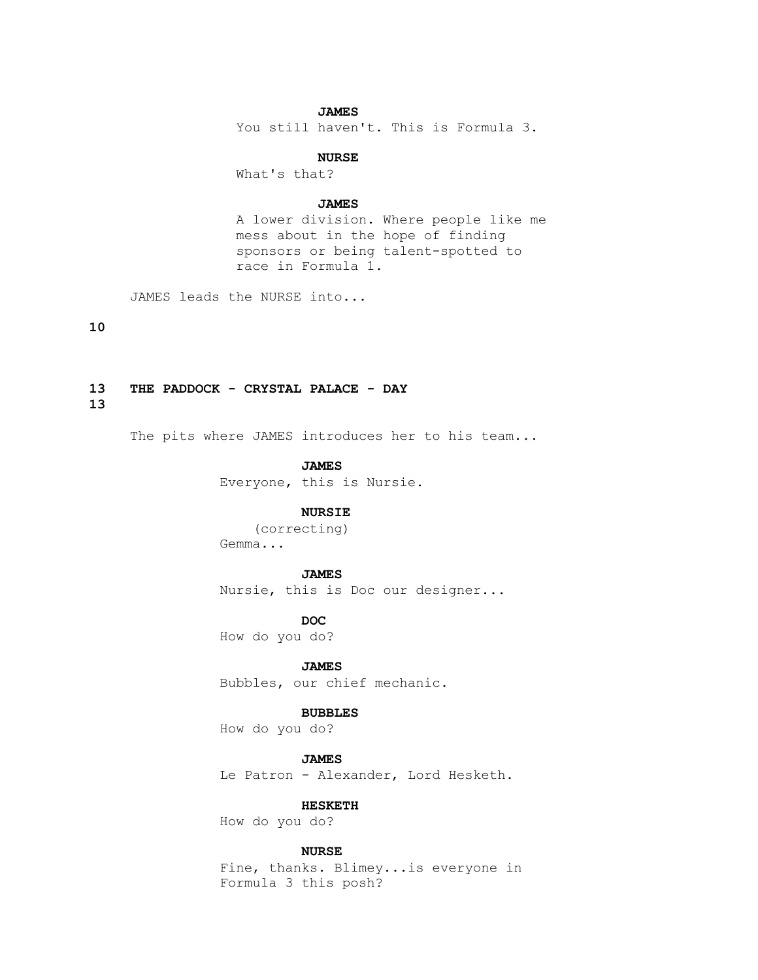# **JAMES**

You still haven't. This is Formula 3.

#### **NURSE**

What's that?

#### **JAMES**

 A lower division. Where people like me mess about in the hope of finding sponsors or being talent-spotted to race in Formula 1.

JAMES leads the NURSE into...

# **10**

# **13 THE PADDOCK - CRYSTAL PALACE - DAY**

**13**

The pits where JAMES introduces her to his team...

#### **JAMES**

Everyone, this is Nursie.

# **NURSIE**

 (correcting) Gemma...

#### **JAMES**

Nursie, this is Doc our designer...

*DOC* How do you do?

 **JAMES**

Bubbles, our chief mechanic.

#### **BUBBLES**

How do you do?

 **JAMES** Le Patron - Alexander, Lord Hesketh.

# **HESKETH**

How do you do?

# **NURSE**

 Fine, thanks. Blimey...is everyone in Formula 3 this posh?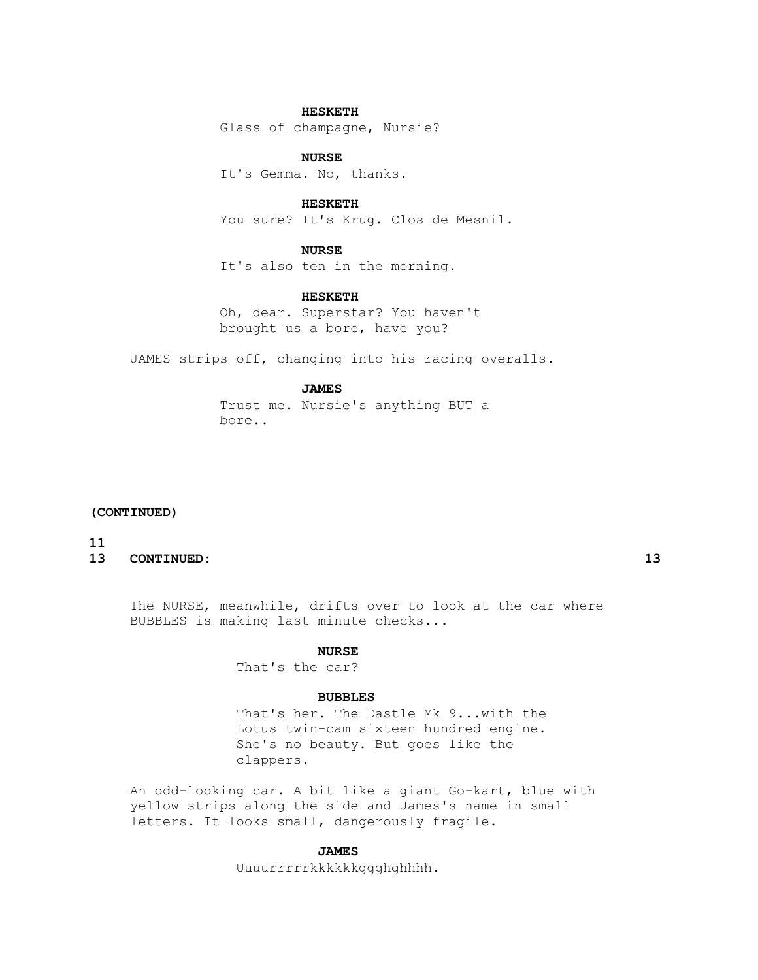# **HESKETH**

Glass of champagne, Nursie?

# **NURSE**

It's Gemma. No, thanks.

# **HESKETH**

You sure? It's Krug. Clos de Mesnil.

# **NURSE**

It's also ten in the morning.

# **HESKETH**

 Oh, dear. Superstar? You haven't brought us a bore, have you?

JAMES strips off, changing into his racing overalls.

#### **JAMES**

 Trust me. Nursie's anything BUT a bore..

# **(CONTINUED)**

# **11**

**13 CONTINUED: 13**

 The NURSE, meanwhile, drifts over to look at the car where BUBBLES is making last minute checks...

#### **NURSE**

That's the car?

#### **BUBBLES**

 That's her. The Dastle Mk 9...with the Lotus twin-cam sixteen hundred engine. She's no beauty. But goes like the clappers.

 An odd-looking car. A bit like a giant Go-kart, blue with yellow strips along the side and James's name in small letters. It looks small, dangerously fragile.

# **JAMES**

Uuuurrrrrkkkkkkggghghhhh.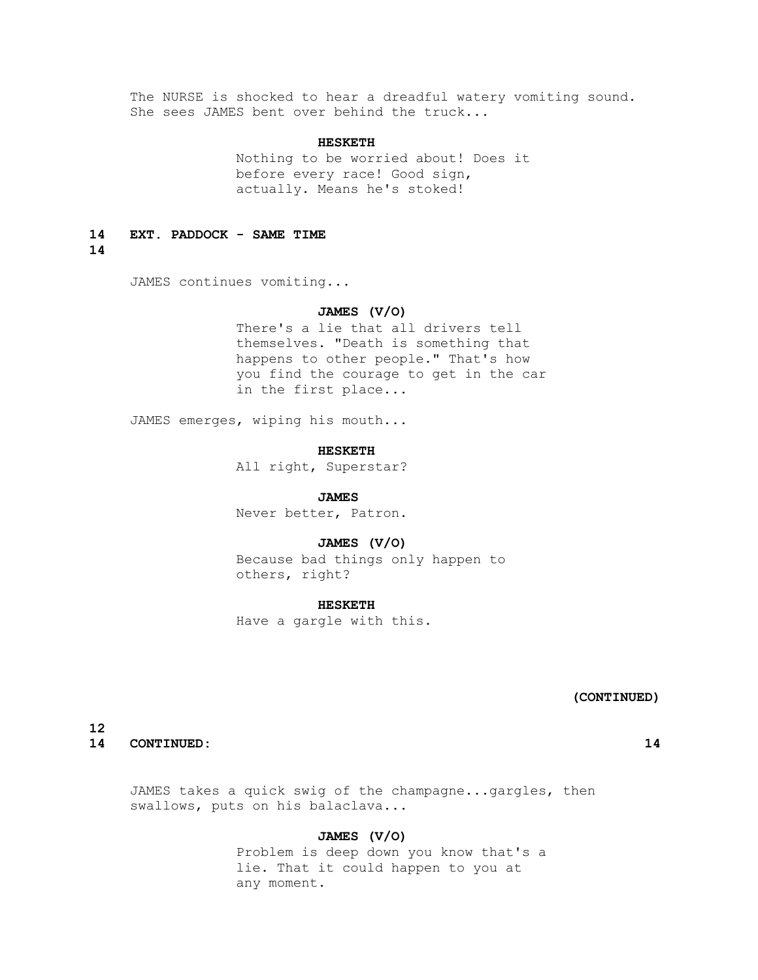The NURSE is shocked to hear a dreadful watery vomiting sound. She sees JAMES bent over behind the truck...

# **HESKETH**

Nothing to be worried about! Does it before every race! Good sign, actually. Means he's stoked!

#### **14 EXT. PADDOCK - SAME TIME**

**14**

JAMES continues vomiting...

# **JAMES (V/O)**

 There's a lie that all drivers tell themselves. "Death is something that happens to other people." That's how you find the courage to get in the car in the first place...

JAMES emerges, wiping his mouth...

#### **HESKETH**

All right, Superstar?

#### **JAMES**

Never better, Patron.

# **JAMES (V/O)**

 Because bad things only happen to others, right?

#### **HESKETH**

Have a gargle with this.

# **(CONTINUED)**

**12 14 CONTINUED: 14**

 JAMES takes a quick swig of the champagne...gargles, then swallows, puts on his balaclava...

# **JAMES (V/O)**

 Problem is deep down you know that's a lie. That it could happen to you at any moment.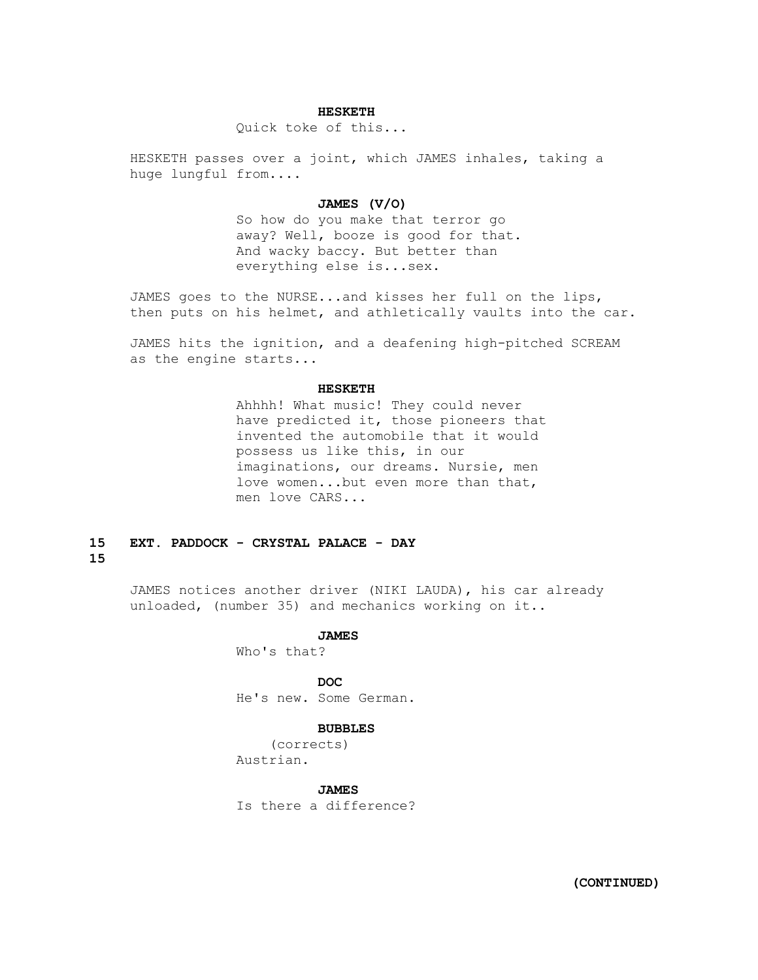# **HESKETH**

Quick toke of this...

 HESKETH passes over a joint, which JAMES inhales, taking a huge lungful from....

# **JAMES (V/O)**

 So how do you make that terror go away? Well, booze is good for that. And wacky baccy. But better than everything else is...sex.

 JAMES goes to the NURSE...and kisses her full on the lips, then puts on his helmet, and athletically vaults into the car.

 JAMES hits the ignition, and a deafening high-pitched SCREAM as the engine starts...

#### **HESKETH**

 Ahhhh! What music! They could never have predicted it, those pioneers that invented the automobile that it would possess us like this, in our imaginations, our dreams. Nursie, men love women...but even more than that, men love CARS...

# **15 EXT. PADDOCK - CRYSTAL PALACE - DAY 15**

 JAMES notices another driver (NIKI LAUDA), his car already unloaded, (number 35) and mechanics working on it..

> **JAMES** Who's that?

*DOC* 

He's new. Some German.

# **BUBBLES**

 (corrects) Austrian.

# **JAMES**

Is there a difference?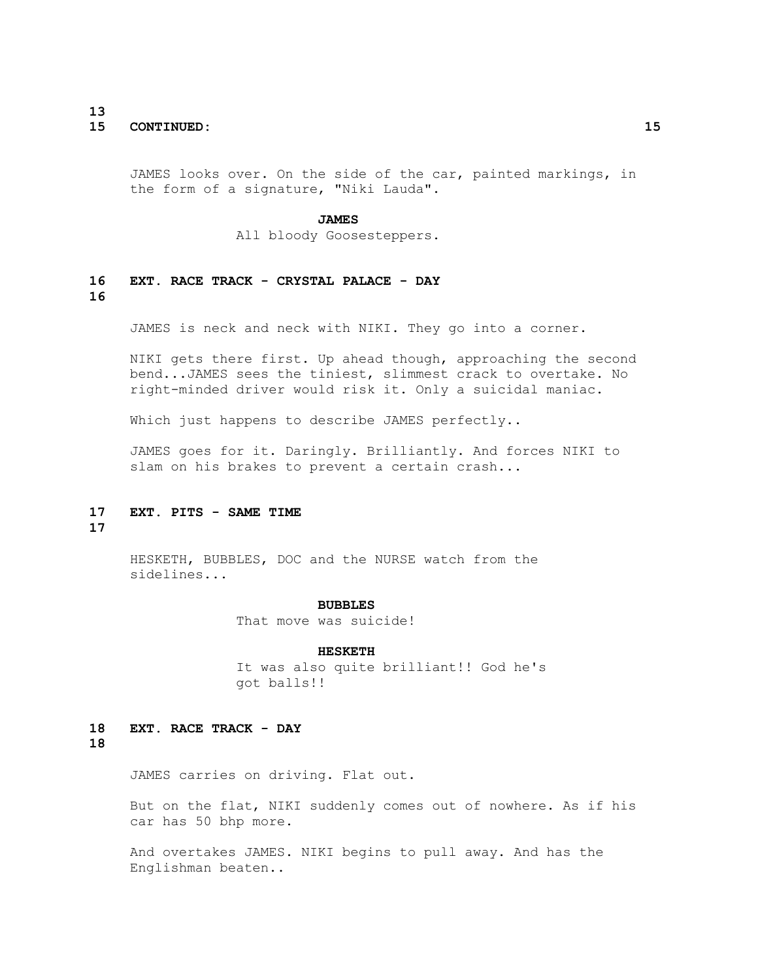# **13 15 CONTINUED: 15**

 JAMES looks over. On the side of the car, painted markings, in the form of a signature, "Niki Lauda".

#### **JAMES**

All bloody Goosesteppers.

# **16 EXT. RACE TRACK - CRYSTAL PALACE - DAY 16**

JAMES is neck and neck with NIKI. They go into a corner.

 NIKI gets there first. Up ahead though, approaching the second bend...JAMES sees the tiniest, slimmest crack to overtake. No right-minded driver would risk it. Only a suicidal maniac.

Which just happens to describe JAMES perfectly..

 JAMES goes for it. Daringly. Brilliantly. And forces NIKI to slam on his brakes to prevent a certain crash...

# **17 EXT. PITS - SAME TIME**

# **17**

 HESKETH, BUBBLES, DOC and the NURSE watch from the sidelines...

#### **BUBBLES**

That move was suicide!

#### **HESKETH**

 It was also quite brilliant!! God he's got balls!!

# **18 EXT. RACE TRACK - DAY 18**

JAMES carries on driving. Flat out.

 But on the flat, NIKI suddenly comes out of nowhere. As if his car has 50 bhp more.

 And overtakes JAMES. NIKI begins to pull away. And has the Englishman beaten..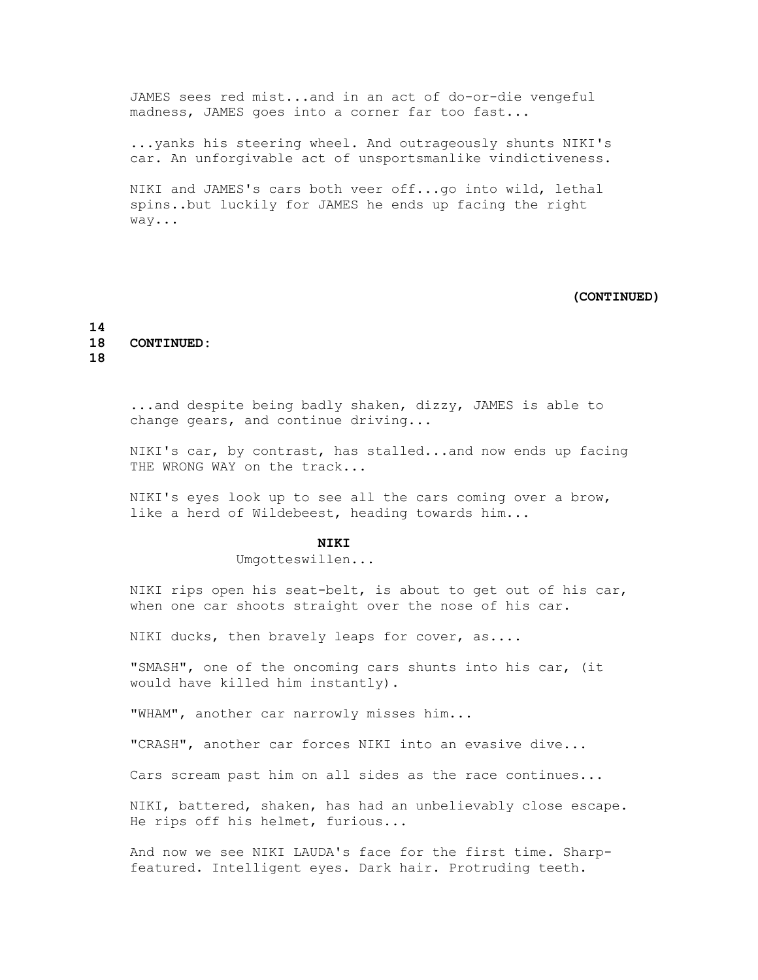JAMES sees red mist...and in an act of do-or-die vengeful madness, JAMES goes into a corner far too fast...

 ...yanks his steering wheel. And outrageously shunts NIKI's car. An unforgivable act of unsportsmanlike vindictiveness.

 NIKI and JAMES's cars both veer off...go into wild, lethal spins..but luckily for JAMES he ends up facing the right way...

#### **(CONTINUED)**

**14 18 CONTINUED: 18**

 ...and despite being badly shaken, dizzy, JAMES is able to change gears, and continue driving...

 NIKI's car, by contrast, has stalled...and now ends up facing THE WRONG WAY on the track...

 NIKI's eyes look up to see all the cars coming over a brow, like a herd of Wildebeest, heading towards him...

# **NIKI**

Umgotteswillen...

 NIKI rips open his seat-belt, is about to get out of his car, when one car shoots straight over the nose of his car.

NIKI ducks, then bravely leaps for cover, as....

 "SMASH", one of the oncoming cars shunts into his car, (it would have killed him instantly).

"WHAM", another car narrowly misses him...

"CRASH", another car forces NIKI into an evasive dive...

Cars scream past him on all sides as the race continues...

 NIKI, battered, shaken, has had an unbelievably close escape. He rips off his helmet, furious...

 And now we see NIKI LAUDA's face for the first time. Sharp featured. Intelligent eyes. Dark hair. Protruding teeth.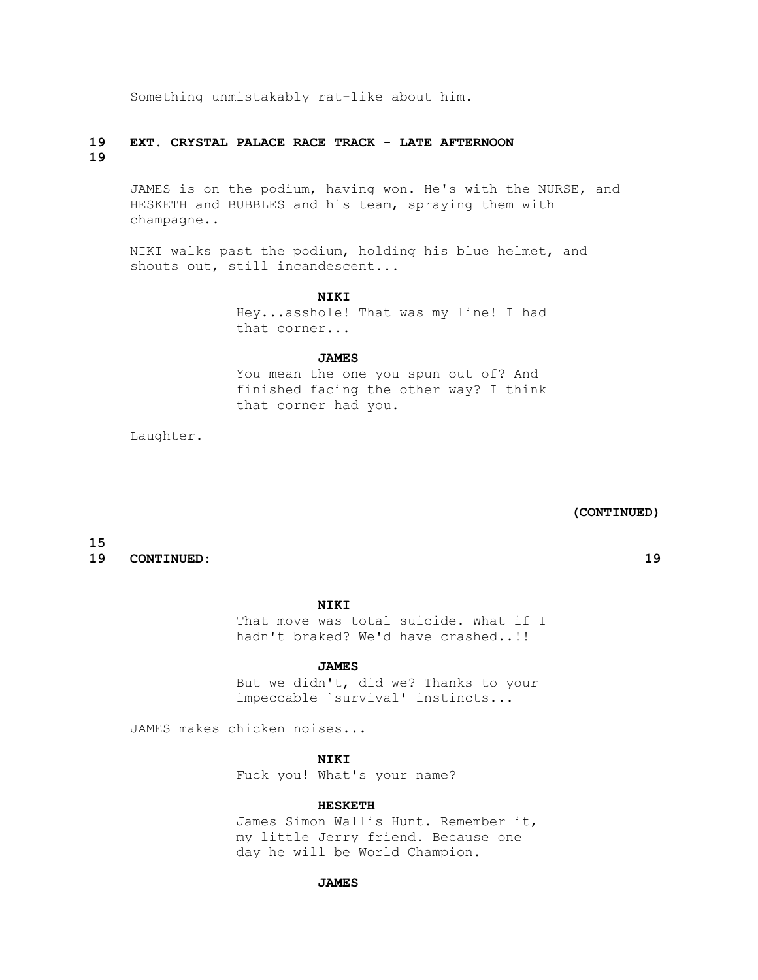Something unmistakably rat-like about him.

# **19 EXT. CRYSTAL PALACE RACE TRACK - LATE AFTERNOON 19**

 JAMES is on the podium, having won. He's with the NURSE, and HESKETH and BUBBLES and his team, spraying them with champagne..

 NIKI walks past the podium, holding his blue helmet, and shouts out, still incandescent...

# **NIKI**

 Hey...asshole! That was my line! I had that corner...

# **JAMES**

 You mean the one you spun out of? And finished facing the other way? I think that corner had you.

Laughter.

 **(CONTINUED)**

# **15**

# **19 CONTINUED: 19**

 **NIKI**

 That move was total suicide. What if I hadn't braked? We'd have crashed..!!

#### **JAMES**

 But we didn't, did we? Thanks to your impeccable `survival' instincts...

JAMES makes chicken noises...

 **NIKI**

Fuck you! What's your name?

# **HESKETH**

 James Simon Wallis Hunt. Remember it, my little Jerry friend. Because one day he will be World Champion.

#### **JAMES**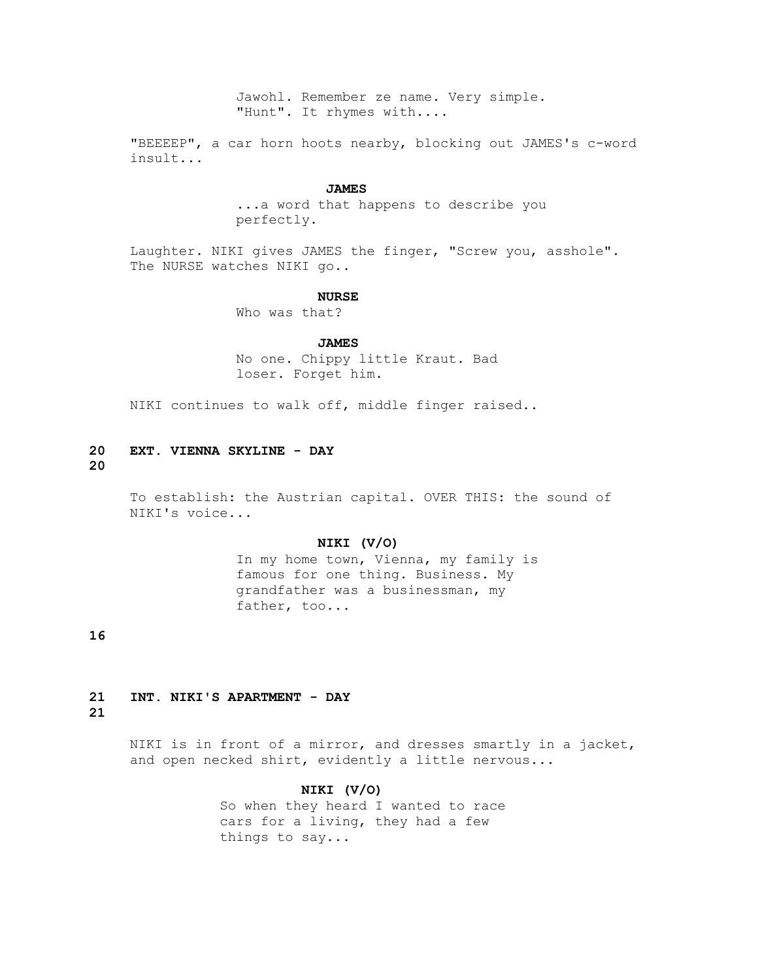Jawohl. Remember ze name. Very simple. "Hunt". It rhymes with....

 "BEEEEP", a car horn hoots nearby, blocking out JAMES's c-word insult...

#### **JAMES**

 ...a word that happens to describe you perfectly.

 Laughter. NIKI gives JAMES the finger, "Screw you, asshole". The NURSE watches NIKI go..

#### **NURSE**

Who was that?

#### **JAMES**

 No one. Chippy little Kraut. Bad loser. Forget him.

NIKI continues to walk off, middle finger raised..

# **20 EXT. VIENNA SKYLINE - DAY**

# **20**

 To establish: the Austrian capital. OVER THIS: the sound of NIKI's voice...

# **NIKI (V/O)**

 In my home town, Vienna, my family is famous for one thing. Business. My grandfather was a businessman, my father, too...

**16**

# **21 INT. NIKI'S APARTMENT - DAY**

# **21**

 NIKI is in front of a mirror, and dresses smartly in a jacket, and open necked shirt, evidently a little nervous...

# **NIKI (V/O)**

 So when they heard I wanted to race cars for a living, they had a few things to say...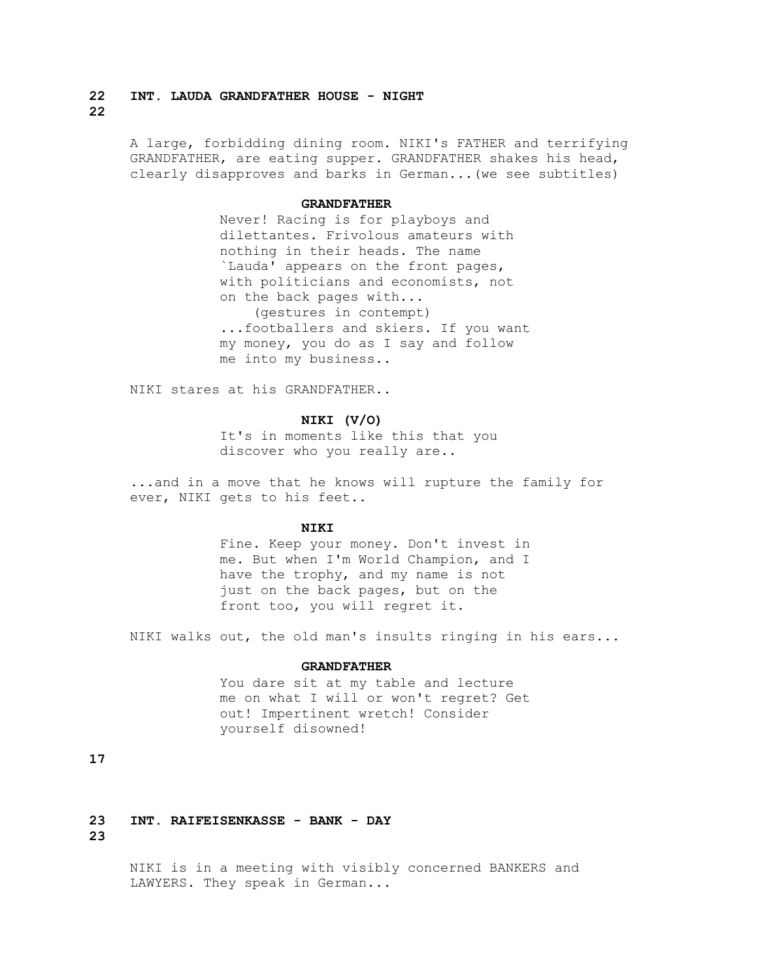# **22 INT. LAUDA GRANDFATHER HOUSE - NIGHT 22**

 A large, forbidding dining room. NIKI's FATHER and terrifying GRANDFATHER, are eating supper. GRANDFATHER shakes his head, clearly disapproves and barks in German...(we see subtitles)

#### **GRANDFATHER**

 Never! Racing is for playboys and dilettantes. Frivolous amateurs with nothing in their heads. The name `Lauda' appears on the front pages, with politicians and economists, not on the back pages with... (gestures in contempt) ...footballers and skiers. If you want my money, you do as I say and follow me into my business..

NIKI stares at his GRANDFATHER..

# **NIKI (V/O)**

 It's in moments like this that you discover who you really are..

 ...and in a move that he knows will rupture the family for ever, NIKI gets to his feet..

# **NIKI**

 Fine. Keep your money. Don't invest in me. But when I'm World Champion, and I have the trophy, and my name is not just on the back pages, but on the front too, you will regret it.

NIKI walks out, the old man's insults ringing in his ears...

#### **GRANDFATHER**

 You dare sit at my table and lecture me on what I will or won't regret? Get out! Impertinent wretch! Consider yourself disowned!

# **17**

**23 INT. RAIFEISENKASSE - BANK - DAY 23**

> NIKI is in a meeting with visibly concerned BANKERS and LAWYERS. They speak in German...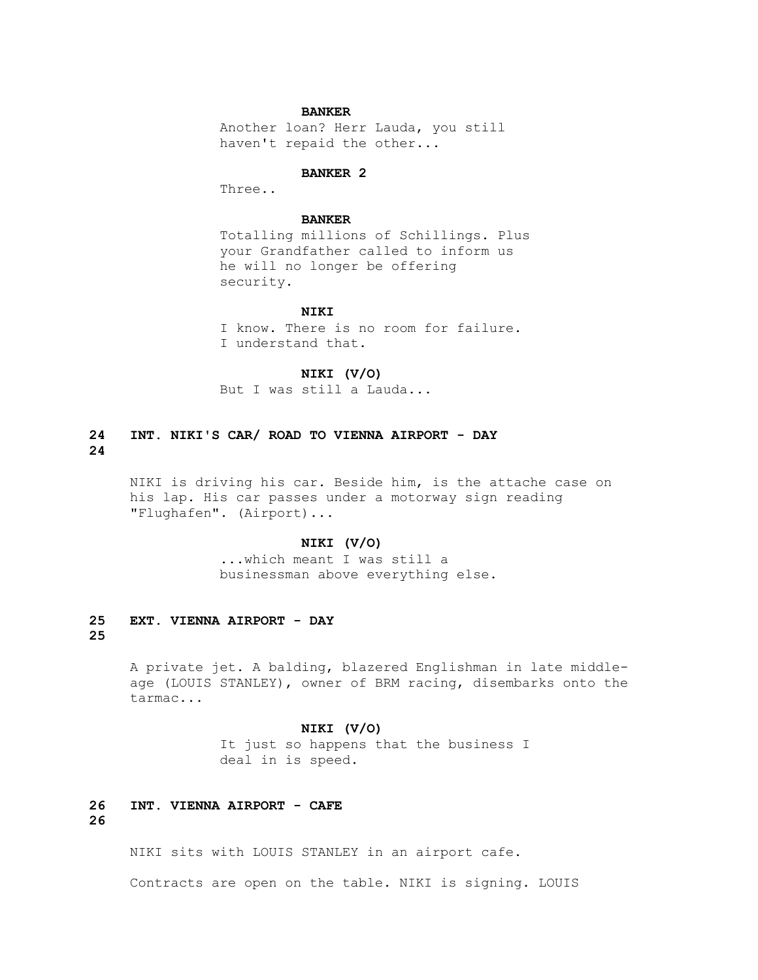#### **BANKER**

 Another loan? Herr Lauda, you still haven't repaid the other...

#### **BANKER 2**

Three..

# **BANKER**

 Totalling millions of Schillings. Plus your Grandfather called to inform us he will no longer be offering security.

# **NIKI**

 I know. There is no room for failure. I understand that.

# **NIKI (V/O)**

But I was still a Lauda...

# **24 INT. NIKI'S CAR/ ROAD TO VIENNA AIRPORT - DAY 24**

 NIKI is driving his car. Beside him, is the attache case on his lap. His car passes under a motorway sign reading "Flughafen". (Airport)...

# **NIKI (V/O)**

 ...which meant I was still a businessman above everything else.

# **25 EXT. VIENNA AIRPORT - DAY 25**

 A private jet. A balding, blazered Englishman in late middle age (LOUIS STANLEY), owner of BRM racing, disembarks onto the tarmac...

#### **NIKI (V/O)**

 It just so happens that the business I deal in is speed.

# **26 INT. VIENNA AIRPORT - CAFE**

**26**

NIKI sits with LOUIS STANLEY in an airport cafe.

Contracts are open on the table. NIKI is signing. LOUIS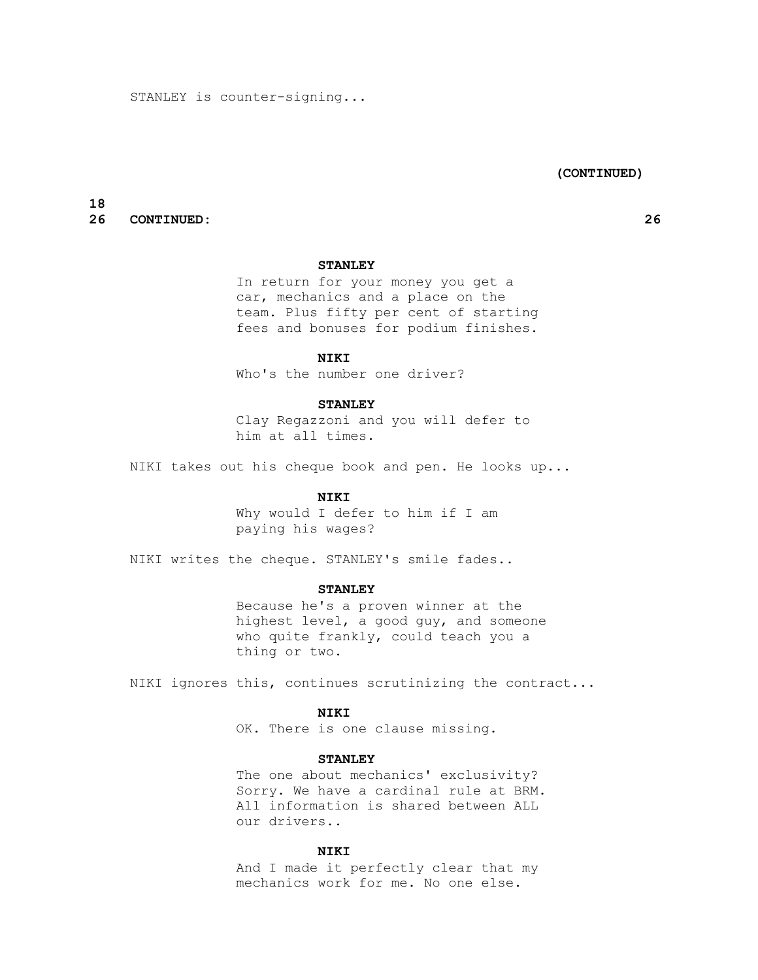# **(CONTINUED)**

# **18 26 CONTINUED: 26**

# **STANLEY**

 In return for your money you get a car, mechanics and a place on the team. Plus fifty per cent of starting fees and bonuses for podium finishes.

# **NIKI**

Who's the number one driver?

#### **STANLEY**

 Clay Regazzoni and you will defer to him at all times.

NIKI takes out his cheque book and pen. He looks up...

# **NIKI**

 Why would I defer to him if I am paying his wages?

NIKI writes the cheque. STANLEY's smile fades..

# **STANLEY**

 Because he's a proven winner at the highest level, a good guy, and someone who quite frankly, could teach you a thing or two.

NIKI ignores this, continues scrutinizing the contract...

# **NIKI**

OK. There is one clause missing.

#### **STANLEY**

The one about mechanics' exclusivity? Sorry. We have a cardinal rule at BRM. All information is shared between ALL our drivers..

# **NIKI**

 And I made it perfectly clear that my mechanics work for me. No one else.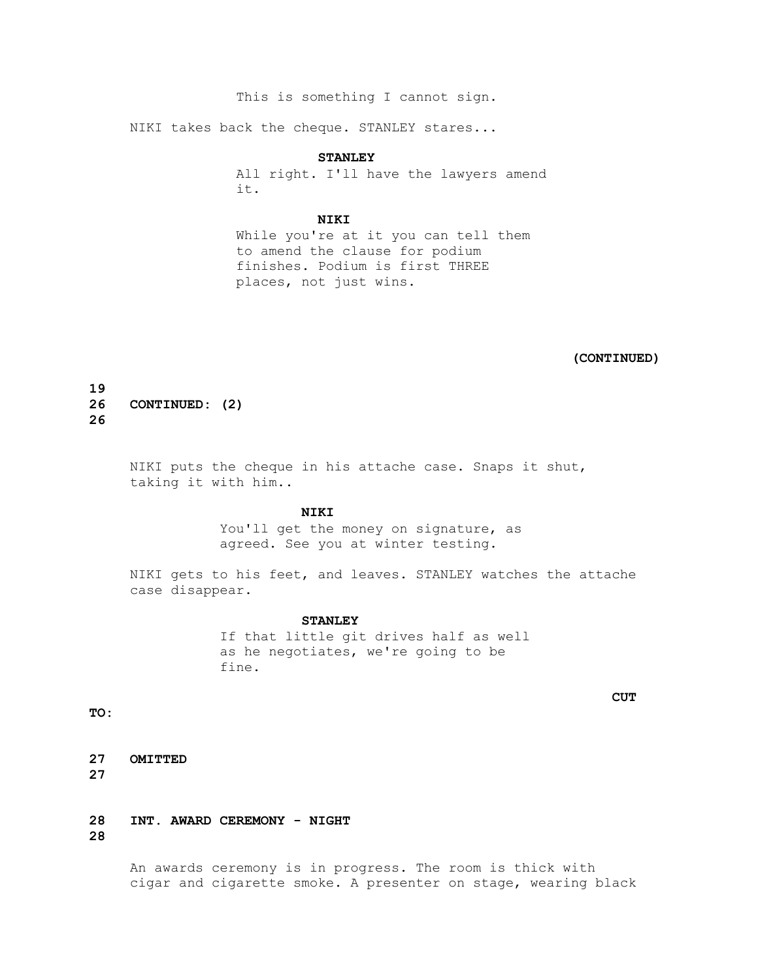This is something I cannot sign.

NIKI takes back the cheque. STANLEY stares...

 **STANLEY**

 All right. I'll have the lawyers amend it.

#### **NIKI**

 While you're at it you can tell them to amend the clause for podium finishes. Podium is first THREE places, not just wins.

 **(CONTINUED)**

**19 26 CONTINUED: (2) 26**

> NIKI puts the cheque in his attache case. Snaps it shut, taking it with him..

#### **NIKI**

You'll get the money on signature, as agreed. See you at winter testing.

 NIKI gets to his feet, and leaves. STANLEY watches the attache case disappear.

# **STANLEY**

 If that little git drives half as well as he negotiates, we're going to be fine.

 **CUT** 

**TO:**

**27 OMITTED 27**

**28 INT. AWARD CEREMONY - NIGHT 28**

> An awards ceremony is in progress. The room is thick with cigar and cigarette smoke. A presenter on stage, wearing black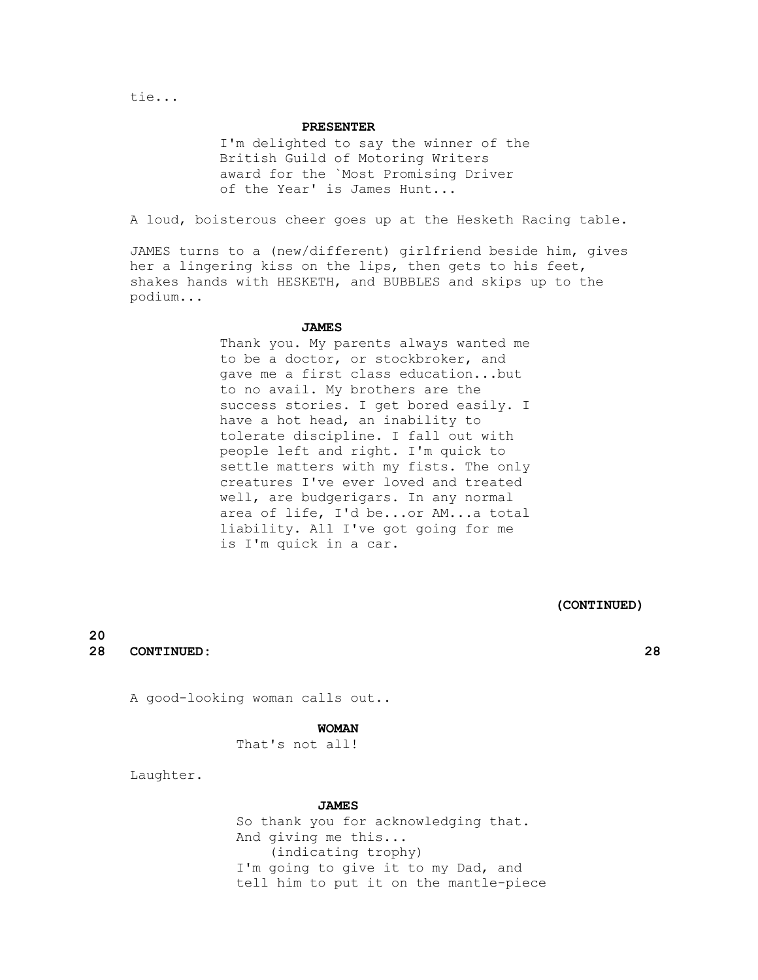#### **PRESENTER**

 I'm delighted to say the winner of the British Guild of Motoring Writers award for the `Most Promising Driver of the Year' is James Hunt...

A loud, boisterous cheer goes up at the Hesketh Racing table.

 JAMES turns to a (new/different) girlfriend beside him, gives her a lingering kiss on the lips, then gets to his feet, shakes hands with HESKETH, and BUBBLES and skips up to the podium...

# **JAMES**

 Thank you. My parents always wanted me to be a doctor, or stockbroker, and gave me a first class education...but to no avail. My brothers are the success stories. I get bored easily. I have a hot head, an inability to tolerate discipline. I fall out with people left and right. I'm quick to settle matters with my fists. The only creatures I've ever loved and treated well, are budgerigars. In any normal area of life, I'd be...or AM...a total liability. All I've got going for me is I'm quick in a car.

 **(CONTINUED)**

# **20 28 CONTINUED: 28**

A good-looking woman calls out..

#### **WOMAN**

That's not all!

Laughter.

#### **JAMES**

 So thank you for acknowledging that. And giving me this... (indicating trophy) I'm going to give it to my Dad, and tell him to put it on the mantle-piece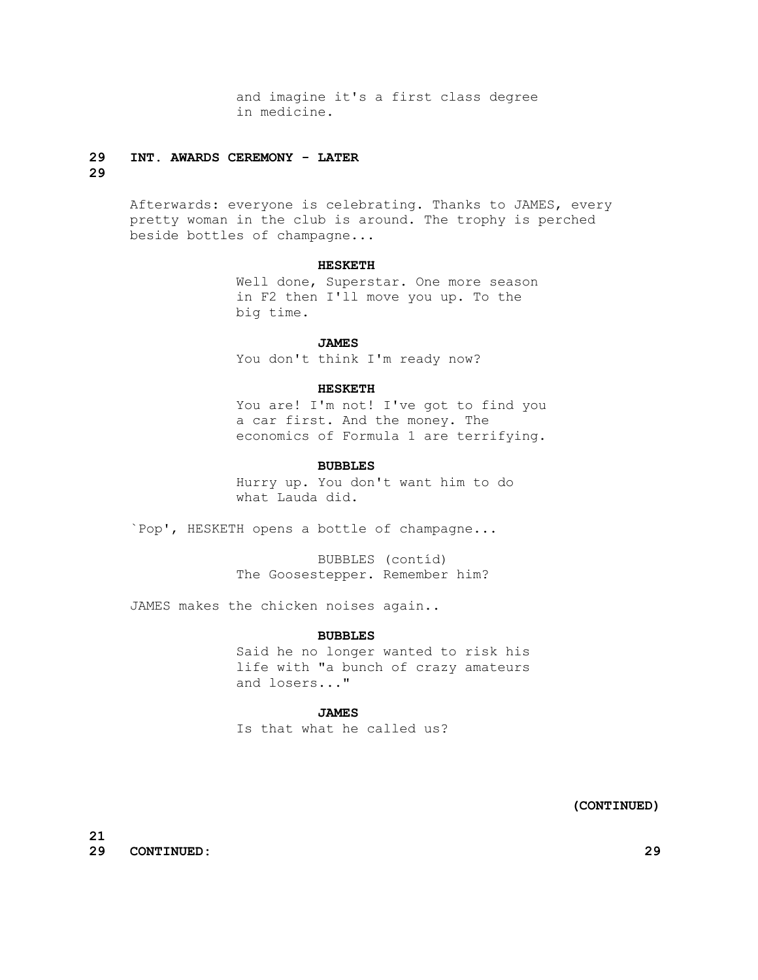and imagine it's a first class degree in medicine.

# **29 INT. AWARDS CEREMONY - LATER**

# **29**

 Afterwards: everyone is celebrating. Thanks to JAMES, every pretty woman in the club is around. The trophy is perched beside bottles of champagne...

# **HESKETH**

 Well done, Superstar. One more season in F2 then I'll move you up. To the big time.

#### **JAMES**

You don't think I'm ready now?

#### **HESKETH**

You are! I'm not! I've got to find you a car first. And the money. The economics of Formula 1 are terrifying.

#### **BUBBLES**

 Hurry up. You don't want him to do what Lauda did.

`Pop', HESKETH opens a bottle of champagne...

 BUBBLES (contíd) The Goosestepper. Remember him?

JAMES makes the chicken noises again..

#### **BUBBLES**

 Said he no longer wanted to risk his life with "a bunch of crazy amateurs and losers..."

# **JAMES**

Is that what he called us?

 **(CONTINUED)**

**21 29 CONTINUED: 29**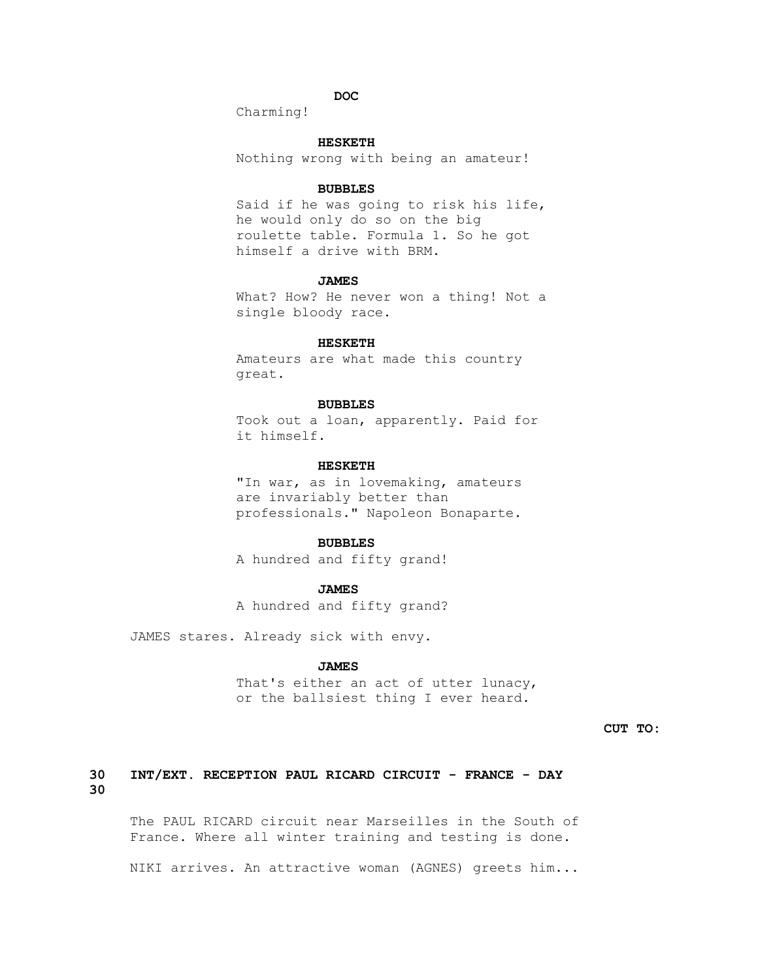# *DOC*

Charming!

# **HESKETH**

Nothing wrong with being an amateur!

#### **BUBBLES**

 Said if he was going to risk his life, he would only do so on the big roulette table. Formula 1. So he got himself a drive with BRM.

#### **JAMES**

 What? How? He never won a thing! Not a single bloody race.

#### **HESKETH**

 Amateurs are what made this country great.

#### **BUBBLES**

 Took out a loan, apparently. Paid for it himself.

# **HESKETH**

 "In war, as in lovemaking, amateurs are invariably better than professionals." Napoleon Bonaparte.

# **BUBBLES**

A hundred and fifty grand!

# **JAMES**

A hundred and fifty grand?

JAMES stares. Already sick with envy.

# **JAMES**

That's either an act of utter lunacy, or the ballsiest thing I ever heard.

 **CUT TO:**

# **30 INT/EXT. RECEPTION PAUL RICARD CIRCUIT - FRANCE - DAY 30**

 The PAUL RICARD circuit near Marseilles in the South of France. Where all winter training and testing is done.

NIKI arrives. An attractive woman (AGNES) greets him...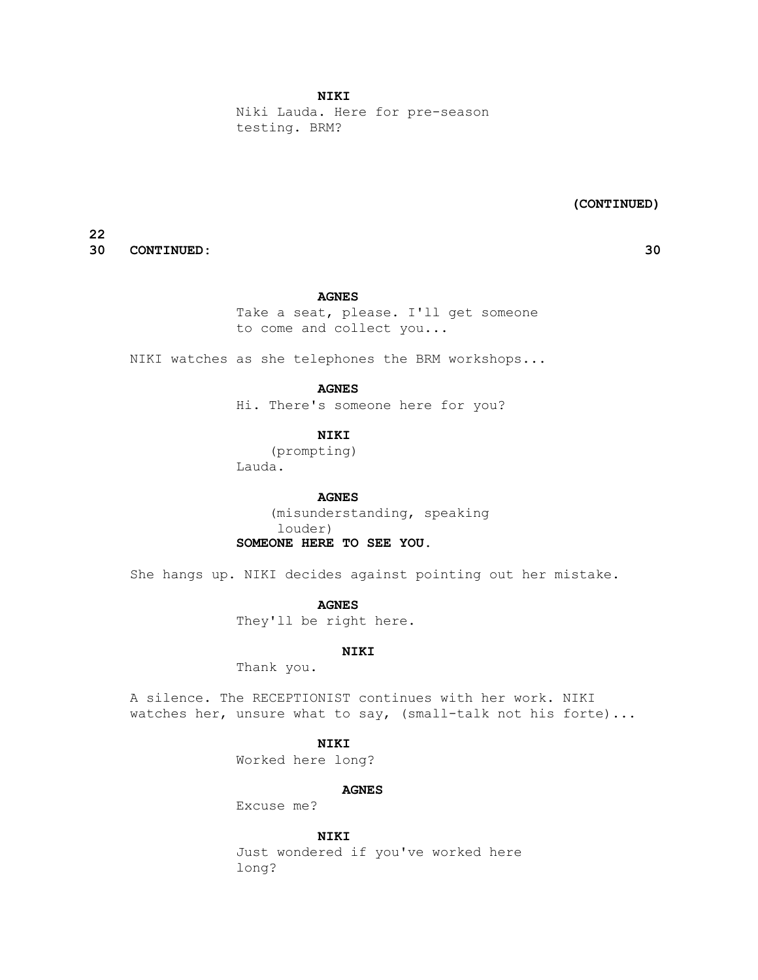Niki Lauda. Here for pre-season testing. BRM?

 **(CONTINUED)**

**22 30 CONTINUED: 30**

# **AGNES**

 Take a seat, please. I'll get someone to come and collect you...

NIKI watches as she telephones the BRM workshops...

#### **AGNES**

Hi. There's someone here for you?

# **NIKI**

 (prompting) Lauda.

# **AGNES**

 (misunderstanding, speaking louder)  **SOMEONE HERE TO SEE YOU.**

She hangs up. NIKI decides against pointing out her mistake.

#### **AGNES**

They'll be right here.

# **NIKI**

Thank you.

 A silence. The RECEPTIONIST continues with her work. NIKI watches her, unsure what to say, (small-talk not his forte)...

# **NIKI**

Worked here long?

# **AGNES**

Excuse me?

#### **NIKI**

 Just wondered if you've worked here long?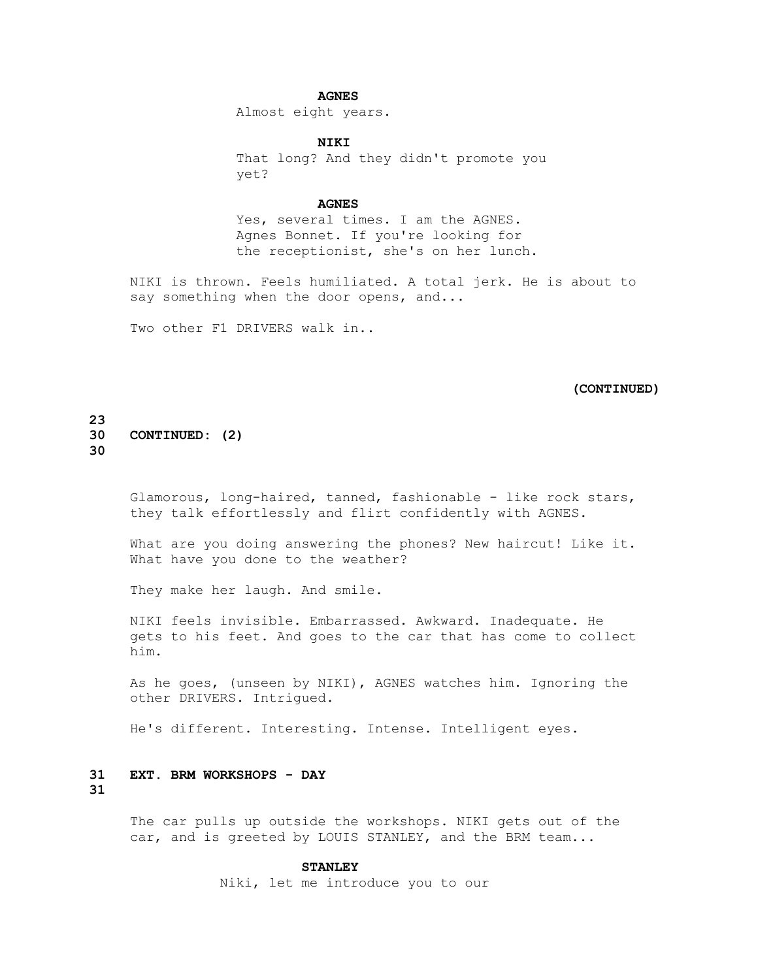# **AGNES**

Almost eight years.

 **NIKI**

 That long? And they didn't promote you yet?

# **AGNES**

 Yes, several times. I am the AGNES. Agnes Bonnet. If you're looking for the receptionist, she's on her lunch.

 NIKI is thrown. Feels humiliated. A total jerk. He is about to say something when the door opens, and...

Two other F1 DRIVERS walk in..

# **(CONTINUED)**

# **23 30 CONTINUED: (2) 30**

 Glamorous, long-haired, tanned, fashionable - like rock stars, they talk effortlessly and flirt confidently with AGNES.

What are you doing answering the phones? New haircut! Like it. What have you done to the weather?

They make her laugh. And smile.

 NIKI feels invisible. Embarrassed. Awkward. Inadequate. He gets to his feet. And goes to the car that has come to collect him.

 As he goes, (unseen by NIKI), AGNES watches him. Ignoring the other DRIVERS. Intrigued.

He's different. Interesting. Intense. Intelligent eyes.

# **31 EXT. BRM WORKSHOPS - DAY**

**31**

 The car pulls up outside the workshops. NIKI gets out of the car, and is greeted by LOUIS STANLEY, and the BRM team...

#### **STANLEY**

Niki, let me introduce you to our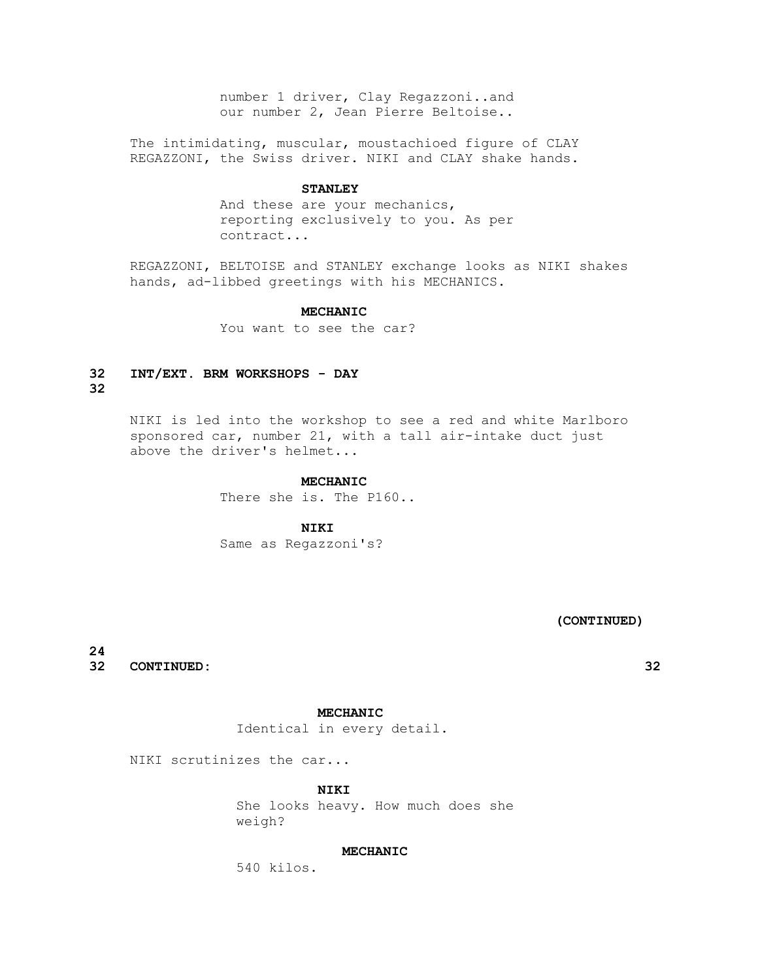number 1 driver, Clay Regazzoni..and our number 2, Jean Pierre Beltoise..

 The intimidating, muscular, moustachioed figure of CLAY REGAZZONI, the Swiss driver. NIKI and CLAY shake hands.

#### **STANLEY**

 And these are your mechanics, reporting exclusively to you. As per contract...

 REGAZZONI, BELTOISE and STANLEY exchange looks as NIKI shakes hands, ad-libbed greetings with his MECHANICS.

# **MECHANIC**

You want to see the car?

# **32 INT/EXT. BRM WORKSHOPS - DAY**

**32**

 NIKI is led into the workshop to see a red and white Marlboro sponsored car, number 21, with a tall air-intake duct just above the driver's helmet...

#### **MECHANIC**

There she is. The P160..

# **NIKI**

Same as Regazzoni's?

 **(CONTINUED)**

**24 32 CONTINUED: 32**

# **MECHANIC**

Identical in every detail.

NIKI scrutinizes the car...

 **NIKI**

 She looks heavy. How much does she weigh?

# **MECHANIC**

540 kilos.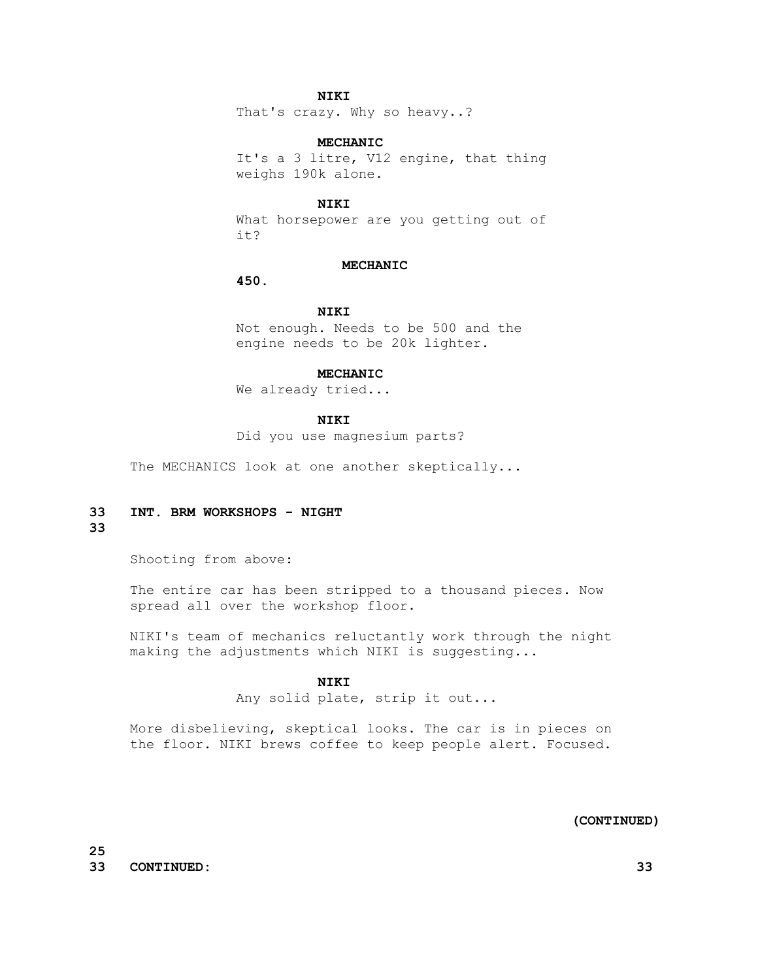# **NIKI**

That's crazy. Why so heavy..?

# **MECHANIC**

 It's a 3 litre, V12 engine, that thing weighs 190k alone.

#### **NIKI**

 What horsepower are you getting out of it?

# **MECHANIC**

 **450.**

# **NIKI**

 Not enough. Needs to be 500 and the engine needs to be 20k lighter.

#### **MECHANIC**

We already tried...

# **NIKI**

Did you use magnesium parts?

The MECHANICS look at one another skeptically...

# **33 INT. BRM WORKSHOPS - NIGHT**

# **33**

Shooting from above:

 The entire car has been stripped to a thousand pieces. Now spread all over the workshop floor.

 NIKI's team of mechanics reluctantly work through the night making the adjustments which NIKI is suggesting...

# **NIKI**

Any solid plate, strip it out...

 More disbelieving, skeptical looks. The car is in pieces on the floor. NIKI brews coffee to keep people alert. Focused.

#### **(CONTINUED)**

**25 33 CONTINUED: 33**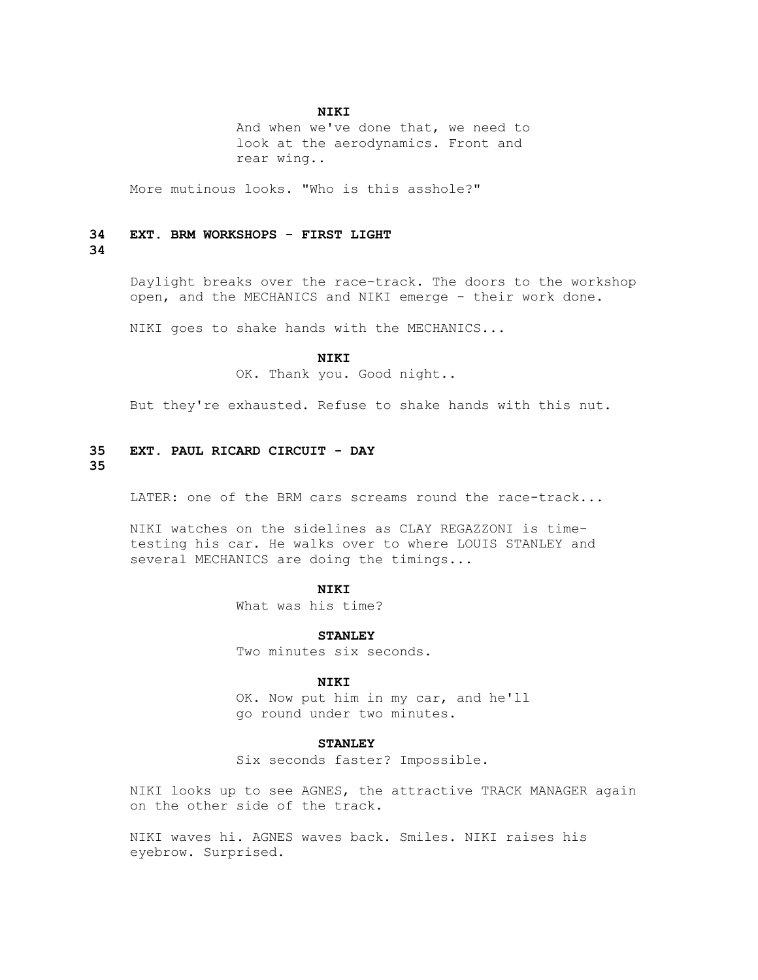# **NIKI**

 And when we've done that, we need to look at the aerodynamics. Front and rear wing..

More mutinous looks. "Who is this asshole?"

#### **34 EXT. BRM WORKSHOPS - FIRST LIGHT**

# **34**

 Daylight breaks over the race-track. The doors to the workshop open, and the MECHANICS and NIKI emerge - their work done.

NIKI goes to shake hands with the MECHANICS...

# **NIKI**

OK. Thank you. Good night..

But they're exhausted. Refuse to shake hands with this nut.

# **35 EXT. PAUL RICARD CIRCUIT - DAY**

# **35**

LATER: one of the BRM cars screams round the race-track...

 NIKI watches on the sidelines as CLAY REGAZZONI is time testing his car. He walks over to where LOUIS STANLEY and several MECHANICS are doing the timings...

# **NIKI**

What was his time?

 **STANLEY**

Two minutes six seconds.

#### **NIKI**

 OK. Now put him in my car, and he'll go round under two minutes.

# **STANLEY**

Six seconds faster? Impossible.

 NIKI looks up to see AGNES, the attractive TRACK MANAGER again on the other side of the track.

 NIKI waves hi. AGNES waves back. Smiles. NIKI raises his eyebrow. Surprised.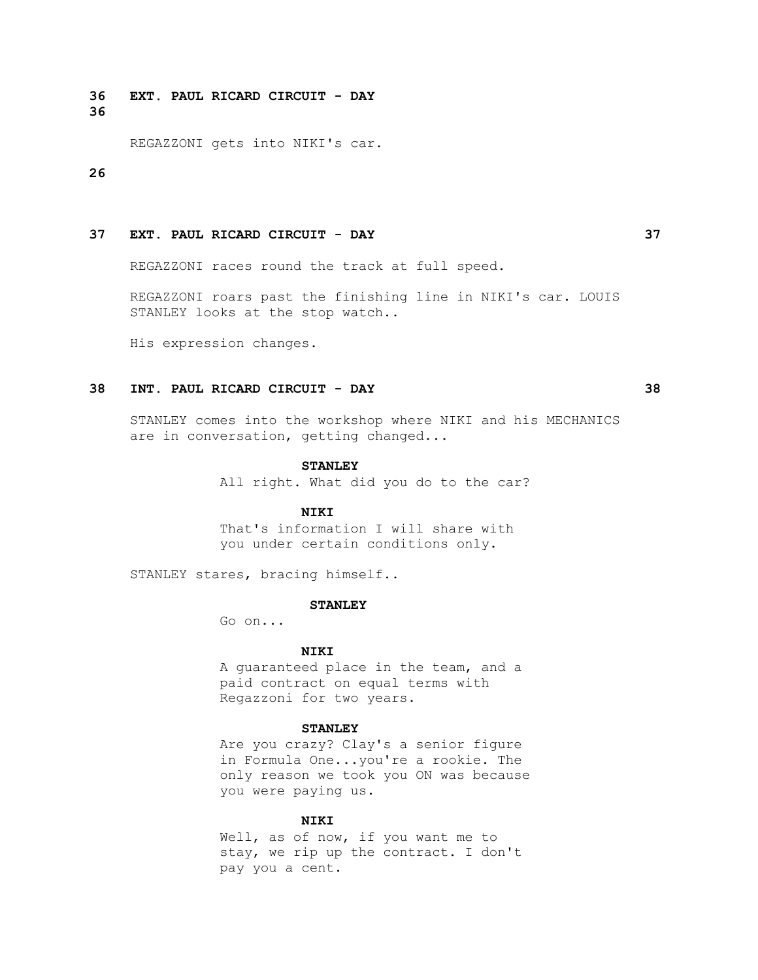**36 EXT. PAUL RICARD CIRCUIT - DAY 36**

REGAZZONI gets into NIKI's car.

#### **26**

# **37 EXT. PAUL RICARD CIRCUIT - DAY 37**

REGAZZONI races round the track at full speed.

 REGAZZONI roars past the finishing line in NIKI's car. LOUIS STANLEY looks at the stop watch..

His expression changes.

# **38 INT. PAUL RICARD CIRCUIT - DAY 38**

 STANLEY comes into the workshop where NIKI and his MECHANICS are in conversation, getting changed...

#### **STANLEY**

All right. What did you do to the car?

#### **NIKI**

 That's information I will share with you under certain conditions only.

STANLEY stares, bracing himself..

#### **STANLEY**

Go on...

#### **NIKI**

 A guaranteed place in the team, and a paid contract on equal terms with Regazzoni for two years.

#### **STANLEY**

 Are you crazy? Clay's a senior figure in Formula One...you're a rookie. The only reason we took you ON was because you were paying us.

# **NIKI**

 Well, as of now, if you want me to stay, we rip up the contract. I don't pay you a cent.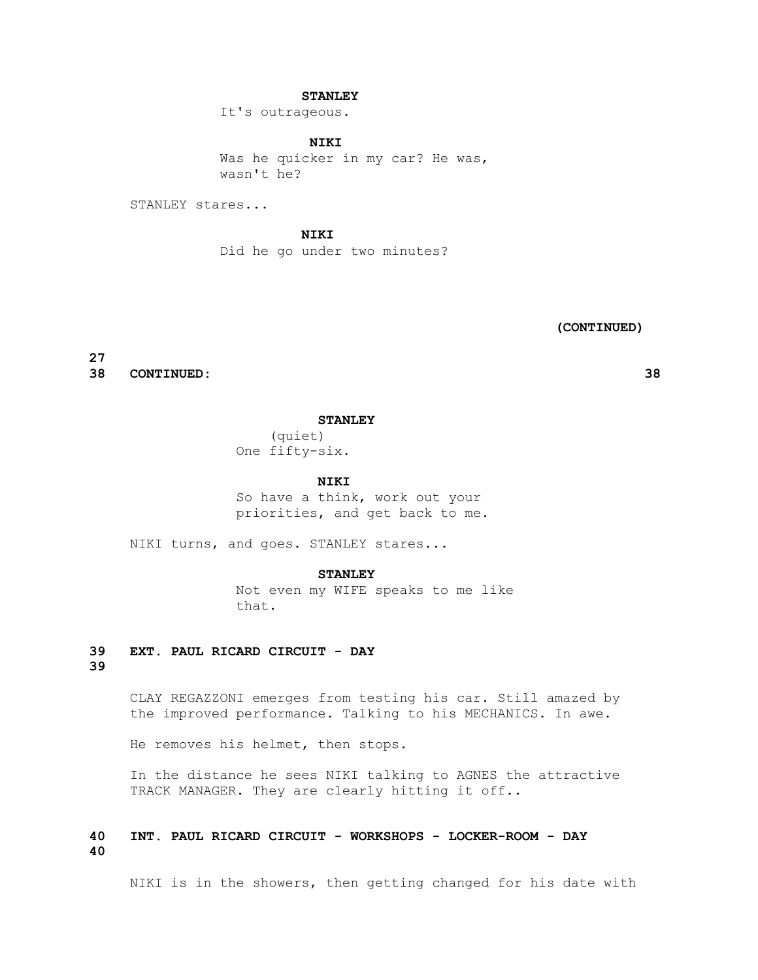# **STANLEY**

It's outrageous.

 **NIKI** Was he quicker in my car? He was, wasn't he?

STANLEY stares...

 **NIKI** Did he go under two minutes?

 **(CONTINUED)**

**27**

**38 CONTINUED: 38**

 **STANLEY**

 (quiet) One fifty-six.

 **NIKI**

 So have a think, work out your priorities, and get back to me.

NIKI turns, and goes. STANLEY stares...

 **STANLEY**

 Not even my WIFE speaks to me like that.

# **39 EXT. PAUL RICARD CIRCUIT - DAY 39**

 CLAY REGAZZONI emerges from testing his car. Still amazed by the improved performance. Talking to his MECHANICS. In awe.

He removes his helmet, then stops.

 In the distance he sees NIKI talking to AGNES the attractive TRACK MANAGER. They are clearly hitting it off..

# **40 INT. PAUL RICARD CIRCUIT - WORKSHOPS - LOCKER-ROOM - DAY 40**

NIKI is in the showers, then getting changed for his date with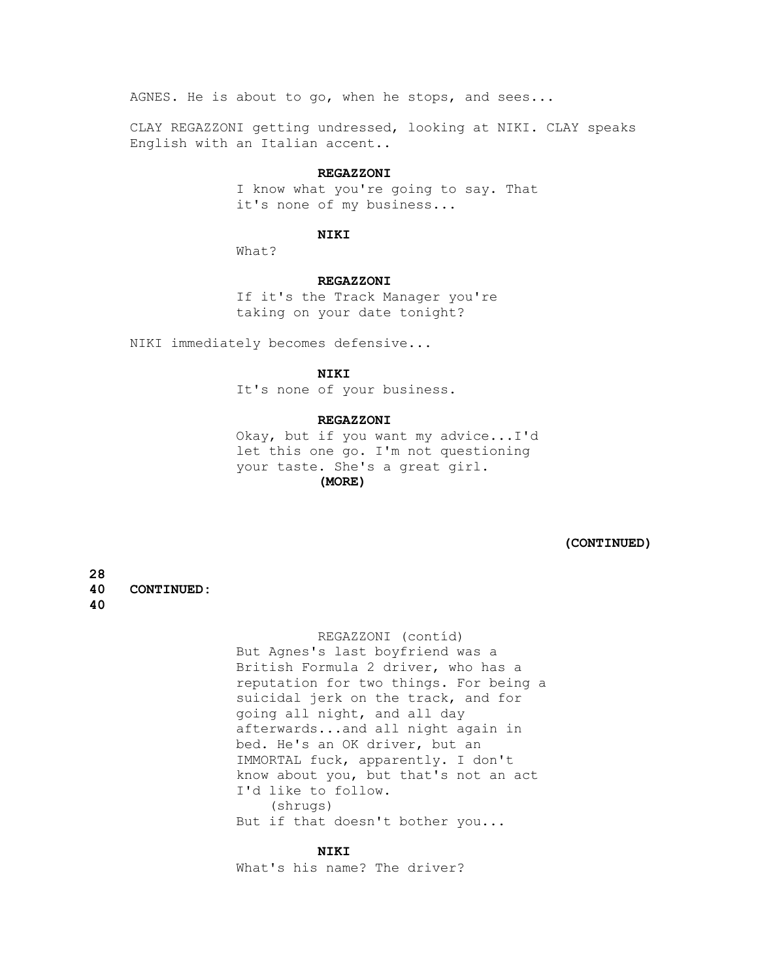AGNES. He is about to go, when he stops, and sees...

 CLAY REGAZZONI getting undressed, looking at NIKI. CLAY speaks English with an Italian accent..

#### **REGAZZONI**

 I know what you're going to say. That it's none of my business...

#### **NIKI**

What?

#### **REGAZZONI**

 If it's the Track Manager you're taking on your date tonight?

NIKI immediately becomes defensive...

# **NIKI**

It's none of your business.

# **REGAZZONI**

 Okay, but if you want my advice...I'd let this one go. I'm not questioning your taste. She's a great girl.  **(MORE)**

 **(CONTINUED)**

**28 40 CONTINUED:** 

# **40**

 REGAZZONI (contíd) But Agnes's last boyfriend was a British Formula 2 driver, who has a reputation for two things. For being a suicidal jerk on the track, and for going all night, and all day afterwards...and all night again in bed. He's an OK driver, but an IMMORTAL fuck, apparently. I don't know about you, but that's not an act I'd like to follow. (shrugs) But if that doesn't bother you...

# **NIKI**

What's his name? The driver?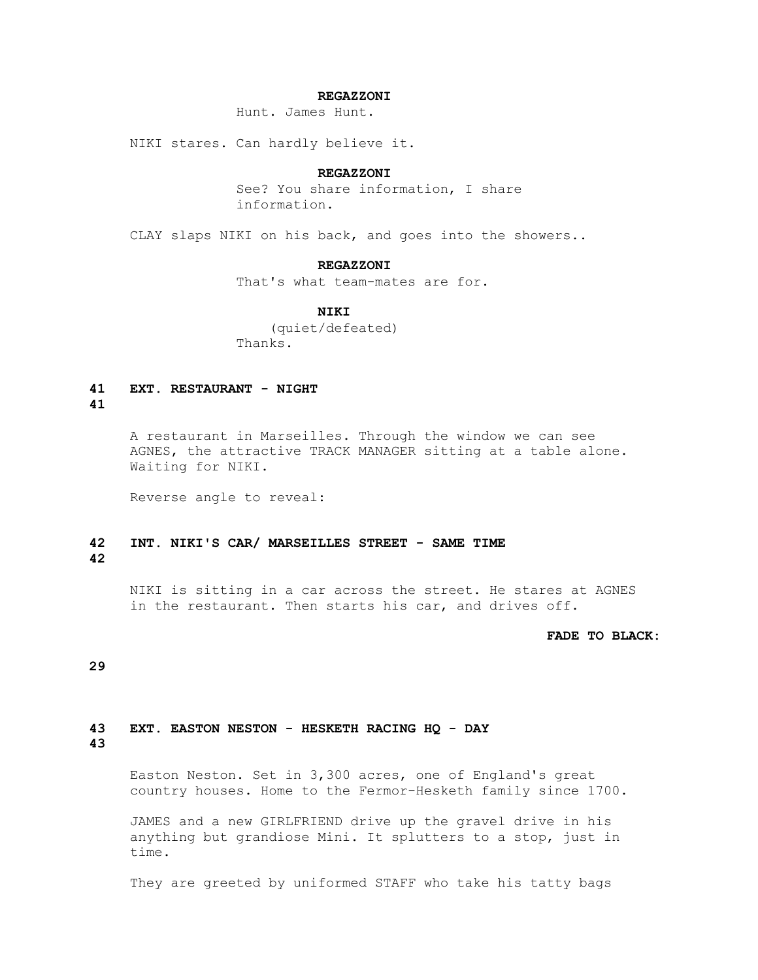# **REGAZZONI**

Hunt. James Hunt.

NIKI stares. Can hardly believe it.

#### **REGAZZONI**

 See? You share information, I share information.

CLAY slaps NIKI on his back, and goes into the showers..

#### **REGAZZONI**

That's what team-mates are for.

# **NIKI**

 (quiet/defeated) Thanks.

# **41 EXT. RESTAURANT - NIGHT**

# **41**

 A restaurant in Marseilles. Through the window we can see AGNES, the attractive TRACK MANAGER sitting at a table alone. Waiting for NIKI.

Reverse angle to reveal:

# **42 INT. NIKI'S CAR/ MARSEILLES STREET - SAME TIME 42**

 NIKI is sitting in a car across the street. He stares at AGNES in the restaurant. Then starts his car, and drives off.

#### **FADE TO BLACK:**

#### **29**

# **43 EXT. EASTON NESTON - HESKETH RACING HQ - DAY**

# **43**

 Easton Neston. Set in 3,300 acres, one of England's great country houses. Home to the Fermor-Hesketh family since 1700.

 JAMES and a new GIRLFRIEND drive up the gravel drive in his anything but grandiose Mini. It splutters to a stop, just in time.

They are greeted by uniformed STAFF who take his tatty bags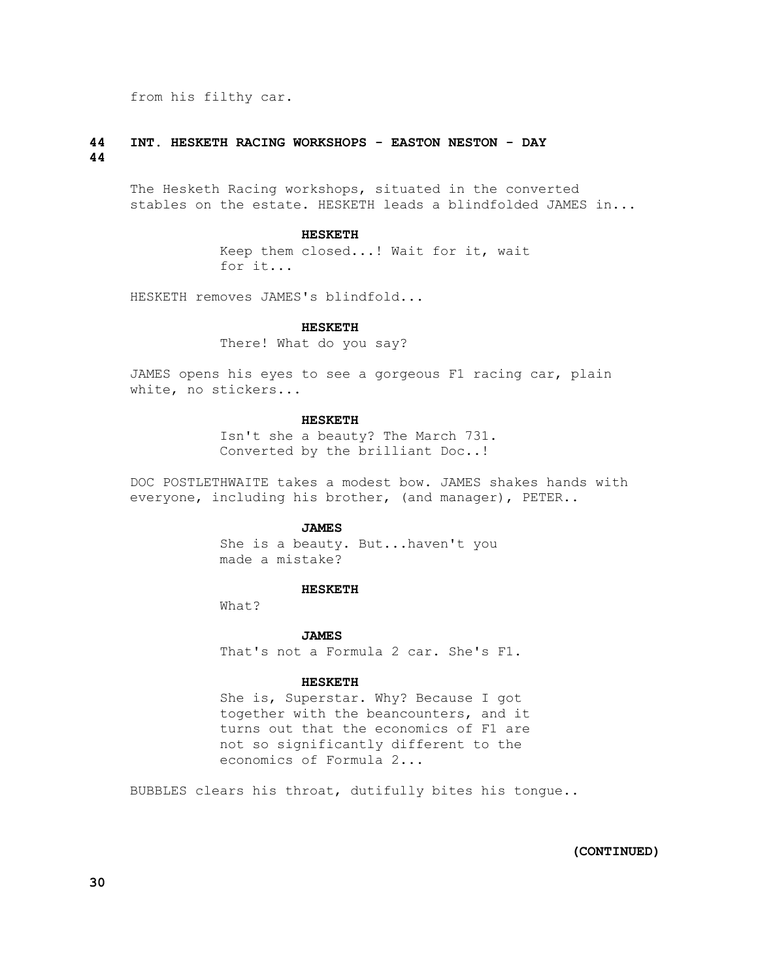from his filthy car.

# **44 INT. HESKETH RACING WORKSHOPS - EASTON NESTON - DAY 44**

 The Hesketh Racing workshops, situated in the converted stables on the estate. HESKETH leads a blindfolded JAMES in...

#### **HESKETH**

 Keep them closed...! Wait for it, wait for it...

HESKETH removes JAMES's blindfold...

#### **HESKETH**

There! What do you say?

 JAMES opens his eyes to see a gorgeous F1 racing car, plain white, no stickers...

# **HESKETH**

 Isn't she a beauty? The March 731. Converted by the brilliant Doc..!

 DOC POSTLETHWAITE takes a modest bow. JAMES shakes hands with everyone, including his brother, (and manager), PETER..

# **JAMES**

 She is a beauty. But...haven't you made a mistake?

#### **HESKETH**

What?

 **JAMES** That's not a Formula 2 car. She's F1.

#### **HESKETH**

 She is, Superstar. Why? Because I got together with the beancounters, and it turns out that the economics of F1 are not so significantly different to the economics of Formula 2...

BUBBLES clears his throat, dutifully bites his tongue..

 **(CONTINUED)**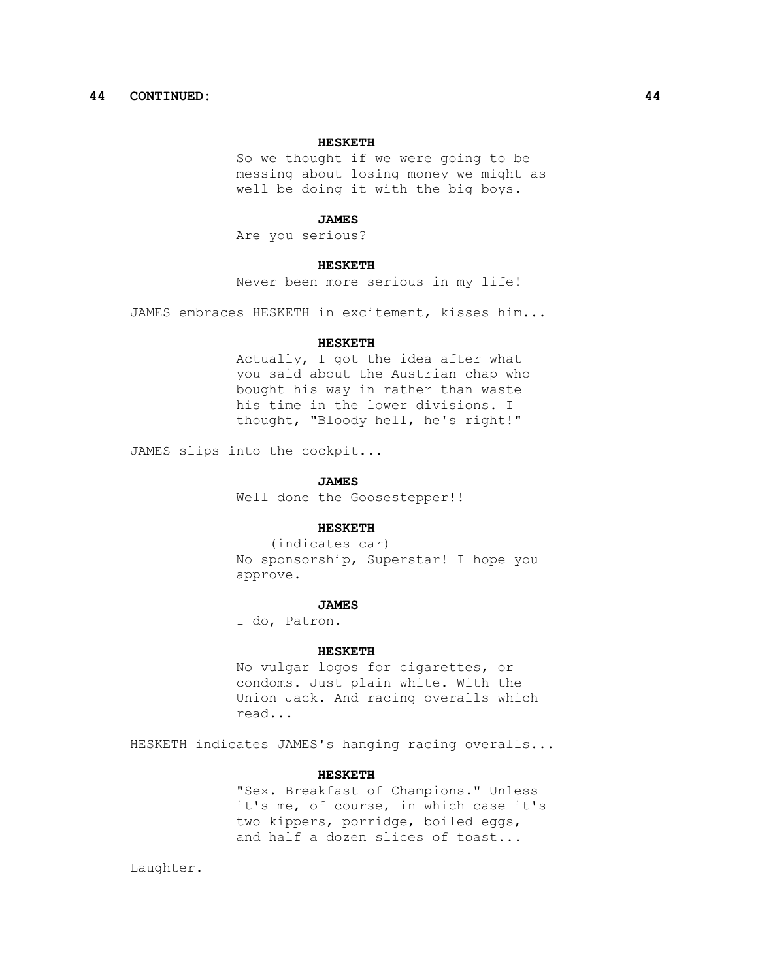# **44 CONTINUED: 44**

# **HESKETH**

 So we thought if we were going to be messing about losing money we might as well be doing it with the big boys.

#### **JAMES**

Are you serious?

#### **HESKETH**

Never been more serious in my life!

JAMES embraces HESKETH in excitement, kisses him...

#### **HESKETH**

 Actually, I got the idea after what you said about the Austrian chap who bought his way in rather than waste his time in the lower divisions. I thought, "Bloody hell, he's right!"

JAMES slips into the cockpit...

#### **JAMES**

Well done the Goosestepper!!

#### **HESKETH**

 (indicates car) No sponsorship, Superstar! I hope you approve.

#### **JAMES**

I do, Patron.

#### **HESKETH**

 No vulgar logos for cigarettes, or condoms. Just plain white. With the Union Jack. And racing overalls which read...

HESKETH indicates JAMES's hanging racing overalls...

#### **HESKETH**

 "Sex. Breakfast of Champions." Unless it's me, of course, in which case it's two kippers, porridge, boiled eggs, and half a dozen slices of toast...

Laughter.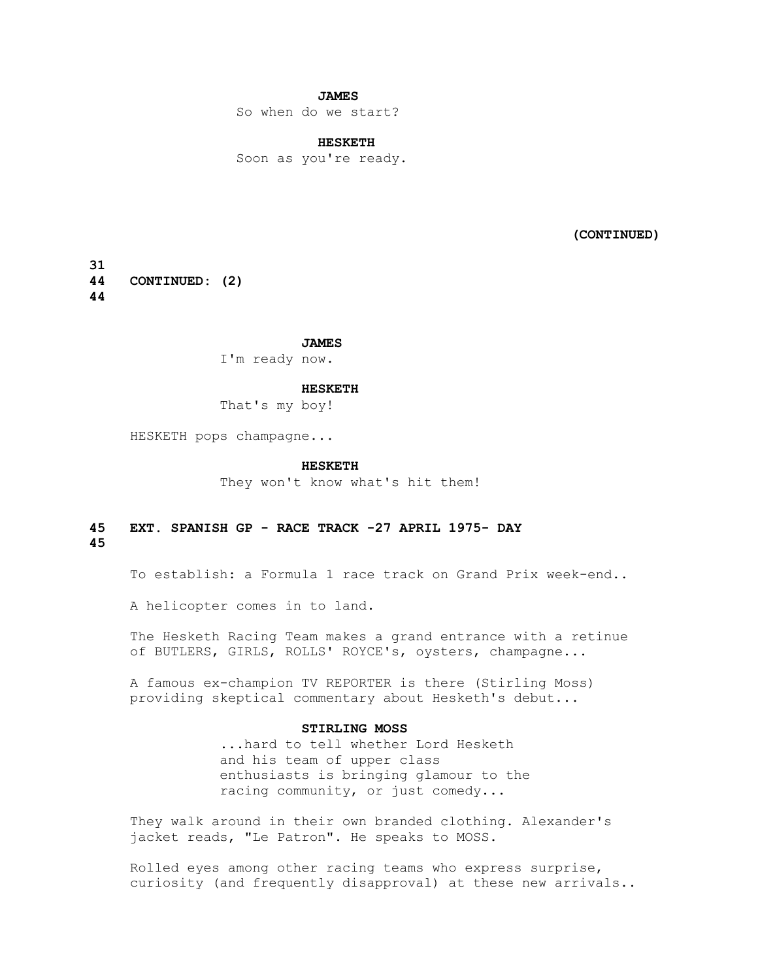# **JAMES**

So when do we start?

# **HESKETH**

Soon as you're ready.

 **(CONTINUED)**

**31 44 CONTINUED: (2) 44**

 **JAMES**

I'm ready now.

#### **HESKETH**

That's my boy!

HESKETH pops champagne...

#### **HESKETH**

They won't know what's hit them!

### **45 EXT. SPANISH GP - RACE TRACK -27 APRIL 1975- DAY 45**

To establish: a Formula 1 race track on Grand Prix week-end..

A helicopter comes in to land.

 The Hesketh Racing Team makes a grand entrance with a retinue of BUTLERS, GIRLS, ROLLS' ROYCE's, oysters, champagne...

 A famous ex-champion TV REPORTER is there (Stirling Moss) providing skeptical commentary about Hesketh's debut...

# **STIRLING MOSS**

 ...hard to tell whether Lord Hesketh and his team of upper class enthusiasts is bringing glamour to the racing community, or just comedy...

 They walk around in their own branded clothing. Alexander's jacket reads, "Le Patron". He speaks to MOSS.

 Rolled eyes among other racing teams who express surprise, curiosity (and frequently disapproval) at these new arrivals..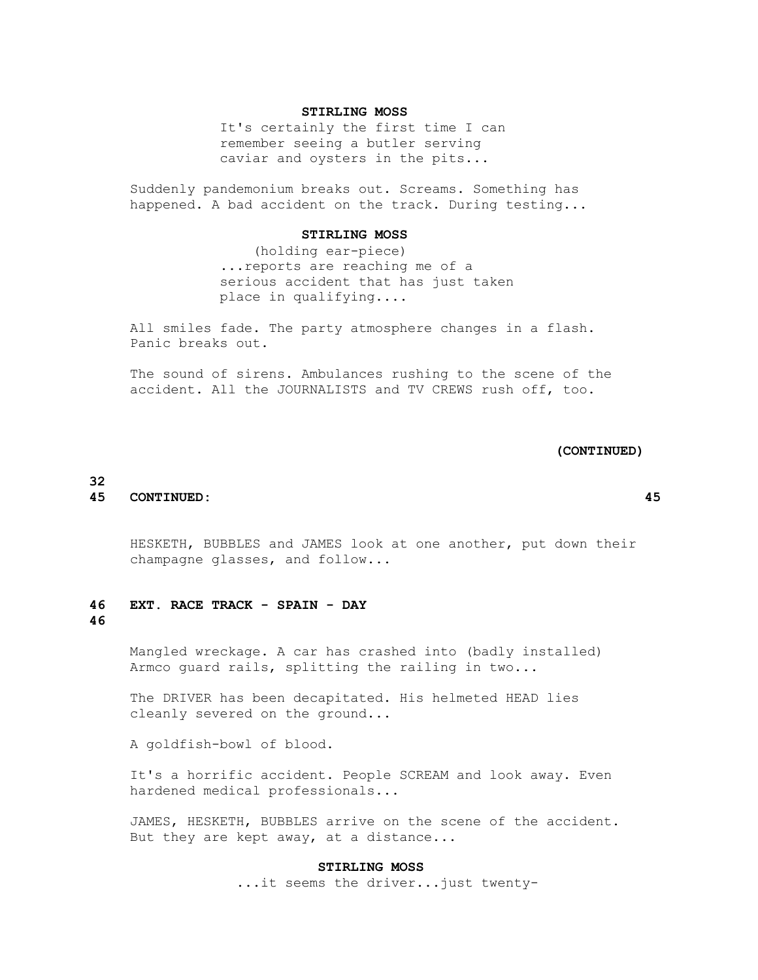## **STIRLING MOSS**

 It's certainly the first time I can remember seeing a butler serving caviar and oysters in the pits...

 Suddenly pandemonium breaks out. Screams. Something has happened. A bad accident on the track. During testing...

#### **STIRLING MOSS**

 (holding ear-piece) ...reports are reaching me of a serious accident that has just taken place in qualifying....

 All smiles fade. The party atmosphere changes in a flash. Panic breaks out.

 The sound of sirens. Ambulances rushing to the scene of the accident. All the JOURNALISTS and TV CREWS rush off, too.

#### **(CONTINUED)**

# **45 CONTINUED: 45**

 HESKETH, BUBBLES and JAMES look at one another, put down their champagne glasses, and follow...

# **46 EXT. RACE TRACK - SPAIN - DAY 46**

**32**

 Mangled wreckage. A car has crashed into (badly installed) Armco guard rails, splitting the railing in two...

 The DRIVER has been decapitated. His helmeted HEAD lies cleanly severed on the ground...

A goldfish-bowl of blood.

 It's a horrific accident. People SCREAM and look away. Even hardened medical professionals...

 JAMES, HESKETH, BUBBLES arrive on the scene of the accident. But they are kept away, at a distance...

### **STIRLING MOSS**

...it seems the driver...just twenty-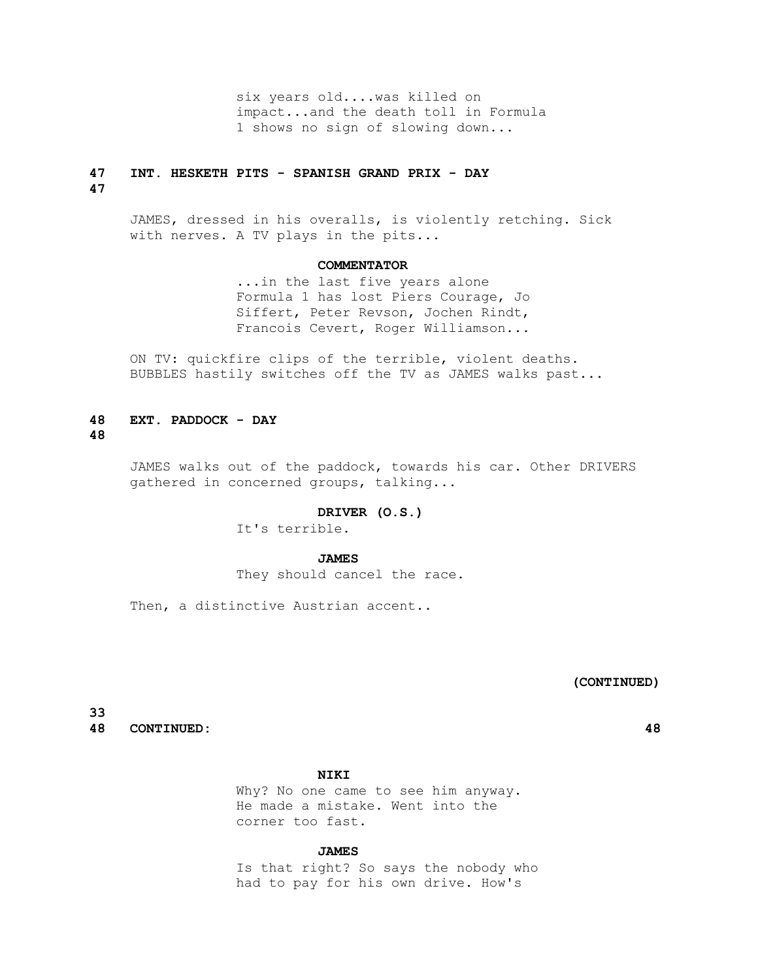six years old....was killed on impact...and the death toll in Formula 1 shows no sign of slowing down...

# **47 INT. HESKETH PITS - SPANISH GRAND PRIX - DAY**

**47**

 JAMES, dressed in his overalls, is violently retching. Sick with nerves. A TV plays in the pits...

#### **COMMENTATOR**

 ...in the last five years alone Formula 1 has lost Piers Courage, Jo Siffert, Peter Revson, Jochen Rindt, Francois Cevert, Roger Williamson...

 ON TV: quickfire clips of the terrible, violent deaths. BUBBLES hastily switches off the TV as JAMES walks past...

# **48 EXT. PADDOCK - DAY**

**48**

 JAMES walks out of the paddock, towards his car. Other DRIVERS gathered in concerned groups, talking...

#### **DRIVER (O.S.)**

It's terrible.

# **JAMES**

They should cancel the race.

Then, a distinctive Austrian accent..

# **(CONTINUED)**

**33 48 CONTINUED: 48**

 **NIKI**

 Why? No one came to see him anyway. He made a mistake. Went into the corner too fast.

# **JAMES**

 Is that right? So says the nobody who had to pay for his own drive. How's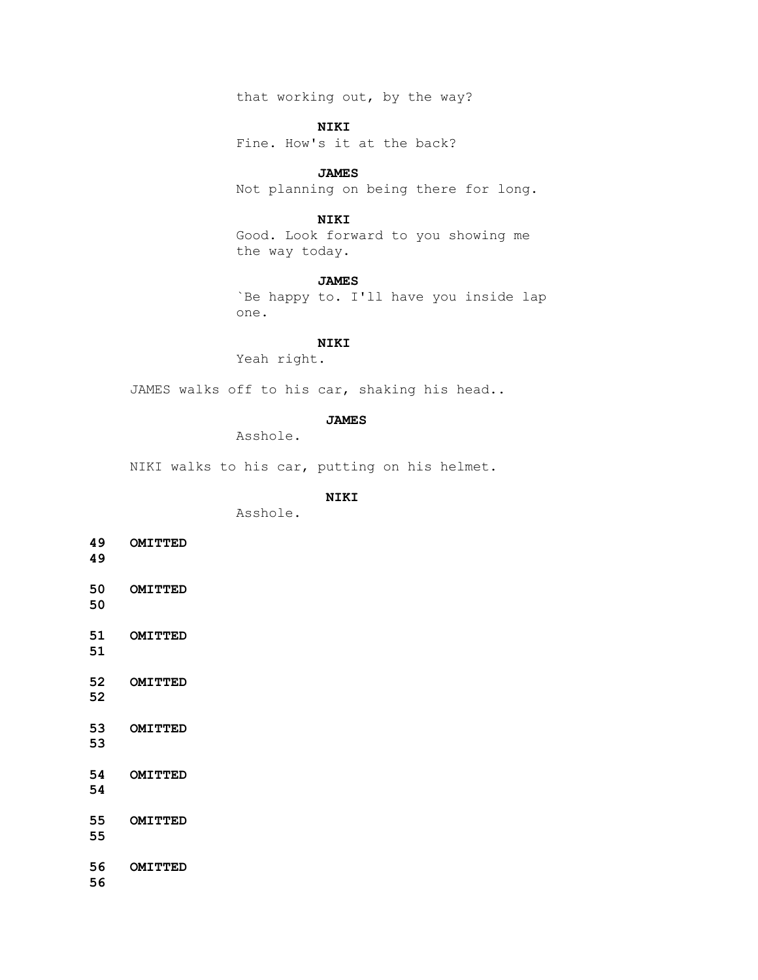that working out, by the way?

 **NIKI**

Fine. How's it at the back?

 **JAMES**

Not planning on being there for long.

## **NIKI**

 Good. Look forward to you showing me the way today.

#### **JAMES**

 `Be happy to. I'll have you inside lap one.

#### **NIKI**

Yeah right.

JAMES walks off to his car, shaking his head..

# **JAMES**

Asshole.

NIKI walks to his car, putting on his helmet.

# **NIKI**

Asshole.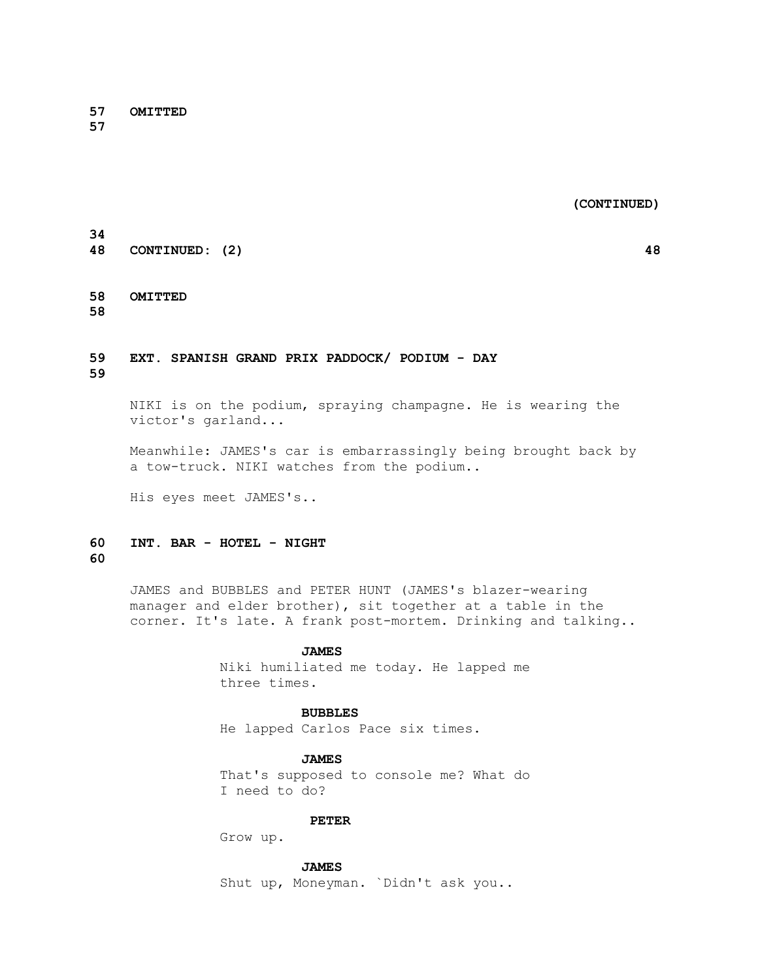**57 OMITTED** 

**57**

 **(CONTINUED)**

**48 CONTINUED: (2) 48**

# **58 OMITTED**

**58**

**34**

# **59 EXT. SPANISH GRAND PRIX PADDOCK/ PODIUM - DAY**

**59**

 NIKI is on the podium, spraying champagne. He is wearing the victor's garland...

 Meanwhile: JAMES's car is embarrassingly being brought back by a tow-truck. NIKI watches from the podium..

His eyes meet JAMES's..

### **60 INT. BAR - HOTEL - NIGHT 60**

 JAMES and BUBBLES and PETER HUNT (JAMES's blazer-wearing manager and elder brother), sit together at a table in the corner. It's late. A frank post-mortem. Drinking and talking..

#### **JAMES**

 Niki humiliated me today. He lapped me three times.

# **BUBBLES**

He lapped Carlos Pace six times.

 **JAMES** That's supposed to console me? What do I need to do?

#### **PETER**

Grow up.

 **JAMES**

Shut up, Moneyman. `Didn't ask you..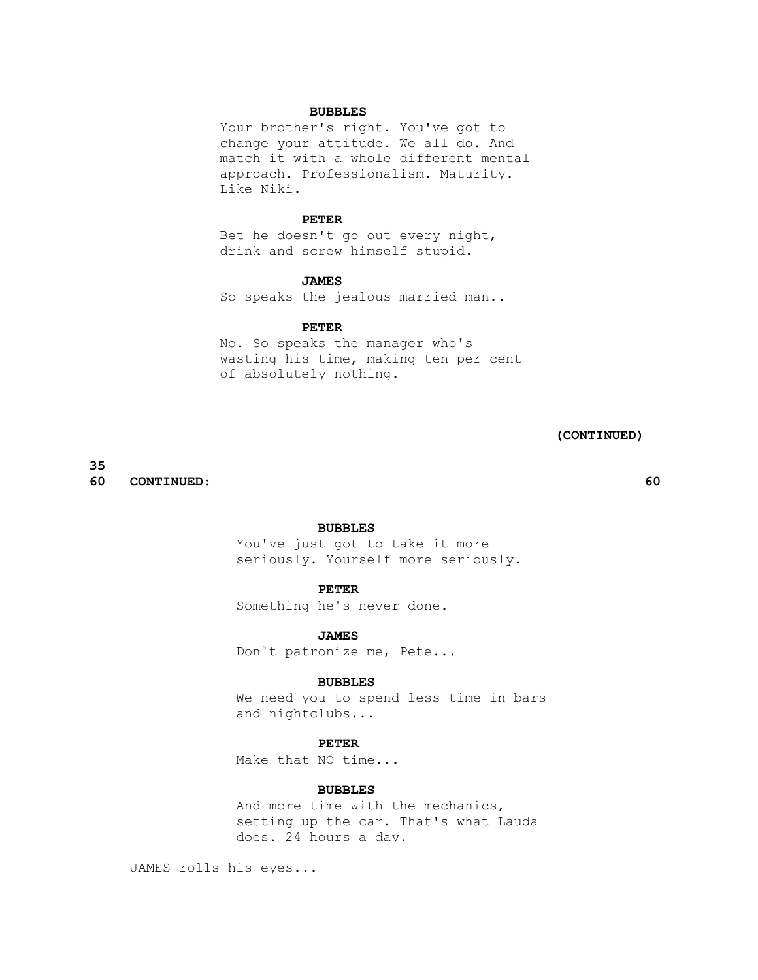#### **BUBBLES**

 Your brother's right. You've got to change your attitude. We all do. And match it with a whole different mental approach. Professionalism. Maturity. Like Niki.

#### **PETER**

 Bet he doesn't go out every night, drink and screw himself stupid.

#### **JAMES**

So speaks the jealous married man..

#### **PETER**

 No. So speaks the manager who's wasting his time, making ten per cent of absolutely nothing.

# **(CONTINUED)**

**35 60 CONTINUED: 60**

# **BUBBLES**

 You've just got to take it more seriously. Yourself more seriously.

# **PETER**

Something he's never done.

 **JAMES** Don`t patronize me, Pete...

#### **BUBBLES**

 We need you to spend less time in bars and nightclubs...

#### **PETER**

Make that NO time...

# **BUBBLES**

 And more time with the mechanics, setting up the car. That's what Lauda does. 24 hours a day.

JAMES rolls his eyes...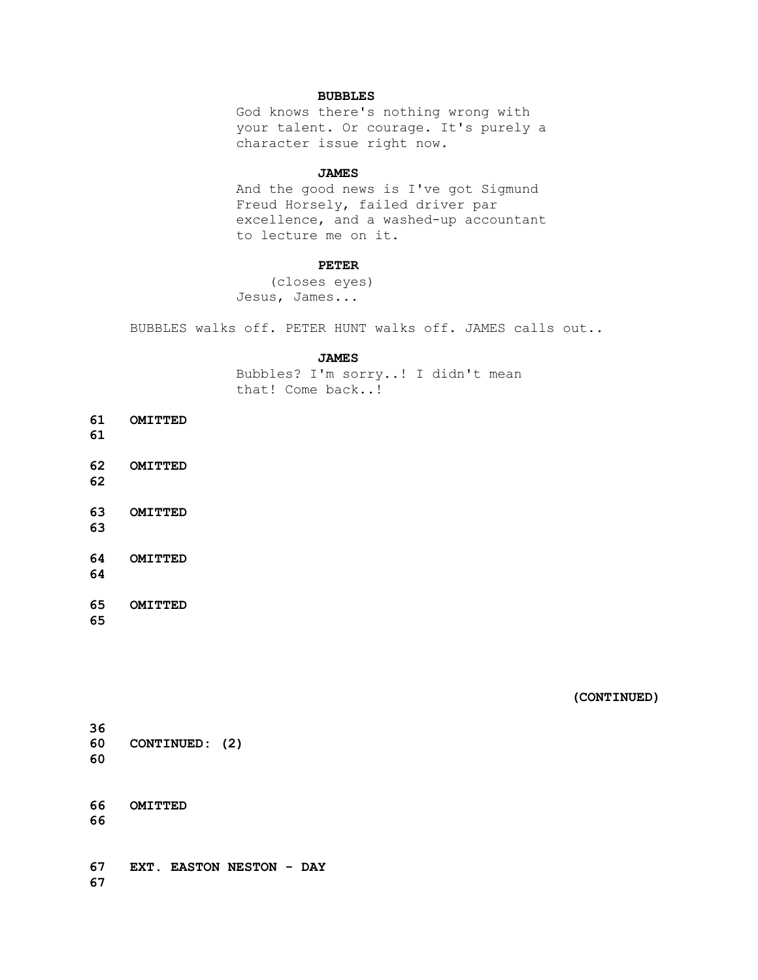# **BUBBLES**

 God knows there's nothing wrong with your talent. Or courage. It's purely a character issue right now.

#### **JAMES**

 And the good news is I've got Sigmund Freud Horsely, failed driver par excellence, and a washed-up accountant to lecture me on it.

### **PETER**

 (closes eyes) Jesus, James...

BUBBLES walks off. PETER HUNT walks off. JAMES calls out..

#### **JAMES**

 Bubbles? I'm sorry..! I didn't mean that! Come back..!

**61 OMITTED** 

**61**

**62 OMITTED** 

**62**

**63 OMITTED** 

**63**

**64 OMITTED** 

**64**

**65 OMITTED** 

**65**

 **(CONTINUED)**

**36 60 CONTINUED: (2) 60**

**66 OMITTED 66**

**67 EXT. EASTON NESTON - DAY 67**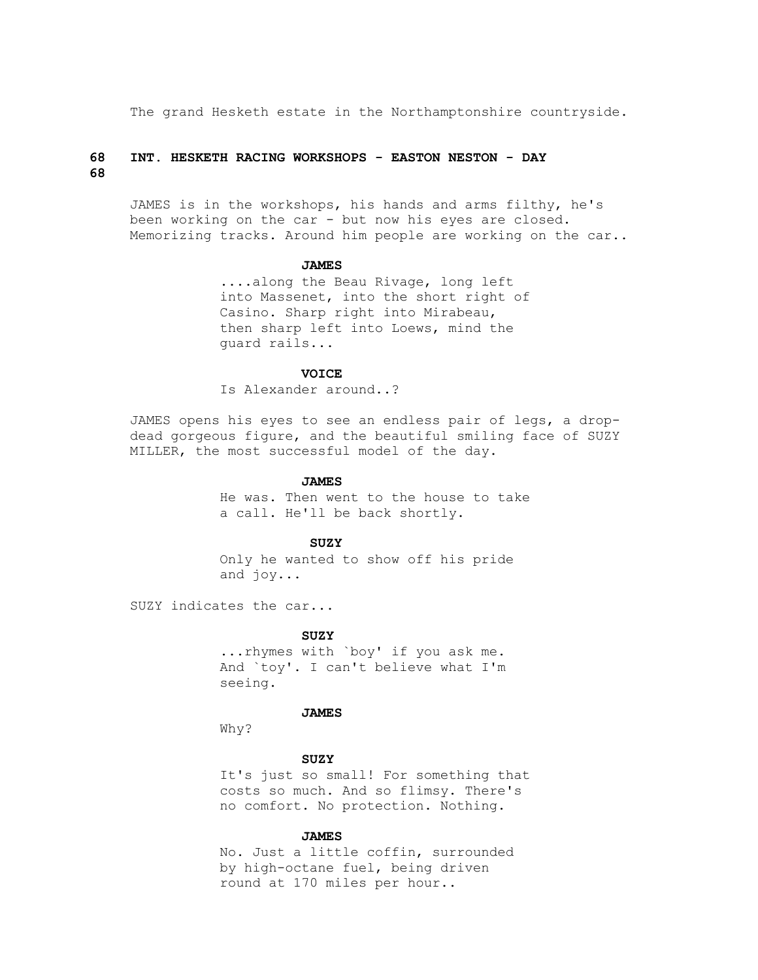The grand Hesketh estate in the Northamptonshire countryside.

# **68 INT. HESKETH RACING WORKSHOPS - EASTON NESTON - DAY 68**

 JAMES is in the workshops, his hands and arms filthy, he's been working on the car - but now his eyes are closed. Memorizing tracks. Around him people are working on the car..

#### **JAMES**

 ....along the Beau Rivage, long left into Massenet, into the short right of Casino. Sharp right into Mirabeau, then sharp left into Loews, mind the guard rails...

# **VOICE**

Is Alexander around..?

 JAMES opens his eyes to see an endless pair of legs, a drop dead gorgeous figure, and the beautiful smiling face of SUZY MILLER, the most successful model of the day.

#### **JAMES**

 He was. Then went to the house to take a call. He'll be back shortly.

#### **SUZY**

 Only he wanted to show off his pride and joy...

SUZY indicates the car...

#### **SUZY**

 ...rhymes with `boy' if you ask me. And `toy'. I can't believe what I'm seeing.

# **JAMES**

Why?

#### **SUZY**

 It's just so small! For something that costs so much. And so flimsy. There's no comfort. No protection. Nothing.

#### **JAMES**

 No. Just a little coffin, surrounded by high-octane fuel, being driven round at 170 miles per hour..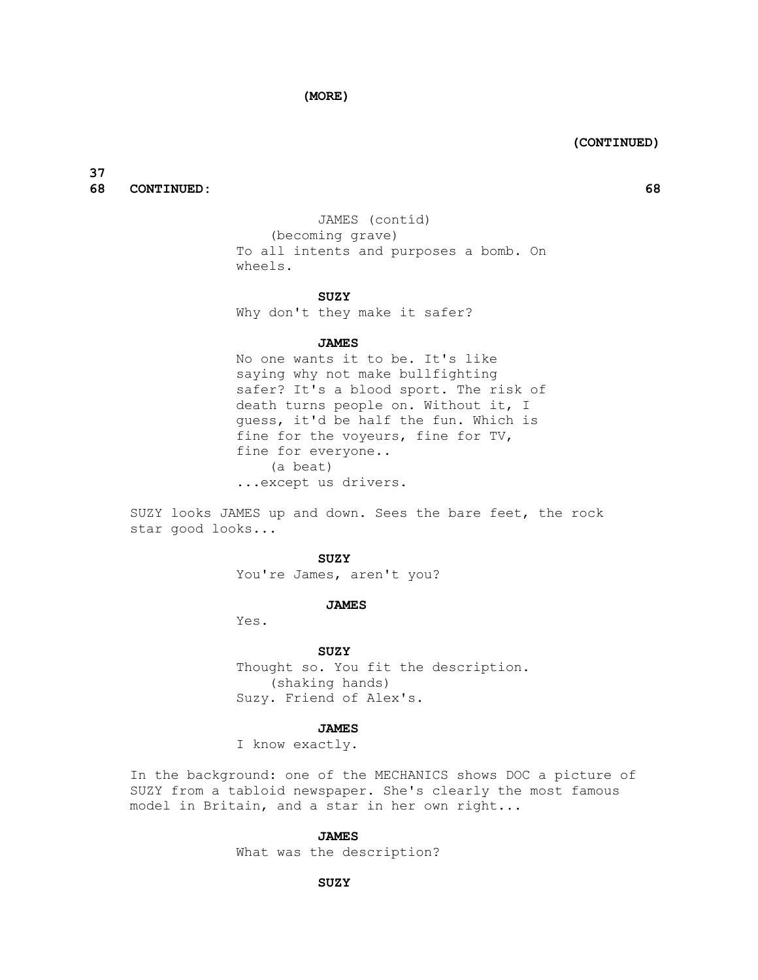**(MORE)**

 **(CONTINUED)**

**37 68 CONTINUED: 68**

 JAMES (contíd) (becoming grave) To all intents and purposes a bomb. On wheels.

#### **SUZY**

Why don't they make it safer?

#### **JAMES**

 No one wants it to be. It's like saying why not make bullfighting safer? It's a blood sport. The risk of death turns people on. Without it, I guess, it'd be half the fun. Which is fine for the voyeurs, fine for TV, fine for everyone.. (a beat) ...except us drivers.

 SUZY looks JAMES up and down. Sees the bare feet, the rock star good looks...

#### **SUZY**

You're James, aren't you?

#### **JAMES**

Yes.

#### **SUZY**

 Thought so. You fit the description. (shaking hands) Suzy. Friend of Alex's.

#### **JAMES**

I know exactly.

 In the background: one of the MECHANICS shows DOC a picture of SUZY from a tabloid newspaper. She's clearly the most famous model in Britain, and a star in her own right...

#### **JAMES**

What was the description?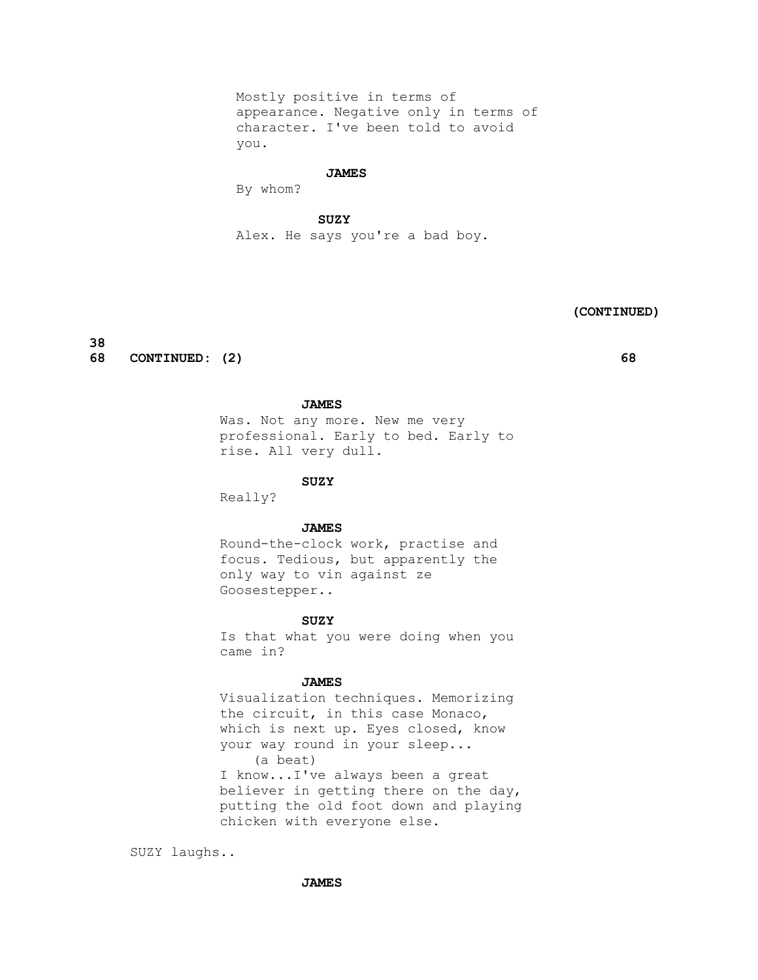Mostly positive in terms of appearance. Negative only in terms of character. I've been told to avoid you.

#### **JAMES**

By whom?

 **SUZY**

Alex. He says you're a bad boy.

# **(CONTINUED)**

**38**

**68 CONTINUED: (2) 68**

# **JAMES**

 Was. Not any more. New me very professional. Early to bed. Early to rise. All very dull.

 **SUZY**

Really?

 **JAMES**

 Round-the-clock work, practise and focus. Tedious, but apparently the only way to vin against ze Goosestepper..

#### **SUZY**

 Is that what you were doing when you came in?

# **JAMES**

 Visualization techniques. Memorizing the circuit, in this case Monaco, which is next up. Eyes closed, know your way round in your sleep... (a beat) I know...I've always been a great believer in getting there on the day, putting the old foot down and playing chicken with everyone else.

SUZY laughs..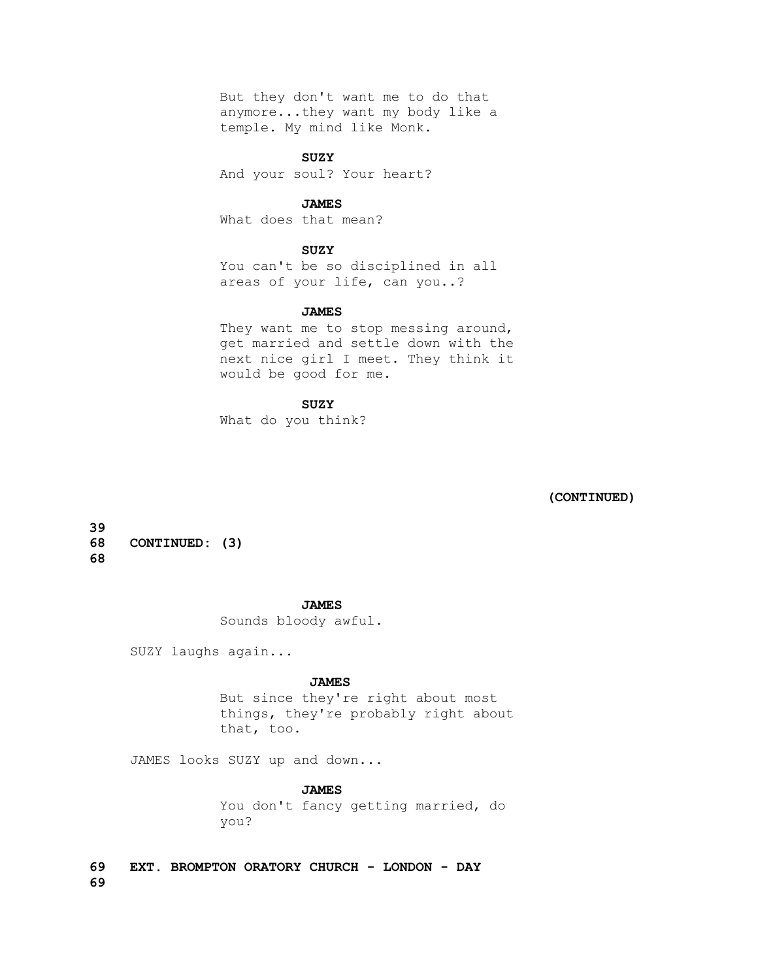But they don't want me to do that anymore...they want my body like a temple. My mind like Monk.

 **SUZY**

And your soul? Your heart?

## **JAMES**

What does that mean?

# **SUZY**

 You can't be so disciplined in all areas of your life, can you..?

## **JAMES**

They want me to stop messing around, get married and settle down with the next nice girl I meet. They think it would be good for me.

#### **SUZY**

What do you think?

 **(CONTINUED)**

**39 68 CONTINUED: (3) 68**

#### **JAMES**

Sounds bloody awful.

SUZY laughs again...

#### **JAMES**

 But since they're right about most things, they're probably right about that, too.

JAMES looks SUZY up and down...

# **JAMES**

 You don't fancy getting married, do you?

**69 EXT. BROMPTON ORATORY CHURCH - LONDON - DAY 69**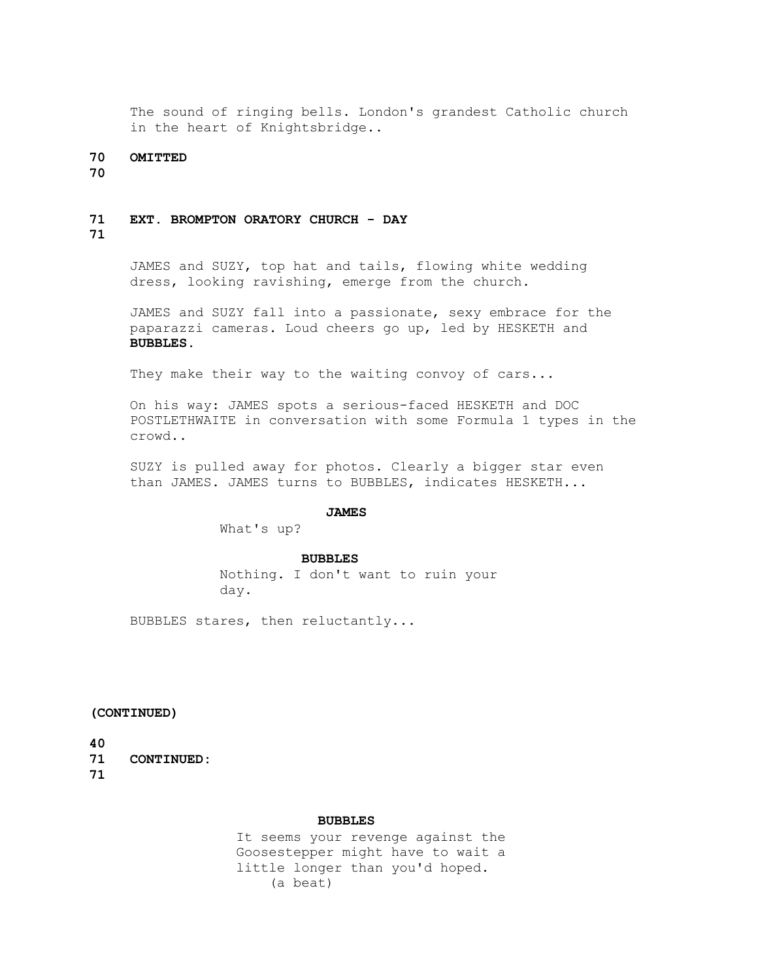The sound of ringing bells. London's grandest Catholic church in the heart of Knightsbridge..

## **70 OMITTED**

**70**

# **71 EXT. BROMPTON ORATORY CHURCH - DAY**

# **71**

 JAMES and SUZY, top hat and tails, flowing white wedding dress, looking ravishing, emerge from the church.

 JAMES and SUZY fall into a passionate, sexy embrace for the paparazzi cameras. Loud cheers go up, led by HESKETH and  **BUBBLES.**

They make their way to the waiting convoy of cars...

 On his way: JAMES spots a serious-faced HESKETH and DOC POSTLETHWAITE in conversation with some Formula 1 types in the crowd..

 SUZY is pulled away for photos. Clearly a bigger star even than JAMES. JAMES turns to BUBBLES, indicates HESKETH...

#### **JAMES**

What's up?

#### **BUBBLES**

 Nothing. I don't want to ruin your day.

BUBBLES stares, then reluctantly...

**(CONTINUED)**

**40**

**71 CONTINUED: 71**

#### **BUBBLES**

 It seems your revenge against the Goosestepper might have to wait a little longer than you'd hoped. (a beat)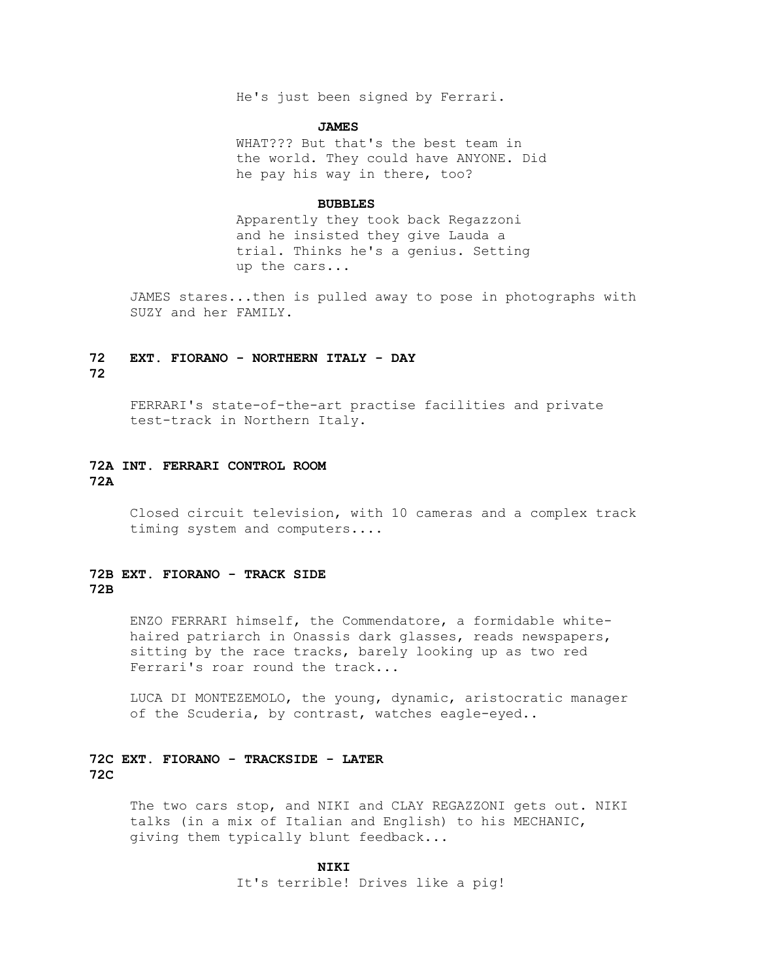He's just been signed by Ferrari.

#### **JAMES**

 WHAT??? But that's the best team in the world. They could have ANYONE. Did he pay his way in there, too?

#### **BUBBLES**

 Apparently they took back Regazzoni and he insisted they give Lauda a trial. Thinks he's a genius. Setting up the cars...

 JAMES stares...then is pulled away to pose in photographs with SUZY and her FAMILY.

# **72 EXT. FIORANO - NORTHERN ITALY - DAY 72**

 FERRARI's state-of-the-art practise facilities and private test-track in Northern Italy.

# **72A INT. FERRARI CONTROL ROOM 72A**

 Closed circuit television, with 10 cameras and a complex track timing system and computers....

# **72B EXT. FIORANO - TRACK SIDE 72B**

 ENZO FERRARI himself, the Commendatore, a formidable white haired patriarch in Onassis dark glasses, reads newspapers, sitting by the race tracks, barely looking up as two red Ferrari's roar round the track...

 LUCA DI MONTEZEMOLO, the young, dynamic, aristocratic manager of the Scuderia, by contrast, watches eagle-eyed..

# **72C EXT. FIORANO - TRACKSIDE - LATER 72C**

 The two cars stop, and NIKI and CLAY REGAZZONI gets out. NIKI talks (in a mix of Italian and English) to his MECHANIC, giving them typically blunt feedback...

 **NIKI**

It's terrible! Drives like a pig!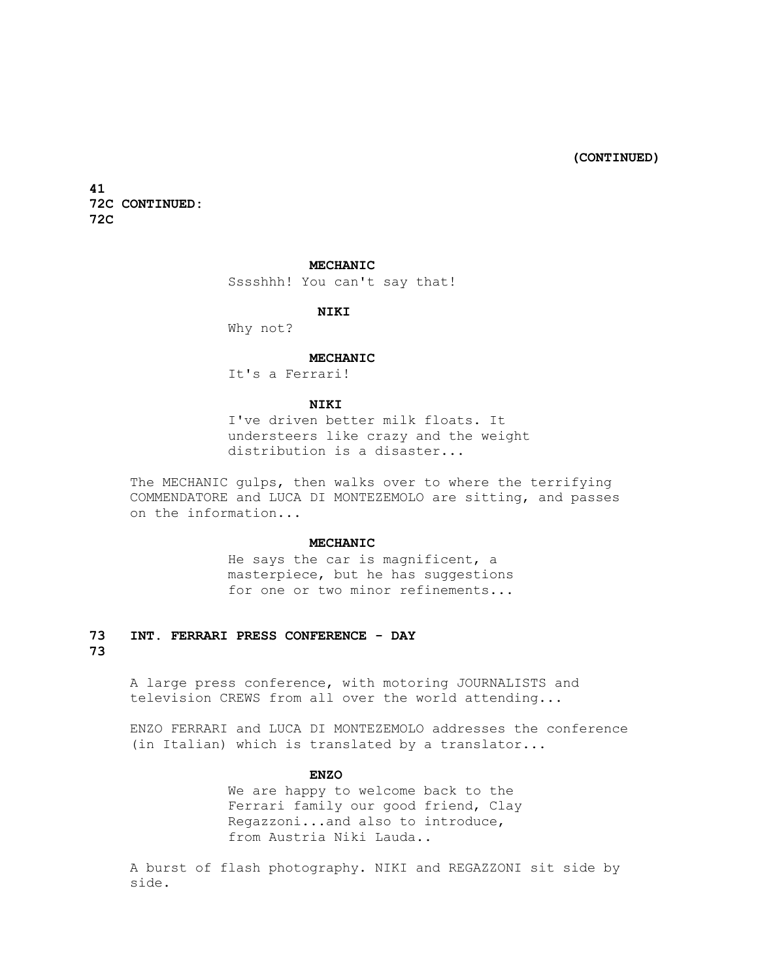**(CONTINUED)**

**41 72C CONTINUED: 72C**

# **MECHANIC**

Sssshhh! You can't say that!

#### **NIKI**

Why not?

#### **MECHANIC**

It's a Ferrari!

#### **NIKI**

 I've driven better milk floats. It understeers like crazy and the weight distribution is a disaster...

 The MECHANIC gulps, then walks over to where the terrifying COMMENDATORE and LUCA DI MONTEZEMOLO are sitting, and passes on the information...

#### **MECHANIC**

 He says the car is magnificent, a masterpiece, but he has suggestions for one or two minor refinements...

# **73 INT. FERRARI PRESS CONFERENCE - DAY**

# **73**

 A large press conference, with motoring JOURNALISTS and television CREWS from all over the world attending...

 ENZO FERRARI and LUCA DI MONTEZEMOLO addresses the conference (in Italian) which is translated by a translator...

# **ENZO**

 We are happy to welcome back to the Ferrari family our good friend, Clay Regazzoni...and also to introduce, from Austria Niki Lauda..

 A burst of flash photography. NIKI and REGAZZONI sit side by side.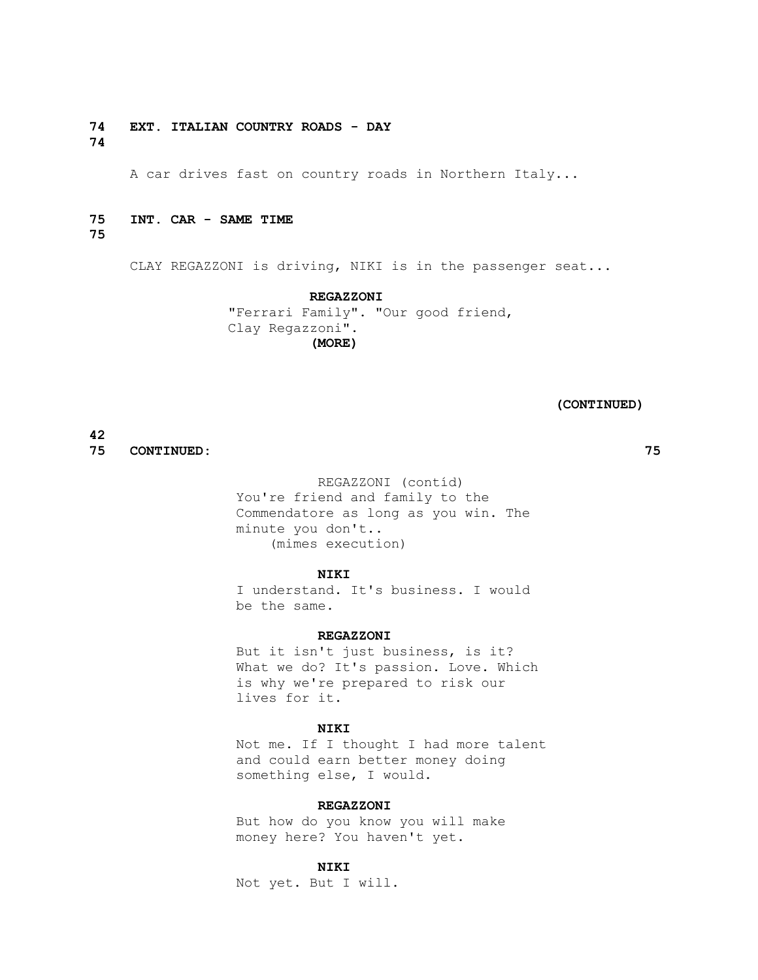**74 EXT. ITALIAN COUNTRY ROADS - DAY 74**

A car drives fast on country roads in Northern Italy...

# **75 INT. CAR - SAME TIME**

**75**

CLAY REGAZZONI is driving, NIKI is in the passenger seat...

 **REGAZZONI** "Ferrari Family". "Our good friend, Clay Regazzoni".  **(MORE)**

#### **(CONTINUED)**

**42**

**75 CONTINUED: 75**

 REGAZZONI (contíd) You're friend and family to the Commendatore as long as you win. The minute you don't.. (mimes execution)

#### **NIKI**

 I understand. It's business. I would be the same.

#### **REGAZZONI**

 But it isn't just business, is it? What we do? It's passion. Love. Which is why we're prepared to risk our lives for it.

#### **NIKI**

 Not me. If I thought I had more talent and could earn better money doing something else, I would.

# **REGAZZONI**

 But how do you know you will make money here? You haven't yet.

# **NIKI**

Not yet. But I will.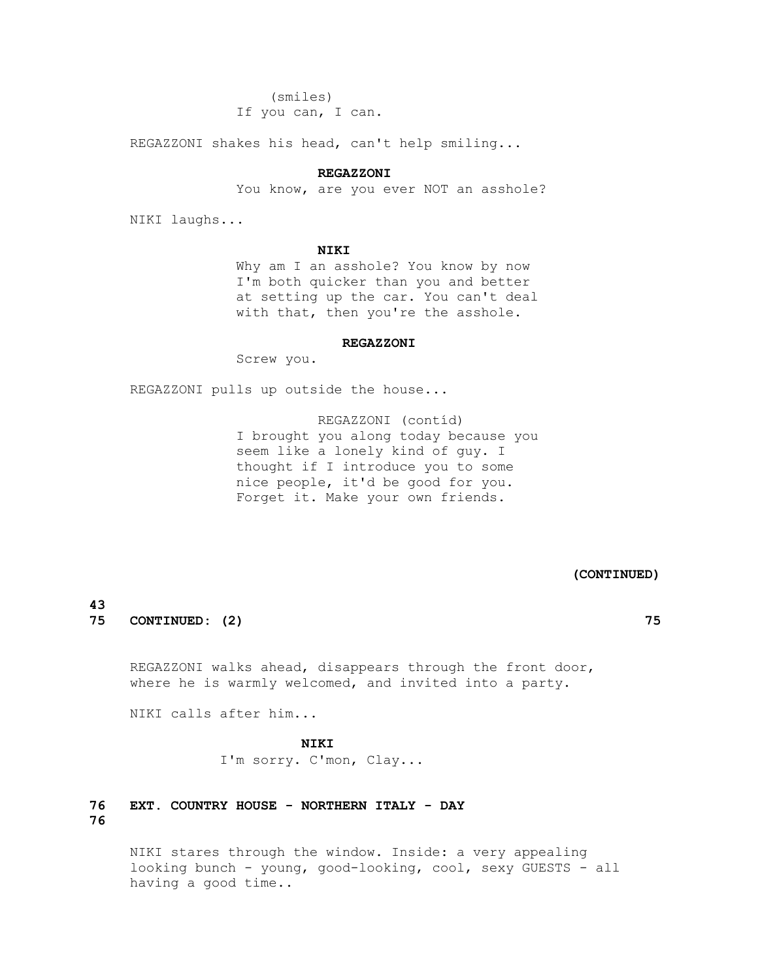(smiles) If you can, I can.

REGAZZONI shakes his head, can't help smiling...

#### **REGAZZONI**

You know, are you ever NOT an asshole?

NIKI laughs...

#### **NIKI**

 Why am I an asshole? You know by now I'm both quicker than you and better at setting up the car. You can't deal with that, then you're the asshole.

#### **REGAZZONI**

Screw you.

REGAZZONI pulls up outside the house...

 REGAZZONI (contíd) I brought you along today because you seem like a lonely kind of guy. I thought if I introduce you to some nice people, it'd be good for you. Forget it. Make your own friends.

#### **(CONTINUED)**

# **43**

**75 CONTINUED: (2) 75**

 REGAZZONI walks ahead, disappears through the front door, where he is warmly welcomed, and invited into a party.

NIKI calls after him...

### **NIKI**

I'm sorry. C'mon, Clay...

# **76 EXT. COUNTRY HOUSE - NORTHERN ITALY - DAY 76**

 NIKI stares through the window. Inside: a very appealing looking bunch - young, good-looking, cool, sexy GUESTS - all having a good time..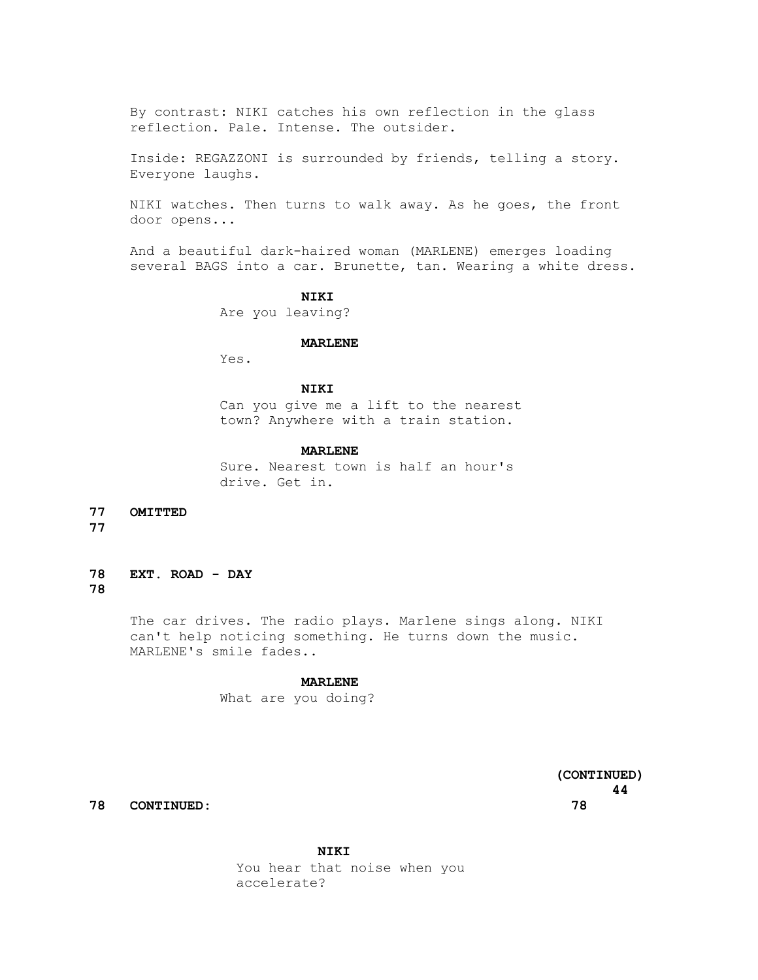By contrast: NIKI catches his own reflection in the glass reflection. Pale. Intense. The outsider.

 Inside: REGAZZONI is surrounded by friends, telling a story. Everyone laughs.

 NIKI watches. Then turns to walk away. As he goes, the front door opens...

 And a beautiful dark-haired woman (MARLENE) emerges loading several BAGS into a car. Brunette, tan. Wearing a white dress.

#### **NIKI**

Are you leaving?

#### **MARLENE**

Yes.

# **NIKI**

 Can you give me a lift to the nearest town? Anywhere with a train station.

#### **MARLENE**

 Sure. Nearest town is half an hour's drive. Get in.

**77 OMITTED** 

**77**

**78 EXT. ROAD - DAY 78**

> The car drives. The radio plays. Marlene sings along. NIKI can't help noticing something. He turns down the music. MARLENE's smile fades..

#### **MARLENE**

What are you doing?

 **(CONTINUED) 44**

**78 CONTINUED: 78**

 **NIKI** You hear that noise when you accelerate?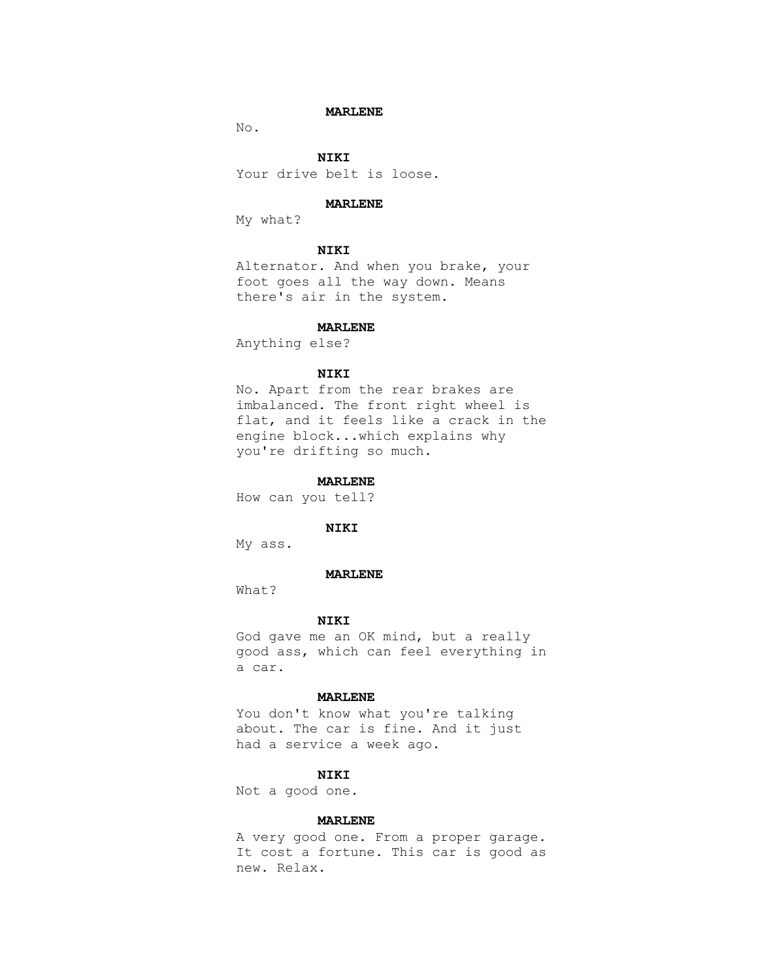#### **MARLENE**

No.

 **NIKI** Your drive belt is loose.

#### **MARLENE**

My what?

# **NIKI**

 Alternator. And when you brake, your foot goes all the way down. Means there's air in the system.

#### **MARLENE**

Anything else?

# **NIKI**

 No. Apart from the rear brakes are imbalanced. The front right wheel is flat, and it feels like a crack in the engine block...which explains why you're drifting so much.

# **MARLENE**

How can you tell?

# **NIKI**

My ass.

#### **MARLENE**

What?

#### **NIKI**

 God gave me an OK mind, but a really good ass, which can feel everything in a car.

#### **MARLENE**

 You don't know what you're talking about. The car is fine. And it just had a service a week ago.

# **NIKI**

Not a good one.

### **MARLENE**

 A very good one. From a proper garage. It cost a fortune. This car is good as new. Relax.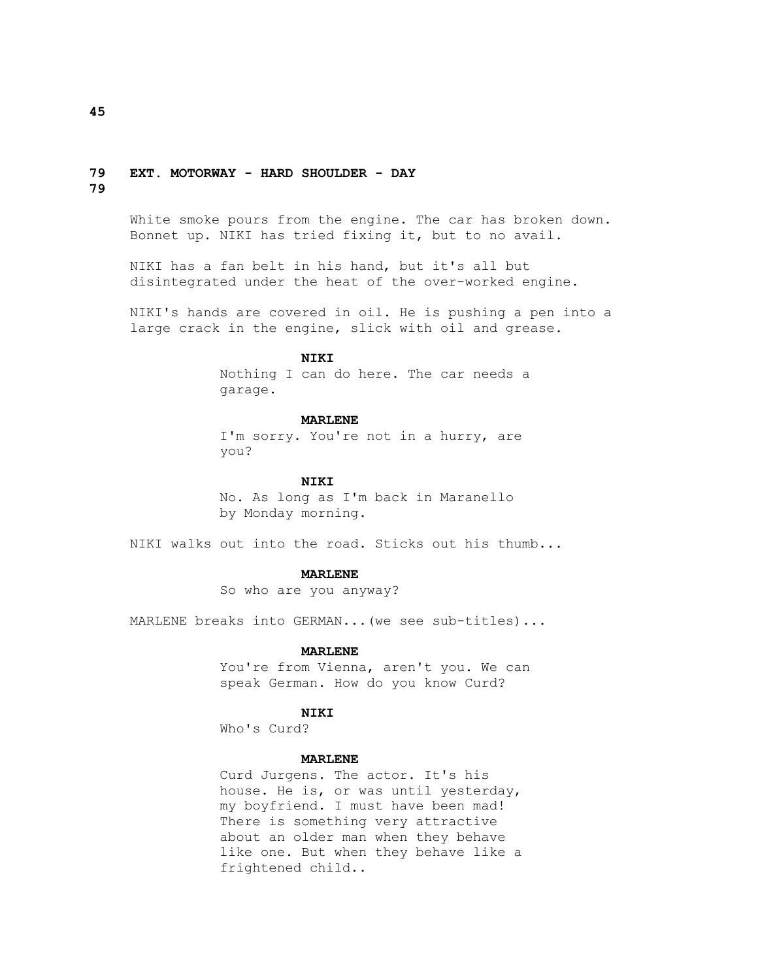# **79 EXT. MOTORWAY - HARD SHOULDER - DAY**

**79**

 White smoke pours from the engine. The car has broken down. Bonnet up. NIKI has tried fixing it, but to no avail.

 NIKI has a fan belt in his hand, but it's all but disintegrated under the heat of the over-worked engine.

 NIKI's hands are covered in oil. He is pushing a pen into a large crack in the engine, slick with oil and grease.

# **NIKI**

 Nothing I can do here. The car needs a garage.

#### **MARLENE**

 I'm sorry. You're not in a hurry, are you?

# **NIKI**

 No. As long as I'm back in Maranello by Monday morning.

NIKI walks out into the road. Sticks out his thumb...

#### **MARLENE**

So who are you anyway?

MARLENE breaks into GERMAN...(we see sub-titles)...

#### **MARLENE**

 You're from Vienna, aren't you. We can speak German. How do you know Curd?

#### **NIKI**

Who's Curd?

### **MARLENE**

 Curd Jurgens. The actor. It's his house. He is, or was until yesterday, my boyfriend. I must have been mad! There is something very attractive about an older man when they behave like one. But when they behave like a frightened child..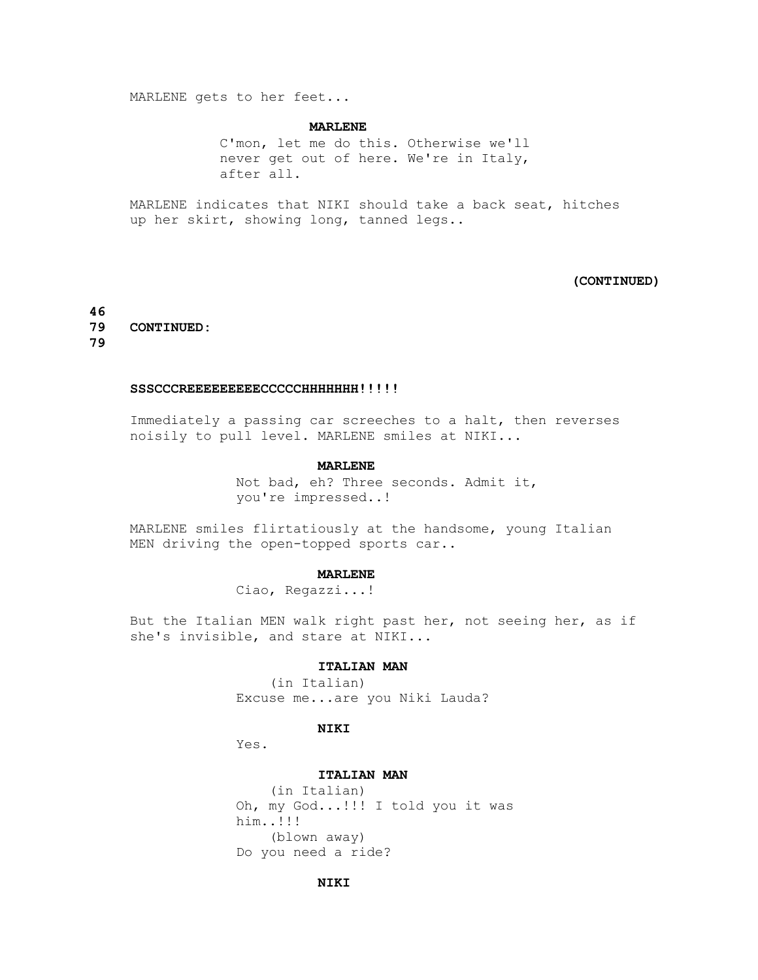MARLENE gets to her feet...

#### **MARLENE**

 C'mon, let me do this. Otherwise we'll never get out of here. We're in Italy, after all.

 MARLENE indicates that NIKI should take a back seat, hitches up her skirt, showing long, tanned legs..

# **(CONTINUED)**

**46 79 CONTINUED: 79**

#### SSSCCCREEEEEEEEECCCCCHHHHHHH!!!!!

 Immediately a passing car screeches to a halt, then reverses noisily to pull level. MARLENE smiles at NIKI...

#### **MARLENE**

 Not bad, eh? Three seconds. Admit it, you're impressed..!

 MARLENE smiles flirtatiously at the handsome, young Italian MEN driving the open-topped sports car..

#### **MARLENE**

Ciao, Regazzi...!

 But the Italian MEN walk right past her, not seeing her, as if she's invisible, and stare at NIKI...

#### **ITALIAN MAN**

 (in Italian) Excuse me...are you Niki Lauda?

#### **NIKI**

Yes.

### **ITALIAN MAN**

 (in Italian) Oh, my God...!!! I told you it was him..!!! (blown away) Do you need a ride?

### **NIKI**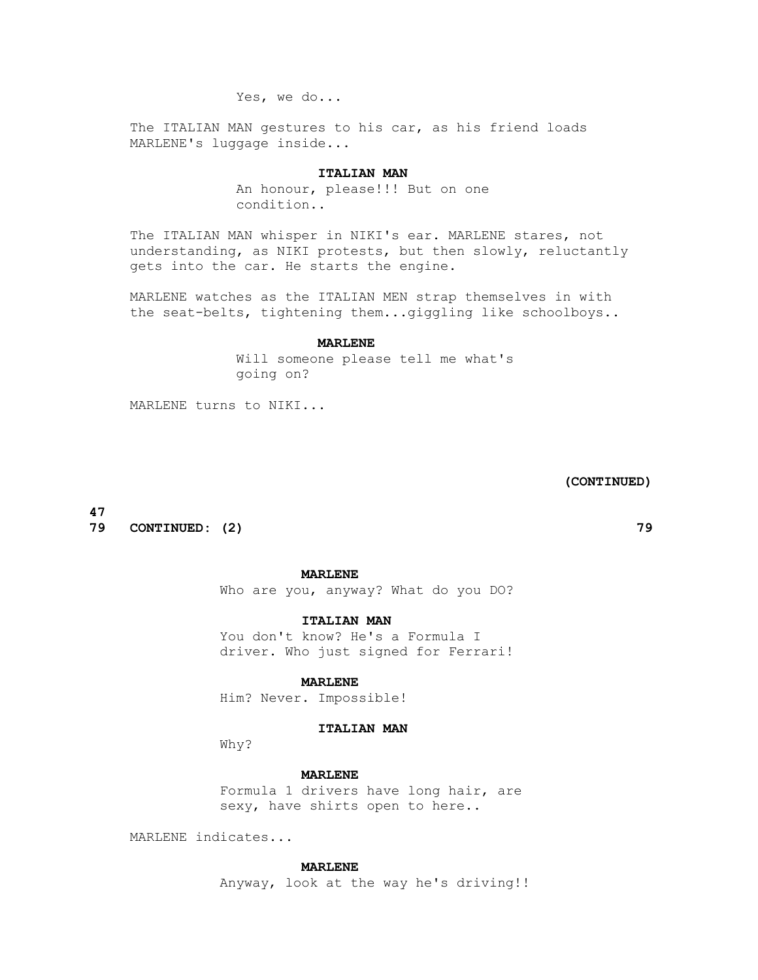Yes, we do...

 The ITALIAN MAN gestures to his car, as his friend loads MARLENE's luggage inside...

## **ITALIAN MAN**

 An honour, please!!! But on one condition..

 The ITALIAN MAN whisper in NIKI's ear. MARLENE stares, not understanding, as NIKI protests, but then slowly, reluctantly gets into the car. He starts the engine.

 MARLENE watches as the ITALIAN MEN strap themselves in with the seat-belts, tightening them...giggling like schoolboys..

#### **MARLENE**

 Will someone please tell me what's going on?

MARLENE turns to NIKI...

 **(CONTINUED)**

**47**

**79 CONTINUED: (2) 79**

#### **MARLENE**

Who are you, anyway? What do you DO?

 **ITALIAN MAN**

 You don't know? He's a Formula I driver. Who just signed for Ferrari!

#### **MARLENE**

Him? Never. Impossible!

# **ITALIAN MAN**

Why?

#### **MARLENE**

 Formula 1 drivers have long hair, are sexy, have shirts open to here..

MARLENE indicates...

#### **MARLENE**

Anyway, look at the way he's driving!!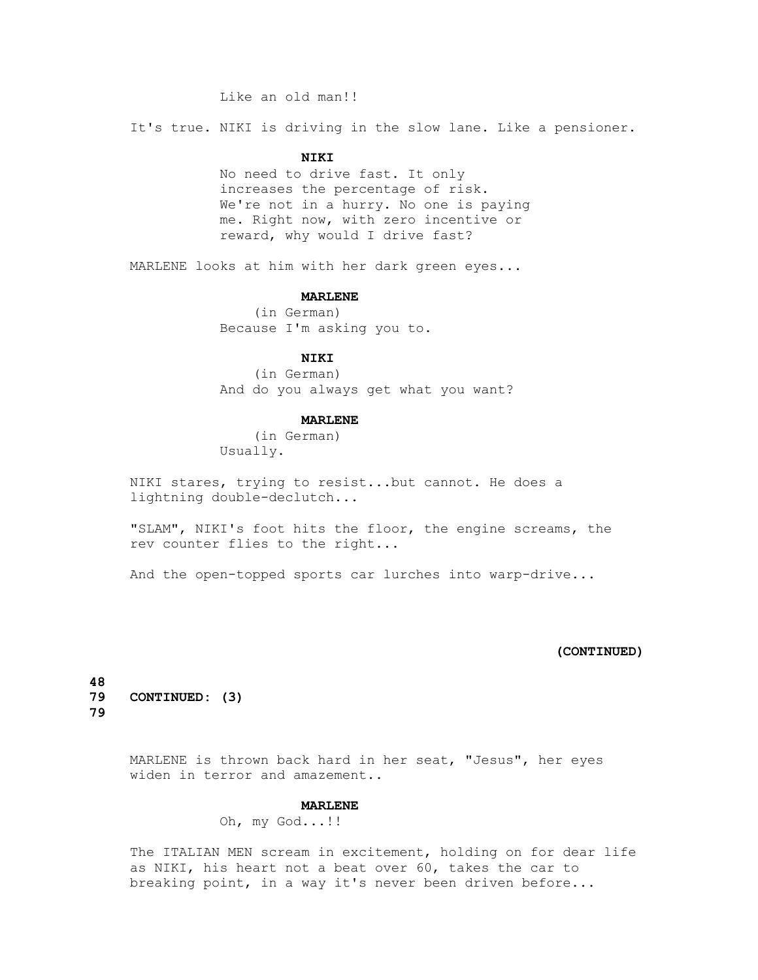# Like an old man!!

It's true. NIKI is driving in the slow lane. Like a pensioner.

# **NIKI**

 No need to drive fast. It only increases the percentage of risk. We're not in a hurry. No one is paying me. Right now, with zero incentive or reward, why would I drive fast?

MARLENE looks at him with her dark green eyes...

#### **MARLENE**

 (in German) Because I'm asking you to.

# **NIKI**

 (in German) And do you always get what you want?

#### **MARLENE**

 (in German) Usually.

 NIKI stares, trying to resist...but cannot. He does a lightning double-declutch...

 "SLAM", NIKI's foot hits the floor, the engine screams, the rev counter flies to the right...

And the open-topped sports car lurches into warp-drive...

# **(CONTINUED)**

**48 79 CONTINUED: (3) 79**

> MARLENE is thrown back hard in her seat, "Jesus", her eyes widen in terror and amazement..

# **MARLENE**

Oh, my God...!!

 The ITALIAN MEN scream in excitement, holding on for dear life as NIKI, his heart not a beat over 60, takes the car to breaking point, in a way it's never been driven before...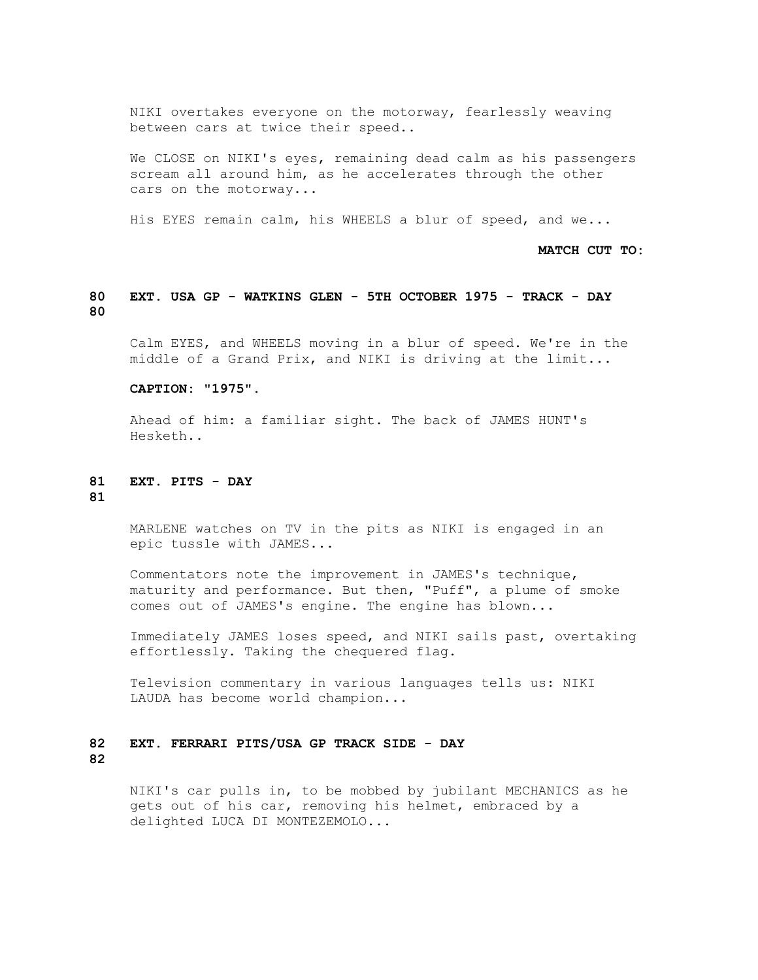NIKI overtakes everyone on the motorway, fearlessly weaving between cars at twice their speed..

We CLOSE on NIKI's eyes, remaining dead calm as his passengers scream all around him, as he accelerates through the other cars on the motorway...

His EYES remain calm, his WHEELS a blur of speed, and we...

 **MATCH CUT TO:**

# **80 EXT. USA GP - WATKINS GLEN - 5TH OCTOBER 1975 - TRACK - DAY 80**

 Calm EYES, and WHEELS moving in a blur of speed. We're in the middle of a Grand Prix, and NIKI is driving at the limit...

#### **CAPTION: "1975".**

 Ahead of him: a familiar sight. The back of JAMES HUNT's Hesketh..

### **81 EXT. PITS - DAY 81**

 MARLENE watches on TV in the pits as NIKI is engaged in an epic tussle with JAMES...

 Commentators note the improvement in JAMES's technique, maturity and performance. But then, "Puff", a plume of smoke comes out of JAMES's engine. The engine has blown...

 Immediately JAMES loses speed, and NIKI sails past, overtaking effortlessly. Taking the chequered flag.

 Television commentary in various languages tells us: NIKI LAUDA has become world champion...

### **82 EXT. FERRARI PITS/USA GP TRACK SIDE - DAY 82**

 NIKI's car pulls in, to be mobbed by jubilant MECHANICS as he gets out of his car, removing his helmet, embraced by a delighted LUCA DI MONTEZEMOLO...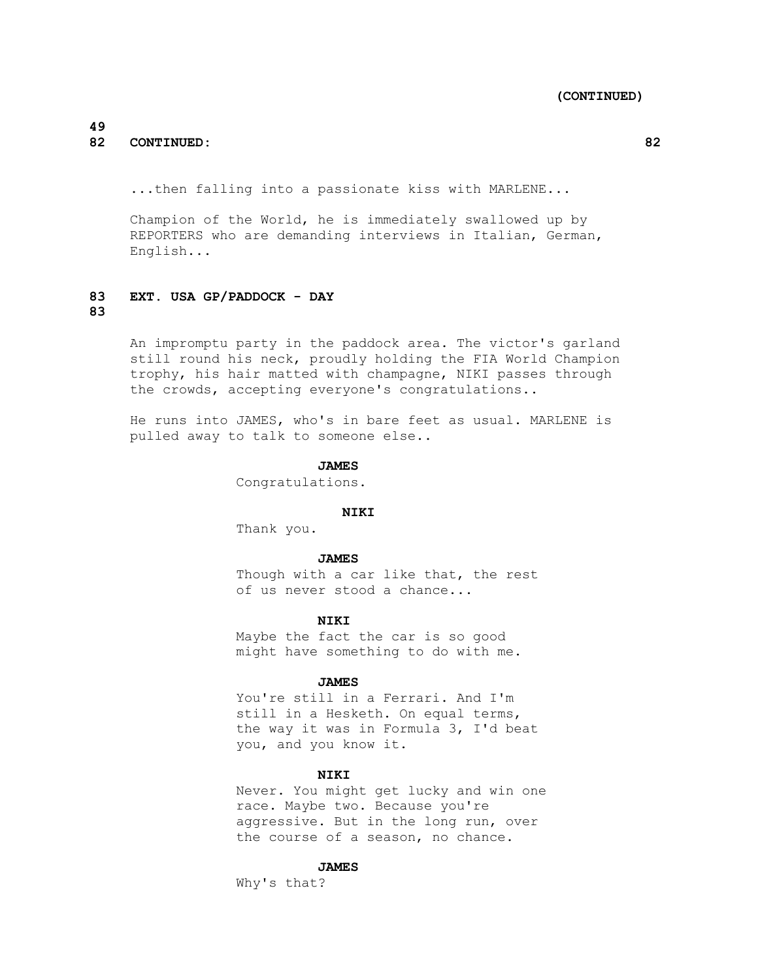# **49 82 CONTINUED: 82**

...then falling into a passionate kiss with MARLENE...

 Champion of the World, he is immediately swallowed up by REPORTERS who are demanding interviews in Italian, German, English...

### **83 EXT. USA GP/PADDOCK - DAY 83**

 An impromptu party in the paddock area. The victor's garland still round his neck, proudly holding the FIA World Champion trophy, his hair matted with champagne, NIKI passes through the crowds, accepting everyone's congratulations..

 He runs into JAMES, who's in bare feet as usual. MARLENE is pulled away to talk to someone else..

#### **JAMES**

Congratulations.

# **NIKI**

Thank you.

#### **JAMES**

Though with a car like that, the rest of us never stood a chance...

#### **NIKI**

 Maybe the fact the car is so good might have something to do with me.

#### **JAMES**

 You're still in a Ferrari. And I'm still in a Hesketh. On equal terms, the way it was in Formula 3, I'd beat you, and you know it.

# **NIKI**

 Never. You might get lucky and win one race. Maybe two. Because you're aggressive. But in the long run, over the course of a season, no chance.

#### **JAMES**

Why's that?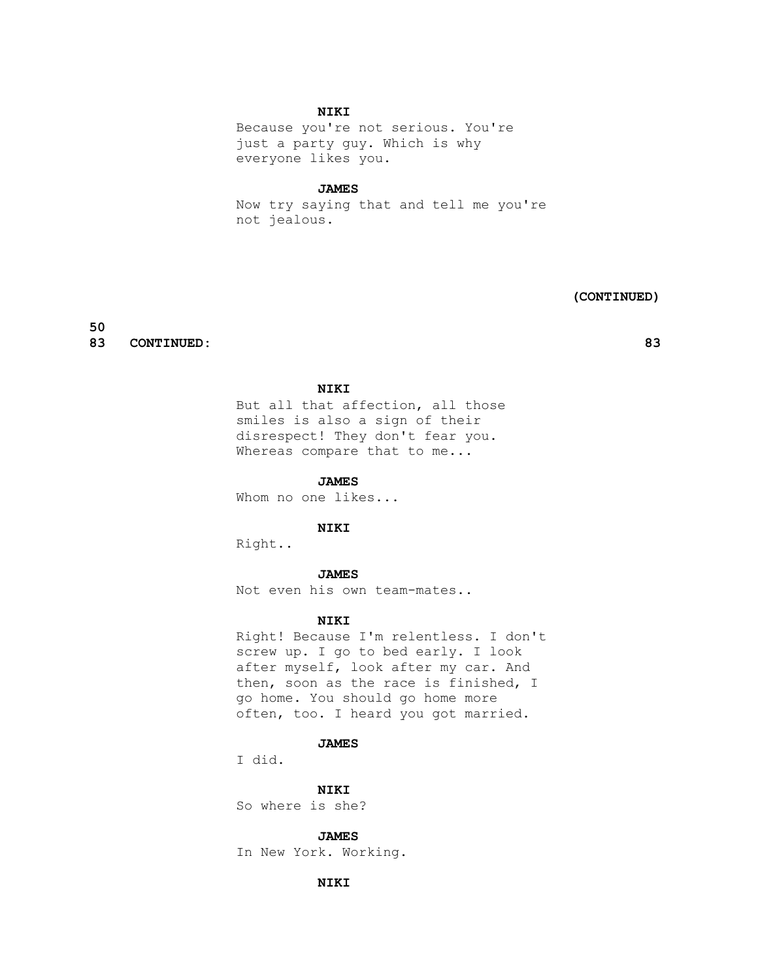# **NIKI**

 Because you're not serious. You're just a party guy. Which is why everyone likes you.

#### **JAMES**

 Now try saying that and tell me you're not jealous.

#### **(CONTINUED)**

**50 83 CONTINUED: 83**

## **NIKI**

 But all that affection, all those smiles is also a sign of their disrespect! They don't fear you. Whereas compare that to me...

# **JAMES**

Whom no one likes...

# **NIKI**

Right..

#### **JAMES**

Not even his own team-mates..

# **NIKI**

 Right! Because I'm relentless. I don't screw up. I go to bed early. I look after myself, look after my car. And then, soon as the race is finished, I go home. You should go home more often, too. I heard you got married.

# **JAMES**

I did.

 **NIKI**

So where is she?

#### **JAMES**

In New York. Working.

# **NIKI**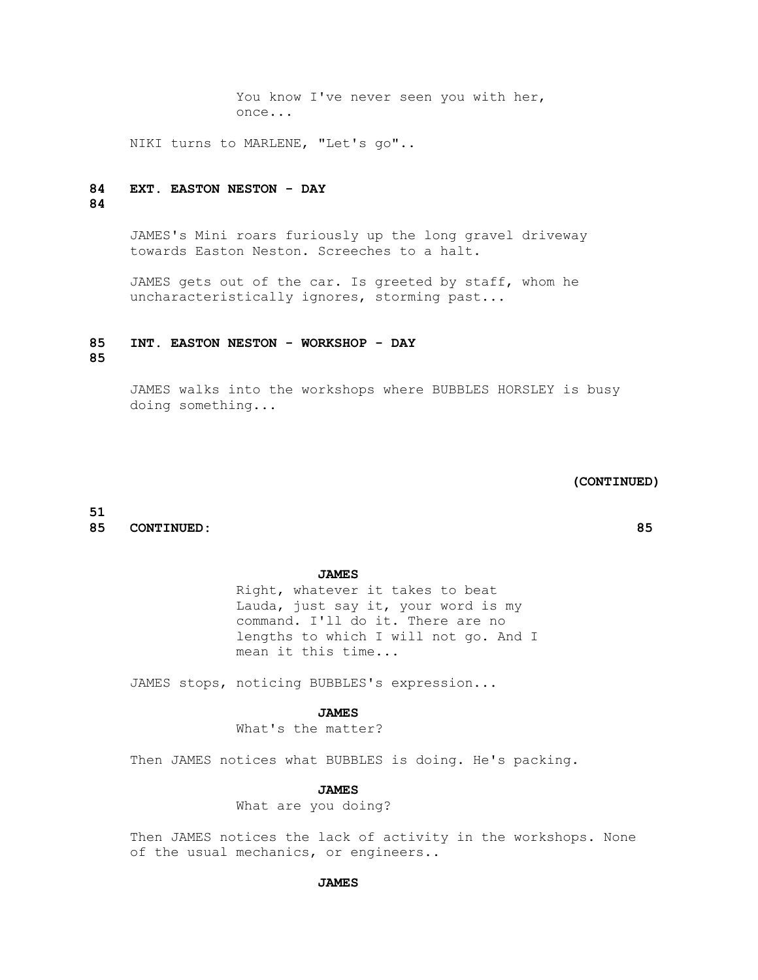You know I've never seen you with her, once...

NIKI turns to MARLENE, "Let's go"..

# **84 EXT. EASTON NESTON - DAY**

# **84**

 JAMES's Mini roars furiously up the long gravel driveway towards Easton Neston. Screeches to a halt.

 JAMES gets out of the car. Is greeted by staff, whom he uncharacteristically ignores, storming past...

#### **85 INT. EASTON NESTON - WORKSHOP - DAY**

**85**

 JAMES walks into the workshops where BUBBLES HORSLEY is busy doing something...

#### **(CONTINUED)**

#### **51 85 CONTINUED: 85**

#### **JAMES**

 Right, whatever it takes to beat Lauda, just say it, your word is my command. I'll do it. There are no lengths to which I will not go. And I mean it this time...

JAMES stops, noticing BUBBLES's expression...

### **JAMES**

What's the matter?

Then JAMES notices what BUBBLES is doing. He's packing.

 **JAMES**

What are you doing?

 Then JAMES notices the lack of activity in the workshops. None of the usual mechanics, or engineers..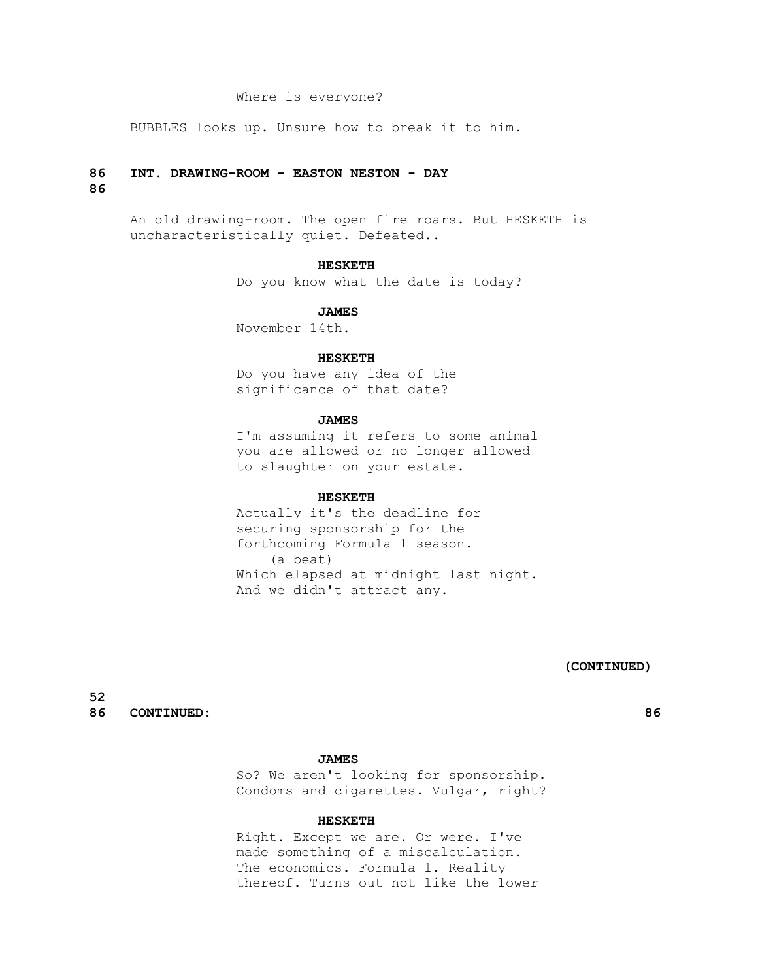### Where is everyone?

BUBBLES looks up. Unsure how to break it to him.

#### **86 INT. DRAWING-ROOM - EASTON NESTON - DAY**

## **86**

 An old drawing-room. The open fire roars. But HESKETH is uncharacteristically quiet. Defeated..

#### **HESKETH**

Do you know what the date is today?

#### **JAMES**

November 14th.

#### **HESKETH**

 Do you have any idea of the significance of that date?

## **JAMES**

 I'm assuming it refers to some animal you are allowed or no longer allowed to slaughter on your estate.

#### **HESKETH**

 Actually it's the deadline for securing sponsorship for the forthcoming Formula 1 season. (a beat) Which elapsed at midnight last night. And we didn't attract any.

 **(CONTINUED)**

**52 86 CONTINUED: 86**

#### **JAMES**

 So? We aren't looking for sponsorship. Condoms and cigarettes. Vulgar, right?

### **HESKETH**

 Right. Except we are. Or were. I've made something of a miscalculation. The economics. Formula 1. Reality thereof. Turns out not like the lower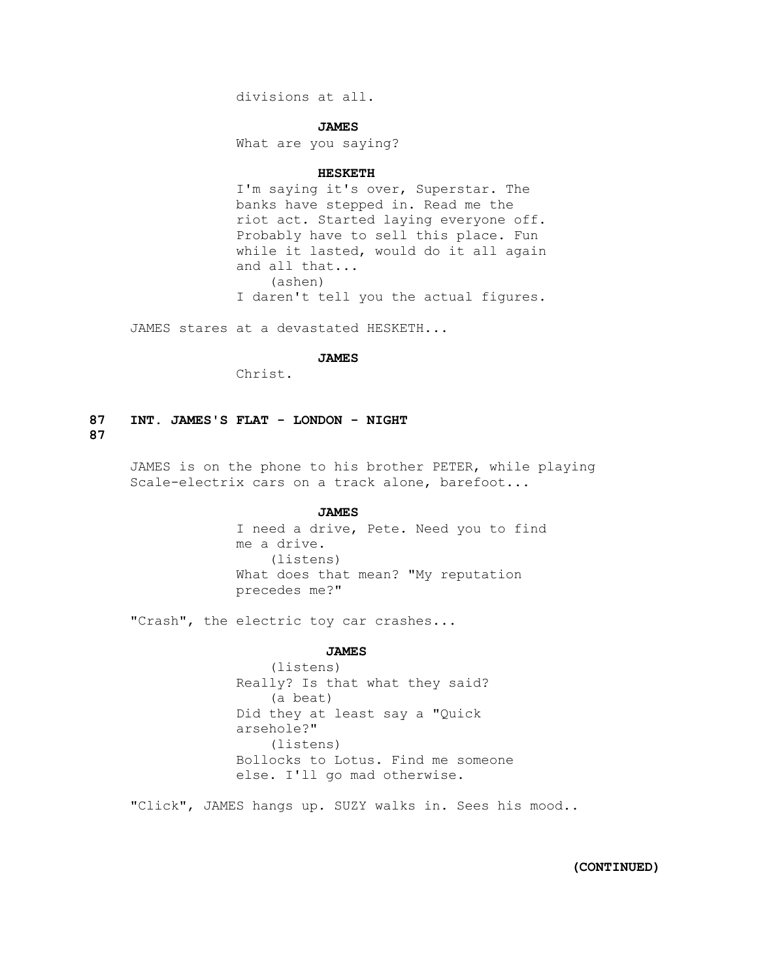divisions at all.

#### **JAMES**

What are you saying?

#### **HESKETH**

 I'm saying it's over, Superstar. The banks have stepped in. Read me the riot act. Started laying everyone off. Probably have to sell this place. Fun while it lasted, would do it all again and all that... (ashen) I daren't tell you the actual figures.

JAMES stares at a devastated HESKETH...

#### **JAMES**

Christ.

# **87 INT. JAMES'S FLAT - LONDON - NIGHT 87**

 JAMES is on the phone to his brother PETER, while playing Scale-electrix cars on a track alone, barefoot...

#### **JAMES**

 I need a drive, Pete. Need you to find me a drive. (listens) What does that mean? "My reputation precedes me?"

"Crash", the electric toy car crashes...

#### **JAMES**

 (listens) Really? Is that what they said? (a beat) Did they at least say a "Quick arsehole?" (listens) Bollocks to Lotus. Find me someone else. I'll go mad otherwise.

"Click", JAMES hangs up. SUZY walks in. Sees his mood..

 **(CONTINUED)**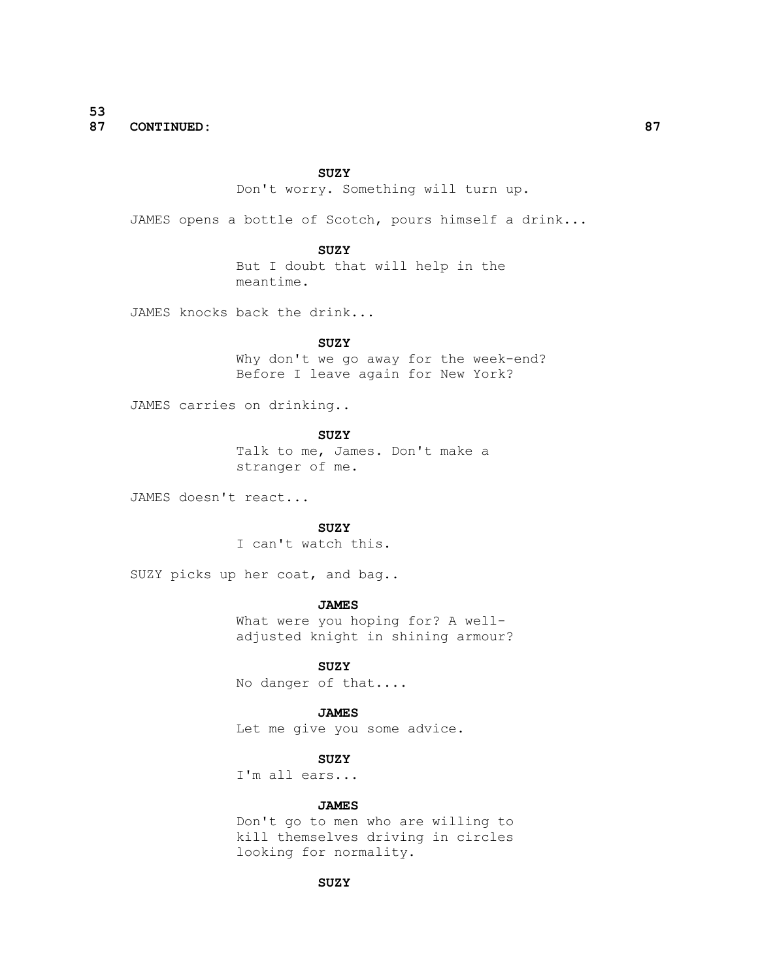**53 87 CONTINUED: 87**

#### **SUZY**

Don't worry. Something will turn up.

JAMES opens a bottle of Scotch, pours himself a drink...

 **SUZY**

 But I doubt that will help in the meantime.

JAMES knocks back the drink...

 **SUZY**

 Why don't we go away for the week-end? Before I leave again for New York?

JAMES carries on drinking..

 **SUZY**

 Talk to me, James. Don't make a stranger of me.

JAMES doesn't react...

**SUZY** 

I can't watch this.

SUZY picks up her coat, and bag..

#### **JAMES**

 What were you hoping for? A welladjusted knight in shining armour?

 **SUZY**

No danger of that....

# **JAMES**

Let me give you some advice.

### **SUZY**

I'm all ears...

# **JAMES**

 Don't go to men who are willing to kill themselves driving in circles looking for normality.

# **SUZY**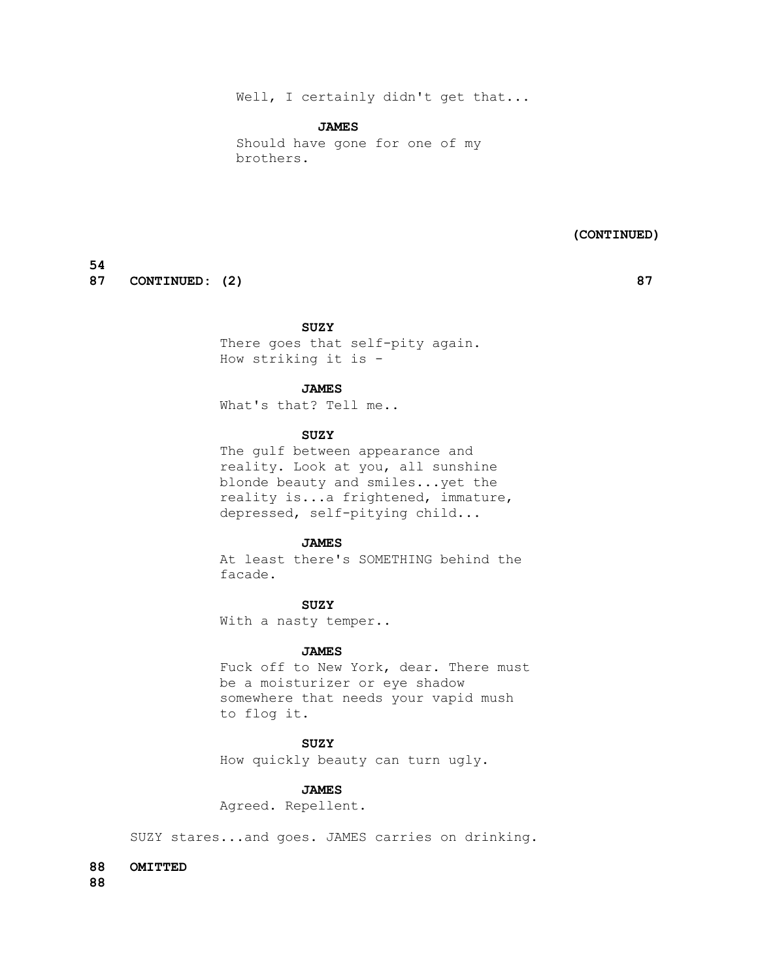# Well, I certainly didn't get that...

#### **JAMES**

 Should have gone for one of my brothers.

 **(CONTINUED)**

# **54**

**87** CONTINUED: (2) 87

# **SUZY**

 There goes that self-pity again. How striking it is -

# **JAMES**

What's that? Tell me..

# **SUZY**

 The gulf between appearance and reality. Look at you, all sunshine blonde beauty and smiles...yet the reality is...a frightened, immature, depressed, self-pitying child...

#### **JAMES**

 At least there's SOMETHING behind the facade.

# **SUZY**

With a nasty temper..

#### **JAMES**

 Fuck off to New York, dear. There must be a moisturizer or eye shadow somewhere that needs your vapid mush to flog it.

# **SUZY**

How quickly beauty can turn ugly.

# **JAMES**

Agreed. Repellent.

SUZY stares...and goes. JAMES carries on drinking.

# **88 OMITTED**

**88**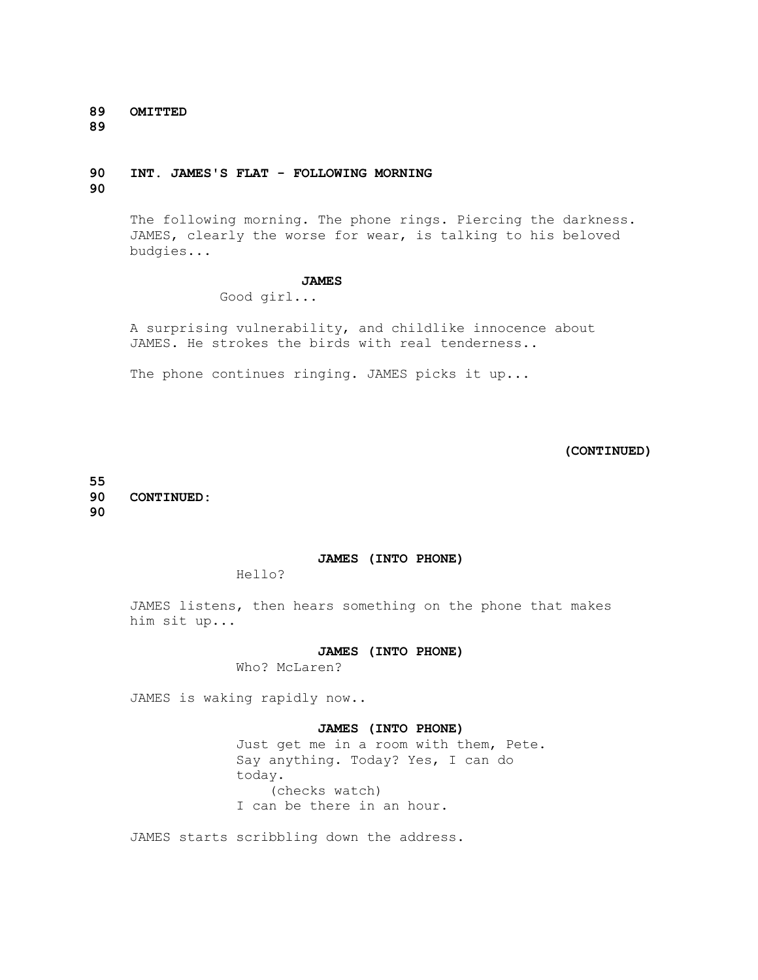**89 OMITTED** 

**89**

# **90 INT. JAMES'S FLAT - FOLLOWING MORNING**

**90**

 The following morning. The phone rings. Piercing the darkness. JAMES, clearly the worse for wear, is talking to his beloved budgies...

#### **JAMES**

Good girl...

 A surprising vulnerability, and childlike innocence about JAMES. He strokes the birds with real tenderness..

The phone continues ringing. JAMES picks it up...

 **(CONTINUED)**

**55 90 CONTINUED: 90**

# **JAMES (INTO PHONE)**

Hello?

 JAMES listens, then hears something on the phone that makes him sit up...

### **JAMES (INTO PHONE)**

Who? McLaren?

JAMES is waking rapidly now..

# **JAMES (INTO PHONE)**

 Just get me in a room with them, Pete. Say anything. Today? Yes, I can do today. (checks watch) I can be there in an hour.

JAMES starts scribbling down the address.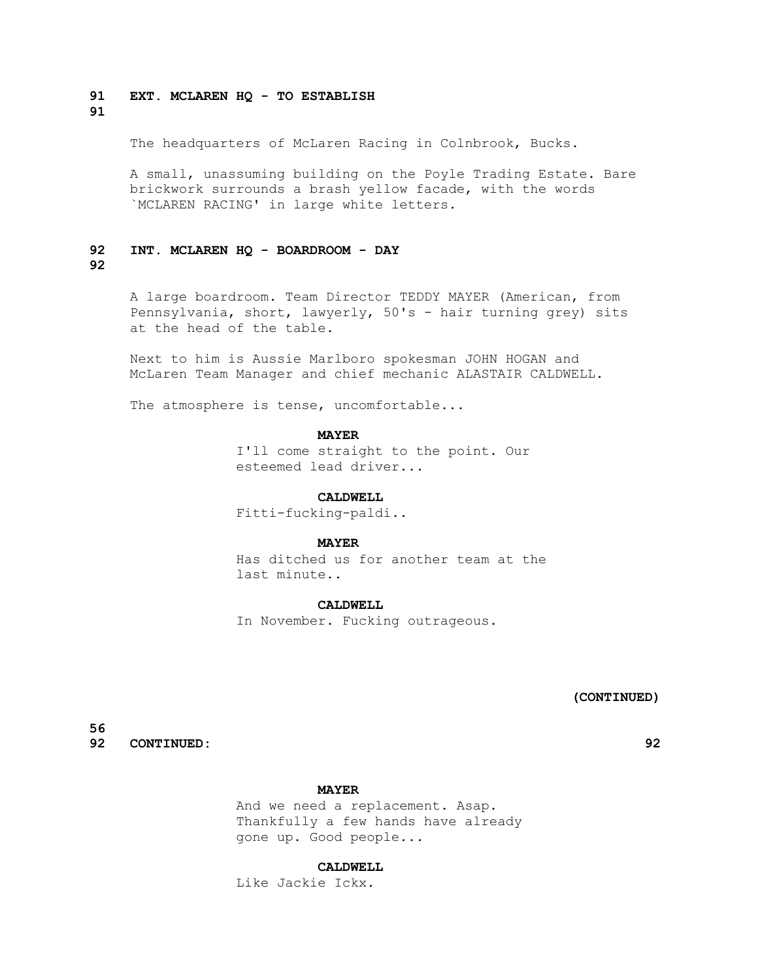# **91 EXT. MCLAREN HQ - TO ESTABLISH**

# **91**

The headquarters of McLaren Racing in Colnbrook, Bucks.

 A small, unassuming building on the Poyle Trading Estate. Bare brickwork surrounds a brash yellow facade, with the words `MCLAREN RACING' in large white letters.

# **92 INT. MCLAREN HQ - BOARDROOM - DAY**

# **92**

 A large boardroom. Team Director TEDDY MAYER (American, from Pennsylvania, short, lawyerly, 50's - hair turning grey) sits at the head of the table.

 Next to him is Aussie Marlboro spokesman JOHN HOGAN and McLaren Team Manager and chief mechanic ALASTAIR CALDWELL.

The atmosphere is tense, uncomfortable...

#### **MAYER**

 I'll come straight to the point. Our esteemed lead driver...

#### **CALDWELL**

Fitti-fucking-paldi..

#### **MAYER**

 Has ditched us for another team at the last minute..

#### **CALDWELL**

In November. Fucking outrageous.

 **(CONTINUED)**

**56 92 CONTINUED: 92**

#### **MAYER**

 And we need a replacement. Asap. Thankfully a few hands have already gone up. Good people...

### **CALDWELL**

Like Jackie Ickx.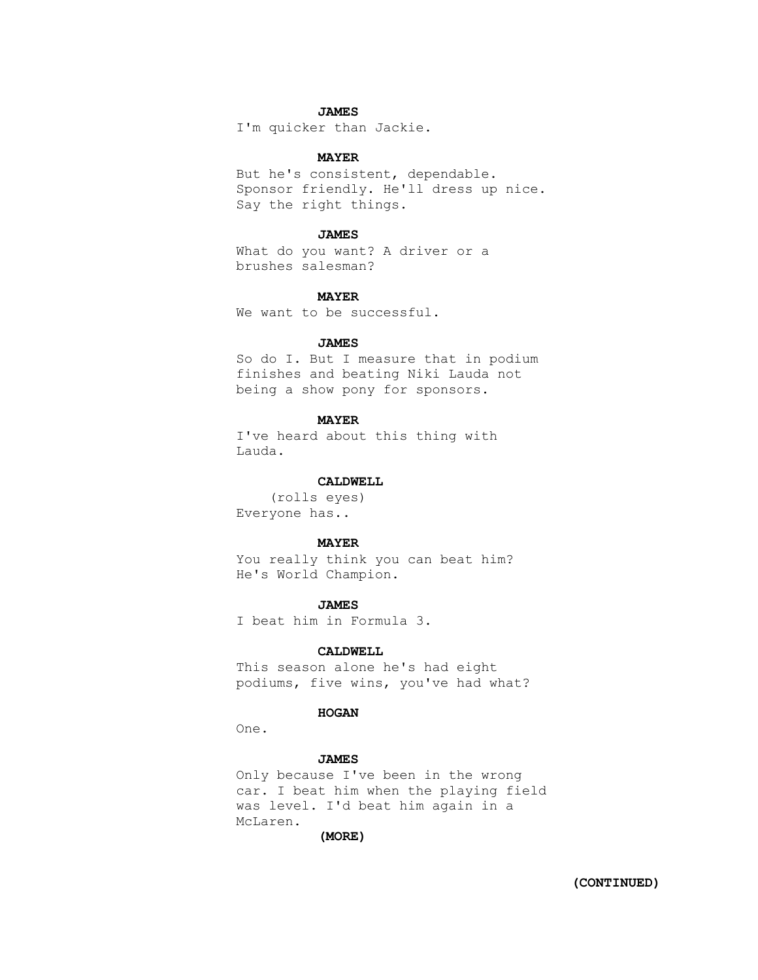# **JAMES**

I'm quicker than Jackie.

# **MAYER**

 But he's consistent, dependable. Sponsor friendly. He'll dress up nice. Say the right things.

#### **JAMES**

 What do you want? A driver or a brushes salesman?

#### **MAYER**

We want to be successful.

#### **JAMES**

 So do I. But I measure that in podium finishes and beating Niki Lauda not being a show pony for sponsors.

# **MAYER**

 I've heard about this thing with Lauda.

#### **CALDWELL**

 (rolls eyes) Everyone has..

#### **MAYER**

 You really think you can beat him? He's World Champion.

#### **JAMES**

I beat him in Formula 3.

#### **CALDWELL**

 This season alone he's had eight podiums, five wins, you've had what?

# **HOGAN**

One.

#### **JAMES**

 Only because I've been in the wrong car. I beat him when the playing field was level. I'd beat him again in a McLaren.

 **(MORE)**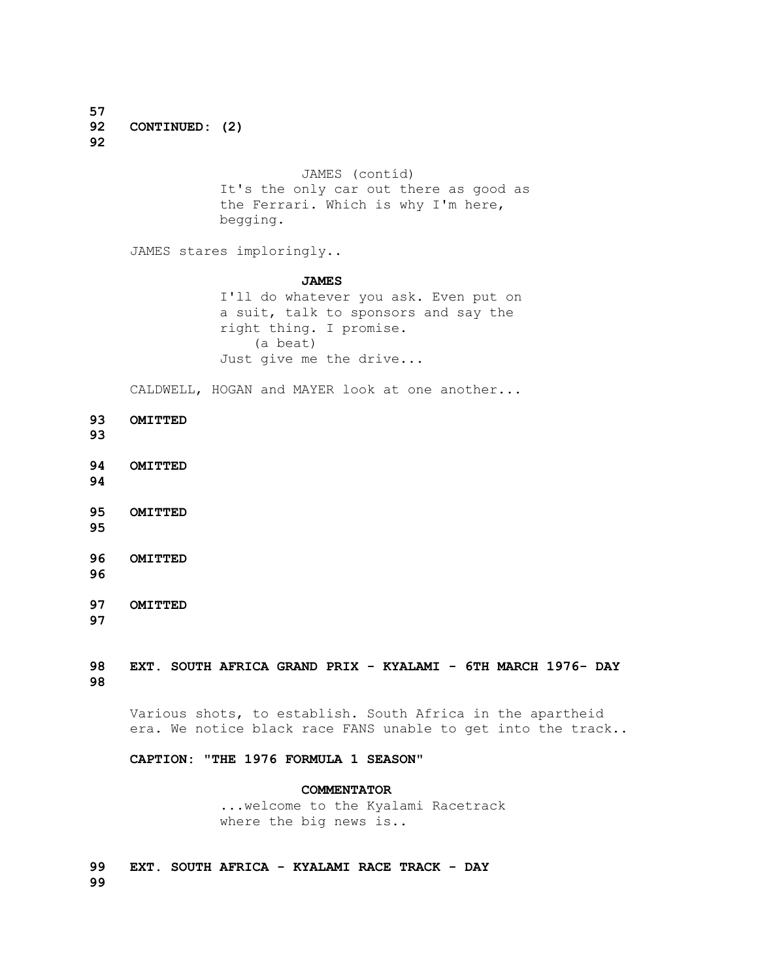**57 92 CONTINUED: (2) 92**

> JAMES (contíd) It's the only car out there as good as the Ferrari. Which is why I'm here, begging.

JAMES stares imploringly..

#### **JAMES**

 I'll do whatever you ask. Even put on a suit, talk to sponsors and say the right thing. I promise. (a beat) Just give me the drive...

CALDWELL, HOGAN and MAYER look at one another...

**93 OMITTED** 

**93**

**94 OMITTED** 

**94**

- **95 OMITTED**
- **95**
- **96 OMITTED**
- **96**

**97 OMITTED 97**

# **98 EXT. SOUTH AFRICA GRAND PRIX - KYALAMI - 6TH MARCH 1976- DAY 98**

 Various shots, to establish. South Africa in the apartheid era. We notice black race FANS unable to get into the track..

# **CAPTION: "THE 1976 FORMULA 1 SEASON"**

### **COMMENTATOR**

 ...welcome to the Kyalami Racetrack where the big news is..

**99 EXT. SOUTH AFRICA - KYALAMI RACE TRACK - DAY 99**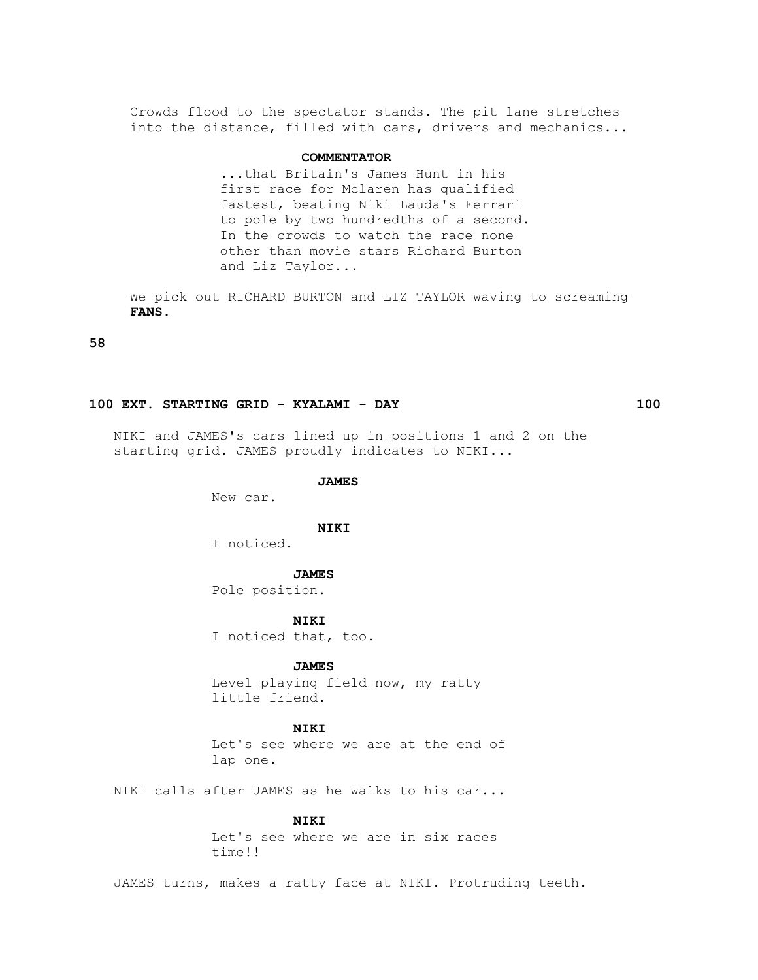Crowds flood to the spectator stands. The pit lane stretches into the distance, filled with cars, drivers and mechanics...

## **COMMENTATOR**

 ...that Britain's James Hunt in his first race for Mclaren has qualified fastest, beating Niki Lauda's Ferrari to pole by two hundredths of a second. In the crowds to watch the race none other than movie stars Richard Burton and Liz Taylor...

 We pick out RICHARD BURTON and LIZ TAYLOR waving to screaming  **FANS.**

**58**

#### **100 EXT. STARTING GRID - KYALAMI - DAY 100**

 NIKI and JAMES's cars lined up in positions 1 and 2 on the starting grid. JAMES proudly indicates to NIKI...

#### **JAMES**

New car.

#### **NIKI**

I noticed.

#### **JAMES**

Pole position.

 **NIKI**

I noticed that, too.

# **JAMES**

 Level playing field now, my ratty little friend.

#### **NIKI**

 Let's see where we are at the end of lap one.

NIKI calls after JAMES as he walks to his car...

### **NIKI**

 Let's see where we are in six races time!!

JAMES turns, makes a ratty face at NIKI. Protruding teeth.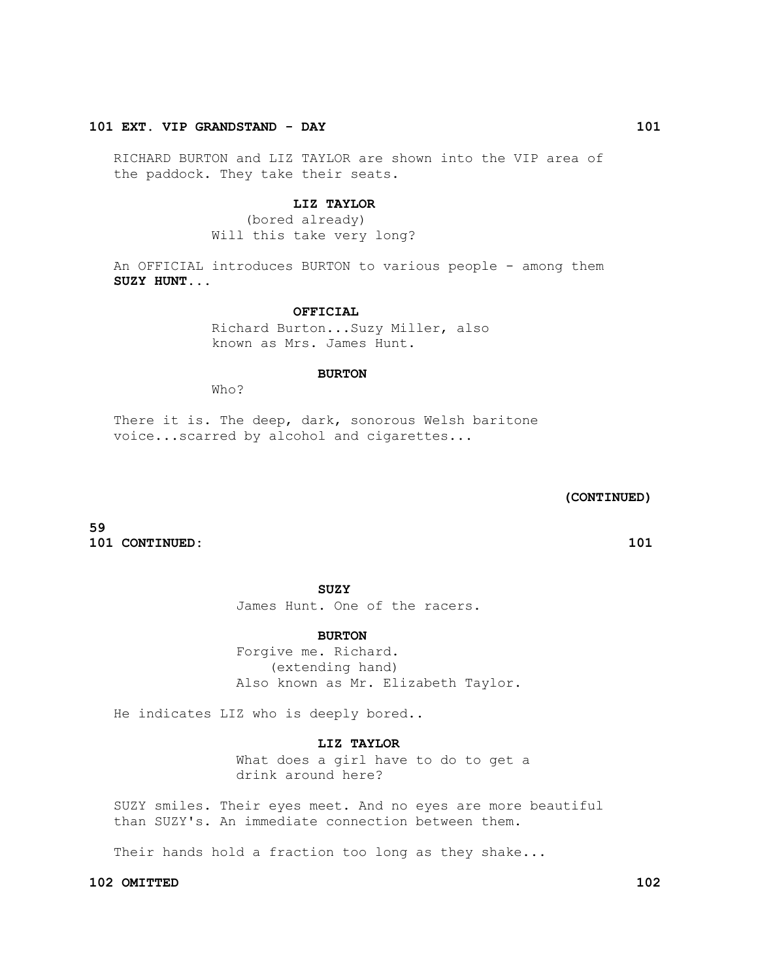# **101 EXT. VIP GRANDSTAND - DAY 101**

 RICHARD BURTON and LIZ TAYLOR are shown into the VIP area of the paddock. They take their seats.

# **LIZ TAYLOR**

 (bored already) Will this take very long?

 An OFFICIAL introduces BURTON to various people - among them  **SUZY HUNT...**

# **OFFICIAL**

 Richard Burton...Suzy Miller, also known as Mrs. James Hunt.

#### **BURTON**

Who?

There it is. The deep, dark, sonorous Welsh baritone voice...scarred by alcohol and cigarettes...

# **(CONTINUED)**

**59 101 CONTINUED: 101**

**SUZY** 

James Hunt. One of the racers.

# **BURTON**

 Forgive me. Richard. (extending hand) Also known as Mr. Elizabeth Taylor.

He indicates LIZ who is deeply bored..

# **LIZ TAYLOR**

 What does a girl have to do to get a drink around here?

 SUZY smiles. Their eyes meet. And no eyes are more beautiful than SUZY's. An immediate connection between them.

Their hands hold a fraction too long as they shake...

#### **102 OMITTED 102**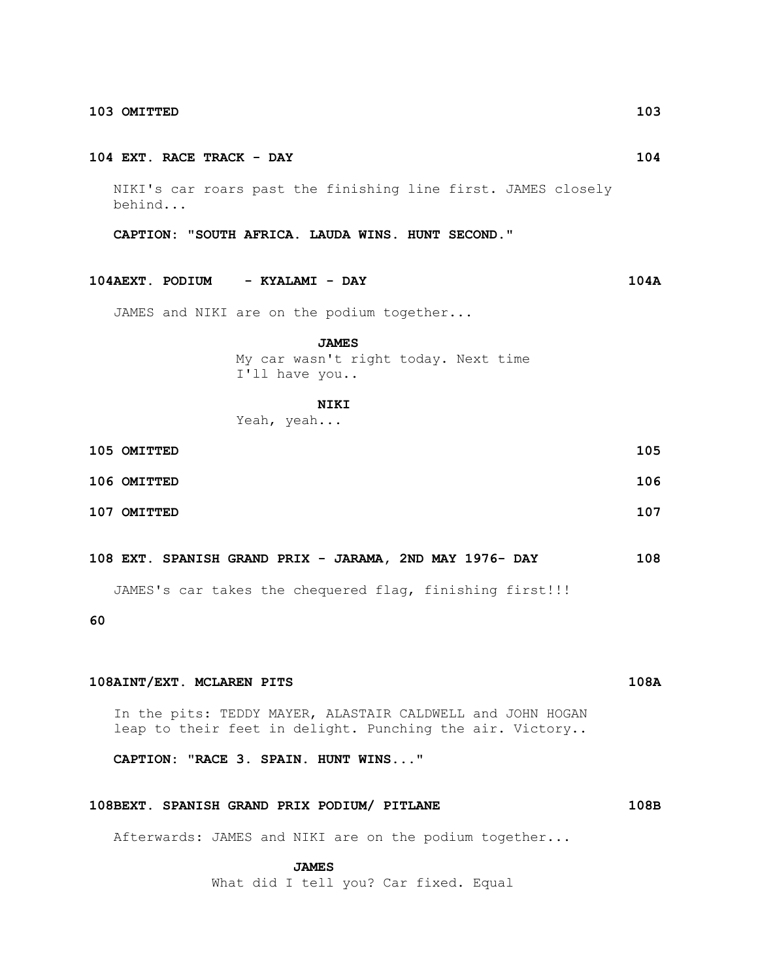#### **104 EXT. RACE TRACK - DAY 104**

 NIKI's car roars past the finishing line first. JAMES closely behind...

 **CAPTION: "SOUTH AFRICA. LAUDA WINS. HUNT SECOND."**

**104AEXT. PODIUM - KYALAMI - DAY 104A**

JAMES and NIKI are on the podium together...

#### **JAMES**

 My car wasn't right today. Next time I'll have you..

#### **NIKI**

Yeah, yeah...

| 105 OMITTED | 105 |
|-------------|-----|
| 106 OMITTED | 106 |
| 107 OMITTED | 107 |

**108 EXT. SPANISH GRAND PRIX - JARAMA, 2ND MAY 1976- DAY 108**

JAMES's car takes the chequered flag, finishing first!!!

**60**

# **108AINT/EXT. MCLAREN PITS 108A**

 In the pits: TEDDY MAYER, ALASTAIR CALDWELL and JOHN HOGAN leap to their feet in delight. Punching the air. Victory..

 **CAPTION: "RACE 3. SPAIN. HUNT WINS..."**

# **108BEXT. SPANISH GRAND PRIX PODIUM/ PITLANE 108B**

Afterwards: JAMES and NIKI are on the podium together...

 **JAMES**

What did I tell you? Car fixed. Equal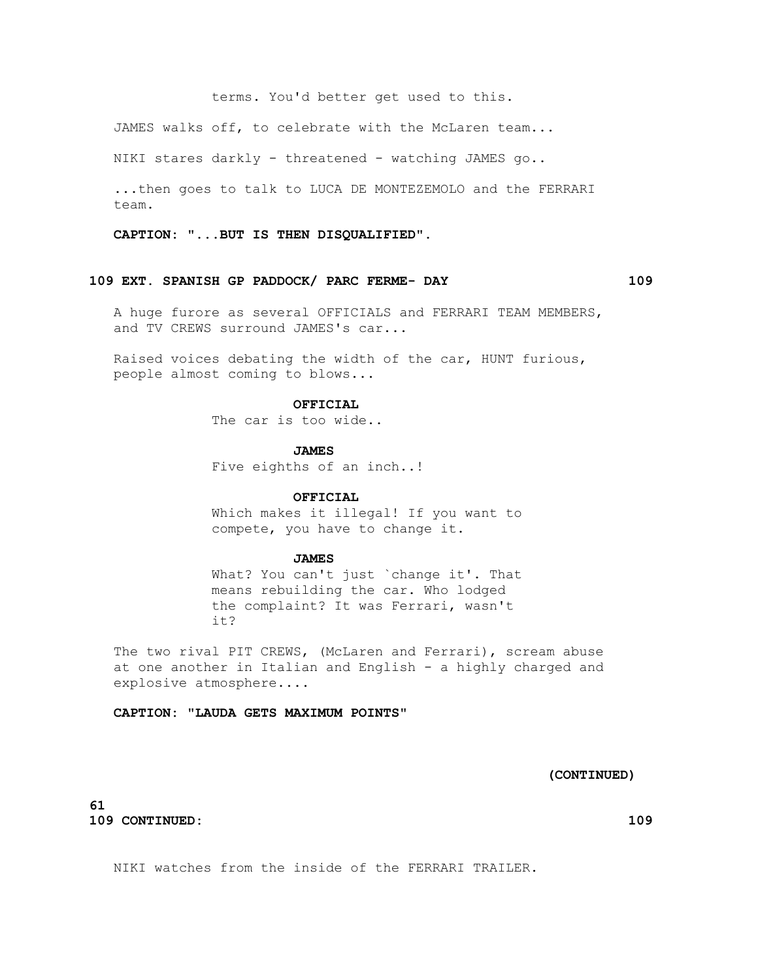terms. You'd better get used to this.

JAMES walks off, to celebrate with the McLaren team...

NIKI stares darkly - threatened - watching JAMES go..

 ...then goes to talk to LUCA DE MONTEZEMOLO and the FERRARI team.

 **CAPTION: "...BUT IS THEN DISQUALIFIED".**

#### **109 EXT. SPANISH GP PADDOCK/ PARC FERME- DAY 109**

 A huge furore as several OFFICIALS and FERRARI TEAM MEMBERS, and TV CREWS surround JAMES's car...

 Raised voices debating the width of the car, HUNT furious, people almost coming to blows...

#### **OFFICIAL**

The car is too wide..

#### **JAMES**

Five eighths of an inch..!

### **OFFICIAL**

 Which makes it illegal! If you want to compete, you have to change it.

#### **JAMES**

 What? You can't just `change it'. That means rebuilding the car. Who lodged the complaint? It was Ferrari, wasn't it?

 The two rival PIT CREWS, (McLaren and Ferrari), scream abuse at one another in Italian and English - a highly charged and explosive atmosphere....

 **CAPTION: "LAUDA GETS MAXIMUM POINTS"**

# **(CONTINUED)**

# **61 109 CONTINUED: 109**

NIKI watches from the inside of the FERRARI TRAILER.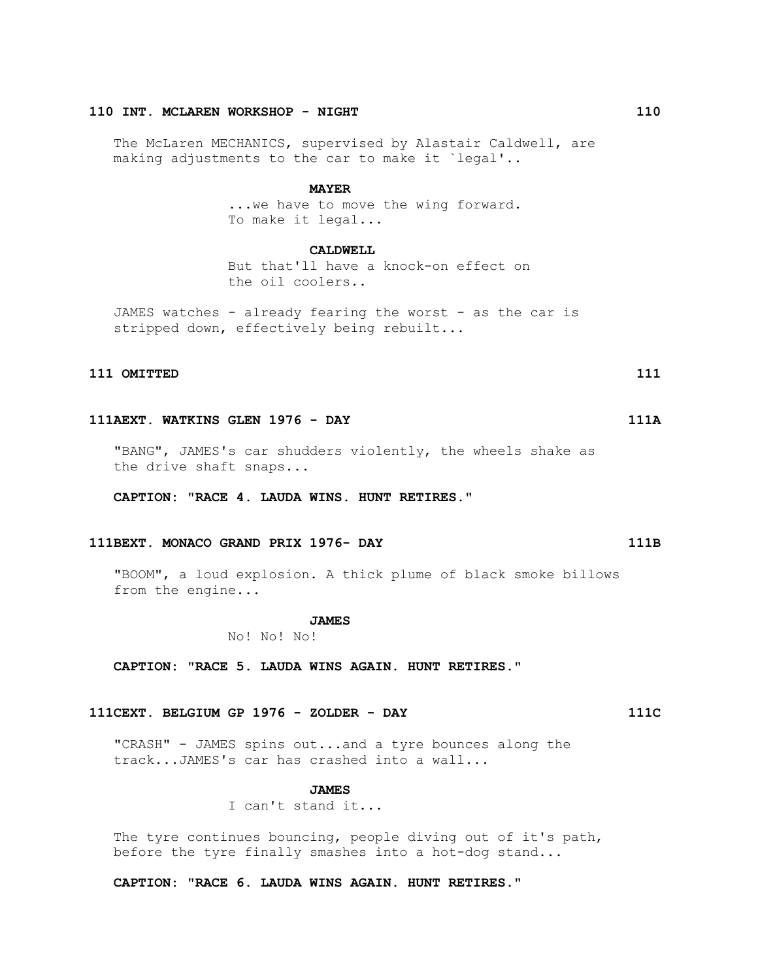# **110 INT. MCLAREN WORKSHOP - NIGHT 110**

 The McLaren MECHANICS, supervised by Alastair Caldwell, are making adjustments to the car to make it `legal'..

#### **MAYER**

... we have to move the wing forward. To make it legal...

#### **CALDWELL**

 But that'll have a knock-on effect on the oil coolers..

 JAMES watches - already fearing the worst - as the car is stripped down, effectively being rebuilt...

# **111 OMITTED 111 OMITTED** 111

### **111AEXT. WATKINS GLEN 1976 - DAY 111A**

 "BANG", JAMES's car shudders violently, the wheels shake as the drive shaft snaps...

 **CAPTION: "RACE 4. LAUDA WINS. HUNT RETIRES."**

### **111BEXT. MONACO GRAND PRIX 1976- DAY 111B**

 "BOOM", a loud explosion. A thick plume of black smoke billows from the engine...

# **JAMES**

No! No! No!

 **CAPTION: "RACE 5. LAUDA WINS AGAIN. HUNT RETIRES."**

# **111CEXT. BELGIUM GP 1976 - ZOLDER - DAY 111C**

 "CRASH" - JAMES spins out...and a tyre bounces along the track...JAMES's car has crashed into a wall...

#### **JAMES**

I can't stand it...

The tyre continues bouncing, people diving out of it's path, before the tyre finally smashes into a hot-dog stand...

 **CAPTION: "RACE 6. LAUDA WINS AGAIN. HUNT RETIRES."**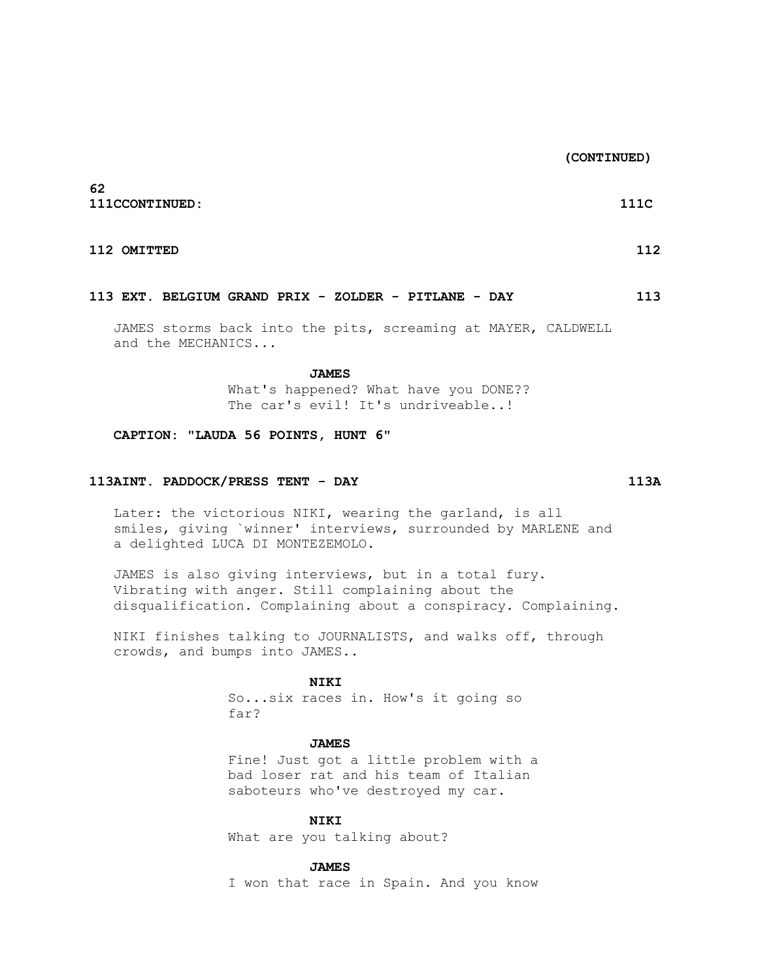**(CONTINUED)**

**62 111CCONTINUED: 111C**

#### **112 OMITTED 112** 112

#### **113 EXT. BELGIUM GRAND PRIX - ZOLDER - PITLANE - DAY 113**

 JAMES storms back into the pits, screaming at MAYER, CALDWELL and the MECHANICS...

 **JAMES**

 What's happened? What have you DONE?? The car's evil! It's undriveable..!

# **CAPTION: "LAUDA 56 POINTS, HUNT 6"**

### **113AINT. PADDOCK/PRESS TENT - DAY 113A**

 Later: the victorious NIKI, wearing the garland, is all smiles, giving `winner' interviews, surrounded by MARLENE and a delighted LUCA DI MONTEZEMOLO.

 JAMES is also giving interviews, but in a total fury. Vibrating with anger. Still complaining about the disqualification. Complaining about a conspiracy. Complaining.

 NIKI finishes talking to JOURNALISTS, and walks off, through crowds, and bumps into JAMES..

#### **NIKI**

 So...six races in. How's it going so far?

# **JAMES**

 Fine! Just got a little problem with a bad loser rat and his team of Italian saboteurs who've destroyed my car.

 **NIKI**

What are you talking about?

#### **JAMES**

I won that race in Spain. And you know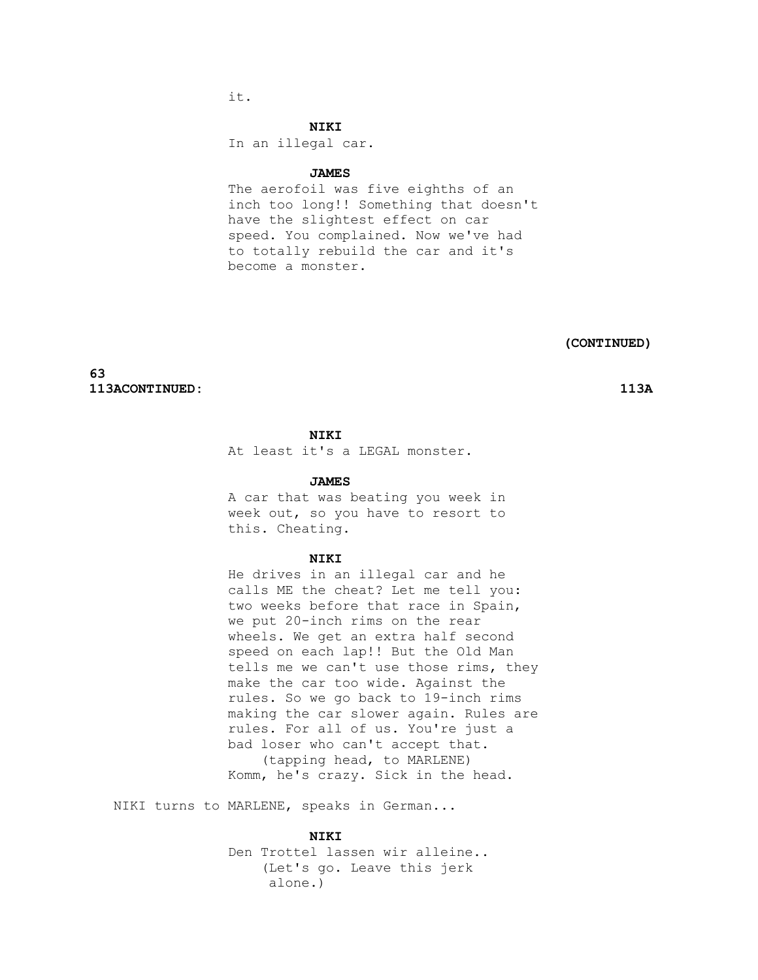it.

#### **NIKI**

In an illegal car.

#### **JAMES**

 The aerofoil was five eighths of an inch too long!! Something that doesn't have the slightest effect on car speed. You complained. Now we've had to totally rebuild the car and it's become a monster.

 **(CONTINUED)**

**63 113ACONTINUED: 113A**

# **NIKI**

At least it's a LEGAL monster.

#### **JAMES**

 A car that was beating you week in week out, so you have to resort to this. Cheating.

## **NIKI**

 He drives in an illegal car and he calls ME the cheat? Let me tell you: two weeks before that race in Spain, we put 20-inch rims on the rear wheels. We get an extra half second speed on each lap!! But the Old Man tells me we can't use those rims, they make the car too wide. Against the rules. So we go back to 19-inch rims making the car slower again. Rules are rules. For all of us. You're just a bad loser who can't accept that. (tapping head, to MARLENE) Komm, he's crazy. Sick in the head.

NIKI turns to MARLENE, speaks in German...

#### **NIKI**

 Den Trottel lassen wir alleine.. (Let's go. Leave this jerk alone.)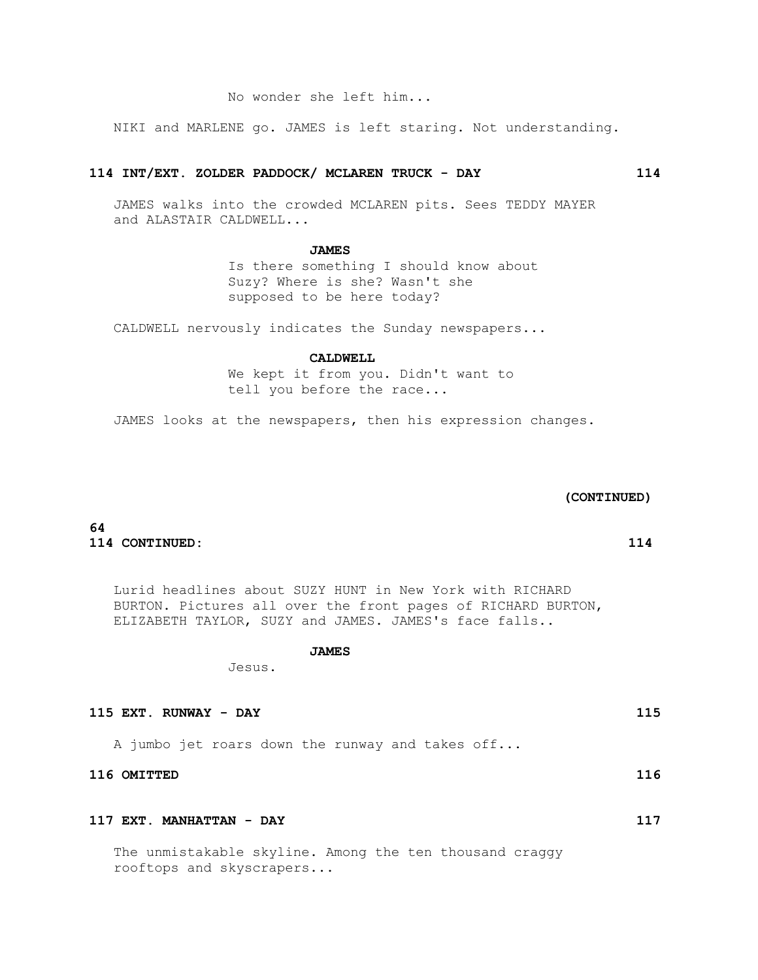NIKI and MARLENE go. JAMES is left staring. Not understanding.

# **114 INT/EXT. ZOLDER PADDOCK/ MCLAREN TRUCK - DAY 114**

 JAMES walks into the crowded MCLAREN pits. Sees TEDDY MAYER and ALASTAIR CALDWELL...

# **JAMES**

 Is there something I should know about Suzy? Where is she? Wasn't she supposed to be here today?

CALDWELL nervously indicates the Sunday newspapers...

#### **CALDWELL**

 We kept it from you. Didn't want to tell you before the race...

JAMES looks at the newspapers, then his expression changes.

# **(CONTINUED)**

# **64 114 CONTINUED: 114**

 Lurid headlines about SUZY HUNT in New York with RICHARD BURTON. Pictures all over the front pages of RICHARD BURTON, ELIZABETH TAYLOR, SUZY and JAMES. JAMES's face falls..

#### **JAMES**

Jesus.

# **115 EXT. RUNWAY - DAY 115**

A jumbo jet roars down the runway and takes off...

# **116 OMITTED 116**

# **117 EXT. MANHATTAN - DAY 117**

 The unmistakable skyline. Among the ten thousand craggy rooftops and skyscrapers...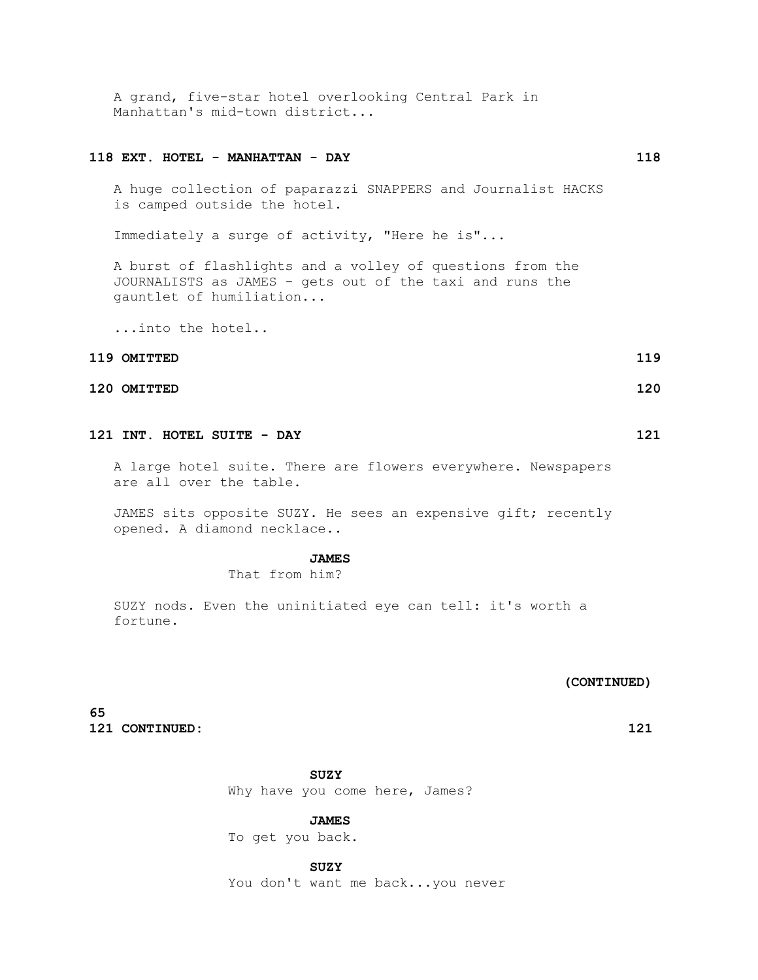A grand, five-star hotel overlooking Central Park in Manhattan's mid-town district...

# **118 EXT. HOTEL - MANHATTAN - DAY 118**

 A huge collection of paparazzi SNAPPERS and Journalist HACKS is camped outside the hotel.

Immediately a surge of activity, "Here he is"...

 A burst of flashlights and a volley of questions from the JOURNALISTS as JAMES - gets out of the taxi and runs the gauntlet of humiliation...

...into the hotel..

# **119 OMITTED 119 CONTRACTED 119**

### **120 OMITTED 120**

# **121 INT. HOTEL SUITE - DAY 121**

 A large hotel suite. There are flowers everywhere. Newspapers are all over the table.

 JAMES sits opposite SUZY. He sees an expensive gift; recently opened. A diamond necklace..

#### **JAMES**

That from him?

 SUZY nods. Even the uninitiated eye can tell: it's worth a fortune.

#### **(CONTINUED)**

**65 121 CONTINUED: 121**

#### **SUZY**

Why have you come here, James?

#### **JAMES**

To get you back.

# **SUZY**

You don't want me back...you never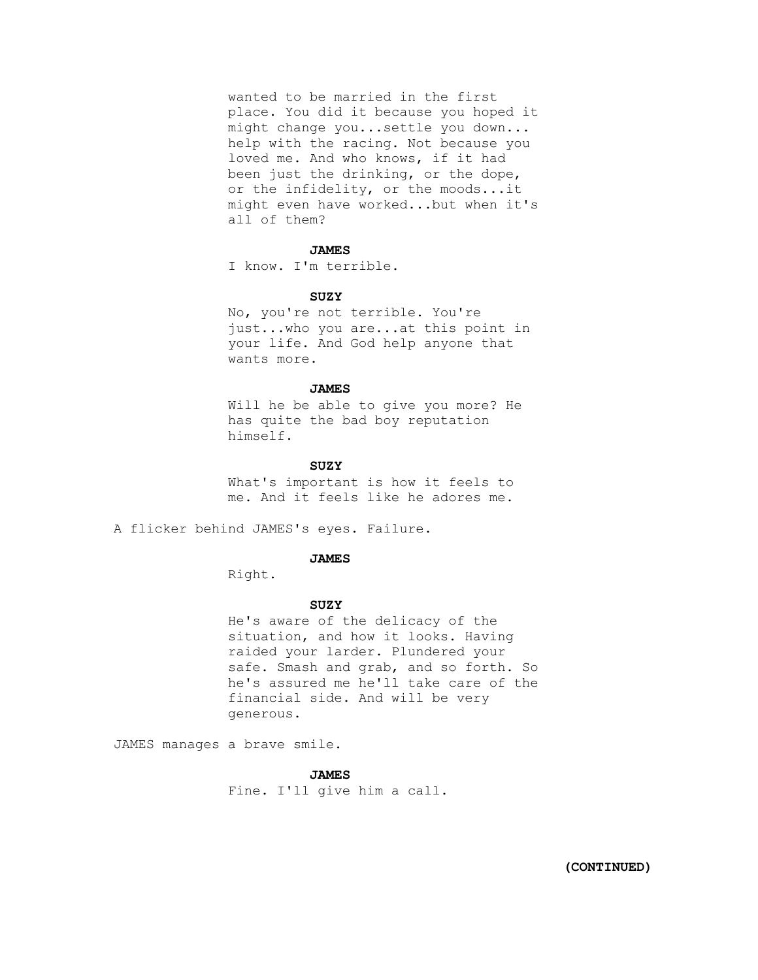wanted to be married in the first place. You did it because you hoped it might change you...settle you down... help with the racing. Not because you loved me. And who knows, if it had been just the drinking, or the dope, or the infidelity, or the moods...it might even have worked...but when it's all of them?

#### **JAMES**

I know. I'm terrible.

#### **SUZY**

 No, you're not terrible. You're just...who you are...at this point in your life. And God help anyone that wants more.

### **JAMES**

 Will he be able to give you more? He has quite the bad boy reputation himself.

#### **SUZY**

 What's important is how it feels to me. And it feels like he adores me.

A flicker behind JAMES's eyes. Failure.

#### **JAMES**

Right.

#### **SUZY**

 He's aware of the delicacy of the situation, and how it looks. Having raided your larder. Plundered your safe. Smash and grab, and so forth. So he's assured me he'll take care of the financial side. And will be very generous.

JAMES manages a brave smile.

# **JAMES**

Fine. I'll give him a call.

 **(CONTINUED)**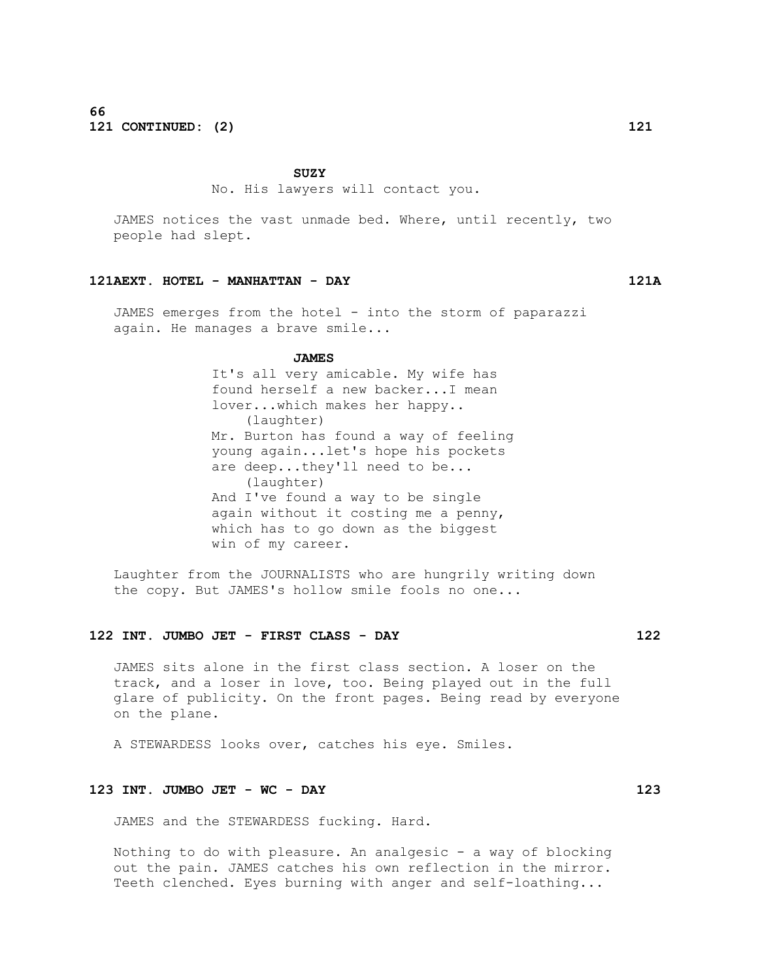# **SUZY**

No. His lawyers will contact you.

 JAMES notices the vast unmade bed. Where, until recently, two people had slept.

#### **121AEXT. HOTEL - MANHATTAN - DAY 121A**

 JAMES emerges from the hotel - into the storm of paparazzi again. He manages a brave smile...

#### **JAMES**

 It's all very amicable. My wife has found herself a new backer...I mean lover...which makes her happy.. (laughter) Mr. Burton has found a way of feeling young again...let's hope his pockets are deep...they'll need to be... (laughter) And I've found a way to be single again without it costing me a penny, which has to go down as the biggest win of my career.

 Laughter from the JOURNALISTS who are hungrily writing down the copy. But JAMES's hollow smile fools no one...

# **122 INT. JUMBO JET - FIRST CLASS - DAY 122**

 JAMES sits alone in the first class section. A loser on the track, and a loser in love, too. Being played out in the full glare of publicity. On the front pages. Being read by everyone on the plane.

A STEWARDESS looks over, catches his eye. Smiles.

# **123 INT. JUMBO JET - WC - DAY 123**

JAMES and the STEWARDESS fucking. Hard.

Nothing to do with pleasure. An analgesic  $-$  a way of blocking out the pain. JAMES catches his own reflection in the mirror. Teeth clenched. Eyes burning with anger and self-loathing...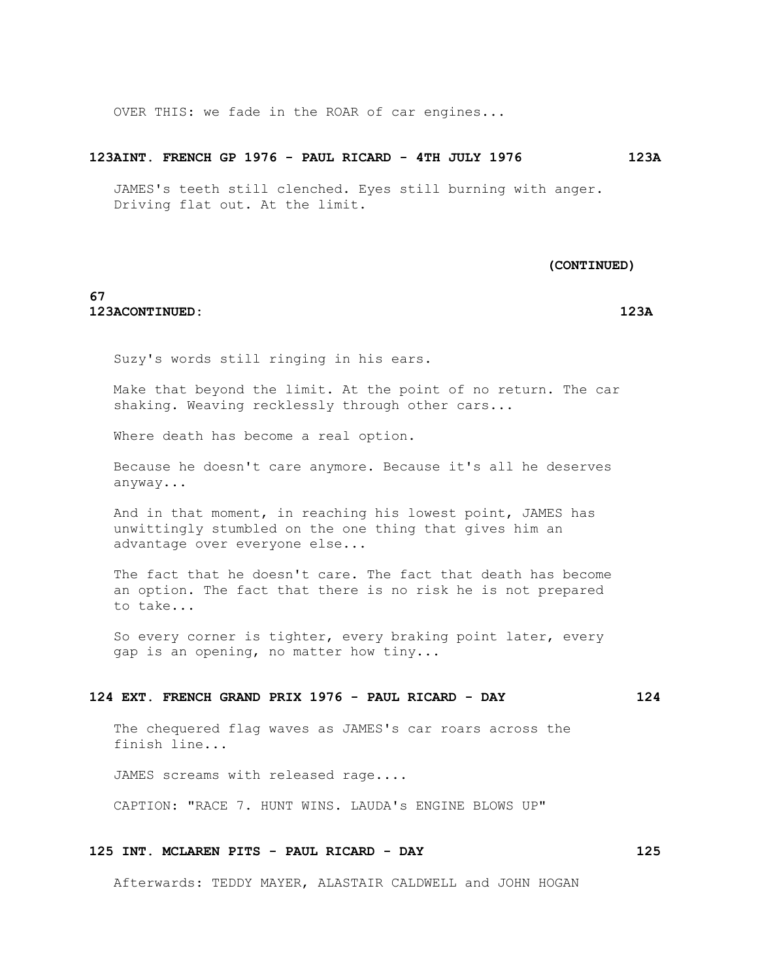OVER THIS: we fade in the ROAR of car engines...

#### **123AINT. FRENCH GP 1976 - PAUL RICARD - 4TH JULY 1976 123A**

 JAMES's teeth still clenched. Eyes still burning with anger. Driving flat out. At the limit.

 **(CONTINUED)**

# **67 123ACONTINUED: 123A**

Suzy's words still ringing in his ears.

 Make that beyond the limit. At the point of no return. The car shaking. Weaving recklessly through other cars...

Where death has become a real option.

 Because he doesn't care anymore. Because it's all he deserves anyway...

 And in that moment, in reaching his lowest point, JAMES has unwittingly stumbled on the one thing that gives him an advantage over everyone else...

 The fact that he doesn't care. The fact that death has become an option. The fact that there is no risk he is not prepared to take...

 So every corner is tighter, every braking point later, every gap is an opening, no matter how tiny...

# **124 EXT. FRENCH GRAND PRIX 1976 - PAUL RICARD - DAY 124**

 The chequered flag waves as JAMES's car roars across the finish line...

JAMES screams with released rage....

CAPTION: "RACE 7. HUNT WINS. LAUDA's ENGINE BLOWS UP"

# **125 INT. MCLAREN PITS - PAUL RICARD - DAY 125**

Afterwards: TEDDY MAYER, ALASTAIR CALDWELL and JOHN HOGAN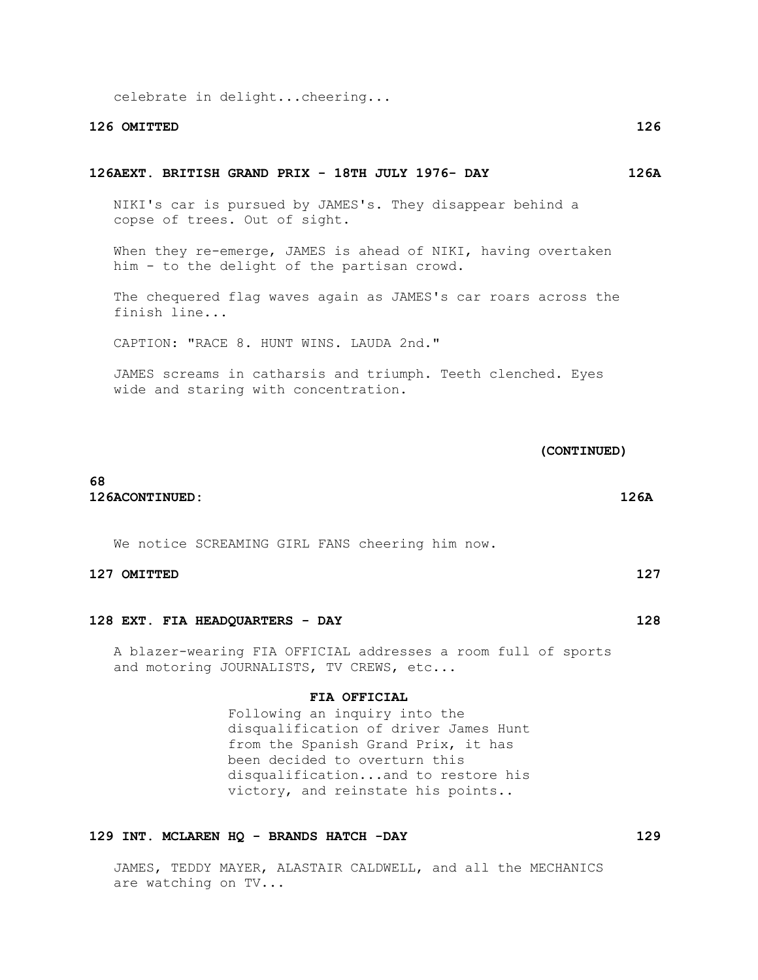celebrate in delight...cheering...

# **126 OMITTED 126**

#### **126AEXT. BRITISH GRAND PRIX - 18TH JULY 1976- DAY 126A**

 NIKI's car is pursued by JAMES's. They disappear behind a copse of trees. Out of sight.

When they re-emerge, JAMES is ahead of NIKI, having overtaken him - to the delight of the partisan crowd.

 The chequered flag waves again as JAMES's car roars across the finish line...

CAPTION: "RACE 8. HUNT WINS. LAUDA 2nd."

 JAMES screams in catharsis and triumph. Teeth clenched. Eyes wide and staring with concentration.

 **(CONTINUED)**

# **68 126ACONTINUED: 126A**

We notice SCREAMING GIRL FANS cheering him now.

### **127 OMITTED 127**

# **128 EXT. FIA HEADQUARTERS - DAY 128**

 A blazer-wearing FIA OFFICIAL addresses a room full of sports and motoring JOURNALISTS, TV CREWS, etc...

#### **FIA OFFICIAL**

 Following an inquiry into the disqualification of driver James Hunt from the Spanish Grand Prix, it has been decided to overturn this disqualification...and to restore his victory, and reinstate his points..

# **129 INT. MCLAREN HQ - BRANDS HATCH -DAY 129**

 JAMES, TEDDY MAYER, ALASTAIR CALDWELL, and all the MECHANICS are watching on TV...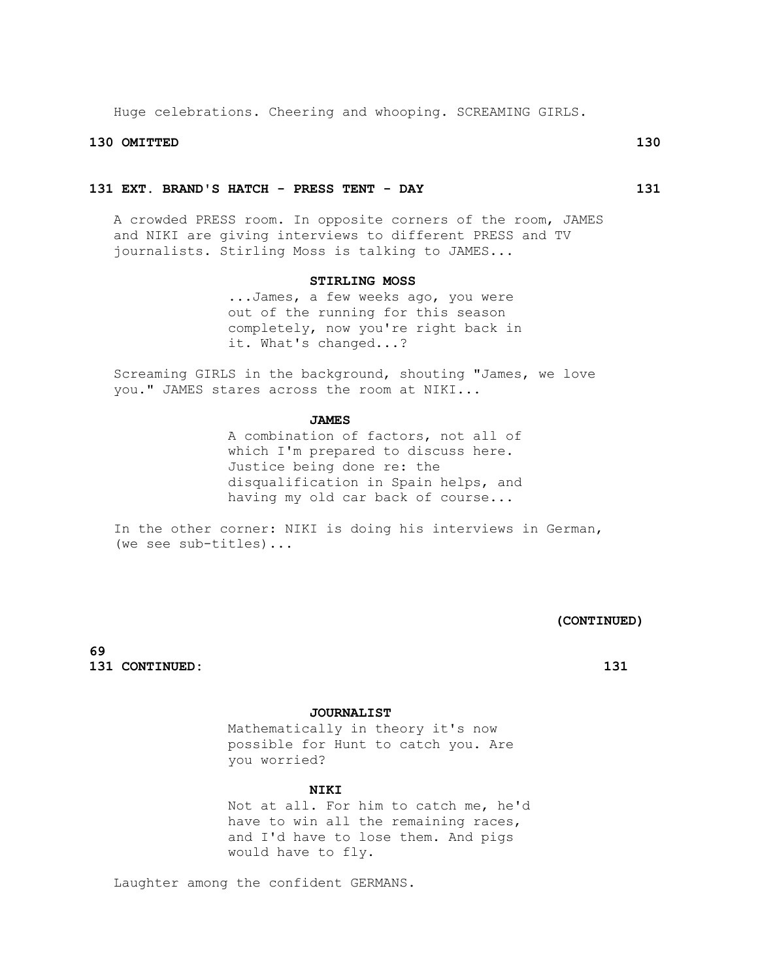Huge celebrations. Cheering and whooping. SCREAMING GIRLS.

# **130 OMITTED 130**

# **131 EXT. BRAND'S HATCH - PRESS TENT - DAY 131**

 A crowded PRESS room. In opposite corners of the room, JAMES and NIKI are giving interviews to different PRESS and TV journalists. Stirling Moss is talking to JAMES...

#### **STIRLING MOSS**

 ...James, a few weeks ago, you were out of the running for this season completely, now you're right back in it. What's changed...?

 Screaming GIRLS in the background, shouting "James, we love you." JAMES stares across the room at NIKI...

### **JAMES**

 A combination of factors, not all of which I'm prepared to discuss here. Justice being done re: the disqualification in Spain helps, and having my old car back of course...

 In the other corner: NIKI is doing his interviews in German, (we see sub-titles)...

 **(CONTINUED)**

**69 131 CONTINUED: 131**

# **JOURNALIST**

 Mathematically in theory it's now possible for Hunt to catch you. Are you worried?

# **NIKI**

 Not at all. For him to catch me, he'd have to win all the remaining races, and I'd have to lose them. And pigs would have to fly.

Laughter among the confident GERMANS.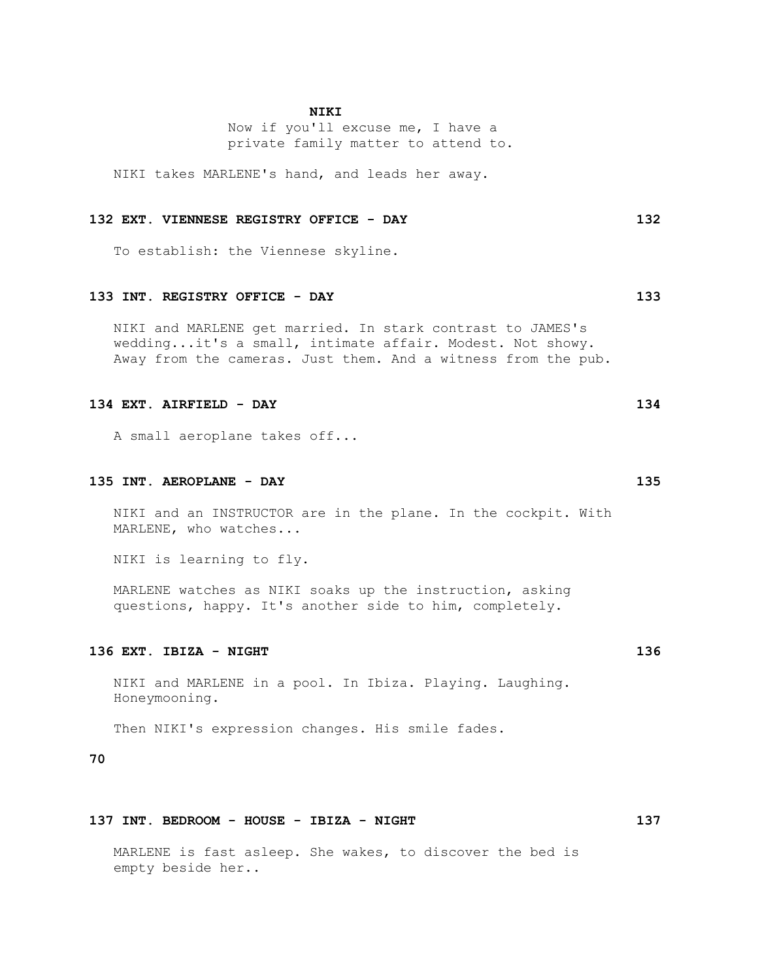# **NIKI**

 Now if you'll excuse me, I have a private family matter to attend to.

NIKI takes MARLENE's hand, and leads her away.

# **132 EXT. VIENNESE REGISTRY OFFICE - DAY 132**

To establish: the Viennese skyline.

# **133 INT. REGISTRY OFFICE - DAY 133**

 NIKI and MARLENE get married. In stark contrast to JAMES's wedding...it's a small, intimate affair. Modest. Not showy. Away from the cameras. Just them. And a witness from the pub.

# **134 EXT. AIRFIELD - DAY 134**

A small aeroplane takes off...

#### **135 INT. AEROPLANE - DAY 135**

 NIKI and an INSTRUCTOR are in the plane. In the cockpit. With MARLENE, who watches...

NIKI is learning to fly.

 MARLENE watches as NIKI soaks up the instruction, asking questions, happy. It's another side to him, completely.

# **136 EXT. IBIZA - NIGHT 136**

 NIKI and MARLENE in a pool. In Ibiza. Playing. Laughing. Honeymooning.

Then NIKI's expression changes. His smile fades.

# **70**

# **137 INT. BEDROOM - HOUSE - IBIZA - NIGHT 137**

 MARLENE is fast asleep. She wakes, to discover the bed is empty beside her..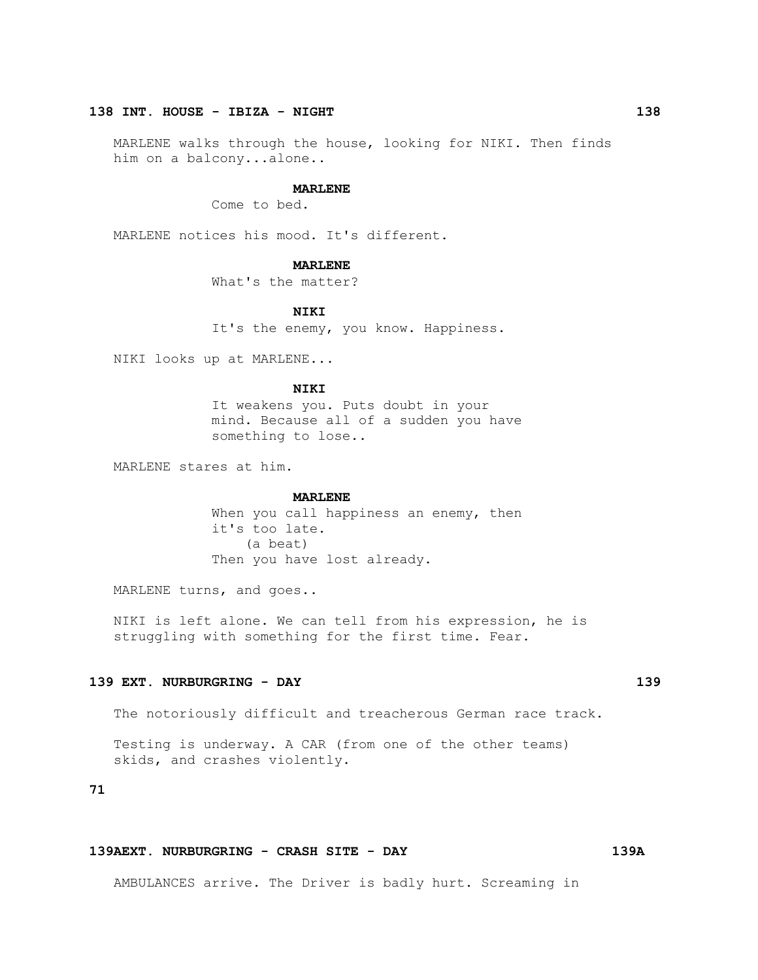# **138 INT. HOUSE - IBIZA - NIGHT 138**

 MARLENE walks through the house, looking for NIKI. Then finds him on a balcony...alone..

#### **MARLENE**

Come to bed.

MARLENE notices his mood. It's different.

#### **MARLENE**

What's the matter?

 **NIKI**

It's the enemy, you know. Happiness.

NIKI looks up at MARLENE...

#### **NIKI**

 It weakens you. Puts doubt in your mind. Because all of a sudden you have something to lose..

MARLENE stares at him.

#### **MARLENE**

When you call happiness an enemy, then it's too late. (a beat) Then you have lost already.

MARLENE turns, and goes..

 NIKI is left alone. We can tell from his expression, he is struggling with something for the first time. Fear.

## **139 EXT. NURBURGRING - DAY 139**

The notoriously difficult and treacherous German race track.

 Testing is underway. A CAR (from one of the other teams) skids, and crashes violently.

# **71**

# **139AEXT. NURBURGRING - CRASH SITE - DAY 139A**

AMBULANCES arrive. The Driver is badly hurt. Screaming in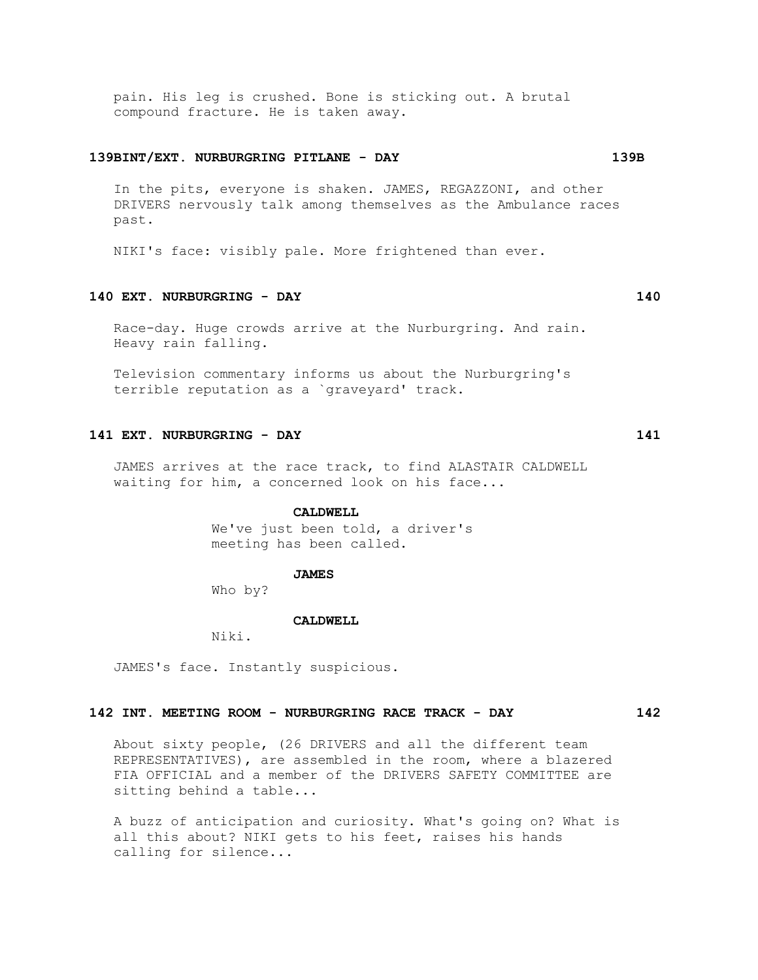pain. His leg is crushed. Bone is sticking out. A brutal compound fracture. He is taken away.

#### **139BINT/EXT. NURBURGRING PITLANE - DAY 139B**

 In the pits, everyone is shaken. JAMES, REGAZZONI, and other DRIVERS nervously talk among themselves as the Ambulance races past.

NIKI's face: visibly pale. More frightened than ever.

# **140 EXT. NURBURGRING - DAY 140**

 Race-day. Huge crowds arrive at the Nurburgring. And rain. Heavy rain falling.

 Television commentary informs us about the Nurburgring's terrible reputation as a `graveyard' track.

# **141 EXT. NURBURGRING - DAY 141**

 JAMES arrives at the race track, to find ALASTAIR CALDWELL waiting for him, a concerned look on his face...

#### **CALDWELL**

 We've just been told, a driver's meeting has been called.

#### **JAMES**

Who by?

#### **CALDWELL**

Niki.

JAMES's face. Instantly suspicious.

# **142 INT. MEETING ROOM - NURBURGRING RACE TRACK - DAY 142**

 About sixty people, (26 DRIVERS and all the different team REPRESENTATIVES), are assembled in the room, where a blazered FIA OFFICIAL and a member of the DRIVERS SAFETY COMMITTEE are sitting behind a table...

 A buzz of anticipation and curiosity. What's going on? What is all this about? NIKI gets to his feet, raises his hands calling for silence...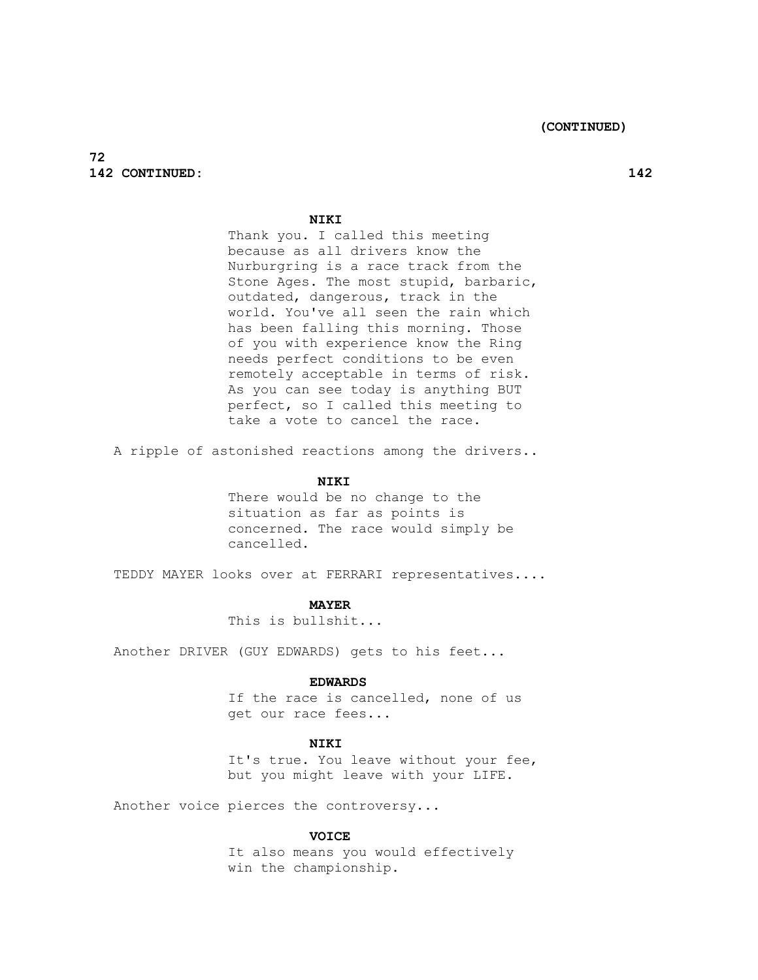# **72 142 CONTINUED: 142**

# **NIKI**

 Thank you. I called this meeting because as all drivers know the Nurburgring is a race track from the Stone Ages. The most stupid, barbaric, outdated, dangerous, track in the world. You've all seen the rain which has been falling this morning. Those of you with experience know the Ring needs perfect conditions to be even remotely acceptable in terms of risk. As you can see today is anything BUT perfect, so I called this meeting to take a vote to cancel the race.

A ripple of astonished reactions among the drivers..

# **NIKI**

 There would be no change to the situation as far as points is concerned. The race would simply be cancelled.

TEDDY MAYER looks over at FERRARI representatives....

### **MAYER**

This is bullshit...

Another DRIVER (GUY EDWARDS) gets to his feet...

#### **EDWARDS**

If the race is cancelled, none of us get our race fees...

# **NIKI**

It's true. You leave without your fee, but you might leave with your LIFE.

Another voice pierces the controversy...

#### **VOICE**

 It also means you would effectively win the championship.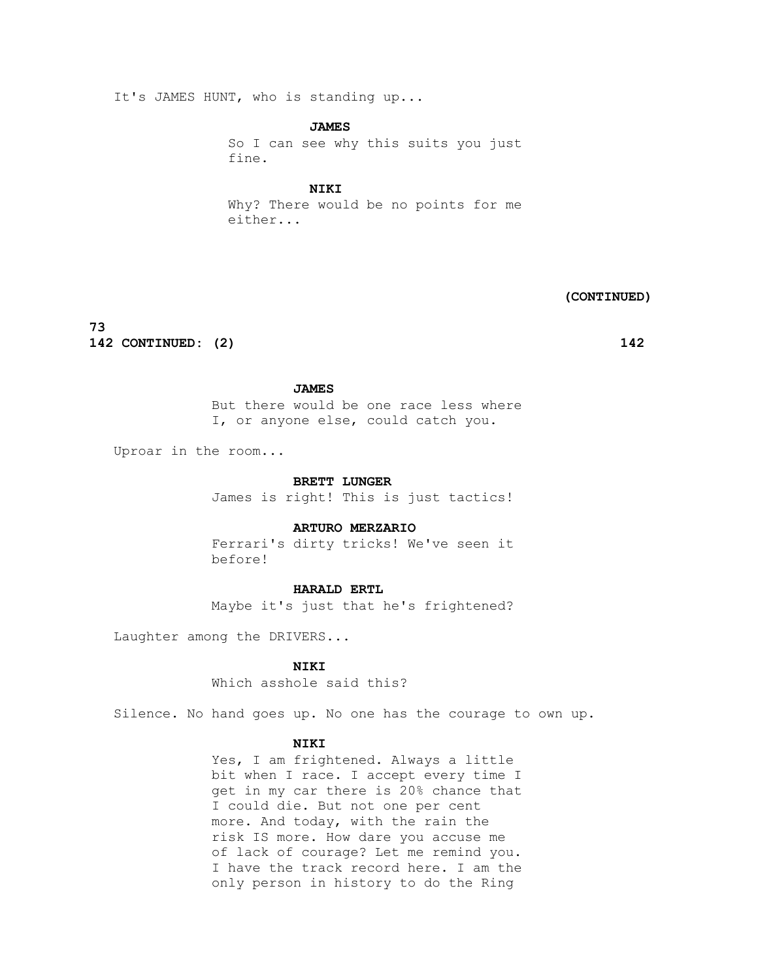It's JAMES HUNT, who is standing up...

 **JAMES**

 So I can see why this suits you just fine.

 **NIKI**

 Why? There would be no points for me either...

 **(CONTINUED)**

**73 142 CONTINUED: (2) 142**

#### **JAMES**

 But there would be one race less where I, or anyone else, could catch you.

Uproar in the room...

#### **BRETT LUNGER**

James is right! This is just tactics!

### **ARTURO MERZARIO**

 Ferrari's dirty tricks! We've seen it before!

#### **HARALD ERTL**

Maybe it's just that he's frightened?

Laughter among the DRIVERS...

 **NIKI**

Which asshole said this?

Silence. No hand goes up. No one has the courage to own up.

# **NIKI**

Yes, I am frightened. Always a little bit when I race. I accept every time I get in my car there is 20% chance that I could die. But not one per cent more. And today, with the rain the risk IS more. How dare you accuse me of lack of courage? Let me remind you. I have the track record here. I am the only person in history to do the Ring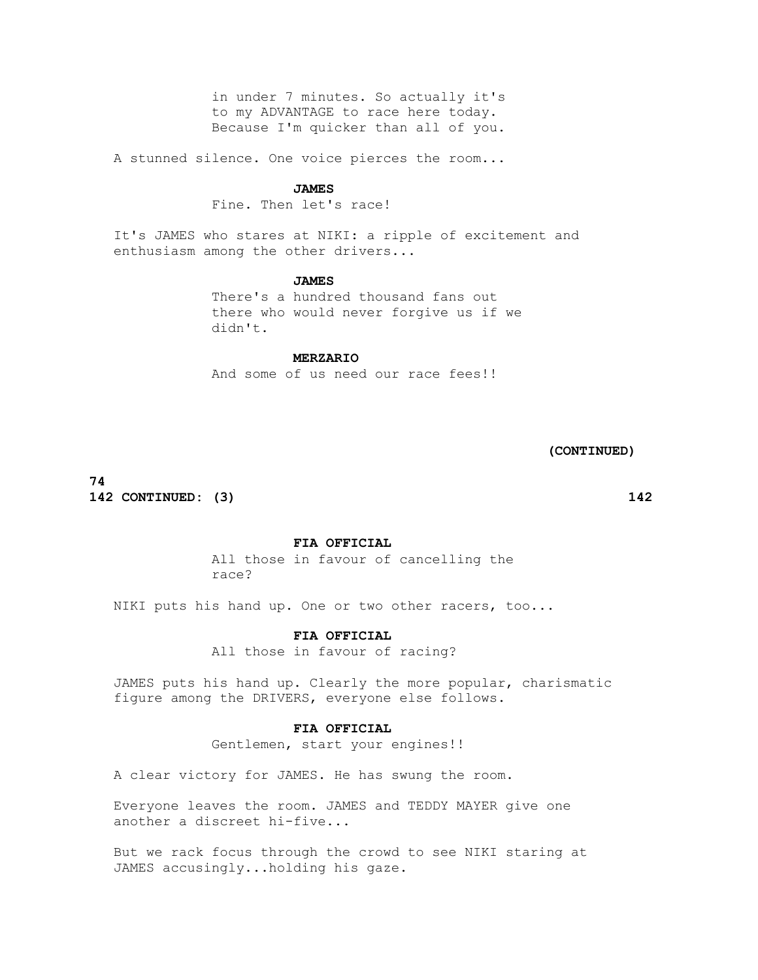in under 7 minutes. So actually it's to my ADVANTAGE to race here today. Because I'm quicker than all of you.

A stunned silence. One voice pierces the room...

#### **JAMES**

Fine. Then let's race!

 It's JAMES who stares at NIKI: a ripple of excitement and enthusiasm among the other drivers...

#### **JAMES**

 There's a hundred thousand fans out there who would never forgive us if we didn't.

# **MERZARIO**

And some of us need our race fees!!

 **(CONTINUED)**

**74 142 CONTINUED: (3) 142**

 **FIA OFFICIAL**

 All those in favour of cancelling the race?

NIKI puts his hand up. One or two other racers, too...

# **FIA OFFICIAL**

All those in favour of racing?

 JAMES puts his hand up. Clearly the more popular, charismatic figure among the DRIVERS, everyone else follows.

#### **FIA OFFICIAL**

Gentlemen, start your engines!!

A clear victory for JAMES. He has swung the room.

 Everyone leaves the room. JAMES and TEDDY MAYER give one another a discreet hi-five...

 But we rack focus through the crowd to see NIKI staring at JAMES accusingly...holding his gaze.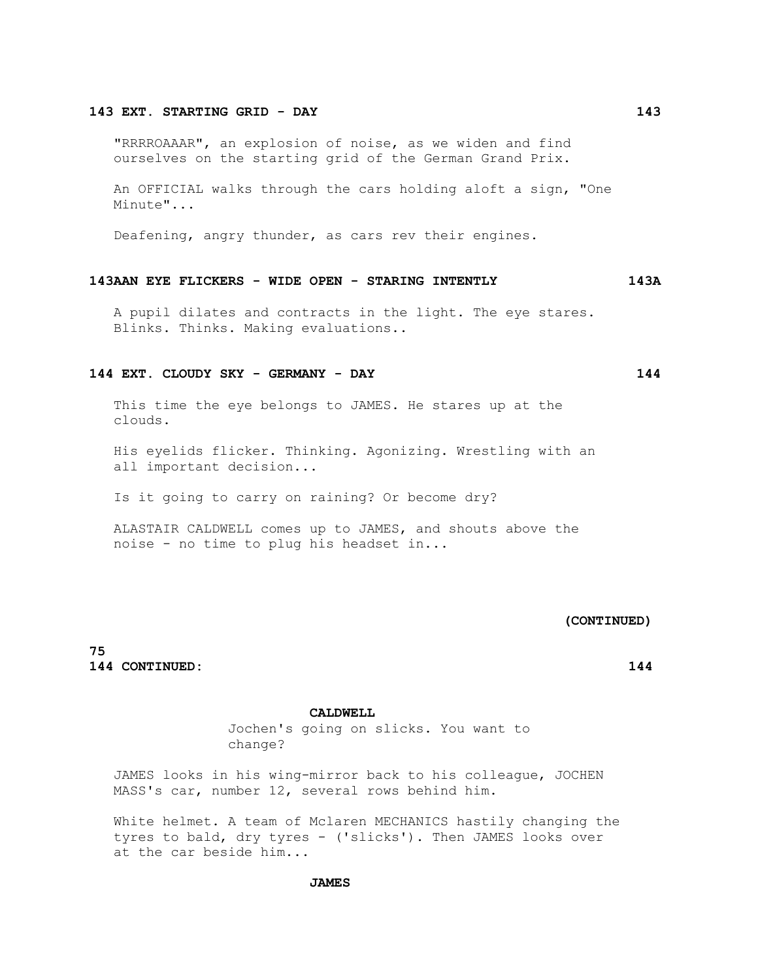#### **143 EXT. STARTING GRID - DAY 143**

 "RRRROAAAR", an explosion of noise, as we widen and find ourselves on the starting grid of the German Grand Prix.

 An OFFICIAL walks through the cars holding aloft a sign, "One Minute"...

Deafening, angry thunder, as cars rev their engines.

#### **143AAN EYE FLICKERS - WIDE OPEN - STARING INTENTLY 143A**

 A pupil dilates and contracts in the light. The eye stares. Blinks. Thinks. Making evaluations..

# **144 EXT. CLOUDY SKY - GERMANY - DAY 144**

 This time the eye belongs to JAMES. He stares up at the clouds.

 His eyelids flicker. Thinking. Agonizing. Wrestling with an all important decision...

Is it going to carry on raining? Or become dry?

 ALASTAIR CALDWELL comes up to JAMES, and shouts above the noise - no time to plug his headset in...

# **(CONTINUED)**

**75 144 CONTINUED: 144**

#### **CALDWELL**

 Jochen's going on slicks. You want to change?

 JAMES looks in his wing-mirror back to his colleague, JOCHEN MASS's car, number 12, several rows behind him.

 White helmet. A team of Mclaren MECHANICS hastily changing the tyres to bald, dry tyres - ('slicks'). Then JAMES looks over at the car beside him...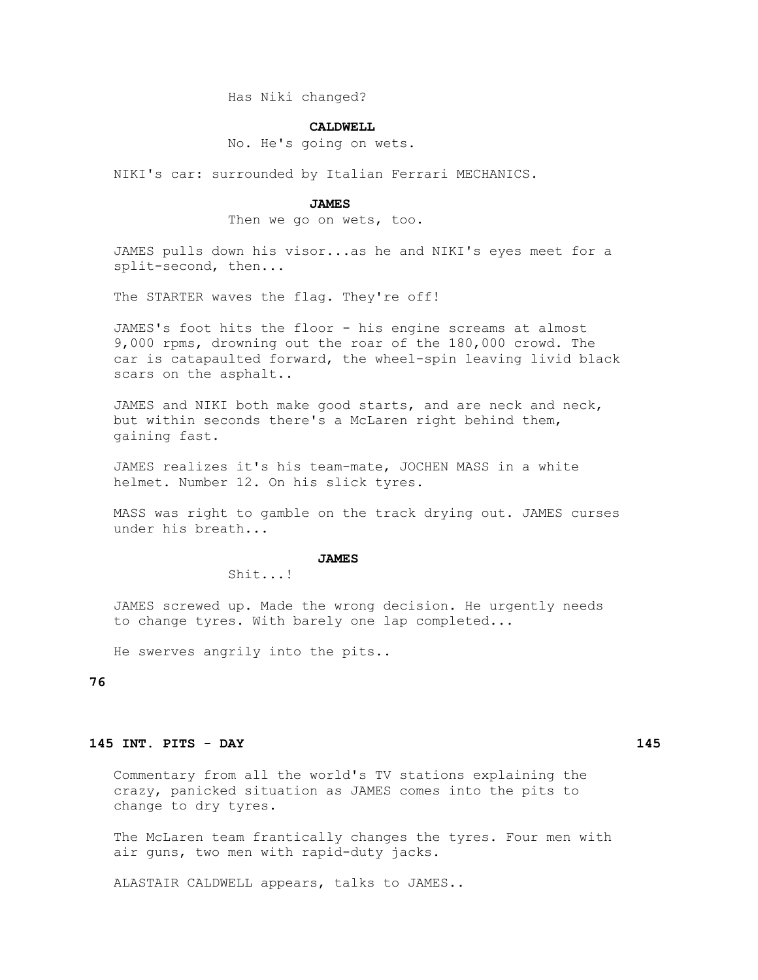Has Niki changed?

#### **CALDWELL**

No. He's going on wets.

NIKI's car: surrounded by Italian Ferrari MECHANICS.

#### **JAMES**

Then we go on wets, too.

 JAMES pulls down his visor...as he and NIKI's eyes meet for a split-second, then...

The STARTER waves the flag. They're off!

 JAMES's foot hits the floor - his engine screams at almost 9,000 rpms, drowning out the roar of the 180,000 crowd. The car is catapaulted forward, the wheel-spin leaving livid black scars on the asphalt..

 JAMES and NIKI both make good starts, and are neck and neck, but within seconds there's a McLaren right behind them, gaining fast.

 JAMES realizes it's his team-mate, JOCHEN MASS in a white helmet. Number 12. On his slick tyres.

 MASS was right to gamble on the track drying out. JAMES curses under his breath...

#### **JAMES**

Shit...!

 JAMES screwed up. Made the wrong decision. He urgently needs to change tyres. With barely one lap completed...

He swerves angrily into the pits..

# **76**

# **145 INT. PITS - DAY 145**

 Commentary from all the world's TV stations explaining the crazy, panicked situation as JAMES comes into the pits to change to dry tyres.

 The McLaren team frantically changes the tyres. Four men with air guns, two men with rapid-duty jacks.

ALASTAIR CALDWELL appears, talks to JAMES..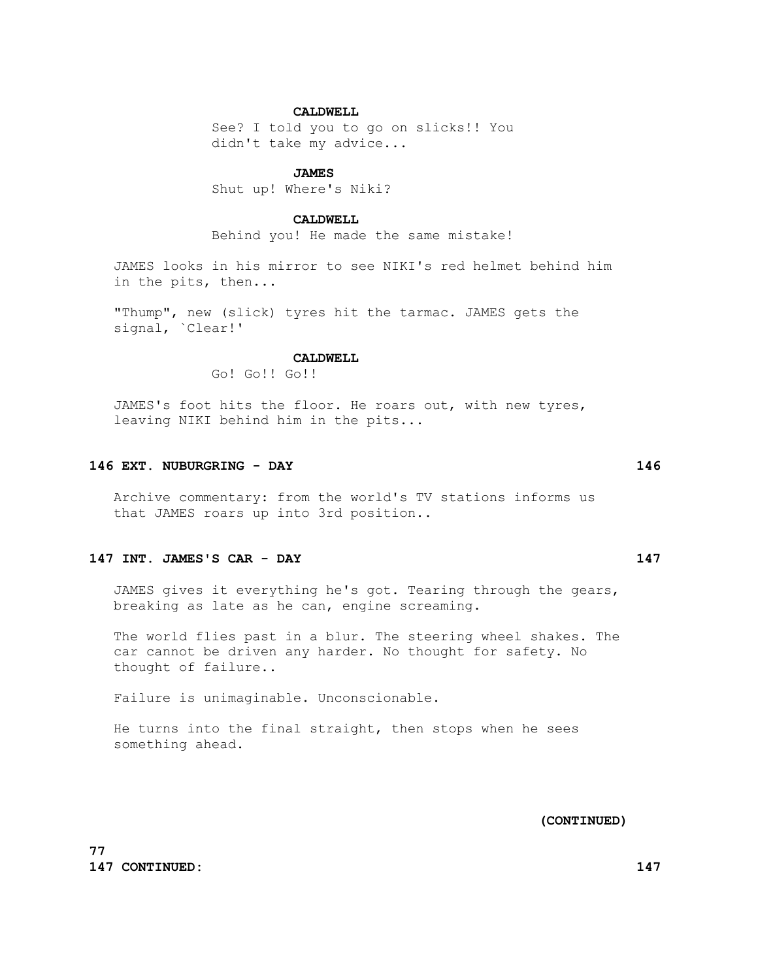# **CALDWELL**

 See? I told you to go on slicks!! You didn't take my advice...

#### **JAMES**

Shut up! Where's Niki?

# **CALDWELL**

Behind you! He made the same mistake!

 JAMES looks in his mirror to see NIKI's red helmet behind him in the pits, then...

 "Thump", new (slick) tyres hit the tarmac. JAMES gets the signal, `Clear!'

#### CALDWELL.

Go! Go!! Go!!

 JAMES's foot hits the floor. He roars out, with new tyres, leaving NIKI behind him in the pits...

# **146 EXT. NUBURGRING - DAY 146**

 Archive commentary: from the world's TV stations informs us that JAMES roars up into 3rd position..

# **147 INT. JAMES'S CAR - DAY 147**

 JAMES gives it everything he's got. Tearing through the gears, breaking as late as he can, engine screaming.

 The world flies past in a blur. The steering wheel shakes. The car cannot be driven any harder. No thought for safety. No thought of failure..

Failure is unimaginable. Unconscionable.

 He turns into the final straight, then stops when he sees something ahead.

 **(CONTINUED)**

**77 147 CONTINUED: 147**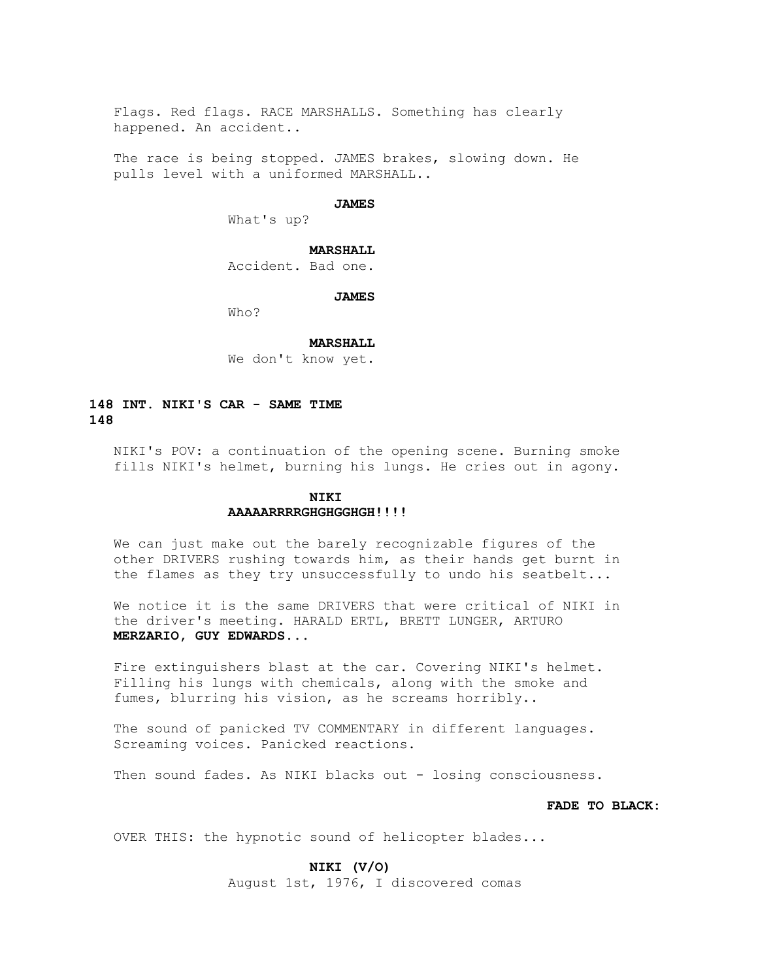Flags. Red flags. RACE MARSHALLS. Something has clearly happened. An accident..

 The race is being stopped. JAMES brakes, slowing down. He pulls level with a uniformed MARSHALL..

# **JAMES**

What's up?

# **MARSHALL**

Accident. Bad one.

#### **JAMES**

Who?

#### **MARSHALL**

We don't know yet.

# **148 INT. NIKI'S CAR - SAME TIME 148**

 NIKI's POV: a continuation of the opening scene. Burning smoke fills NIKI's helmet, burning his lungs. He cries out in agony.

# **NIKI AAAAARRRRGHGHGGHGH!!!!**

 We can just make out the barely recognizable figures of the other DRIVERS rushing towards him, as their hands get burnt in the flames as they try unsuccessfully to undo his seatbelt...

 We notice it is the same DRIVERS that were critical of NIKI in the driver's meeting. HARALD ERTL, BRETT LUNGER, ARTURO  **MERZARIO, GUY EDWARDS...**

 Fire extinguishers blast at the car. Covering NIKI's helmet. Filling his lungs with chemicals, along with the smoke and fumes, blurring his vision, as he screams horribly..

 The sound of panicked TV COMMENTARY in different languages. Screaming voices. Panicked reactions.

Then sound fades. As NIKI blacks out - losing consciousness.

# **FADE TO BLACK:**

OVER THIS: the hypnotic sound of helicopter blades...

 **NIKI (V/O)**

August 1st, 1976, I discovered comas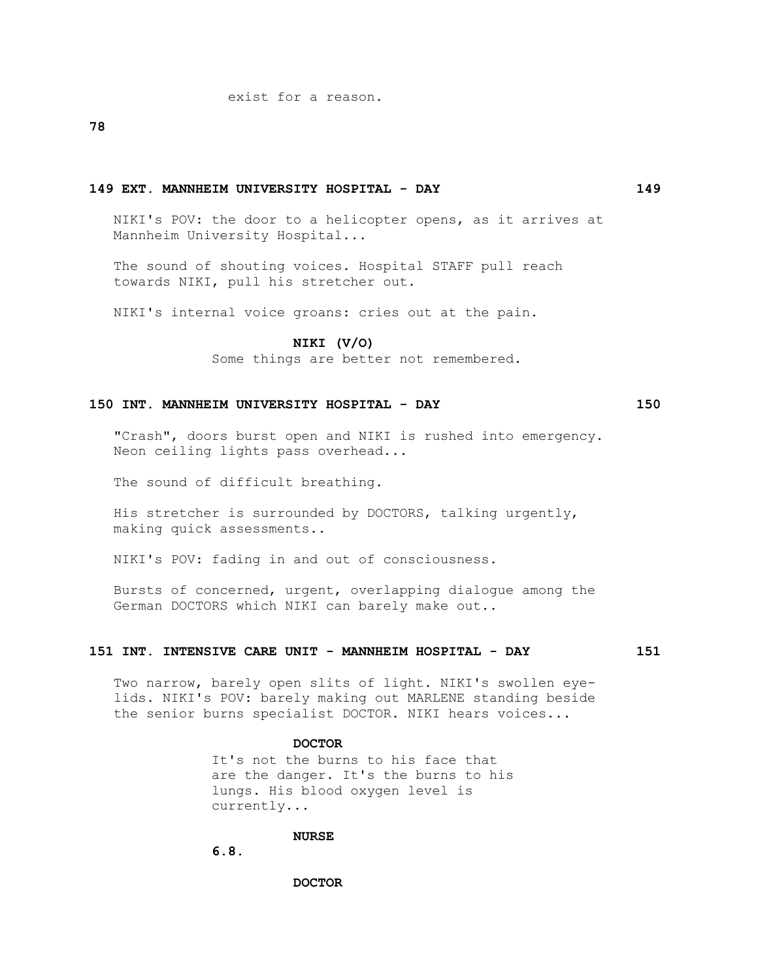exist for a reason.

**78**

#### **149 EXT. MANNHEIM UNIVERSITY HOSPITAL - DAY 149**

 NIKI's POV: the door to a helicopter opens, as it arrives at Mannheim University Hospital...

 The sound of shouting voices. Hospital STAFF pull reach towards NIKI, pull his stretcher out.

NIKI's internal voice groans: cries out at the pain.

#### **NIKI (V/O)**

Some things are better not remembered.

# **150 INT. MANNHEIM UNIVERSITY HOSPITAL - DAY 150**

 "Crash", doors burst open and NIKI is rushed into emergency. Neon ceiling lights pass overhead...

The sound of difficult breathing.

 His stretcher is surrounded by DOCTORS, talking urgently, making quick assessments..

NIKI's POV: fading in and out of consciousness.

 Bursts of concerned, urgent, overlapping dialogue among the German DOCTORS which NIKI can barely make out..

#### **151 INT. INTENSIVE CARE UNIT - MANNHEIM HOSPITAL - DAY 151**

 Two narrow, barely open slits of light. NIKI's swollen eye lids. NIKI's POV: barely making out MARLENE standing beside the senior burns specialist DOCTOR. NIKI hears voices...

#### **DOCTOR**

 It's not the burns to his face that are the danger. It's the burns to his lungs. His blood oxygen level is currently...

# **NURSE**

 **6.8.**

 **DOCTOR**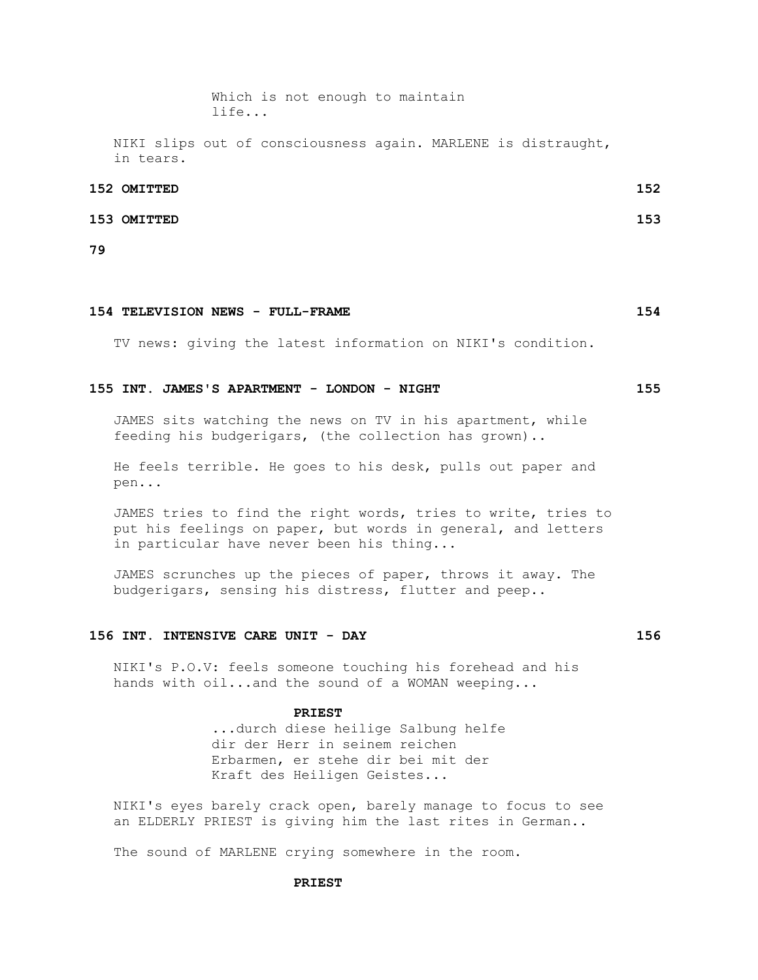Which is not enough to maintain life...

 NIKI slips out of consciousness again. MARLENE is distraught, in tears.

#### **152 OMITTED 152**

#### **153 OMITTED 153**

**79**

### **154 TELEVISION NEWS - FULL-FRAME 154**

TV news: giving the latest information on NIKI's condition.

# **155 INT. JAMES'S APARTMENT - LONDON - NIGHT 155**

 JAMES sits watching the news on TV in his apartment, while feeding his budgerigars, (the collection has grown)..

 He feels terrible. He goes to his desk, pulls out paper and pen...

 JAMES tries to find the right words, tries to write, tries to put his feelings on paper, but words in general, and letters in particular have never been his thing...

 JAMES scrunches up the pieces of paper, throws it away. The budgerigars, sensing his distress, flutter and peep..

# **156 INT. INTENSIVE CARE UNIT - DAY 156**

 NIKI's P.O.V: feels someone touching his forehead and his hands with oil...and the sound of a WOMAN weeping...

#### **PRIEST**

 ...durch diese heilige Salbung helfe dir der Herr in seinem reichen Erbarmen, er stehe dir bei mit der Kraft des Heiligen Geistes...

 NIKI's eyes barely crack open, barely manage to focus to see an ELDERLY PRIEST is giving him the last rites in German..

The sound of MARLENE crying somewhere in the room.

#### **PRIEST**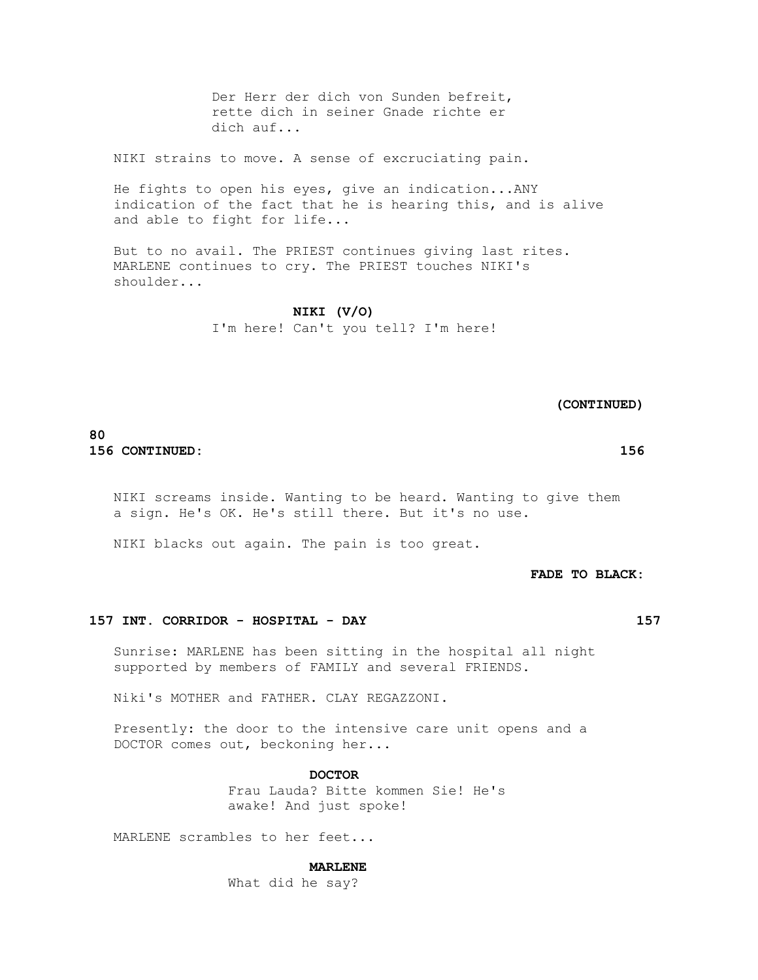Der Herr der dich von Sunden befreit, rette dich in seiner Gnade richte er dich auf...

NIKI strains to move. A sense of excruciating pain.

 He fights to open his eyes, give an indication...ANY indication of the fact that he is hearing this, and is alive and able to fight for life...

 But to no avail. The PRIEST continues giving last rites. MARLENE continues to cry. The PRIEST touches NIKI's shoulder...

> **NIKI (V/O)** I'm here! Can't you tell? I'm here!

> > **(CONTINUED)**

# **80 156 CONTINUED: 156**

NIKI screams inside. Wanting to be heard. Wanting to give them

NIKI blacks out again. The pain is too great.

a sign. He's OK. He's still there. But it's no use.

 **FADE TO BLACK:**

## **157 INT. CORRIDOR - HOSPITAL - DAY 157**

 Sunrise: MARLENE has been sitting in the hospital all night supported by members of FAMILY and several FRIENDS.

Niki's MOTHER and FATHER. CLAY REGAZZONI.

 Presently: the door to the intensive care unit opens and a DOCTOR comes out, beckoning her...

 **DOCTOR**

 Frau Lauda? Bitte kommen Sie! He's awake! And just spoke!

MARLENE scrambles to her feet...

#### **MARLENE**

What did he say?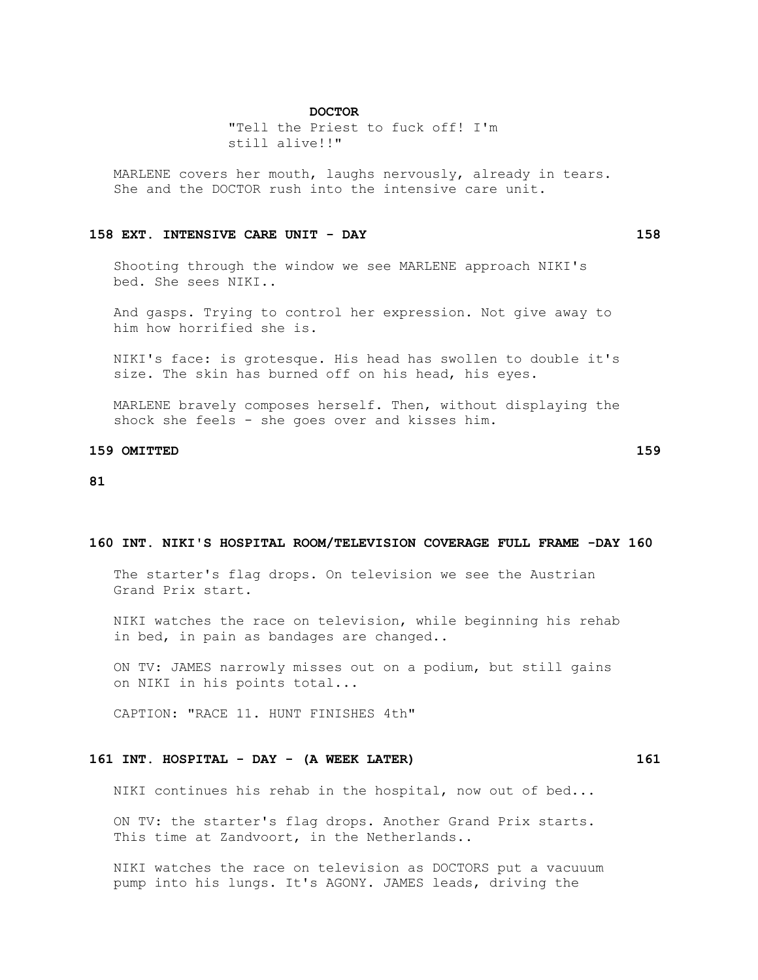#### **DOCTOR**

 "Tell the Priest to fuck off! I'm still alive!!"

 MARLENE covers her mouth, laughs nervously, already in tears. She and the DOCTOR rush into the intensive care unit.

#### **158 EXT. INTENSIVE CARE UNIT - DAY 158**

 Shooting through the window we see MARLENE approach NIKI's bed. She sees NIKI..

 And gasps. Trying to control her expression. Not give away to him how horrified she is.

 NIKI's face: is grotesque. His head has swollen to double it's size. The skin has burned off on his head, his eyes.

 MARLENE bravely composes herself. Then, without displaying the shock she feels - she goes over and kisses him.

### **159 OMITTED 159**

#### **81**

#### **160 INT. NIKI'S HOSPITAL ROOM/TELEVISION COVERAGE FULL FRAME -DAY 160**

 The starter's flag drops. On television we see the Austrian Grand Prix start.

 NIKI watches the race on television, while beginning his rehab in bed, in pain as bandages are changed..

 ON TV: JAMES narrowly misses out on a podium, but still gains on NIKI in his points total...

CAPTION: "RACE 11. HUNT FINISHES 4th"

# **161 INT. HOSPITAL - DAY - (A WEEK LATER) 161**

NIKI continues his rehab in the hospital, now out of bed...

 ON TV: the starter's flag drops. Another Grand Prix starts. This time at Zandvoort, in the Netherlands..

 NIKI watches the race on television as DOCTORS put a vacuuum pump into his lungs. It's AGONY. JAMES leads, driving the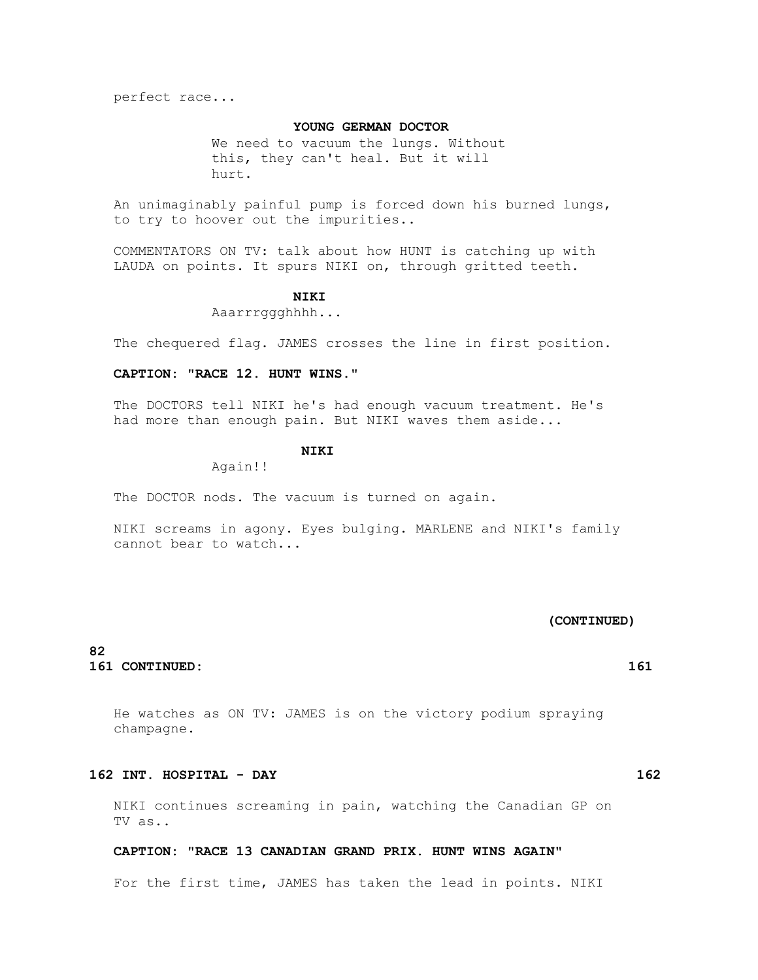perfect race...

# **YOUNG GERMAN DOCTOR**

We need to vacuum the lungs. Without this, they can't heal. But it will hurt.

 An unimaginably painful pump is forced down his burned lungs, to try to hoover out the impurities..

 COMMENTATORS ON TV: talk about how HUNT is catching up with LAUDA on points. It spurs NIKI on, through gritted teeth.

# **NIKI**

Aaarrrggghhhh...

The chequered flag. JAMES crosses the line in first position.

### **CAPTION: "RACE 12. HUNT WINS."**

 The DOCTORS tell NIKI he's had enough vacuum treatment. He's had more than enough pain. But NIKI waves them aside...

# **NIKI**

Again!!

The DOCTOR nods. The vacuum is turned on again.

 NIKI screams in agony. Eyes bulging. MARLENE and NIKI's family cannot bear to watch...

# **(CONTINUED)**

# **82 161 CONTINUED: 161**

 He watches as ON TV: JAMES is on the victory podium spraying champagne.

# **162 INT. HOSPITAL - DAY 162**

 NIKI continues screaming in pain, watching the Canadian GP on TV as..

# **CAPTION: "RACE 13 CANADIAN GRAND PRIX. HUNT WINS AGAIN"**

For the first time, JAMES has taken the lead in points. NIKI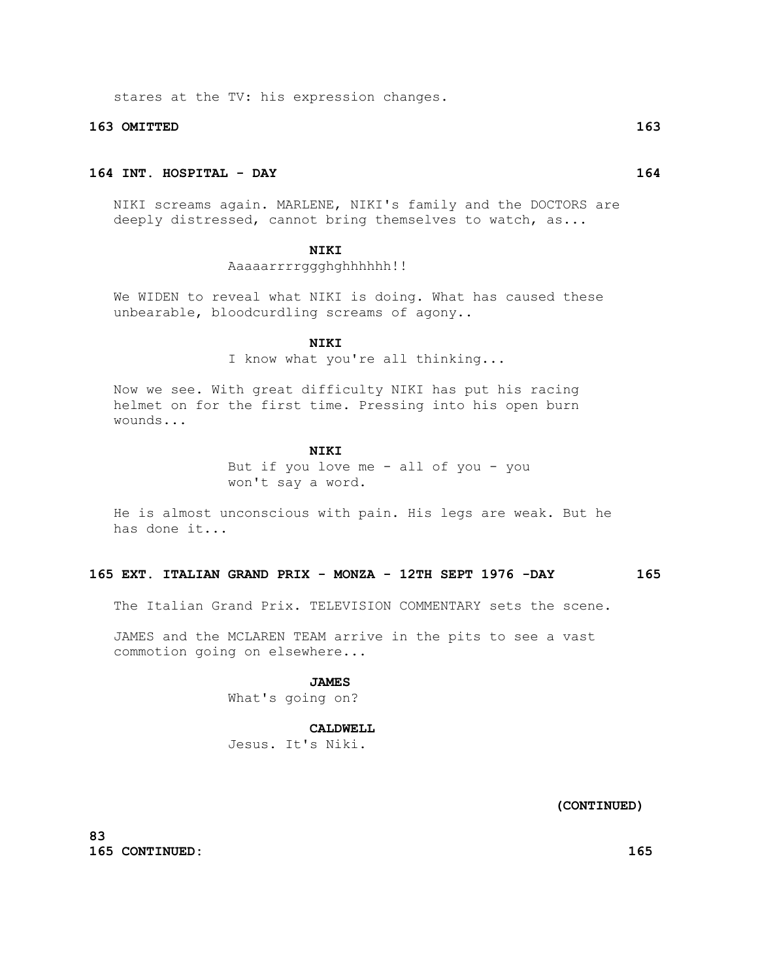stares at the TV: his expression changes.

#### **163 OMITTED 163**

# **164 INT. HOSPITAL - DAY 164**

 NIKI screams again. MARLENE, NIKI's family and the DOCTORS are deeply distressed, cannot bring themselves to watch, as...

# **NIKI**

# Aaaaarrrrggghghhhhhh!!

 We WIDEN to reveal what NIKI is doing. What has caused these unbearable, bloodcurdling screams of agony..

#### **NIKI**

I know what you're all thinking...

 Now we see. With great difficulty NIKI has put his racing helmet on for the first time. Pressing into his open burn wounds...

#### **NIKI**

 But if you love me - all of you - you won't say a word.

 He is almost unconscious with pain. His legs are weak. But he has done it...

### **165 EXT. ITALIAN GRAND PRIX - MONZA - 12TH SEPT 1976 -DAY 165**

The Italian Grand Prix. TELEVISION COMMENTARY sets the scene.

 JAMES and the MCLAREN TEAM arrive in the pits to see a vast commotion going on elsewhere...

# **JAMES**

What's going on?

# **CALDWELL**

Jesus. It's Niki.

 **(CONTINUED)**

**83 165 CONTINUED: 165**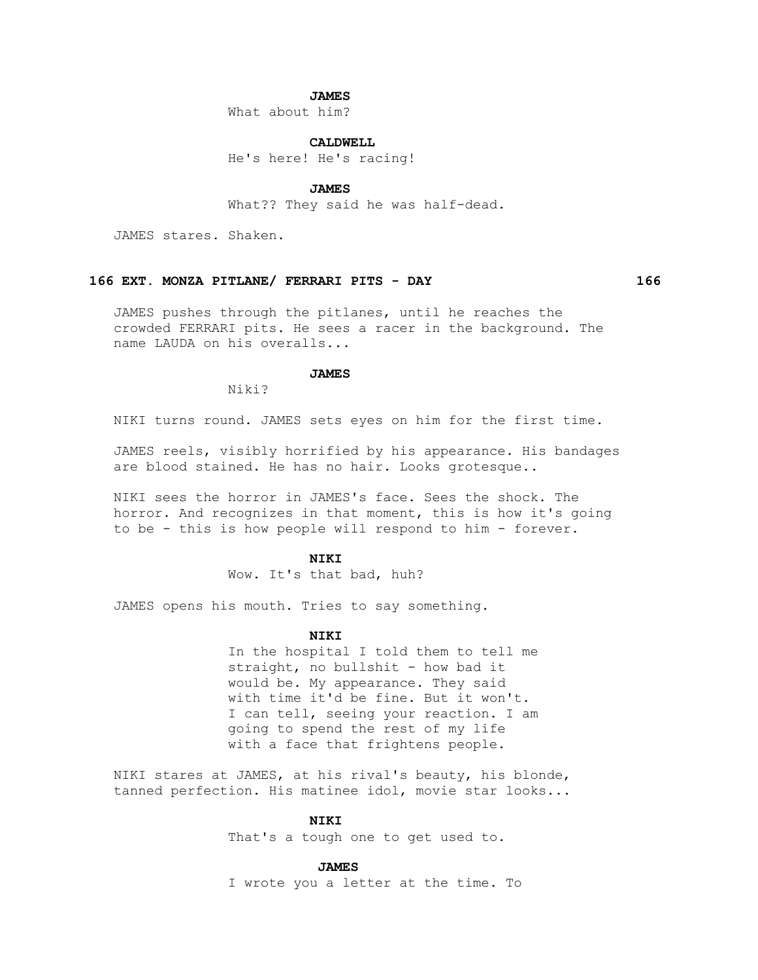#### **JAMES**

What about him?

#### **CALDWELL**

He's here! He's racing!

 **JAMES**

What?? They said he was half-dead.

JAMES stares. Shaken.

#### **166 EXT. MONZA PITLANE/ FERRARI PITS - DAY 166**

 JAMES pushes through the pitlanes, until he reaches the crowded FERRARI pits. He sees a racer in the background. The name LAUDA on his overalls...

### **JAMES**

Niki?

NIKI turns round. JAMES sets eyes on him for the first time.

 JAMES reels, visibly horrified by his appearance. His bandages are blood stained. He has no hair. Looks grotesque..

 NIKI sees the horror in JAMES's face. Sees the shock. The horror. And recognizes in that moment, this is how it's going to be - this is how people will respond to him - forever.

#### **NIKI**

Wow. It's that bad, huh?

JAMES opens his mouth. Tries to say something.

# **NIKI**

 In the hospital I told them to tell me straight, no bullshit - how bad it would be. My appearance. They said with time it'd be fine. But it won't. I can tell, seeing your reaction. I am going to spend the rest of my life with a face that frightens people.

 NIKI stares at JAMES, at his rival's beauty, his blonde, tanned perfection. His matinee idol, movie star looks...

# **NIKI**

That's a tough one to get used to.

#### **JAMES**

I wrote you a letter at the time. To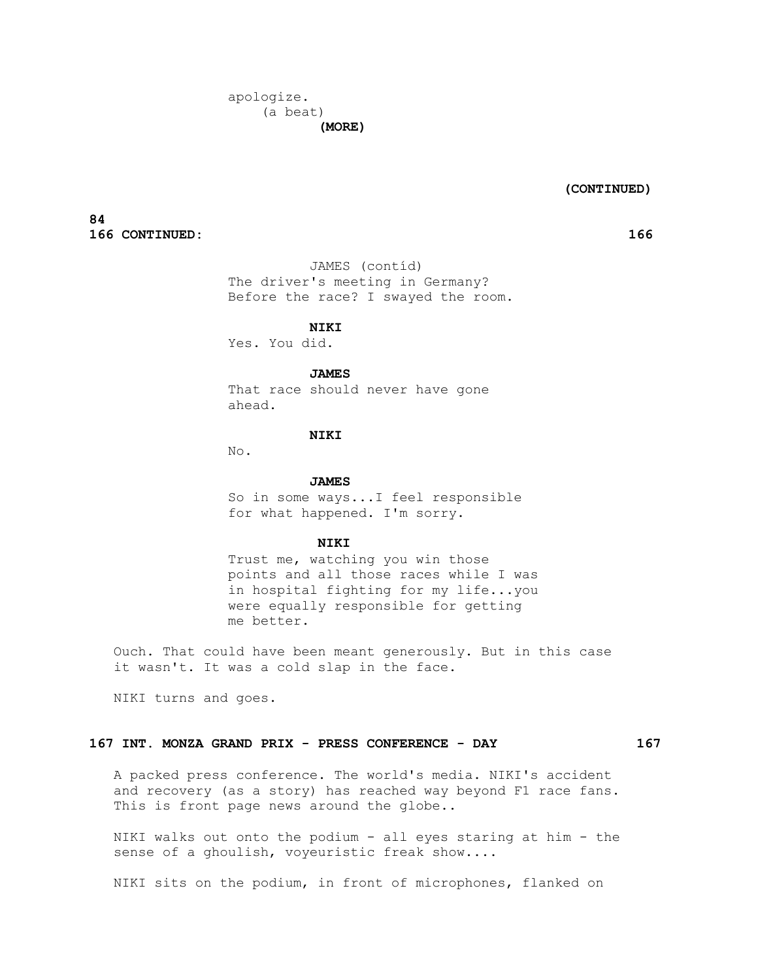#### **(CONTINUED)**

**84 166 CONTINUED: 166**

 JAMES (contíd) The driver's meeting in Germany? Before the race? I swayed the room.

 **NIKI**

Yes. You did.

# **JAMES**

 That race should never have gone ahead.

# **NIKI**

No.

#### **JAMES**

 So in some ways...I feel responsible for what happened. I'm sorry.

### **NIKI**

 Trust me, watching you win those points and all those races while I was in hospital fighting for my life...you were equally responsible for getting me better.

 Ouch. That could have been meant generously. But in this case it wasn't. It was a cold slap in the face.

NIKI turns and goes.

# **167 INT. MONZA GRAND PRIX - PRESS CONFERENCE - DAY 167**

 A packed press conference. The world's media. NIKI's accident and recovery (as a story) has reached way beyond F1 race fans. This is front page news around the globe..

 NIKI walks out onto the podium - all eyes staring at him - the sense of a ghoulish, voyeuristic freak show....

NIKI sits on the podium, in front of microphones, flanked on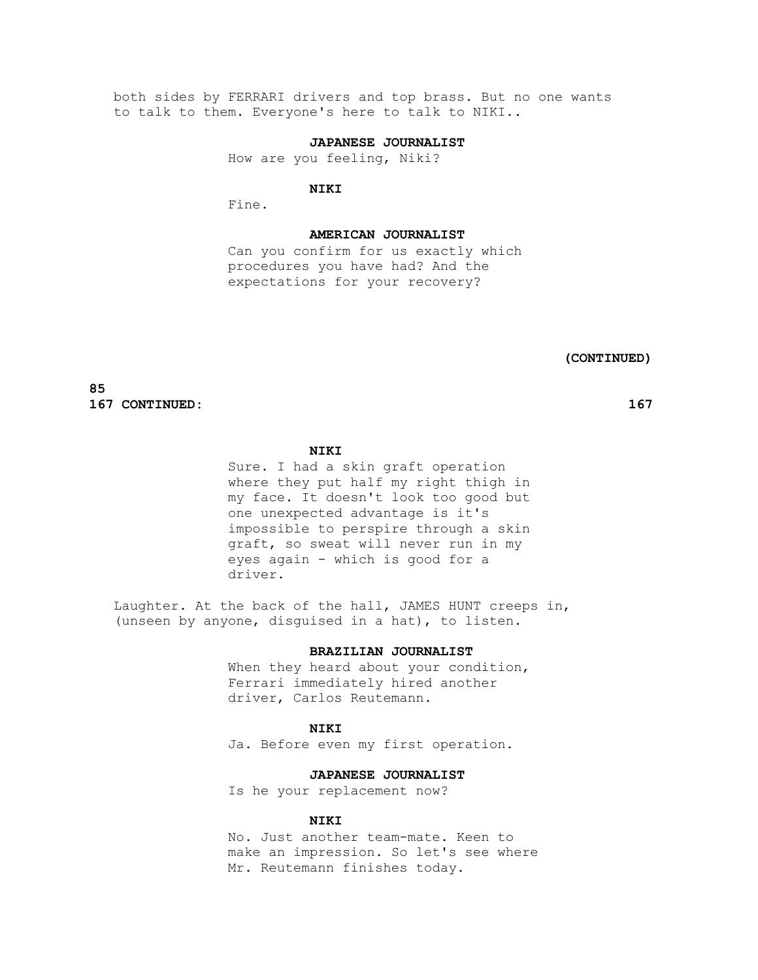both sides by FERRARI drivers and top brass. But no one wants to talk to them. Everyone's here to talk to NIKI..

# **JAPANESE JOURNALIST**

How are you feeling, Niki?

#### **NIKI**

Fine.

#### **AMERICAN JOURNALIST**

 Can you confirm for us exactly which procedures you have had? And the expectations for your recovery?

 **(CONTINUED)**

**85 167 CONTINUED: 167**

# **NIKI**

 Sure. I had a skin graft operation where they put half my right thigh in my face. It doesn't look too good but one unexpected advantage is it's impossible to perspire through a skin graft, so sweat will never run in my eyes again - which is good for a driver.

 Laughter. At the back of the hall, JAMES HUNT creeps in, (unseen by anyone, disguised in a hat), to listen.

#### **BRAZILIAN JOURNALIST**

When they heard about your condition, Ferrari immediately hired another driver, Carlos Reutemann.

#### **NIKI**

Ja. Before even my first operation.

# **JAPANESE JOURNALIST**

Is he your replacement now?

# **NIKI**

 No. Just another team-mate. Keen to make an impression. So let's see where Mr. Reutemann finishes today.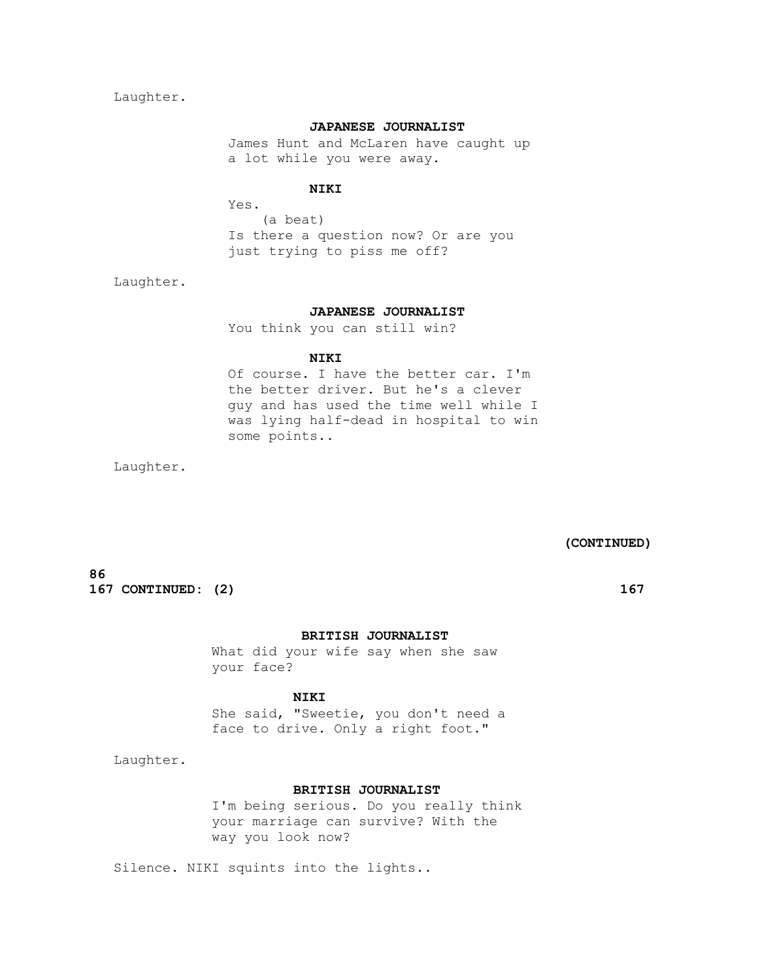Laughter.

# **JAPANESE JOURNALIST**

 James Hunt and McLaren have caught up a lot while you were away.

# **NIKI**

 Yes. (a beat) Is there a question now? Or are you just trying to piss me off?

Laughter.

# **JAPANESE JOURNALIST**

You think you can still win?

# **NIKI**

 Of course. I have the better car. I'm the better driver. But he's a clever guy and has used the time well while I was lying half-dead in hospital to win some points..

Laughter.

 **(CONTINUED)**

**86 167 CONTINUED:** (2) **167** 

# **BRITISH JOURNALIST**

 What did your wife say when she saw your face?

# **NIKI**

 She said, "Sweetie, you don't need a face to drive. Only a right foot."

Laughter.

# **BRITISH JOURNALIST**

 I'm being serious. Do you really think your marriage can survive? With the way you look now?

Silence. NIKI squints into the lights..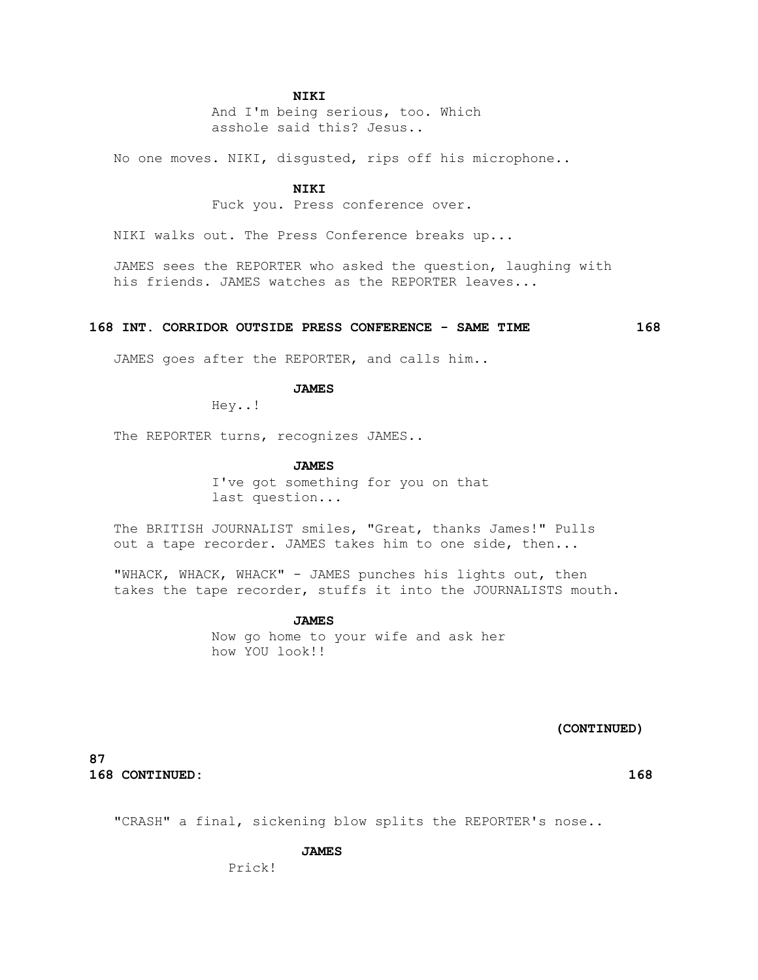#### **NIKI**

 And I'm being serious, too. Which asshole said this? Jesus..

No one moves. NIKI, disgusted, rips off his microphone..

#### **NIKI**

Fuck you. Press conference over.

NIKI walks out. The Press Conference breaks up...

 JAMES sees the REPORTER who asked the question, laughing with his friends. JAMES watches as the REPORTER leaves...

#### **168 INT. CORRIDOR OUTSIDE PRESS CONFERENCE - SAME TIME 168**

JAMES goes after the REPORTER, and calls him..

# **JAMES**

Hey..!

The REPORTER turns, recognizes JAMES..

#### **JAMES**

 I've got something for you on that last question...

 The BRITISH JOURNALIST smiles, "Great, thanks James!" Pulls out a tape recorder. JAMES takes him to one side, then...

 "WHACK, WHACK, WHACK" - JAMES punches his lights out, then takes the tape recorder, stuffs it into the JOURNALISTS mouth.

> **JAMES** Now go home to your wife and ask her how YOU look!!

> > **(CONTINUED)**

**87 168 CONTINUED: 168**

"CRASH" a final, sickening blow splits the REPORTER's nose..

#### **JAMES**

Prick!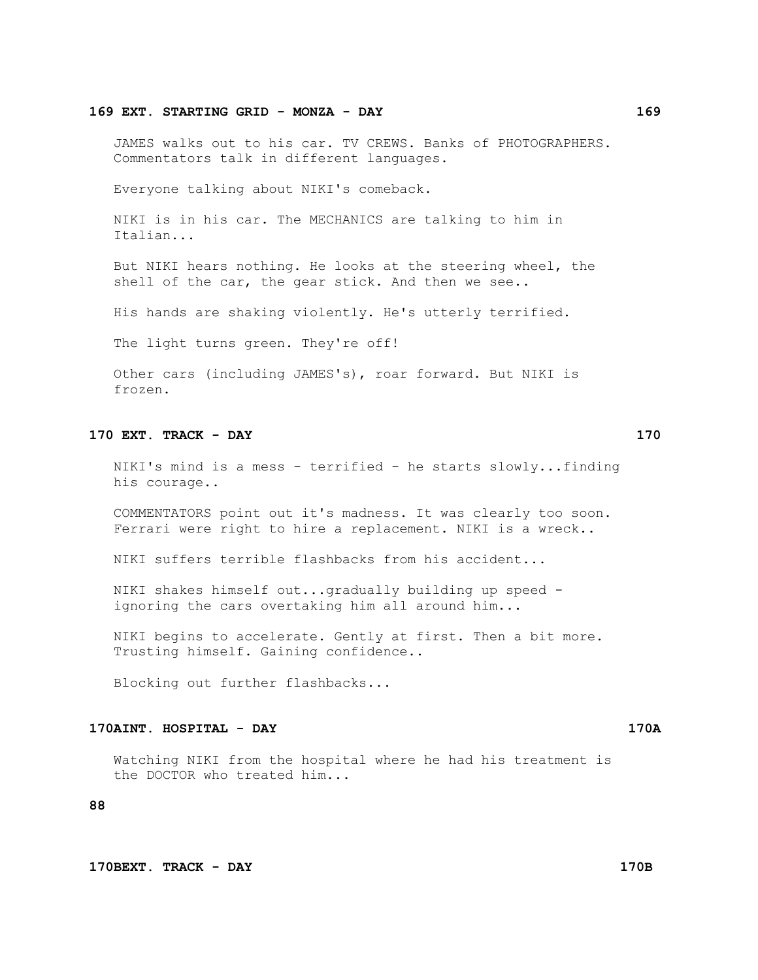#### **169 EXT. STARTING GRID - MONZA - DAY 169**

 JAMES walks out to his car. TV CREWS. Banks of PHOTOGRAPHERS. Commentators talk in different languages.

Everyone talking about NIKI's comeback.

 NIKI is in his car. The MECHANICS are talking to him in Italian...

 But NIKI hears nothing. He looks at the steering wheel, the shell of the car, the gear stick. And then we see..

His hands are shaking violently. He's utterly terrified.

The light turns green. They're off!

 Other cars (including JAMES's), roar forward. But NIKI is frozen.

# **170 EXT. TRACK - DAY 170**

 NIKI's mind is a mess - terrified - he starts slowly...finding his courage..

 COMMENTATORS point out it's madness. It was clearly too soon. Ferrari were right to hire a replacement. NIKI is a wreck..

NIKI suffers terrible flashbacks from his accident...

 NIKI shakes himself out...gradually building up speed ignoring the cars overtaking him all around him...

 NIKI begins to accelerate. Gently at first. Then a bit more. Trusting himself. Gaining confidence..

Blocking out further flashbacks...

# **170AINT. HOSPITAL - DAY 170A**

 Watching NIKI from the hospital where he had his treatment is the DOCTOR who treated him...

# **88**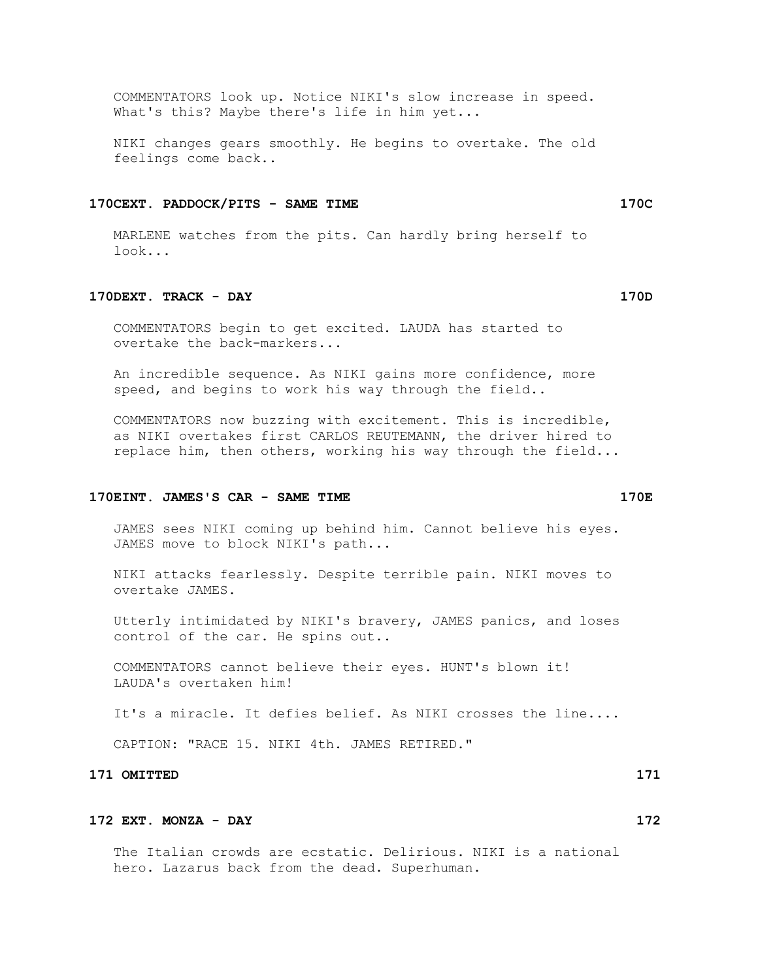COMMENTATORS look up. Notice NIKI's slow increase in speed. What's this? Maybe there's life in him yet...

 NIKI changes gears smoothly. He begins to overtake. The old feelings come back..

# **170CEXT. PADDOCK/PITS - SAME TIME 170C**

 MARLENE watches from the pits. Can hardly bring herself to look...

# **170DEXT. TRACK - DAY 170D**

 COMMENTATORS begin to get excited. LAUDA has started to overtake the back-markers...

 An incredible sequence. As NIKI gains more confidence, more speed, and begins to work his way through the field..

 COMMENTATORS now buzzing with excitement. This is incredible, as NIKI overtakes first CARLOS REUTEMANN, the driver hired to replace him, then others, working his way through the field...

### **170EINT. JAMES'S CAR - SAME TIME 170E**

 JAMES sees NIKI coming up behind him. Cannot believe his eyes. JAMES move to block NIKI's path...

 NIKI attacks fearlessly. Despite terrible pain. NIKI moves to overtake JAMES.

 Utterly intimidated by NIKI's bravery, JAMES panics, and loses control of the car. He spins out..

 COMMENTATORS cannot believe their eyes. HUNT's blown it! LAUDA's overtaken him!

It's a miracle. It defies belief. As NIKI crosses the line....

CAPTION: "RACE 15. NIKI 4th. JAMES RETIRED."

# **171 OMITTED 171**

# **172 EXT. MONZA - DAY 172**

 The Italian crowds are ecstatic. Delirious. NIKI is a national hero. Lazarus back from the dead. Superhuman.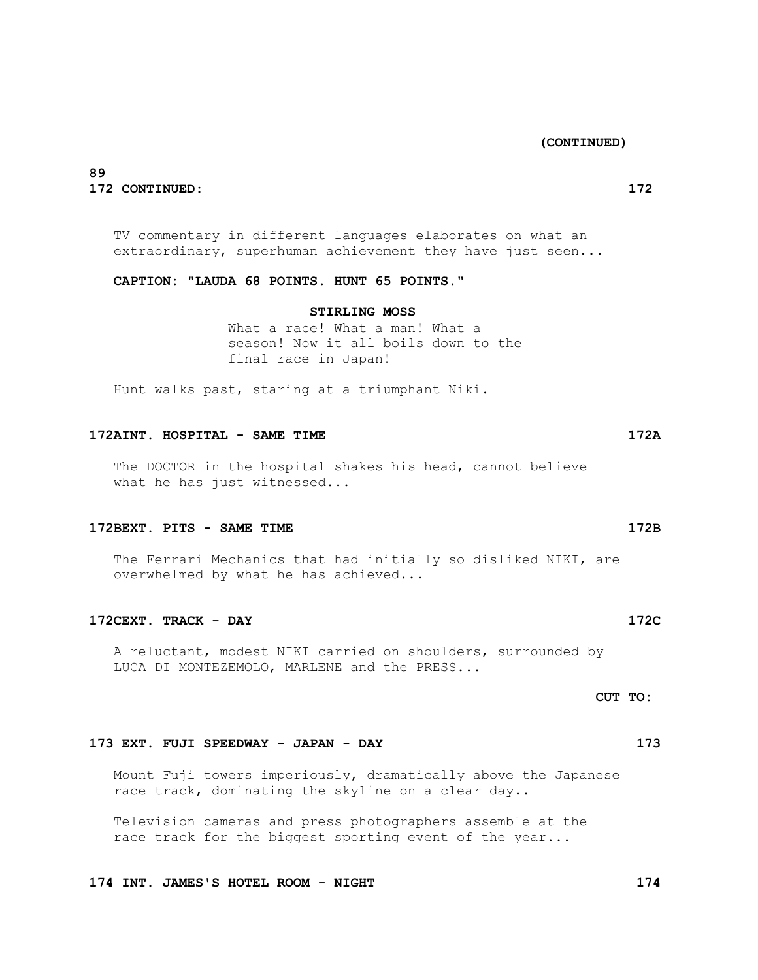**(CONTINUED)**

# **89 172 CONTINUED: 172**

 TV commentary in different languages elaborates on what an extraordinary, superhuman achievement they have just seen...

 **CAPTION: "LAUDA 68 POINTS. HUNT 65 POINTS."**

# **STIRLING MOSS**

 What a race! What a man! What a season! Now it all boils down to the final race in Japan!

Hunt walks past, staring at a triumphant Niki.

# **172AINT. HOSPITAL - SAME TIME 172A**

 The DOCTOR in the hospital shakes his head, cannot believe what he has just witnessed...

#### **172BEXT. PITS - SAME TIME 172B**

The Ferrari Mechanics that had initially so disliked NIKI, are overwhelmed by what he has achieved...

# **172CEXT. TRACK - DAY 172C**

 A reluctant, modest NIKI carried on shoulders, surrounded by LUCA DI MONTEZEMOLO, MARLENE and the PRESS...

# **CUT TO:**

#### **173 EXT. FUJI SPEEDWAY - JAPAN - DAY 173**

 Mount Fuji towers imperiously, dramatically above the Japanese race track, dominating the skyline on a clear day..

 Television cameras and press photographers assemble at the race track for the biggest sporting event of the year...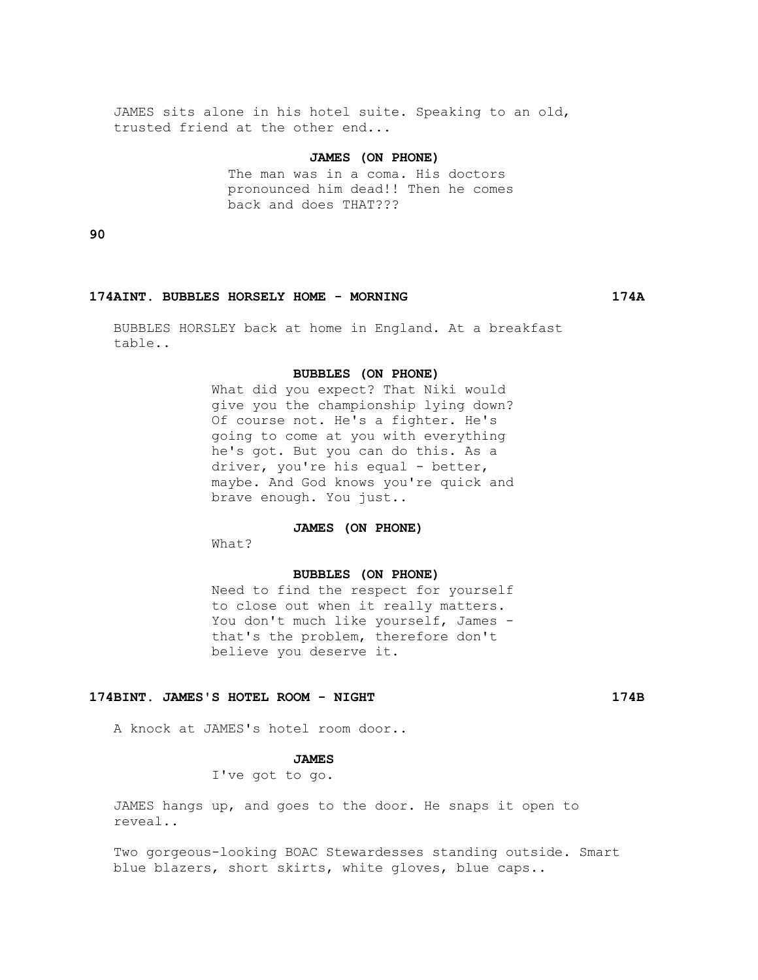JAMES sits alone in his hotel suite. Speaking to an old, trusted friend at the other end...

# **JAMES (ON PHONE)**

 The man was in a coma. His doctors pronounced him dead!! Then he comes back and does THAT???

**90**

#### **174AINT. BUBBLES HORSELY HOME - MORNING 174A**

 BUBBLES HORSLEY back at home in England. At a breakfast table..

#### **BUBBLES (ON PHONE)**

 What did you expect? That Niki would give you the championship lying down? Of course not. He's a fighter. He's going to come at you with everything he's got. But you can do this. As a driver, you're his equal - better, maybe. And God knows you're quick and brave enough. You just..

# **JAMES (ON PHONE)**

 $W$ hat?

#### **BUBBLES (ON PHONE)**

 Need to find the respect for yourself to close out when it really matters. You don't much like yourself, James that's the problem, therefore don't believe you deserve it.

# **174BINT. JAMES'S HOTEL ROOM - NIGHT 174B**

A knock at JAMES's hotel room door..

### **JAMES**

I've got to go.

 JAMES hangs up, and goes to the door. He snaps it open to reveal..

 Two gorgeous-looking BOAC Stewardesses standing outside. Smart blue blazers, short skirts, white gloves, blue caps..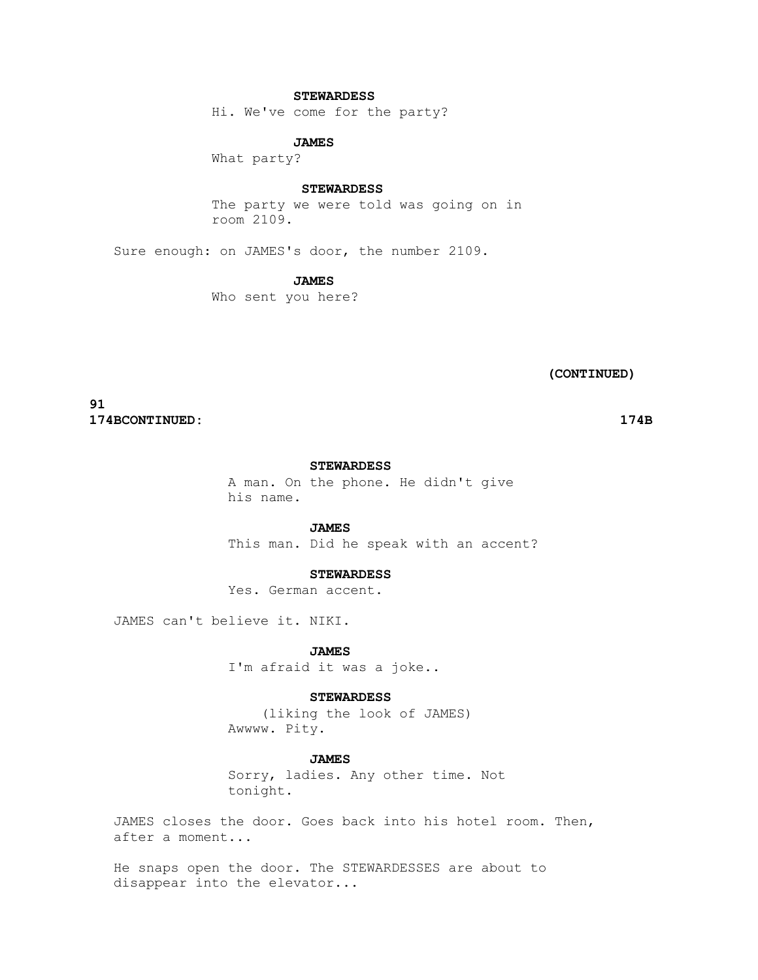# **STEWARDESS**

Hi. We've come for the party?

# **JAMES**

What party?

#### **STEWARDESS**

 The party we were told was going on in room 2109.

Sure enough: on JAMES's door, the number 2109.

# **JAMES**

Who sent you here?

 **(CONTINUED)**

**91 174BCONTINUED: 174B**

### **STEWARDESS**

 A man. On the phone. He didn't give his name.

#### **JAMES**

This man. Did he speak with an accent?

# **STEWARDESS**

Yes. German accent.

JAMES can't believe it. NIKI.

 **JAMES**

I'm afraid it was a joke..

#### **STEWARDESS**

 (liking the look of JAMES) Awwww. Pity.

#### **JAMES**

 Sorry, ladies. Any other time. Not tonight.

 JAMES closes the door. Goes back into his hotel room. Then, after a moment...

 He snaps open the door. The STEWARDESSES are about to disappear into the elevator...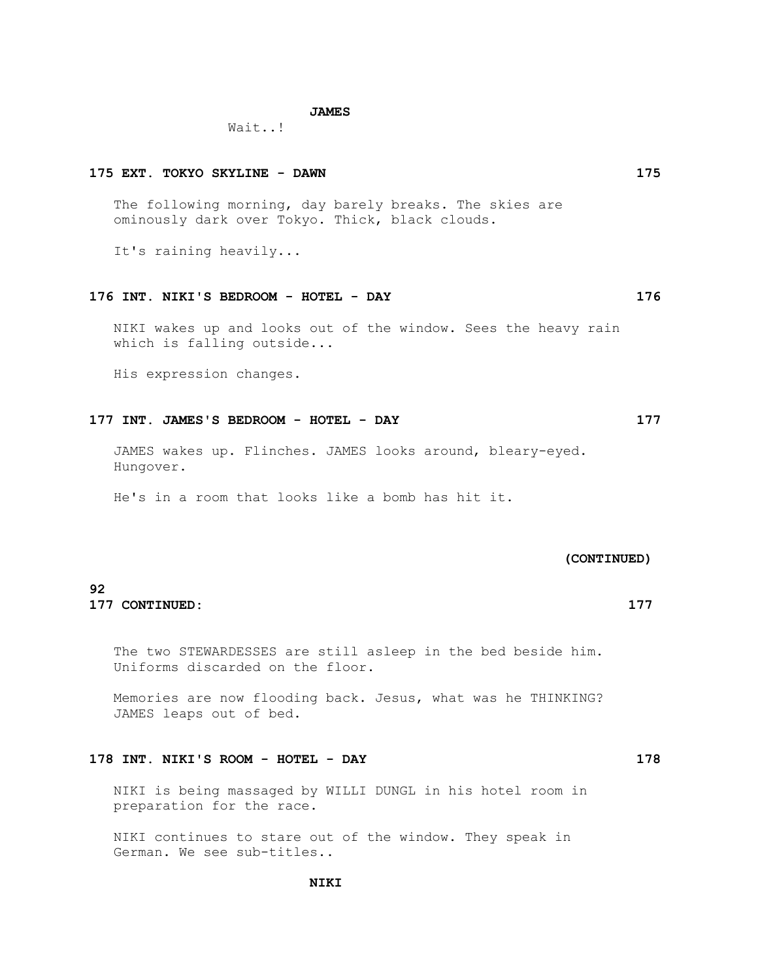#### **JAMES**

Wait..!

# The following morning, day barely breaks. The skies are ominously dark over Tokyo. Thick, black clouds. It's raining heavily... **176 INT. NIKI'S BEDROOM - HOTEL - DAY 176** NIKI wakes up and looks out of the window. Sees the heavy rain which is falling outside... His expression changes. **177 INT. JAMES'S BEDROOM - HOTEL - DAY 177** JAMES wakes up. Flinches. JAMES looks around, bleary-eyed.

Hungover.

He's in a room that looks like a bomb has hit it.

#### **(CONTINUED)**

# **92 177 CONTINUED: 177**

 The two STEWARDESSES are still asleep in the bed beside him. Uniforms discarded on the floor.

 Memories are now flooding back. Jesus, what was he THINKING? JAMES leaps out of bed.

# **178 INT. NIKI'S ROOM - HOTEL - DAY 178**

 NIKI is being massaged by WILLI DUNGL in his hotel room in preparation for the race.

 NIKI continues to stare out of the window. They speak in German. We see sub-titles..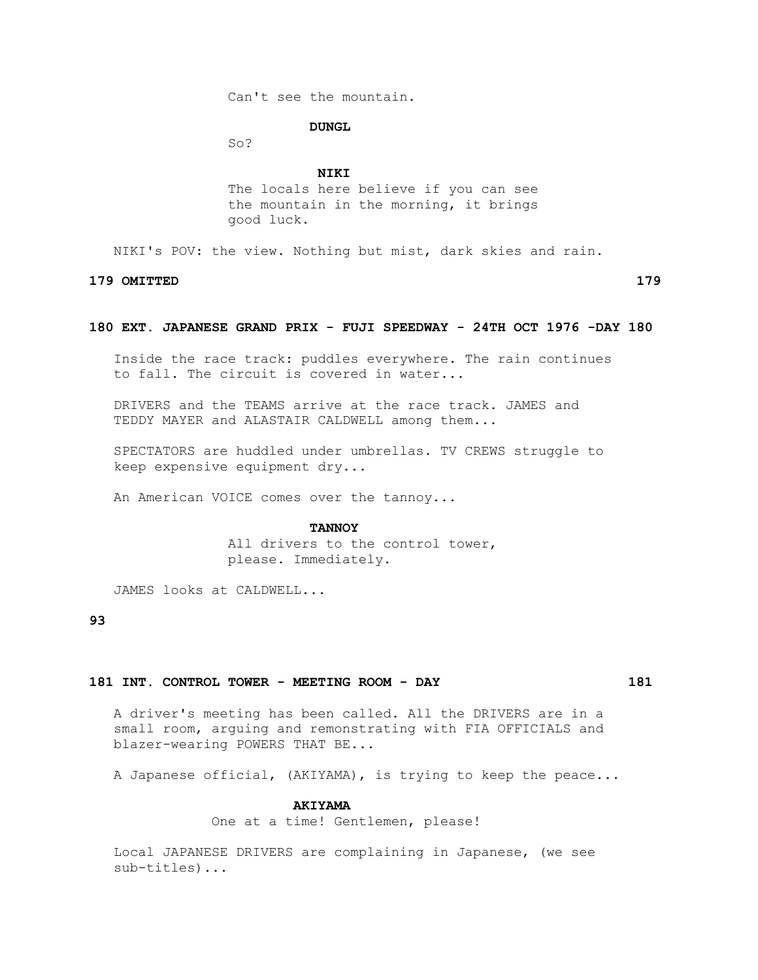Can't see the mountain.

#### **DUNGL**

So?

# **NIKI**

 The locals here believe if you can see the mountain in the morning, it brings good luck.

NIKI's POV: the view. Nothing but mist, dark skies and rain.

**179 OMITTED 179**

#### **180 EXT. JAPANESE GRAND PRIX - FUJI SPEEDWAY - 24TH OCT 1976 -DAY 180**

 Inside the race track: puddles everywhere. The rain continues to fall. The circuit is covered in water...

 DRIVERS and the TEAMS arrive at the race track. JAMES and TEDDY MAYER and ALASTAIR CALDWELL among them...

 SPECTATORS are huddled under umbrellas. TV CREWS struggle to keep expensive equipment dry...

An American VOICE comes over the tannoy...

#### **TANNOY**

 All drivers to the control tower, please. Immediately.

JAMES looks at CALDWELL...

# **93**

# **181 INT. CONTROL TOWER - MEETING ROOM - DAY 181**

 A driver's meeting has been called. All the DRIVERS are in a small room, arguing and remonstrating with FIA OFFICIALS and blazer-wearing POWERS THAT BE...

A Japanese official, (AKIYAMA), is trying to keep the peace...

### **AKIYAMA**

One at a time! Gentlemen, please!

 Local JAPANESE DRIVERS are complaining in Japanese, (we see sub-titles)...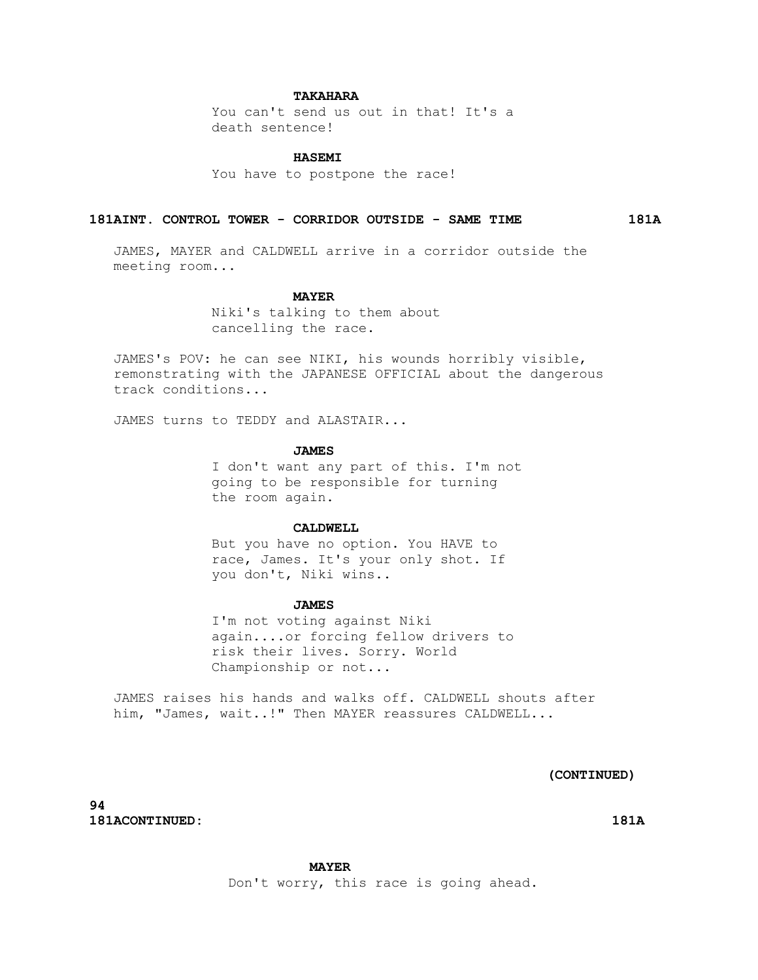# **TAKAHARA**

 You can't send us out in that! It's a death sentence!

### **HASEMI**

You have to postpone the race!

#### **181AINT. CONTROL TOWER - CORRIDOR OUTSIDE - SAME TIME 181A**

 JAMES, MAYER and CALDWELL arrive in a corridor outside the meeting room...

#### **MAYER**

 Niki's talking to them about cancelling the race.

 JAMES's POV: he can see NIKI, his wounds horribly visible, remonstrating with the JAPANESE OFFICIAL about the dangerous track conditions...

JAMES turns to TEDDY and ALASTAIR...

#### **JAMES**

 I don't want any part of this. I'm not going to be responsible for turning the room again.

#### CALDWELL.

 But you have no option. You HAVE to race, James. It's your only shot. If you don't, Niki wins..

#### **JAMES**

 I'm not voting against Niki again....or forcing fellow drivers to risk their lives. Sorry. World Championship or not...

 JAMES raises his hands and walks off. CALDWELL shouts after him, "James, wait..!" Then MAYER reassures CALDWELL...

# **(CONTINUED)**

**94 181ACONTINUED: 181A**

#### **MAYER**

Don't worry, this race is going ahead.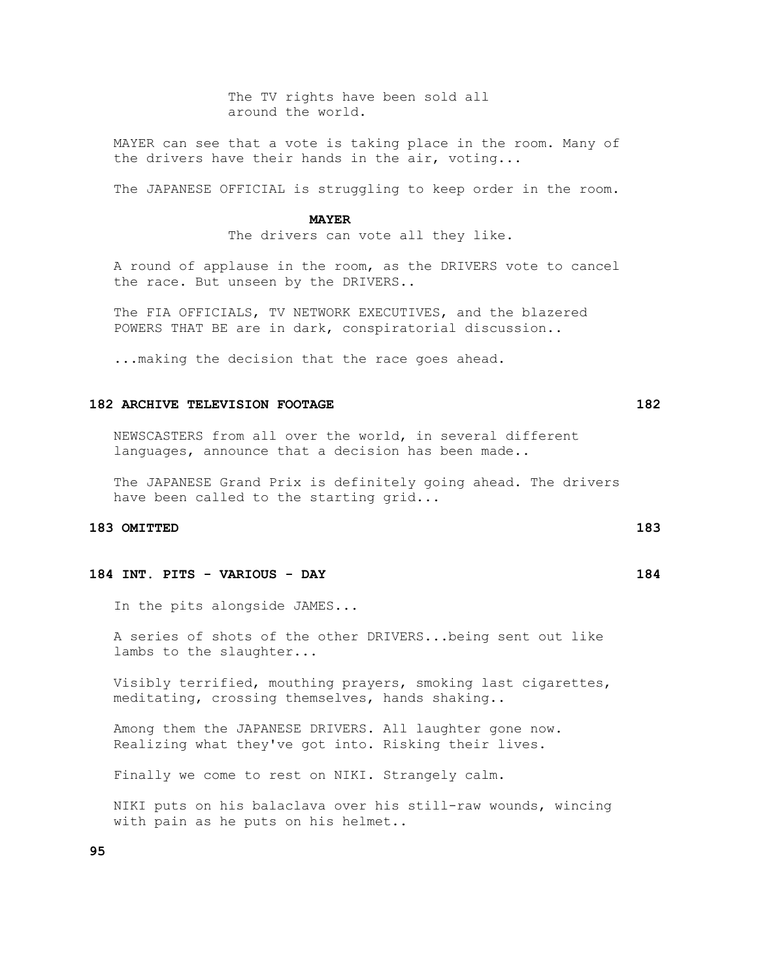The TV rights have been sold all around the world.

 MAYER can see that a vote is taking place in the room. Many of the drivers have their hands in the air, voting...

The JAPANESE OFFICIAL is struggling to keep order in the room.

#### **MAYER**

The drivers can vote all they like.

 A round of applause in the room, as the DRIVERS vote to cancel the race. But unseen by the DRIVERS..

 The FIA OFFICIALS, TV NETWORK EXECUTIVES, and the blazered POWERS THAT BE are in dark, conspiratorial discussion..

...making the decision that the race goes ahead.

#### **182 ARCHIVE TELEVISION FOOTAGE 182**

 NEWSCASTERS from all over the world, in several different languages, announce that a decision has been made..

 The JAPANESE Grand Prix is definitely going ahead. The drivers have been called to the starting grid...

# **183 OMITTED 183**

#### **184 INT. PITS - VARIOUS - DAY 184**

In the pits alongside JAMES...

 A series of shots of the other DRIVERS...being sent out like lambs to the slaughter...

 Visibly terrified, mouthing prayers, smoking last cigarettes, meditating, crossing themselves, hands shaking..

 Among them the JAPANESE DRIVERS. All laughter gone now. Realizing what they've got into. Risking their lives.

Finally we come to rest on NIKI. Strangely calm.

 NIKI puts on his balaclava over his still-raw wounds, wincing with pain as he puts on his helmet..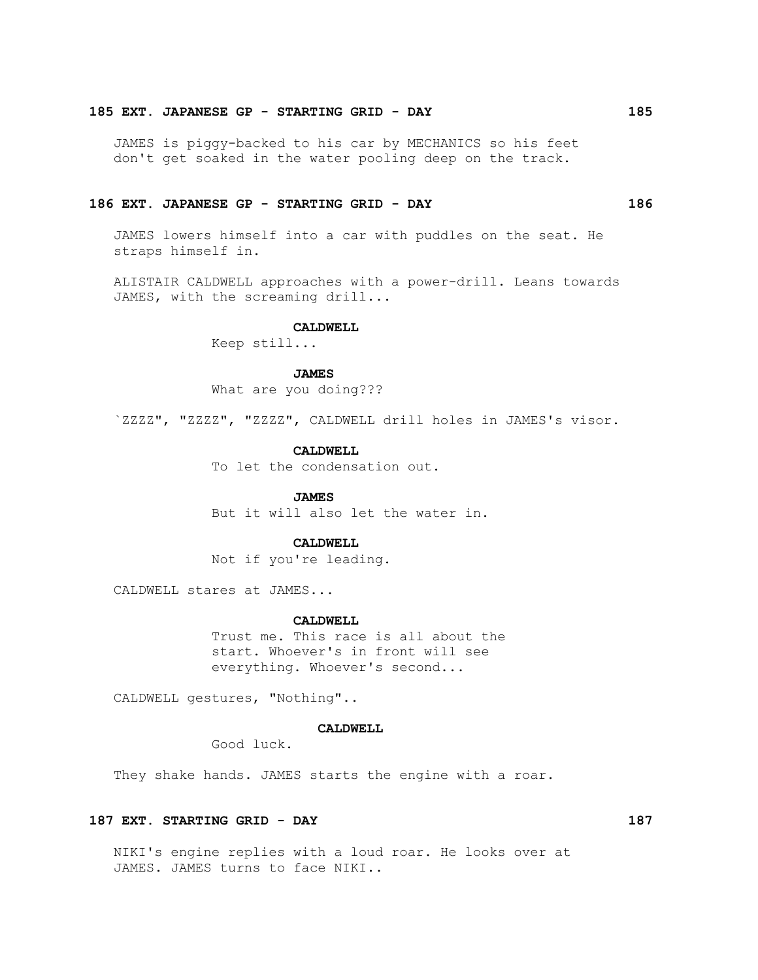#### **185 EXT. JAPANESE GP - STARTING GRID - DAY 185**

 JAMES is piggy-backed to his car by MECHANICS so his feet don't get soaked in the water pooling deep on the track.

# **186 EXT. JAPANESE GP - STARTING GRID - DAY 186**

 JAMES lowers himself into a car with puddles on the seat. He straps himself in.

 ALISTAIR CALDWELL approaches with a power-drill. Leans towards JAMES, with the screaming drill...

# **CALDWELL**

Keep still...

#### **JAMES**

What are you doing???

`ZZZZ", "ZZZZ", "ZZZZ", CALDWELL drill holes in JAMES's visor.

#### **CALDWELL**

To let the condensation out.

#### **JAMES**

But it will also let the water in.

#### **CALDWELL**

Not if you're leading.

CALDWELL stares at JAMES...

#### **CALDWELL**

 Trust me. This race is all about the start. Whoever's in front will see everything. Whoever's second...

CALDWELL gestures, "Nothing"..

#### **CALDWELL**

Good luck.

They shake hands. JAMES starts the engine with a roar.

# **187 EXT. STARTING GRID - DAY 187**

 NIKI's engine replies with a loud roar. He looks over at JAMES. JAMES turns to face NIKI..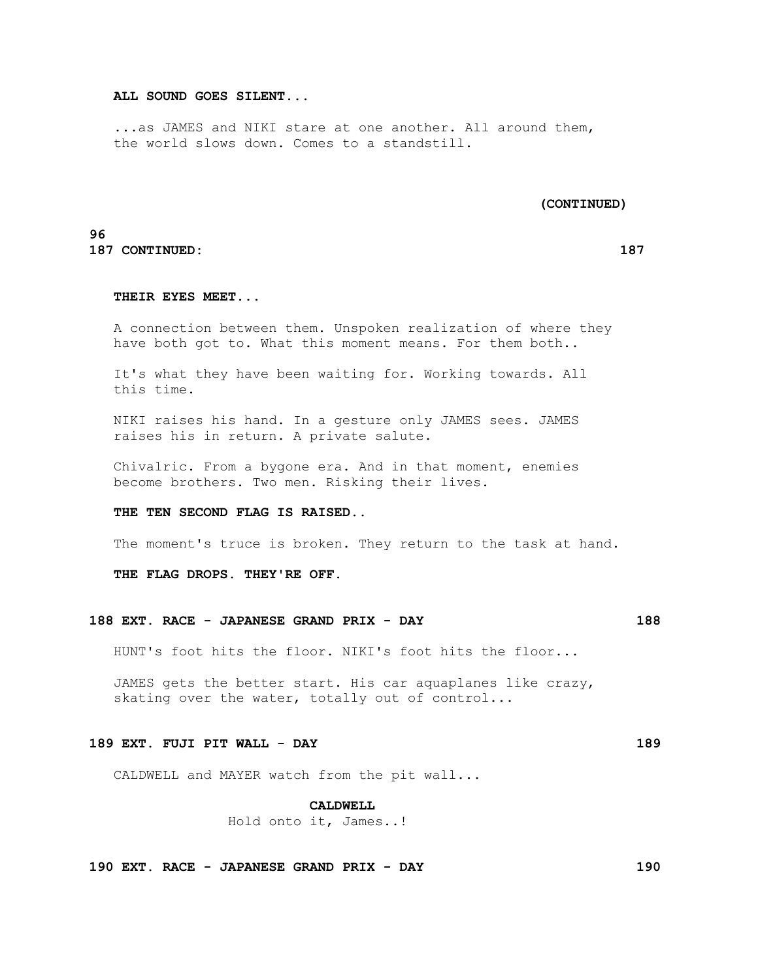### **ALL SOUND GOES SILENT...**

 ...as JAMES and NIKI stare at one another. All around them, the world slows down. Comes to a standstill.

 **(CONTINUED)**

# **96 187 CONTINUED: 187**

#### **THEIR EYES MEET...**

 A connection between them. Unspoken realization of where they have both got to. What this moment means. For them both..

 It's what they have been waiting for. Working towards. All this time.

 NIKI raises his hand. In a gesture only JAMES sees. JAMES raises his in return. A private salute.

 Chivalric. From a bygone era. And in that moment, enemies become brothers. Two men. Risking their lives.

#### **THE TEN SECOND FLAG IS RAISED..**

The moment's truce is broken. They return to the task at hand.

 **THE FLAG DROPS. THEY'RE OFF.**

#### **188 EXT. RACE - JAPANESE GRAND PRIX - DAY 188**

HUNT's foot hits the floor. NIKI's foot hits the floor...

 JAMES gets the better start. His car aquaplanes like crazy, skating over the water, totally out of control...

#### **189 EXT. FUJI PIT WALL - DAY 189**

CALDWELL and MAYER watch from the pit wall...

#### **CALDWELL**

Hold onto it, James..!

**190 EXT. RACE - JAPANESE GRAND PRIX - DAY 190**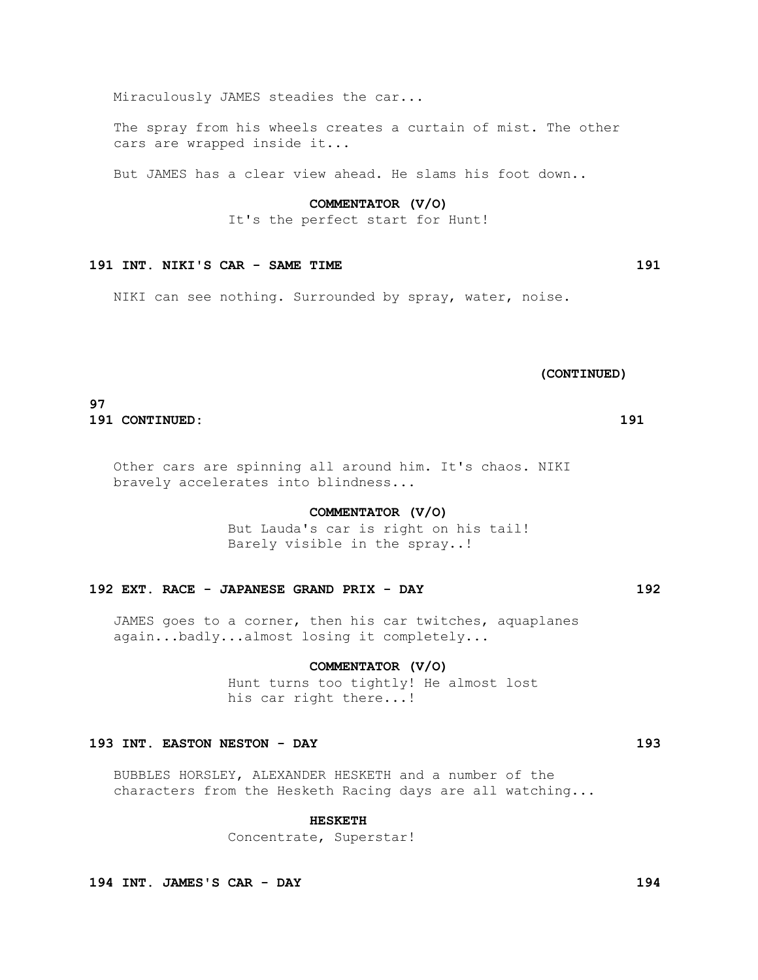Miraculously JAMES steadies the car...

 The spray from his wheels creates a curtain of mist. The other cars are wrapped inside it...

But JAMES has a clear view ahead. He slams his foot down..

### **COMMENTATOR (V/O)**

It's the perfect start for Hunt!

# **191 INT. NIKI'S CAR - SAME TIME 191**

NIKI can see nothing. Surrounded by spray, water, noise.

 **(CONTINUED)**

# **97**

**191 CONTINUED: 191**

 Other cars are spinning all around him. It's chaos. NIKI bravely accelerates into blindness...

#### **COMMENTATOR (V/O)**

 But Lauda's car is right on his tail! Barely visible in the spray..!

# **192 EXT. RACE - JAPANESE GRAND PRIX - DAY 192**

 JAMES goes to a corner, then his car twitches, aquaplanes again...badly...almost losing it completely...

#### **COMMENTATOR (V/O)**

 Hunt turns too tightly! He almost lost his car right there...!

#### **193 INT. EASTON NESTON - DAY 193**

 BUBBLES HORSLEY, ALEXANDER HESKETH and a number of the characters from the Hesketh Racing days are all watching...

### **HESKETH**

Concentrate, Superstar!

**194 INT. JAMES'S CAR - DAY 194**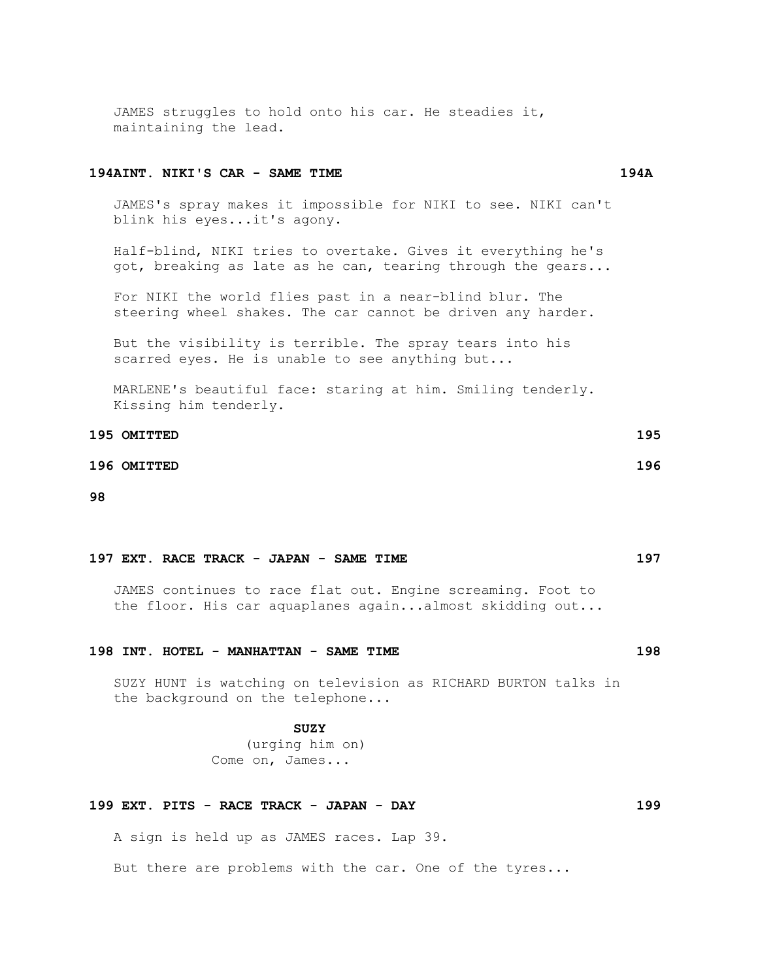JAMES struggles to hold onto his car. He steadies it, maintaining the lead.

#### **194AINT. NIKI'S CAR - SAME TIME 194A**

 JAMES's spray makes it impossible for NIKI to see. NIKI can't blink his eyes...it's agony.

 Half-blind, NIKI tries to overtake. Gives it everything he's got, breaking as late as he can, tearing through the gears...

 For NIKI the world flies past in a near-blind blur. The steering wheel shakes. The car cannot be driven any harder.

 But the visibility is terrible. The spray tears into his scarred eyes. He is unable to see anything but...

 MARLENE's beautiful face: staring at him. Smiling tenderly. Kissing him tenderly.

| 195 OMITTED | 195 |
|-------------|-----|
| 196 OMITTED | 196 |

**98**

#### **197 EXT. RACE TRACK - JAPAN - SAME TIME 197**

 JAMES continues to race flat out. Engine screaming. Foot to the floor. His car aquaplanes again...almost skidding out...

# **198 INT. HOTEL - MANHATTAN - SAME TIME 198**

 SUZY HUNT is watching on television as RICHARD BURTON talks in the background on the telephone...

 **SUZY**

 (urging him on) Come on, James...

# **199 EXT. PITS - RACE TRACK - JAPAN - DAY 199**

A sign is held up as JAMES races. Lap 39.

But there are problems with the car. One of the tyres...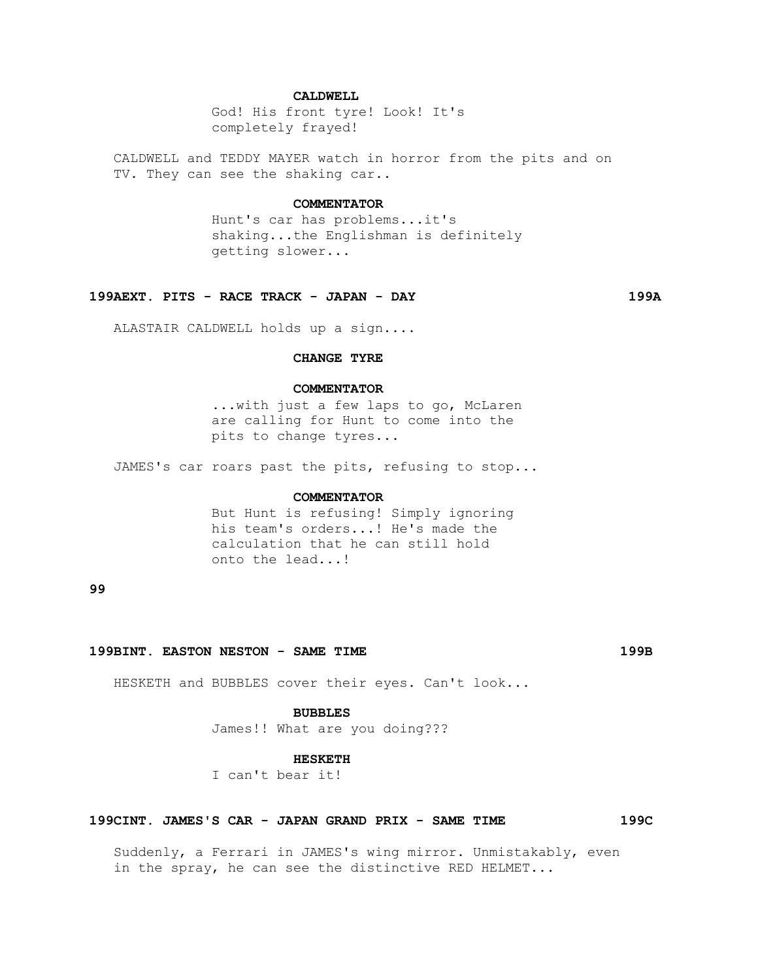### **CALDWELL**

 God! His front tyre! Look! It's completely frayed!

 CALDWELL and TEDDY MAYER watch in horror from the pits and on TV. They can see the shaking car..

#### **COMMENTATOR**

 Hunt's car has problems...it's shaking...the Englishman is definitely getting slower...

#### **199AEXT. PITS - RACE TRACK - JAPAN - DAY 199A**

ALASTAIR CALDWELL holds up a sign....

# **CHANGE TYRE**

#### **COMMENTATOR**

 ...with just a few laps to go, McLaren are calling for Hunt to come into the pits to change tyres...

JAMES's car roars past the pits, refusing to stop...

#### **COMMENTATOR**

 But Hunt is refusing! Simply ignoring his team's orders...! He's made the calculation that he can still hold onto the lead...!

**99**

#### **199BINT. EASTON NESTON - SAME TIME 199B**

HESKETH and BUBBLES cover their eyes. Can't look...

#### **BUBBLES**

James!! What are you doing???

#### **HESKETH**

I can't bear it!

#### **199CINT. JAMES'S CAR - JAPAN GRAND PRIX - SAME TIME 199C**

 Suddenly, a Ferrari in JAMES's wing mirror. Unmistakably, even in the spray, he can see the distinctive RED HELMET...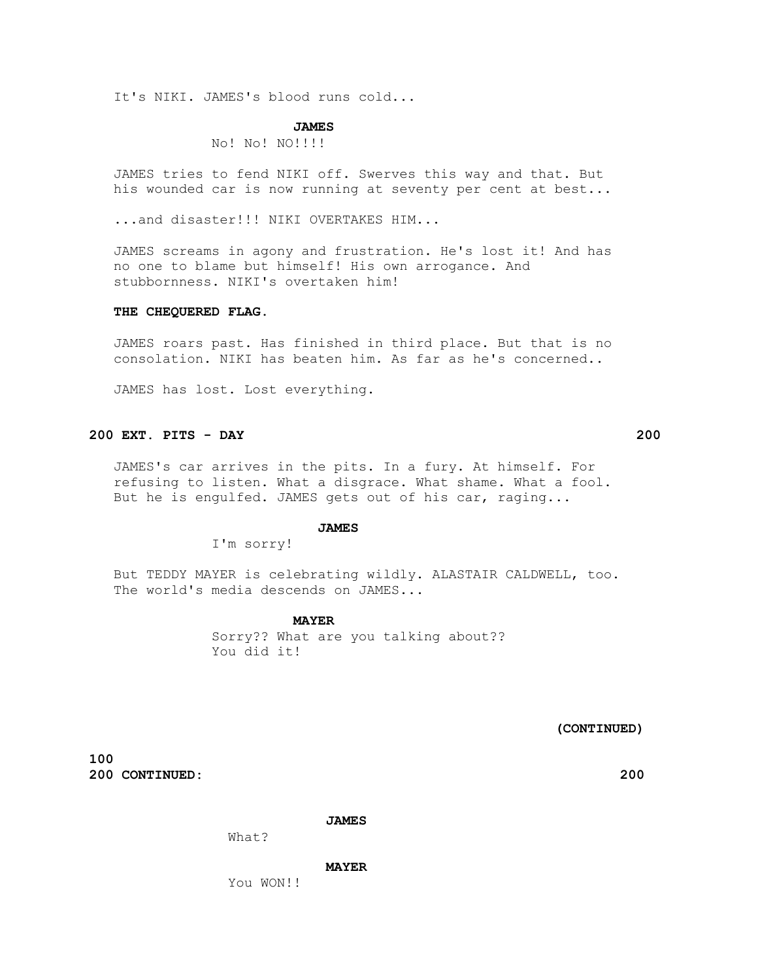It's NIKI. JAMES's blood runs cold...

#### **JAMES**

No! No! NO!!!!

 JAMES tries to fend NIKI off. Swerves this way and that. But his wounded car is now running at seventy per cent at best...

...and disaster!!! NIKI OVERTAKES HIM...

 JAMES screams in agony and frustration. He's lost it! And has no one to blame but himself! His own arrogance. And stubbornness. NIKI's overtaken him!

#### **THE CHEQUERED FLAG.**

 JAMES roars past. Has finished in third place. But that is no consolation. NIKI has beaten him. As far as he's concerned..

JAMES has lost. Lost everything.

# **200 EXT. PITS - DAY 200**

 JAMES's car arrives in the pits. In a fury. At himself. For refusing to listen. What a disgrace. What shame. What a fool. But he is engulfed. JAMES gets out of his car, raging...

#### **JAMES**

I'm sorry!

 But TEDDY MAYER is celebrating wildly. ALASTAIR CALDWELL, too. The world's media descends on JAMES...

 **MAYER**

 Sorry?? What are you talking about?? You did it!

 **(CONTINUED)**

**100 200 CONTINUED: 200**

#### **JAMES**

What?

#### **MAYER**

You WON!!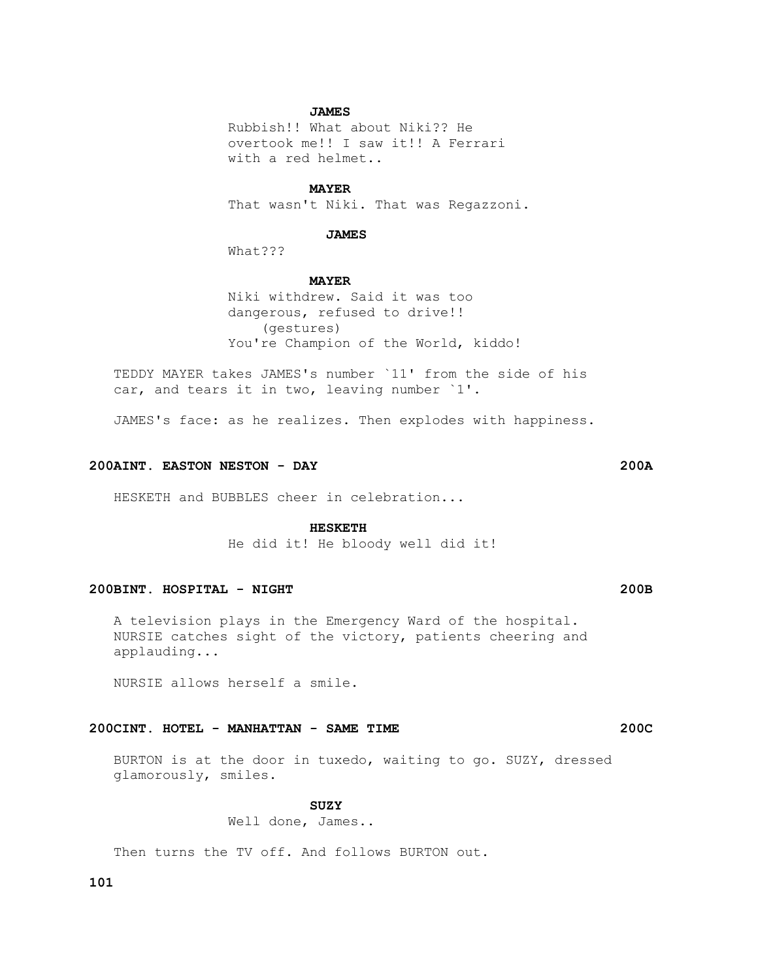# **JAMES**

 Rubbish!! What about Niki?? He overtook me!! I saw it!! A Ferrari with a red helmet..

#### **MAYER**

That wasn't Niki. That was Regazzoni.

#### **JAMES**

What???

#### **MAYER**

 Niki withdrew. Said it was too dangerous, refused to drive!! (gestures) You're Champion of the World, kiddo!

 TEDDY MAYER takes JAMES's number `11' from the side of his car, and tears it in two, leaving number `1'.

JAMES's face: as he realizes. Then explodes with happiness.

### **200AINT. EASTON NESTON - DAY 200A**

HESKETH and BUBBLES cheer in celebration...

#### **HESKETH**

He did it! He bloody well did it!

# **200BINT. HOSPITAL - NIGHT 200B**

 A television plays in the Emergency Ward of the hospital. NURSIE catches sight of the victory, patients cheering and applauding...

NURSIE allows herself a smile.

# **200CINT. HOTEL - MANHATTAN - SAME TIME 200C**

 BURTON is at the door in tuxedo, waiting to go. SUZY, dressed glamorously, smiles.

# **SUZY**

Well done, James..

Then turns the TV off. And follows BURTON out.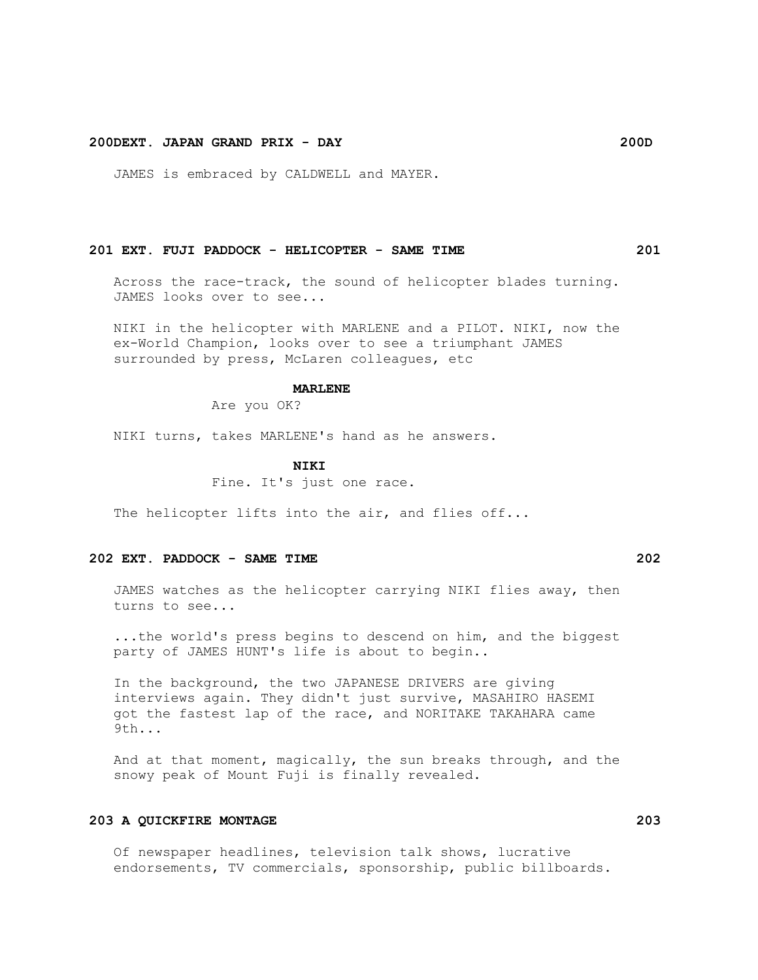# **200DEXT. JAPAN GRAND PRIX - DAY 200D**

JAMES is embraced by CALDWELL and MAYER.

#### **201 EXT. FUJI PADDOCK - HELICOPTER - SAME TIME 201**

 Across the race-track, the sound of helicopter blades turning. JAMES looks over to see...

 NIKI in the helicopter with MARLENE and a PILOT. NIKI, now the ex-World Champion, looks over to see a triumphant JAMES surrounded by press, McLaren colleagues, etc

#### **MARLENE**

Are you OK?

NIKI turns, takes MARLENE's hand as he answers.

#### **NIKI**

Fine. It's just one race.

The helicopter lifts into the air, and flies off...

#### **202 EXT. PADDOCK - SAME TIME 202**

 JAMES watches as the helicopter carrying NIKI flies away, then turns to see...

 ...the world's press begins to descend on him, and the biggest party of JAMES HUNT's life is about to begin..

 In the background, the two JAPANESE DRIVERS are giving interviews again. They didn't just survive, MASAHIRO HASEMI got the fastest lap of the race, and NORITAKE TAKAHARA came 9th...

 And at that moment, magically, the sun breaks through, and the snowy peak of Mount Fuji is finally revealed.

# **203 A QUICKFIRE MONTAGE 203**

 Of newspaper headlines, television talk shows, lucrative endorsements, TV commercials, sponsorship, public billboards.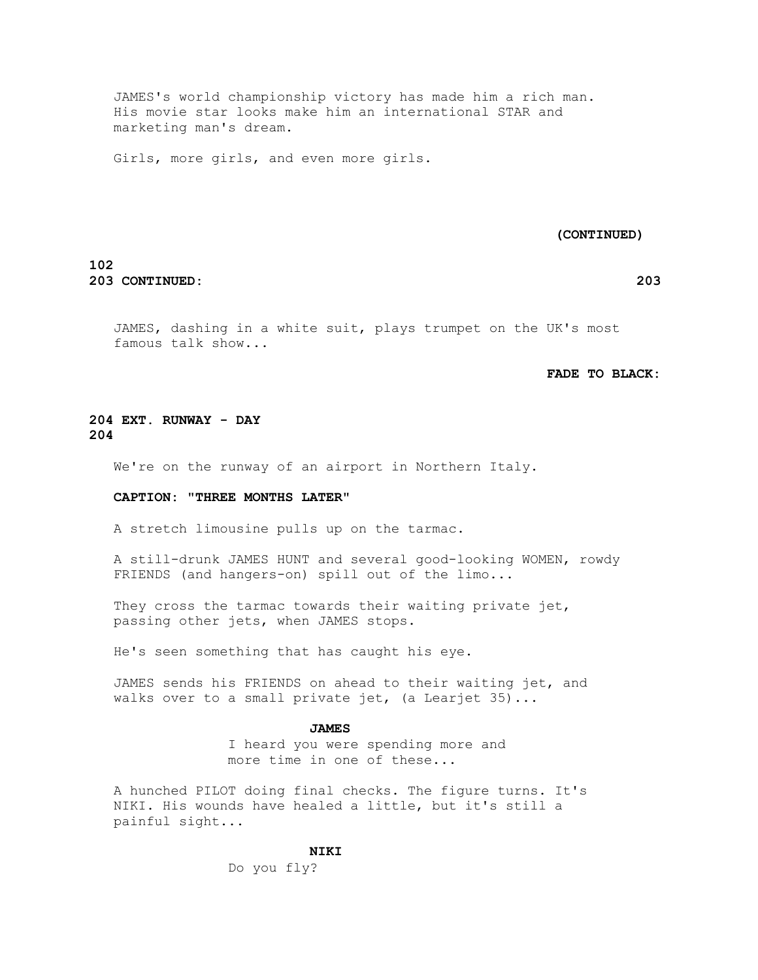JAMES's world championship victory has made him a rich man. His movie star looks make him an international STAR and marketing man's dream.

Girls, more girls, and even more girls.

#### **(CONTINUED)**

# **102 203 CONTINUED: 203**

 JAMES, dashing in a white suit, plays trumpet on the UK's most famous talk show...

# **FADE TO BLACK:**

# **204 EXT. RUNWAY - DAY 204**

We're on the runway of an airport in Northern Italy.

#### **CAPTION: "THREE MONTHS LATER"**

A stretch limousine pulls up on the tarmac.

 A still-drunk JAMES HUNT and several good-looking WOMEN, rowdy FRIENDS (and hangers-on) spill out of the limo...

They cross the tarmac towards their waiting private jet, passing other jets, when JAMES stops.

He's seen something that has caught his eye.

 JAMES sends his FRIENDS on ahead to their waiting jet, and walks over to a small private jet, (a Learjet 35)...

#### **JAMES**

 I heard you were spending more and more time in one of these...

 A hunched PILOT doing final checks. The figure turns. It's NIKI. His wounds have healed a little, but it's still a painful sight...

#### **NIKI**

Do you fly?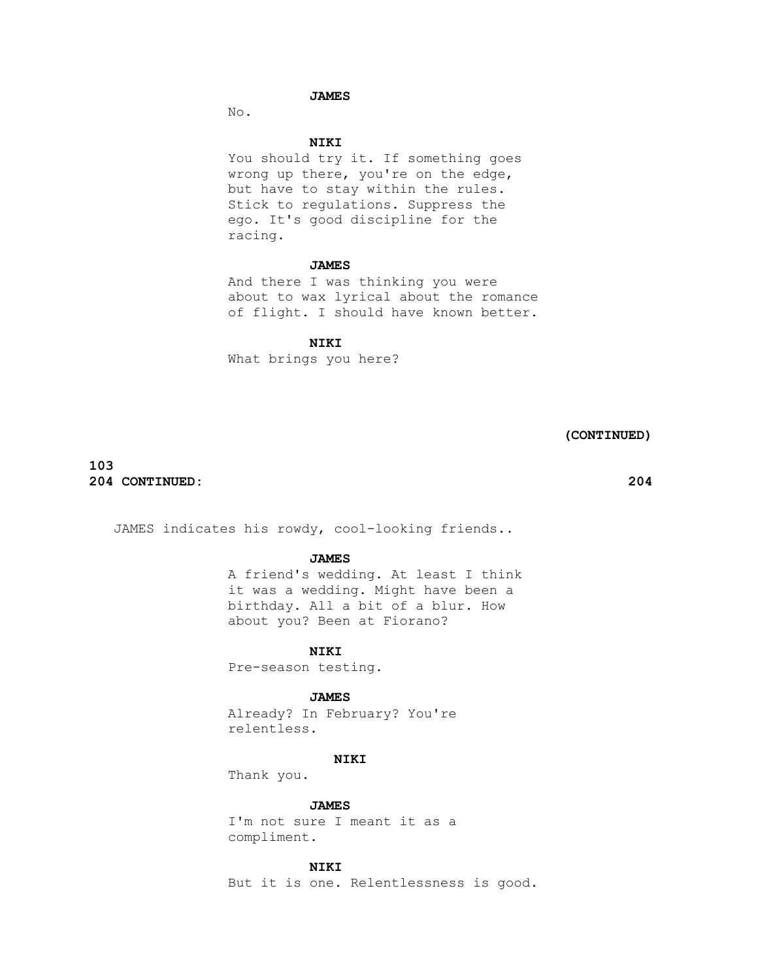# **JAMES**

No.

# **NIKI**

You should try it. If something goes wrong up there, you're on the edge, but have to stay within the rules. Stick to regulations. Suppress the ego. It's good discipline for the racing.

### **JAMES**

 And there I was thinking you were about to wax lyrical about the romance of flight. I should have known better.

#### **NIKI**

What brings you here?

 **(CONTINUED)**

# **103 204 CONTINUED: 204**

JAMES indicates his rowdy, cool-looking friends..

# **JAMES**

 A friend's wedding. At least I think it was a wedding. Might have been a birthday. All a bit of a blur. How about you? Been at Fiorano?

#### **NIKI**

Pre-season testing.

#### **JAMES**

 Already? In February? You're relentless.

# **NIKI**

Thank you.

 **JAMES**

 I'm not sure I meant it as a compliment.

# **NIKI**

But it is one. Relentlessness is good.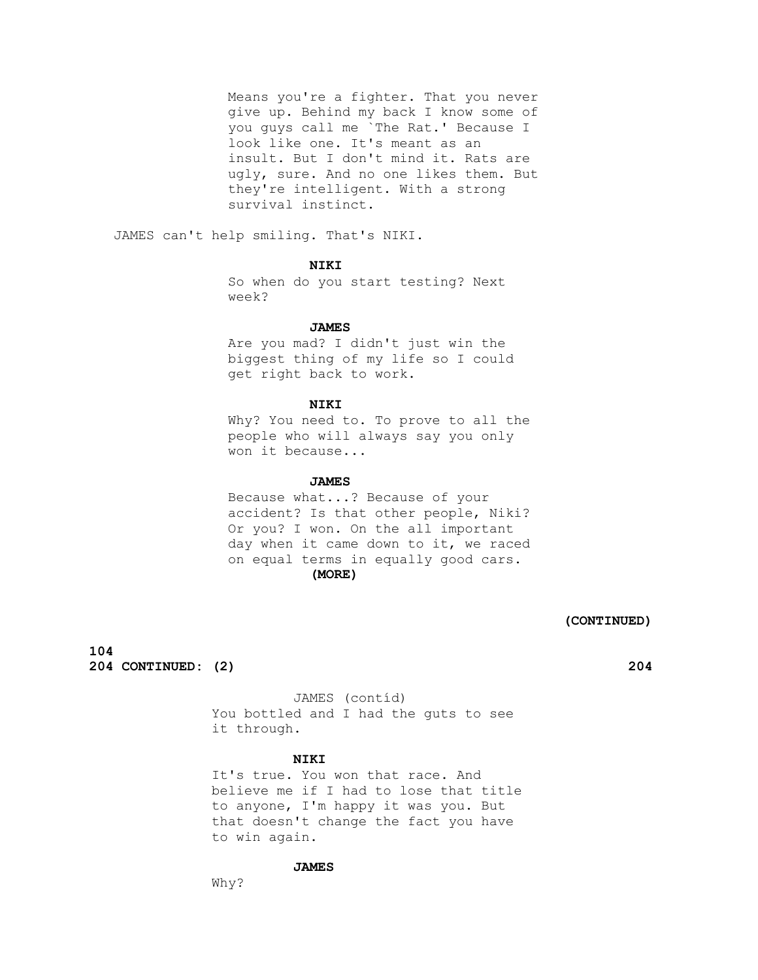Means you're a fighter. That you never give up. Behind my back I know some of you guys call me `The Rat.' Because I look like one. It's meant as an insult. But I don't mind it. Rats are ugly, sure. And no one likes them. But they're intelligent. With a strong survival instinct.

JAMES can't help smiling. That's NIKI.

# **NIKI**

 So when do you start testing? Next week?

#### **JAMES**

 Are you mad? I didn't just win the biggest thing of my life so I could get right back to work.

### **NIKI**

 Why? You need to. To prove to all the people who will always say you only won it because...

#### **JAMES**

 Because what...? Because of your accident? Is that other people, Niki? Or you? I won. On the all important day when it came down to it, we raced on equal terms in equally good cars.  **(MORE)**

# **(CONTINUED)**

**104 204 CONTINUED: (2) 204**

 JAMES (contíd) You bottled and I had the guts to see it through.

#### **NIKI**

 It's true. You won that race. And believe me if I had to lose that title to anyone, I'm happy it was you. But that doesn't change the fact you have to win again.

# **JAMES**

Why?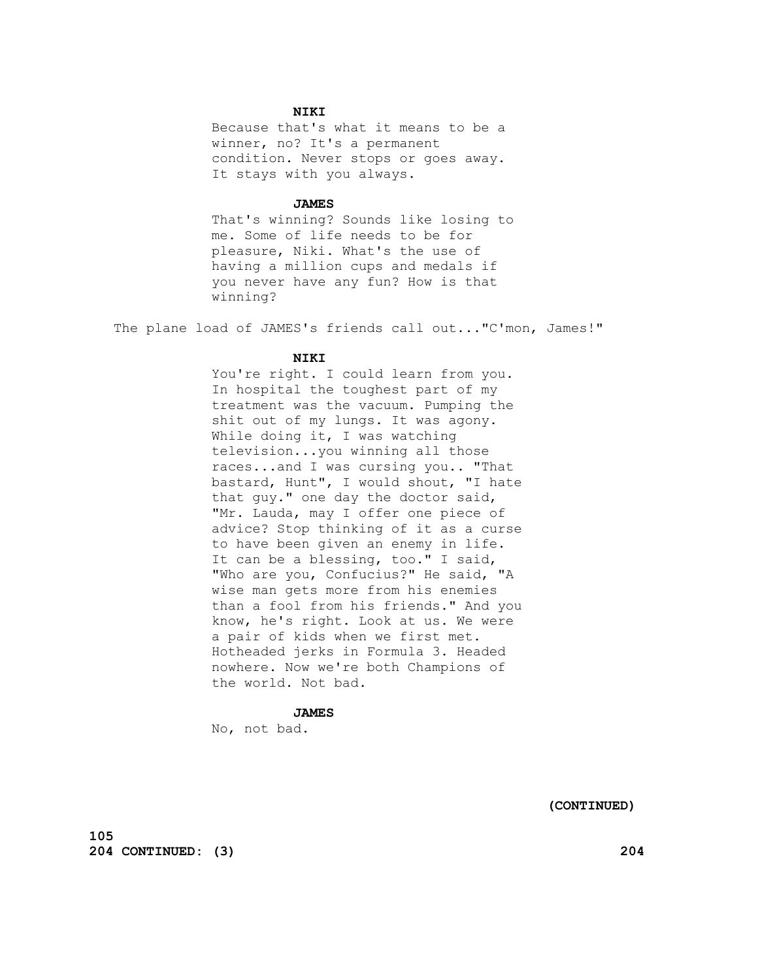# **NIKI**

 Because that's what it means to be a winner, no? It's a permanent condition. Never stops or goes away. It stays with you always.

#### **JAMES**

 That's winning? Sounds like losing to me. Some of life needs to be for pleasure, Niki. What's the use of having a million cups and medals if you never have any fun? How is that winning?

The plane load of JAMES's friends call out..."C'mon, James!"

#### **NIKI**

You're right. I could learn from you. In hospital the toughest part of my treatment was the vacuum. Pumping the shit out of my lungs. It was agony. While doing it, I was watching television...you winning all those races...and I was cursing you.. "That bastard, Hunt", I would shout, "I hate that guy." one day the doctor said, "Mr. Lauda, may I offer one piece of advice? Stop thinking of it as a curse to have been given an enemy in life. It can be a blessing, too." I said, "Who are you, Confucius?" He said, "A wise man gets more from his enemies than a fool from his friends." And you know, he's right. Look at us. We were a pair of kids when we first met. Hotheaded jerks in Formula 3. Headed nowhere. Now we're both Champions of the world. Not bad.

# **JAMES**

No, not bad.

 **(CONTINUED)**

**105 204 CONTINUED: (3) 204**